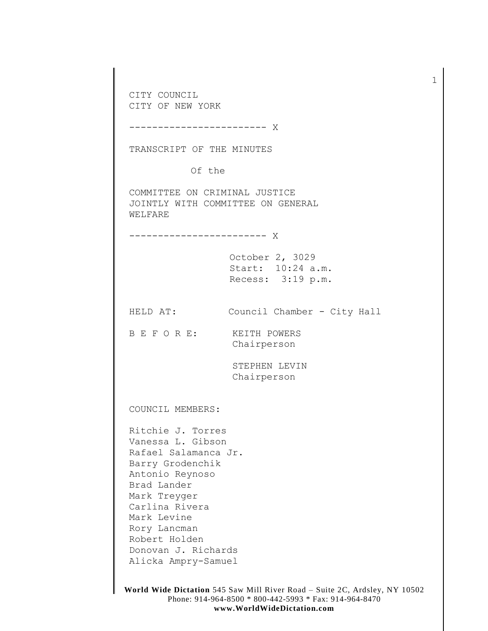CITY COUNCIL CITY OF NEW YORK

------------------------ X

TRANSCRIPT OF THE MINUTES

Of the

COMMITTEE ON CRIMINAL JUSTICE JOINTLY WITH COMMITTEE ON GENERAL WELFARE

------------------------ X

October 2, 3029 Start: 10:24 a.m. Recess: 3:19 p.m.

HELD AT: Council Chamber - City Hall

B E F O R E: KEITH POWERS Chairperson

> STEPHEN LEVIN Chairperson

COUNCIL MEMBERS:

Ritchie J. Torres Vanessa L. Gibson Rafael Salamanca Jr. Barry Grodenchik Antonio Reynoso Brad Lander Mark Treyger Carlina Rivera Mark Levine Rory Lancman Robert Holden Donovan J. Richards Alicka Ampry-Samuel

1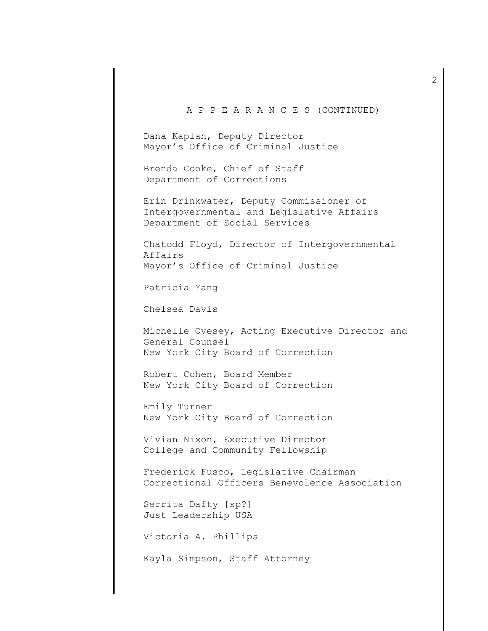## A P P E A R A N C E S (CONTINUED)

Dana Kaplan, Deputy Director Mayor's Office of Criminal Justice

 Brenda Cooke, Chief of Staff Department of Corrections

 Erin Drinkwater, Deputy Commissioner of Intergovernmental and Legislative Affairs Department of Social Services

 Chatodd Floyd, Director of Intergovernmental Affairs Mayor's Office of Criminal Justice

Patricia Yang

Chelsea Davis

 Michelle Ovesey, Acting Executive Director and General Counsel New York City Board of Correction

 Robert Cohen, Board Member New York City Board of Correction

 Emily Turner New York City Board of Correction

 Vivian Nixon, Executive Director College and Community Fellowship

 Frederick Fusco, Legislative Chairman Correctional Officers Benevolence Association

 Serrita Dafty [sp?] Just Leadership USA

Victoria A. Phillips

Kayla Simpson, Staff Attorney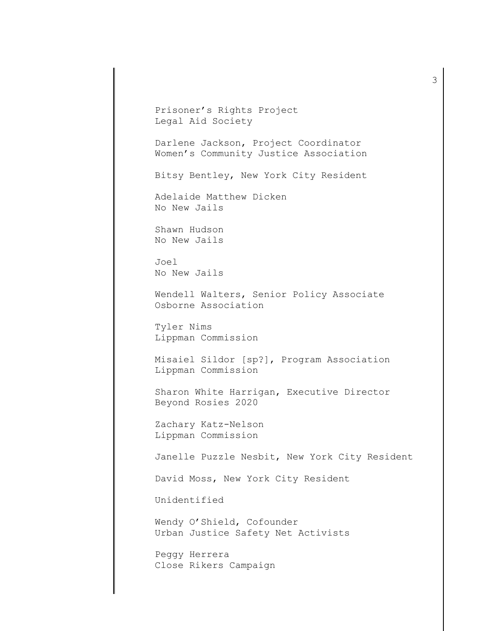Prisoner's Rights Project Legal Aid Society Darlene Jackson, Project Coordinator Women's Community Justice Association Bitsy Bentley, New York City Resident Adelaide Matthew Dicken No New Jails Shawn Hudson No New Jails Joel No New Jails Wendell Walters, Senior Policy Associate Osborne Association Tyler Nims Lippman Commission Misaiel Sildor [sp?], Program Association Lippman Commission Sharon White Harrigan, Executive Director Beyond Rosies 2020 Zachary Katz-Nelson Lippman Commission Janelle Puzzle Nesbit, New York City Resident David Moss, New York City Resident Unidentified Wendy O'Shield, Cofounder Urban Justice Safety Net Activists Peggy Herrera Close Rikers Campaign

3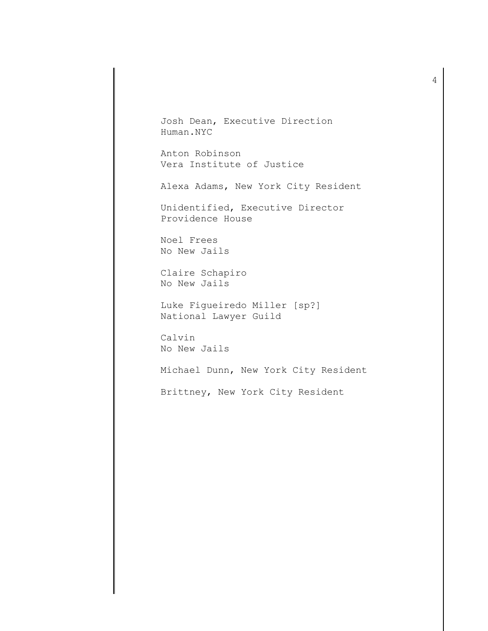Josh Dean, Executive Direction Human.NYC

Anton Robinson Vera Institute of Justice

Alexa Adams, New York City Resident

Unidentified, Executive Director Providence House

 Noel Frees No New Jails

Claire Schapiro No New Jails

Luke Figueiredo Miller [sp?] National Lawyer Guild

 Calvin No New Jails

Michael Dunn, New York City Resident

Brittney, New York City Resident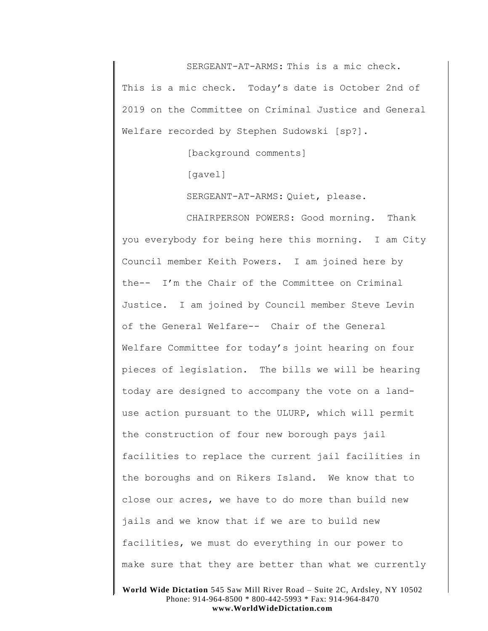SERGEANT-AT-ARMS: This is a mic check.

This is a mic check. Today's date is October 2nd of 2019 on the Committee on Criminal Justice and General Welfare recorded by Stephen Sudowski [sp?].

[background comments]

[gavel]

SERGEANT-AT-ARMS: Quiet, please.

CHAIRPERSON POWERS: Good morning. Thank you everybody for being here this morning. I am City Council member Keith Powers. I am joined here by the-- I'm the Chair of the Committee on Criminal Justice. I am joined by Council member Steve Levin of the General Welfare-- Chair of the General Welfare Committee for today's joint hearing on four pieces of legislation. The bills we will be hearing today are designed to accompany the vote on a landuse action pursuant to the ULURP, which will permit the construction of four new borough pays jail facilities to replace the current jail facilities in the boroughs and on Rikers Island. We know that to close our acres, we have to do more than build new jails and we know that if we are to build new facilities, we must do everything in our power to make sure that they are better than what we currently

**World Wide Dictation** 545 Saw Mill River Road – Suite 2C, Ardsley, NY 10502 Phone: 914-964-8500 \* 800-442-5993 \* Fax: 914-964-8470 **www.WorldWideDictation.com**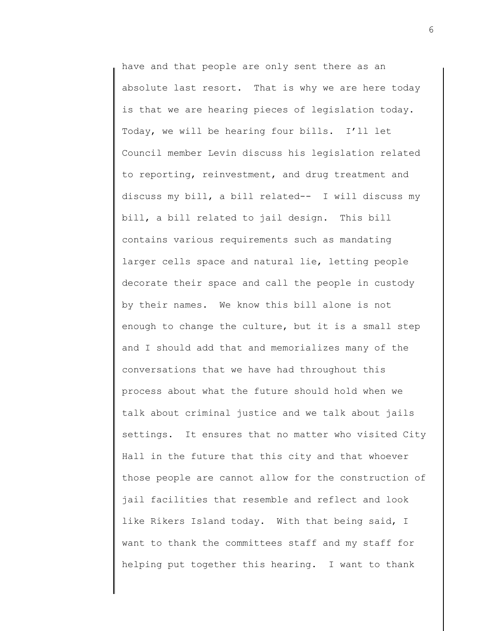have and that people are only sent there as an absolute last resort. That is why we are here today is that we are hearing pieces of legislation today. Today, we will be hearing four bills. I'll let Council member Levin discuss his legislation related to reporting, reinvestment, and drug treatment and discuss my bill, a bill related-- I will discuss my bill, a bill related to jail design. This bill contains various requirements such as mandating larger cells space and natural lie, letting people decorate their space and call the people in custody by their names. We know this bill alone is not enough to change the culture, but it is a small step and I should add that and memorializes many of the conversations that we have had throughout this process about what the future should hold when we talk about criminal justice and we talk about jails settings. It ensures that no matter who visited City Hall in the future that this city and that whoever those people are cannot allow for the construction of jail facilities that resemble and reflect and look like Rikers Island today. With that being said, I want to thank the committees staff and my staff for helping put together this hearing. I want to thank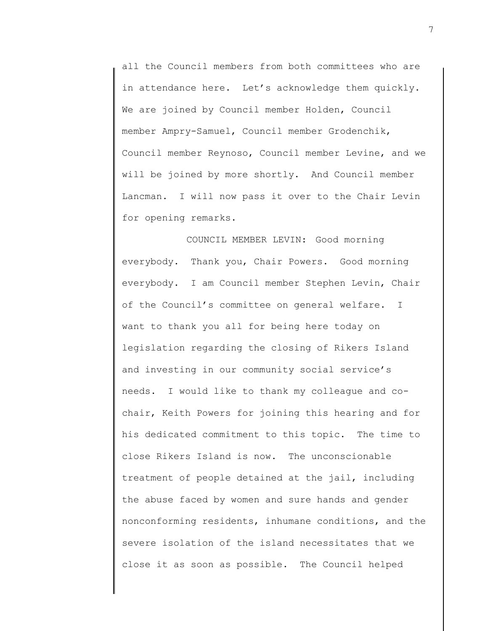all the Council members from both committees who are in attendance here. Let's acknowledge them quickly. We are joined by Council member Holden, Council member Ampry-Samuel, Council member Grodenchik, Council member Reynoso, Council member Levine, and we will be joined by more shortly. And Council member Lancman. I will now pass it over to the Chair Levin for opening remarks.

COUNCIL MEMBER LEVIN: Good morning everybody. Thank you, Chair Powers. Good morning everybody. I am Council member Stephen Levin, Chair of the Council's committee on general welfare. I want to thank you all for being here today on legislation regarding the closing of Rikers Island and investing in our community social service's needs. I would like to thank my colleague and cochair, Keith Powers for joining this hearing and for his dedicated commitment to this topic. The time to close Rikers Island is now. The unconscionable treatment of people detained at the jail, including the abuse faced by women and sure hands and gender nonconforming residents, inhumane conditions, and the severe isolation of the island necessitates that we close it as soon as possible. The Council helped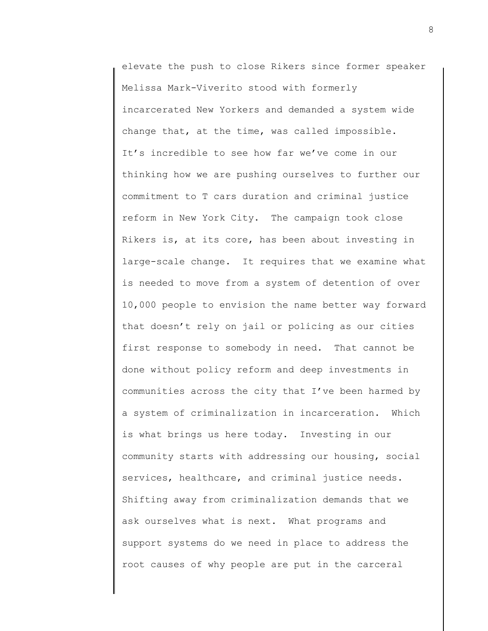elevate the push to close Rikers since former speaker Melissa Mark-Viverito stood with formerly incarcerated New Yorkers and demanded a system wide change that, at the time, was called impossible. It's incredible to see how far we've come in our thinking how we are pushing ourselves to further our commitment to T cars duration and criminal justice reform in New York City. The campaign took close Rikers is, at its core, has been about investing in large-scale change. It requires that we examine what is needed to move from a system of detention of over 10,000 people to envision the name better way forward that doesn't rely on jail or policing as our cities first response to somebody in need. That cannot be done without policy reform and deep investments in communities across the city that I've been harmed by a system of criminalization in incarceration. Which is what brings us here today. Investing in our community starts with addressing our housing, social services, healthcare, and criminal justice needs. Shifting away from criminalization demands that we ask ourselves what is next. What programs and support systems do we need in place to address the root causes of why people are put in the carceral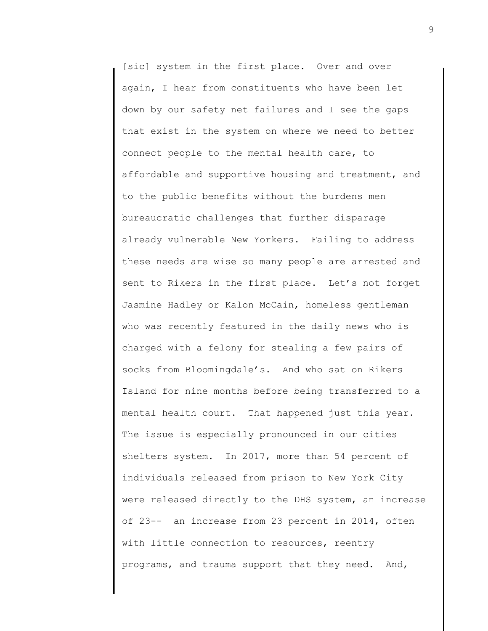[sic] system in the first place. Over and over again, I hear from constituents who have been let down by our safety net failures and I see the gaps that exist in the system on where we need to better connect people to the mental health care, to affordable and supportive housing and treatment, and to the public benefits without the burdens men bureaucratic challenges that further disparage already vulnerable New Yorkers. Failing to address these needs are wise so many people are arrested and sent to Rikers in the first place. Let's not forget Jasmine Hadley or Kalon McCain, homeless gentleman who was recently featured in the daily news who is charged with a felony for stealing a few pairs of socks from Bloomingdale's. And who sat on Rikers Island for nine months before being transferred to a mental health court. That happened just this year. The issue is especially pronounced in our cities shelters system. In 2017, more than 54 percent of individuals released from prison to New York City were released directly to the DHS system, an increase of 23-- an increase from 23 percent in 2014, often with little connection to resources, reentry programs, and trauma support that they need. And,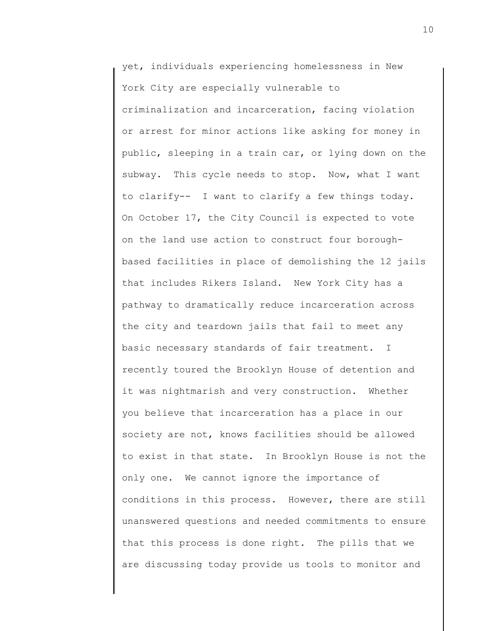yet, individuals experiencing homelessness in New York City are especially vulnerable to criminalization and incarceration, facing violation or arrest for minor actions like asking for money in public, sleeping in a train car, or lying down on the subway. This cycle needs to stop. Now, what I want to clarify-- I want to clarify a few things today. On October 17, the City Council is expected to vote on the land use action to construct four boroughbased facilities in place of demolishing the 12 jails that includes Rikers Island. New York City has a pathway to dramatically reduce incarceration across the city and teardown jails that fail to meet any basic necessary standards of fair treatment. I recently toured the Brooklyn House of detention and it was nightmarish and very construction. Whether you believe that incarceration has a place in our society are not, knows facilities should be allowed to exist in that state. In Brooklyn House is not the only one. We cannot ignore the importance of conditions in this process. However, there are still unanswered questions and needed commitments to ensure that this process is done right. The pills that we are discussing today provide us tools to monitor and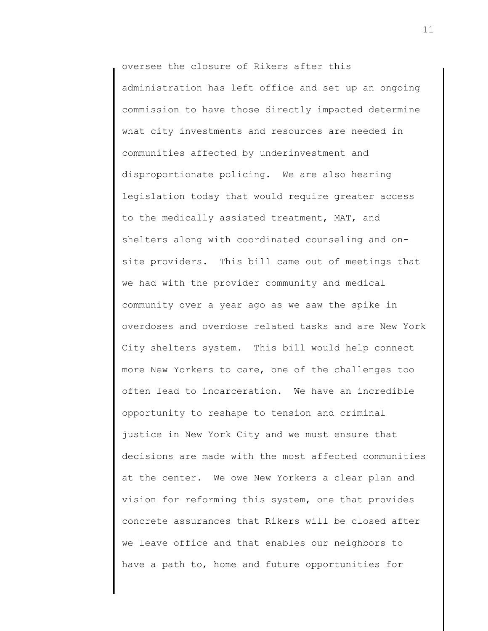oversee the closure of Rikers after this administration has left office and set up an ongoing commission to have those directly impacted determine what city investments and resources are needed in communities affected by underinvestment and disproportionate policing. We are also hearing legislation today that would require greater access to the medically assisted treatment, MAT, and shelters along with coordinated counseling and onsite providers. This bill came out of meetings that we had with the provider community and medical community over a year ago as we saw the spike in overdoses and overdose related tasks and are New York City shelters system. This bill would help connect more New Yorkers to care, one of the challenges too often lead to incarceration. We have an incredible opportunity to reshape to tension and criminal justice in New York City and we must ensure that decisions are made with the most affected communities at the center. We owe New Yorkers a clear plan and vision for reforming this system, one that provides concrete assurances that Rikers will be closed after we leave office and that enables our neighbors to have a path to, home and future opportunities for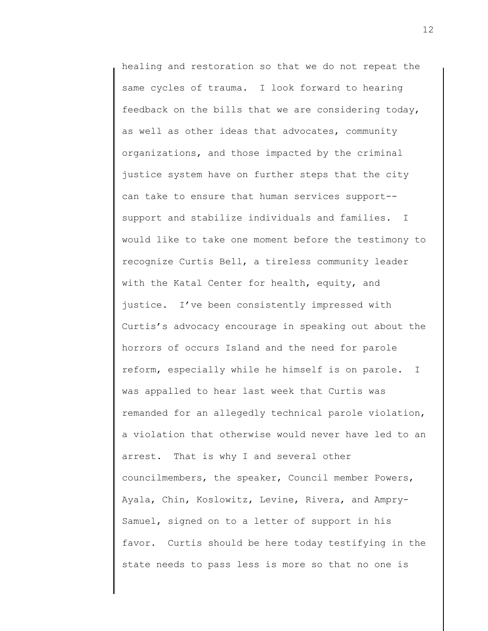healing and restoration so that we do not repeat the same cycles of trauma. I look forward to hearing feedback on the bills that we are considering today, as well as other ideas that advocates, community organizations, and those impacted by the criminal justice system have on further steps that the city can take to ensure that human services support- support and stabilize individuals and families. I would like to take one moment before the testimony to recognize Curtis Bell, a tireless community leader with the Katal Center for health, equity, and justice. I've been consistently impressed with Curtis's advocacy encourage in speaking out about the horrors of occurs Island and the need for parole reform, especially while he himself is on parole. I was appalled to hear last week that Curtis was remanded for an allegedly technical parole violation, a violation that otherwise would never have led to an arrest. That is why I and several other councilmembers, the speaker, Council member Powers, Ayala, Chin, Koslowitz, Levine, Rivera, and Ampry-Samuel, signed on to a letter of support in his favor. Curtis should be here today testifying in the state needs to pass less is more so that no one is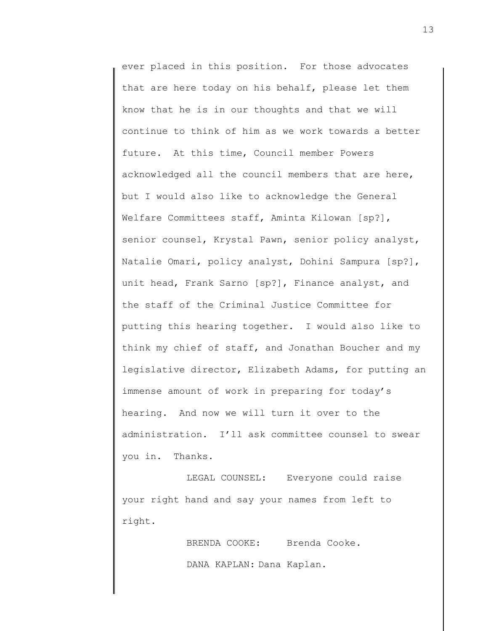ever placed in this position. For those advocates that are here today on his behalf, please let them know that he is in our thoughts and that we will continue to think of him as we work towards a better future. At this time, Council member Powers acknowledged all the council members that are here, but I would also like to acknowledge the General Welfare Committees staff, Aminta Kilowan [sp?], senior counsel, Krystal Pawn, senior policy analyst, Natalie Omari, policy analyst, Dohini Sampura [sp?], unit head, Frank Sarno [sp?], Finance analyst, and the staff of the Criminal Justice Committee for putting this hearing together. I would also like to think my chief of staff, and Jonathan Boucher and my legislative director, Elizabeth Adams, for putting an immense amount of work in preparing for today's hearing. And now we will turn it over to the administration. I'll ask committee counsel to swear you in. Thanks.

LEGAL COUNSEL: Everyone could raise your right hand and say your names from left to right.

> BRENDA COOKE: Brenda Cooke. DANA KAPLAN: Dana Kaplan.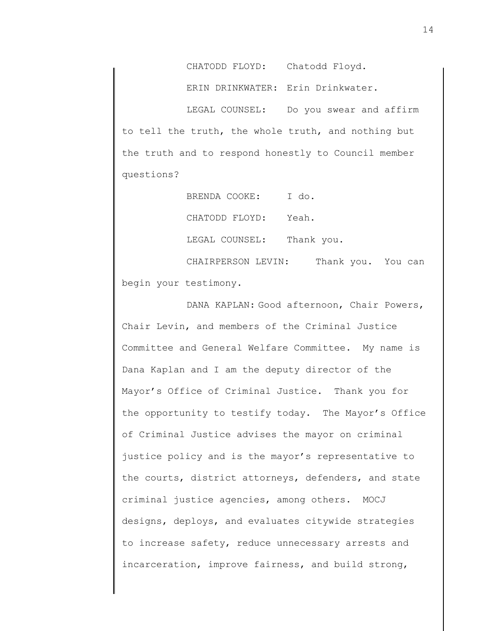CHATODD FLOYD: Chatodd Floyd.

ERIN DRINKWATER: Erin Drinkwater.

LEGAL COUNSEL: Do you swear and affirm to tell the truth, the whole truth, and nothing but the truth and to respond honestly to Council member questions?

> BRENDA COOKE: I do. CHATODD FLOYD: Yeah. LEGAL COUNSEL: Thank you.

CHAIRPERSON LEVIN: Thank you. You can begin your testimony.

DANA KAPLAN: Good afternoon, Chair Powers, Chair Levin, and members of the Criminal Justice Committee and General Welfare Committee. My name is Dana Kaplan and I am the deputy director of the Mayor's Office of Criminal Justice. Thank you for the opportunity to testify today. The Mayor's Office of Criminal Justice advises the mayor on criminal justice policy and is the mayor's representative to the courts, district attorneys, defenders, and state criminal justice agencies, among others. MOCJ designs, deploys, and evaluates citywide strategies to increase safety, reduce unnecessary arrests and incarceration, improve fairness, and build strong,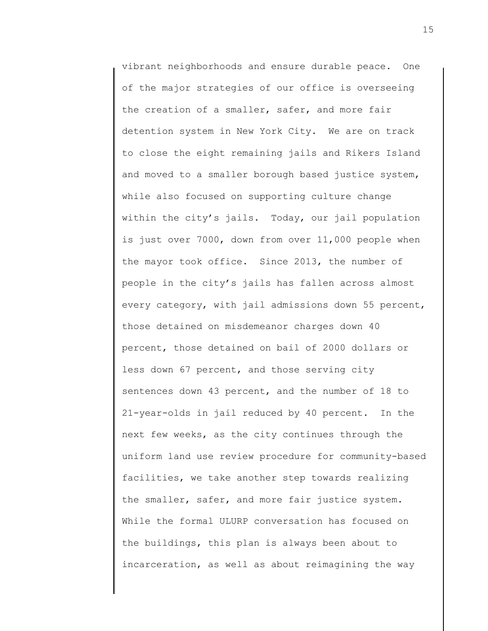vibrant neighborhoods and ensure durable peace. One of the major strategies of our office is overseeing the creation of a smaller, safer, and more fair detention system in New York City. We are on track to close the eight remaining jails and Rikers Island and moved to a smaller borough based justice system, while also focused on supporting culture change within the city's jails. Today, our jail population is just over 7000, down from over 11,000 people when the mayor took office. Since 2013, the number of people in the city's jails has fallen across almost every category, with jail admissions down 55 percent, those detained on misdemeanor charges down 40 percent, those detained on bail of 2000 dollars or less down 67 percent, and those serving city sentences down 43 percent, and the number of 18 to 21-year-olds in jail reduced by 40 percent. In the next few weeks, as the city continues through the uniform land use review procedure for community-based facilities, we take another step towards realizing the smaller, safer, and more fair justice system. While the formal ULURP conversation has focused on the buildings, this plan is always been about to incarceration, as well as about reimagining the way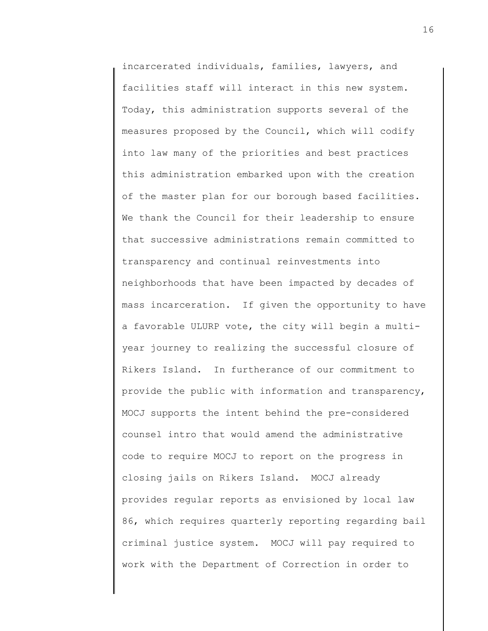incarcerated individuals, families, lawyers, and facilities staff will interact in this new system. Today, this administration supports several of the measures proposed by the Council, which will codify into law many of the priorities and best practices this administration embarked upon with the creation of the master plan for our borough based facilities. We thank the Council for their leadership to ensure that successive administrations remain committed to transparency and continual reinvestments into neighborhoods that have been impacted by decades of mass incarceration. If given the opportunity to have a favorable ULURP vote, the city will begin a multiyear journey to realizing the successful closure of Rikers Island. In furtherance of our commitment to provide the public with information and transparency, MOCJ supports the intent behind the pre-considered counsel intro that would amend the administrative code to require MOCJ to report on the progress in closing jails on Rikers Island. MOCJ already provides regular reports as envisioned by local law 86, which requires quarterly reporting regarding bail criminal justice system. MOCJ will pay required to work with the Department of Correction in order to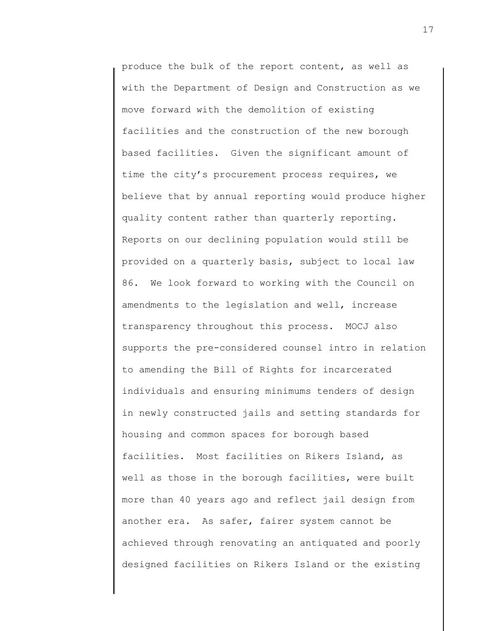produce the bulk of the report content, as well as with the Department of Design and Construction as we move forward with the demolition of existing facilities and the construction of the new borough based facilities. Given the significant amount of time the city's procurement process requires, we believe that by annual reporting would produce higher quality content rather than quarterly reporting. Reports on our declining population would still be provided on a quarterly basis, subject to local law 86. We look forward to working with the Council on amendments to the legislation and well, increase transparency throughout this process. MOCJ also supports the pre-considered counsel intro in relation to amending the Bill of Rights for incarcerated individuals and ensuring minimums tenders of design in newly constructed jails and setting standards for housing and common spaces for borough based facilities. Most facilities on Rikers Island, as well as those in the borough facilities, were built more than 40 years ago and reflect jail design from another era. As safer, fairer system cannot be achieved through renovating an antiquated and poorly designed facilities on Rikers Island or the existing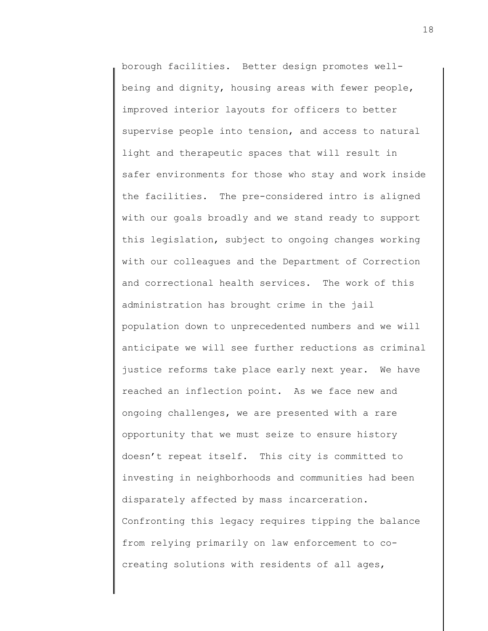borough facilities. Better design promotes wellbeing and dignity, housing areas with fewer people, improved interior layouts for officers to better supervise people into tension, and access to natural light and therapeutic spaces that will result in safer environments for those who stay and work inside the facilities. The pre-considered intro is aligned with our goals broadly and we stand ready to support this legislation, subject to ongoing changes working with our colleagues and the Department of Correction and correctional health services. The work of this administration has brought crime in the jail population down to unprecedented numbers and we will anticipate we will see further reductions as criminal justice reforms take place early next year. We have reached an inflection point. As we face new and ongoing challenges, we are presented with a rare opportunity that we must seize to ensure history doesn't repeat itself. This city is committed to investing in neighborhoods and communities had been disparately affected by mass incarceration. Confronting this legacy requires tipping the balance from relying primarily on law enforcement to cocreating solutions with residents of all ages,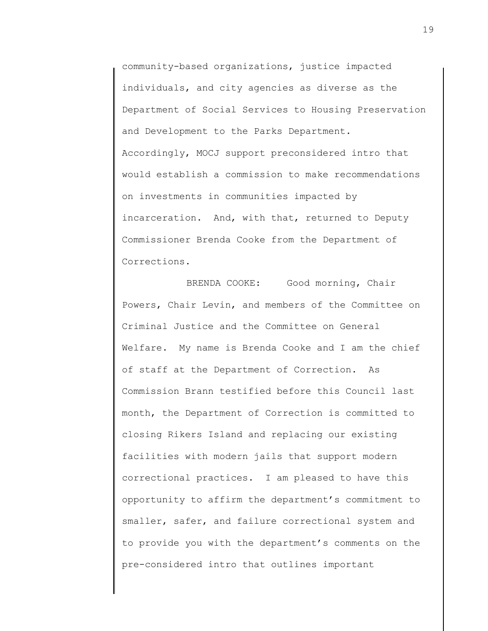community-based organizations, justice impacted individuals, and city agencies as diverse as the Department of Social Services to Housing Preservation and Development to the Parks Department. Accordingly, MOCJ support preconsidered intro that would establish a commission to make recommendations on investments in communities impacted by incarceration. And, with that, returned to Deputy Commissioner Brenda Cooke from the Department of Corrections.

BRENDA COOKE: Good morning, Chair Powers, Chair Levin, and members of the Committee on Criminal Justice and the Committee on General Welfare. My name is Brenda Cooke and I am the chief of staff at the Department of Correction. As Commission Brann testified before this Council last month, the Department of Correction is committed to closing Rikers Island and replacing our existing facilities with modern jails that support modern correctional practices. I am pleased to have this opportunity to affirm the department's commitment to smaller, safer, and failure correctional system and to provide you with the department's comments on the pre-considered intro that outlines important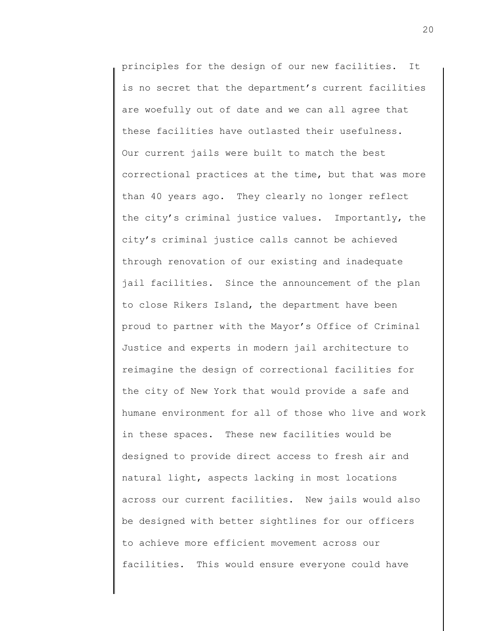principles for the design of our new facilities. It is no secret that the department's current facilities are woefully out of date and we can all agree that these facilities have outlasted their usefulness. Our current jails were built to match the best correctional practices at the time, but that was more than 40 years ago. They clearly no longer reflect the city's criminal justice values. Importantly, the city's criminal justice calls cannot be achieved through renovation of our existing and inadequate jail facilities. Since the announcement of the plan to close Rikers Island, the department have been proud to partner with the Mayor's Office of Criminal Justice and experts in modern jail architecture to reimagine the design of correctional facilities for the city of New York that would provide a safe and humane environment for all of those who live and work in these spaces. These new facilities would be designed to provide direct access to fresh air and natural light, aspects lacking in most locations across our current facilities. New jails would also be designed with better sightlines for our officers to achieve more efficient movement across our facilities. This would ensure everyone could have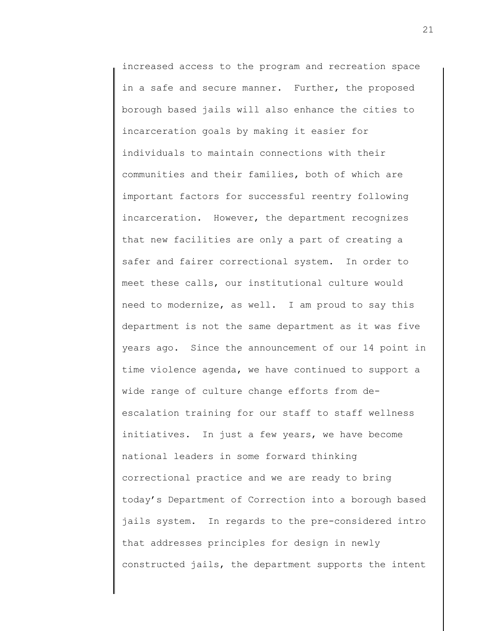increased access to the program and recreation space in a safe and secure manner. Further, the proposed borough based jails will also enhance the cities to incarceration goals by making it easier for individuals to maintain connections with their communities and their families, both of which are important factors for successful reentry following incarceration. However, the department recognizes that new facilities are only a part of creating a safer and fairer correctional system. In order to meet these calls, our institutional culture would need to modernize, as well. I am proud to say this department is not the same department as it was five years ago. Since the announcement of our 14 point in time violence agenda, we have continued to support a wide range of culture change efforts from deescalation training for our staff to staff wellness initiatives. In just a few years, we have become national leaders in some forward thinking correctional practice and we are ready to bring today's Department of Correction into a borough based jails system. In regards to the pre-considered intro that addresses principles for design in newly constructed jails, the department supports the intent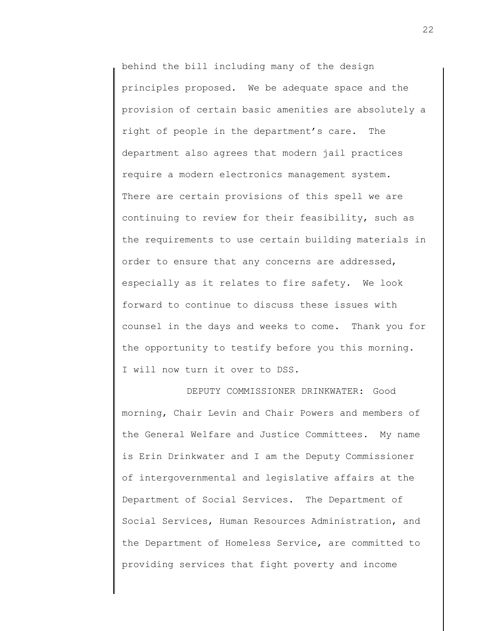behind the bill including many of the design principles proposed. We be adequate space and the provision of certain basic amenities are absolutely a right of people in the department's care. The department also agrees that modern jail practices require a modern electronics management system. There are certain provisions of this spell we are continuing to review for their feasibility, such as the requirements to use certain building materials in order to ensure that any concerns are addressed, especially as it relates to fire safety. We look forward to continue to discuss these issues with counsel in the days and weeks to come. Thank you for the opportunity to testify before you this morning. I will now turn it over to DSS.

DEPUTY COMMISSIONER DRINKWATER: Good morning, Chair Levin and Chair Powers and members of the General Welfare and Justice Committees. My name is Erin Drinkwater and I am the Deputy Commissioner of intergovernmental and legislative affairs at the Department of Social Services. The Department of Social Services, Human Resources Administration, and the Department of Homeless Service, are committed to providing services that fight poverty and income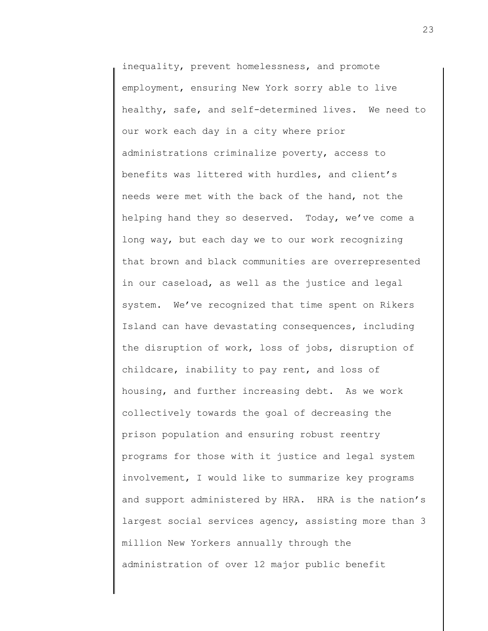inequality, prevent homelessness, and promote employment, ensuring New York sorry able to live healthy, safe, and self-determined lives. We need to our work each day in a city where prior administrations criminalize poverty, access to benefits was littered with hurdles, and client's needs were met with the back of the hand, not the helping hand they so deserved. Today, we've come a long way, but each day we to our work recognizing that brown and black communities are overrepresented in our caseload, as well as the justice and legal system. We've recognized that time spent on Rikers Island can have devastating consequences, including the disruption of work, loss of jobs, disruption of childcare, inability to pay rent, and loss of housing, and further increasing debt. As we work collectively towards the goal of decreasing the prison population and ensuring robust reentry programs for those with it justice and legal system involvement, I would like to summarize key programs and support administered by HRA. HRA is the nation's largest social services agency, assisting more than 3 million New Yorkers annually through the administration of over 12 major public benefit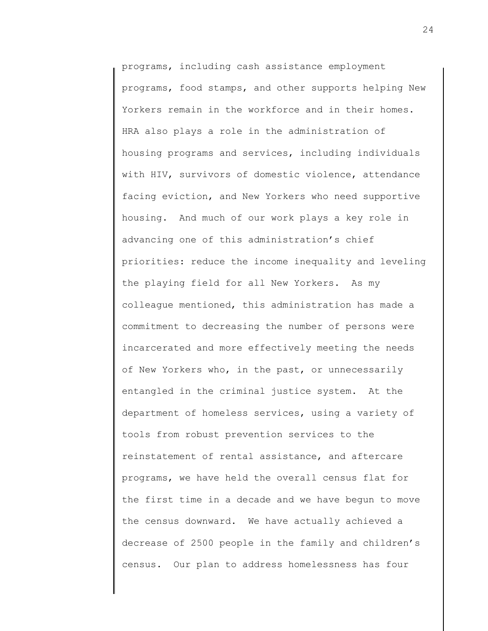programs, including cash assistance employment programs, food stamps, and other supports helping New Yorkers remain in the workforce and in their homes. HRA also plays a role in the administration of housing programs and services, including individuals with HIV, survivors of domestic violence, attendance facing eviction, and New Yorkers who need supportive housing. And much of our work plays a key role in advancing one of this administration's chief priorities: reduce the income inequality and leveling the playing field for all New Yorkers. As my colleague mentioned, this administration has made a commitment to decreasing the number of persons were incarcerated and more effectively meeting the needs of New Yorkers who, in the past, or unnecessarily entangled in the criminal justice system. At the department of homeless services, using a variety of tools from robust prevention services to the reinstatement of rental assistance, and aftercare programs, we have held the overall census flat for the first time in a decade and we have begun to move the census downward. We have actually achieved a decrease of 2500 people in the family and children's census. Our plan to address homelessness has four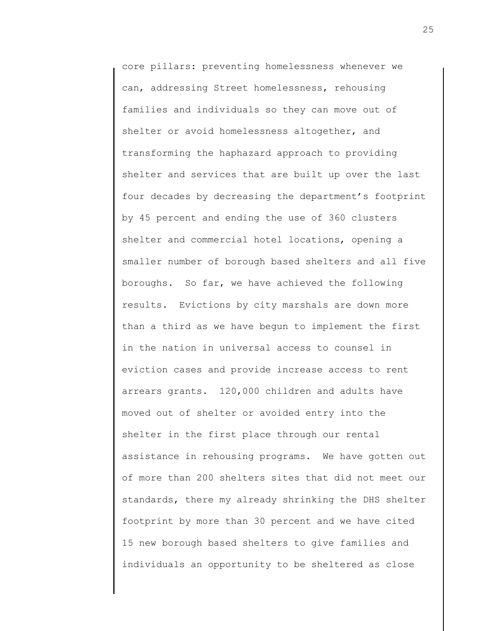core pillars: preventing homelessness whenever we can, addressing Street homelessness, rehousing families and individuals so they can move out of shelter or avoid homelessness altogether, and transforming the haphazard approach to providing shelter and services that are built up over the last four decades by decreasing the department's footprint by 45 percent and ending the use of 360 clusters shelter and commercial hotel locations, opening a smaller number of borough based shelters and all five boroughs. So far, we have achieved the following results. Evictions by city marshals are down more than a third as we have begun to implement the first in the nation in universal access to counsel in eviction cases and provide increase access to rent arrears grants. 120,000 children and adults have moved out of shelter or avoided entry into the shelter in the first place through our rental assistance in rehousing programs. We have gotten out of more than 200 shelters sites that did not meet our standards, there my already shrinking the DHS shelter footprint by more than 30 percent and we have cited 15 new borough based shelters to give families and individuals an opportunity to be sheltered as close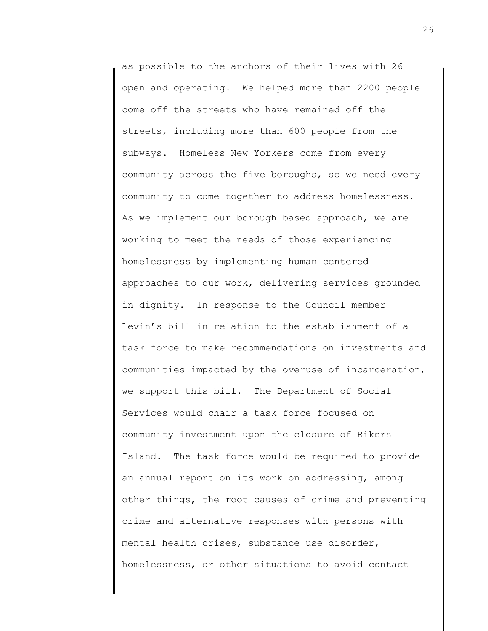as possible to the anchors of their lives with 26 open and operating. We helped more than 2200 people come off the streets who have remained off the streets, including more than 600 people from the subways. Homeless New Yorkers come from every community across the five boroughs, so we need every community to come together to address homelessness. As we implement our borough based approach, we are working to meet the needs of those experiencing homelessness by implementing human centered approaches to our work, delivering services grounded in dignity. In response to the Council member Levin's bill in relation to the establishment of a task force to make recommendations on investments and communities impacted by the overuse of incarceration, we support this bill. The Department of Social Services would chair a task force focused on community investment upon the closure of Rikers Island. The task force would be required to provide an annual report on its work on addressing, among other things, the root causes of crime and preventing crime and alternative responses with persons with mental health crises, substance use disorder, homelessness, or other situations to avoid contact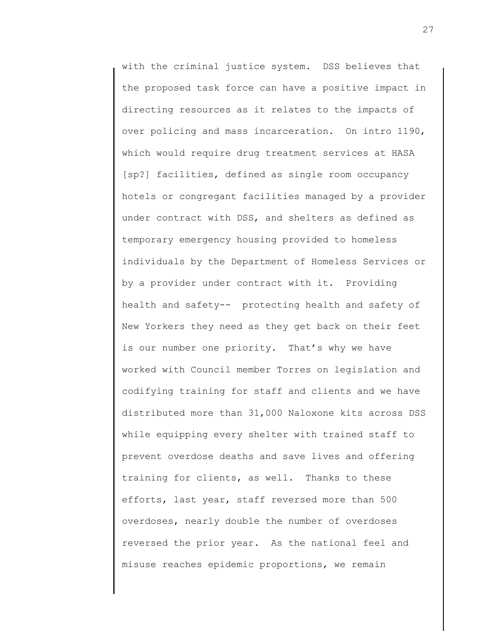with the criminal justice system. DSS believes that the proposed task force can have a positive impact in directing resources as it relates to the impacts of over policing and mass incarceration. On intro 1190, which would require drug treatment services at HASA [sp?] facilities, defined as single room occupancy hotels or congregant facilities managed by a provider under contract with DSS, and shelters as defined as temporary emergency housing provided to homeless individuals by the Department of Homeless Services or by a provider under contract with it. Providing health and safety-- protecting health and safety of New Yorkers they need as they get back on their feet is our number one priority. That's why we have worked with Council member Torres on legislation and codifying training for staff and clients and we have distributed more than 31,000 Naloxone kits across DSS while equipping every shelter with trained staff to prevent overdose deaths and save lives and offering training for clients, as well. Thanks to these efforts, last year, staff reversed more than 500 overdoses, nearly double the number of overdoses reversed the prior year. As the national feel and misuse reaches epidemic proportions, we remain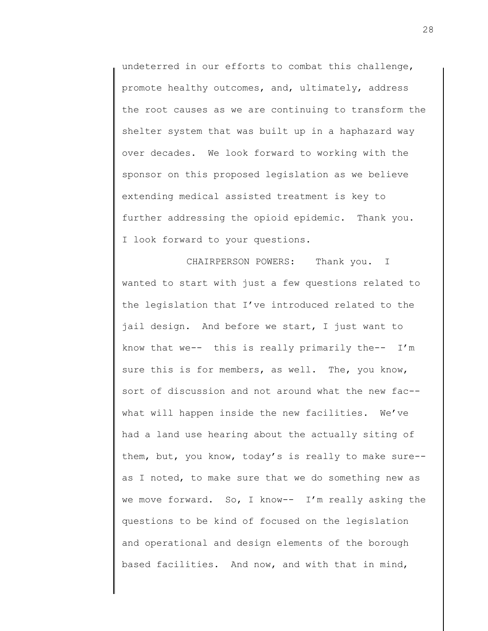undeterred in our efforts to combat this challenge, promote healthy outcomes, and, ultimately, address the root causes as we are continuing to transform the shelter system that was built up in a haphazard way over decades. We look forward to working with the sponsor on this proposed legislation as we believe extending medical assisted treatment is key to further addressing the opioid epidemic. Thank you. I look forward to your questions.

CHAIRPERSON POWERS: Thank you. I wanted to start with just a few questions related to the legislation that I've introduced related to the jail design. And before we start, I just want to know that we-- this is really primarily the-- I'm sure this is for members, as well. The, you know, sort of discussion and not around what the new fac- what will happen inside the new facilities. We've had a land use hearing about the actually siting of them, but, you know, today's is really to make sure- as I noted, to make sure that we do something new as we move forward. So, I know-- I'm really asking the questions to be kind of focused on the legislation and operational and design elements of the borough based facilities. And now, and with that in mind,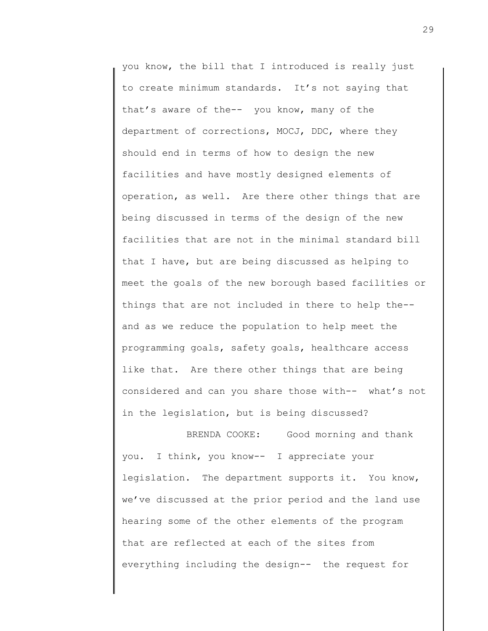you know, the bill that I introduced is really just to create minimum standards. It's not saying that that's aware of the-- you know, many of the department of corrections, MOCJ, DDC, where they should end in terms of how to design the new facilities and have mostly designed elements of operation, as well. Are there other things that are being discussed in terms of the design of the new facilities that are not in the minimal standard bill that I have, but are being discussed as helping to meet the goals of the new borough based facilities or things that are not included in there to help the- and as we reduce the population to help meet the programming goals, safety goals, healthcare access like that. Are there other things that are being considered and can you share those with-- what's not in the legislation, but is being discussed?

BRENDA COOKE: Good morning and thank you. I think, you know-- I appreciate your legislation. The department supports it. You know, we've discussed at the prior period and the land use hearing some of the other elements of the program that are reflected at each of the sites from everything including the design-- the request for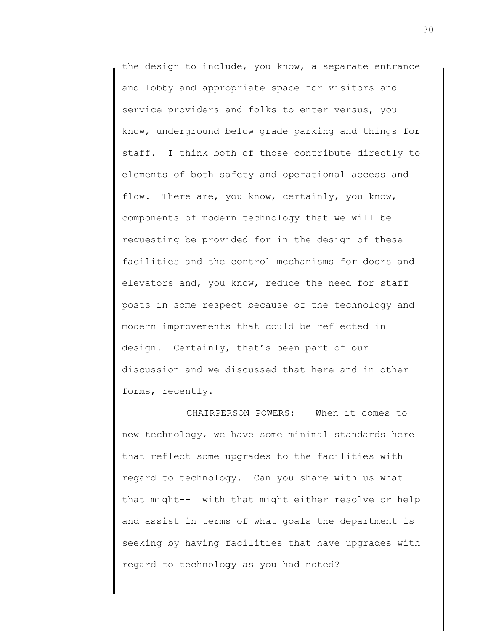the design to include, you know, a separate entrance and lobby and appropriate space for visitors and service providers and folks to enter versus, you know, underground below grade parking and things for staff. I think both of those contribute directly to elements of both safety and operational access and flow. There are, you know, certainly, you know, components of modern technology that we will be requesting be provided for in the design of these facilities and the control mechanisms for doors and elevators and, you know, reduce the need for staff posts in some respect because of the technology and modern improvements that could be reflected in design. Certainly, that's been part of our discussion and we discussed that here and in other forms, recently.

CHAIRPERSON POWERS: When it comes to new technology, we have some minimal standards here that reflect some upgrades to the facilities with regard to technology. Can you share with us what that might-- with that might either resolve or help and assist in terms of what goals the department is seeking by having facilities that have upgrades with regard to technology as you had noted?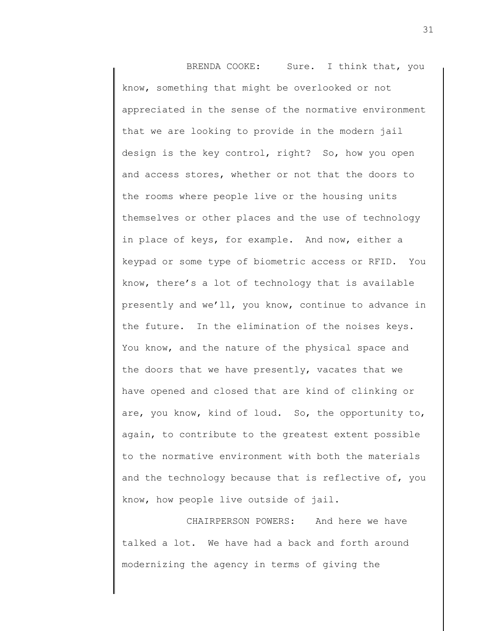BRENDA COOKE: Sure. I think that, you know, something that might be overlooked or not appreciated in the sense of the normative environment that we are looking to provide in the modern jail design is the key control, right? So, how you open and access stores, whether or not that the doors to the rooms where people live or the housing units themselves or other places and the use of technology in place of keys, for example. And now, either a keypad or some type of biometric access or RFID. You know, there's a lot of technology that is available presently and we'll, you know, continue to advance in the future. In the elimination of the noises keys. You know, and the nature of the physical space and the doors that we have presently, vacates that we have opened and closed that are kind of clinking or are, you know, kind of loud. So, the opportunity to, again, to contribute to the greatest extent possible to the normative environment with both the materials and the technology because that is reflective of, you know, how people live outside of jail.

CHAIRPERSON POWERS: And here we have talked a lot. We have had a back and forth around modernizing the agency in terms of giving the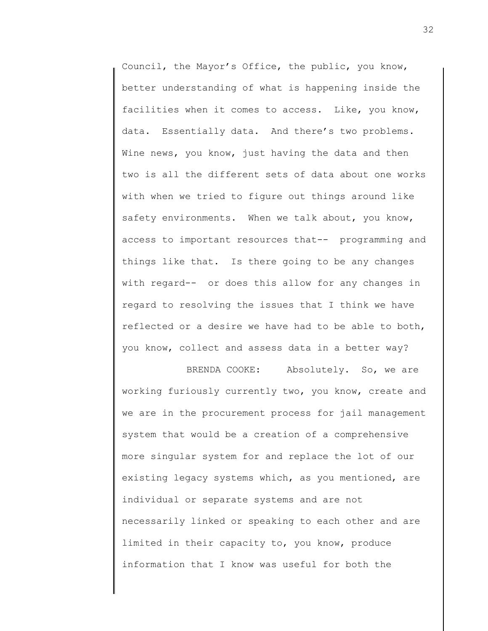Council, the Mayor's Office, the public, you know, better understanding of what is happening inside the facilities when it comes to access. Like, you know, data. Essentially data. And there's two problems. Wine news, you know, just having the data and then two is all the different sets of data about one works with when we tried to figure out things around like safety environments. When we talk about, you know, access to important resources that-- programming and things like that. Is there going to be any changes with regard-- or does this allow for any changes in regard to resolving the issues that I think we have reflected or a desire we have had to be able to both, you know, collect and assess data in a better way?

BRENDA COOKE: Absolutely. So, we are working furiously currently two, you know, create and we are in the procurement process for jail management system that would be a creation of a comprehensive more singular system for and replace the lot of our existing legacy systems which, as you mentioned, are individual or separate systems and are not necessarily linked or speaking to each other and are limited in their capacity to, you know, produce information that I know was useful for both the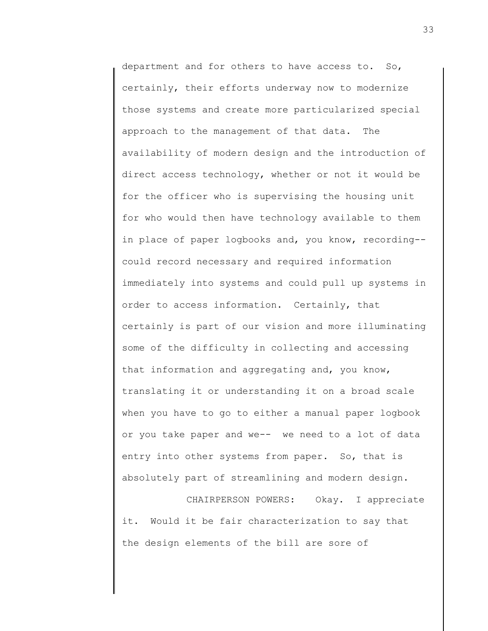department and for others to have access to. So, certainly, their efforts underway now to modernize those systems and create more particularized special approach to the management of that data. The availability of modern design and the introduction of direct access technology, whether or not it would be for the officer who is supervising the housing unit for who would then have technology available to them in place of paper logbooks and, you know, recording- could record necessary and required information immediately into systems and could pull up systems in order to access information. Certainly, that certainly is part of our vision and more illuminating some of the difficulty in collecting and accessing that information and aggregating and, you know, translating it or understanding it on a broad scale when you have to go to either a manual paper logbook or you take paper and we-- we need to a lot of data entry into other systems from paper. So, that is absolutely part of streamlining and modern design.

CHAIRPERSON POWERS: Okay. I appreciate it. Would it be fair characterization to say that the design elements of the bill are sore of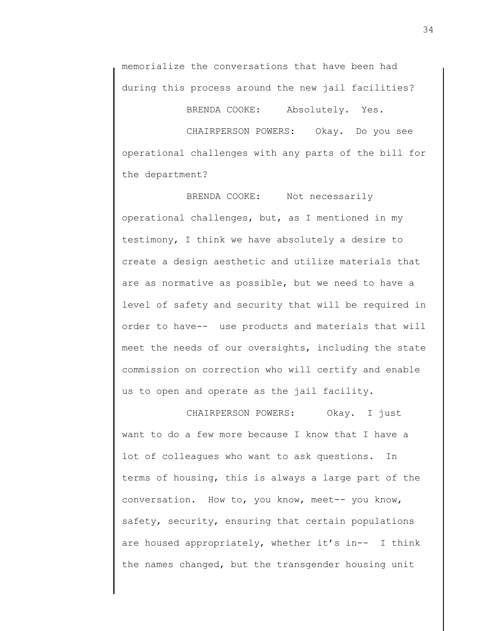memorialize the conversations that have been had during this process around the new jail facilities?

BRENDA COOKE: Absolutely. Yes.

CHAIRPERSON POWERS: Okay. Do you see operational challenges with any parts of the bill for the department?

BRENDA COOKE: Not necessarily operational challenges, but, as I mentioned in my testimony, I think we have absolutely a desire to create a design aesthetic and utilize materials that are as normative as possible, but we need to have a level of safety and security that will be required in order to have-- use products and materials that will meet the needs of our oversights, including the state commission on correction who will certify and enable us to open and operate as the jail facility.

CHAIRPERSON POWERS: Okay. I just want to do a few more because I know that I have a lot of colleagues who want to ask questions. In terms of housing, this is always a large part of the conversation. How to, you know, meet-- you know, safety, security, ensuring that certain populations are housed appropriately, whether it's in-- I think the names changed, but the transgender housing unit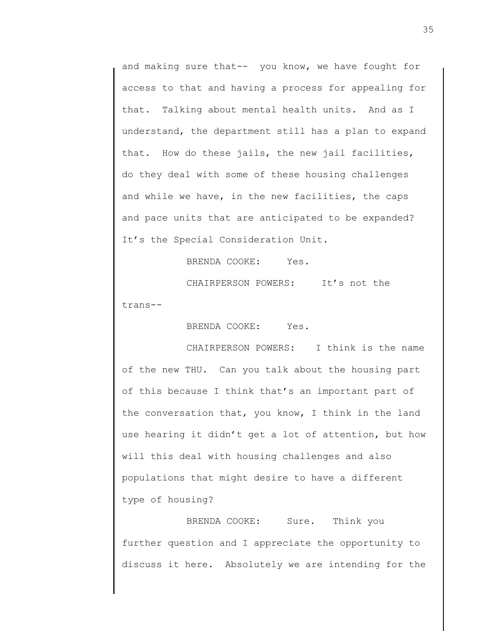and making sure that-- you know, we have fought for access to that and having a process for appealing for that. Talking about mental health units. And as I understand, the department still has a plan to expand that. How do these jails, the new jail facilities, do they deal with some of these housing challenges and while we have, in the new facilities, the caps and pace units that are anticipated to be expanded? It's the Special Consideration Unit.

BRENDA COOKE: Yes.

CHAIRPERSON POWERS: It's not the

trans--

BRENDA COOKE: Yes.

CHAIRPERSON POWERS: I think is the name of the new THU. Can you talk about the housing part of this because I think that's an important part of the conversation that, you know, I think in the land use hearing it didn't get a lot of attention, but how will this deal with housing challenges and also populations that might desire to have a different type of housing?

BRENDA COOKE: Sure. Think you further question and I appreciate the opportunity to discuss it here. Absolutely we are intending for the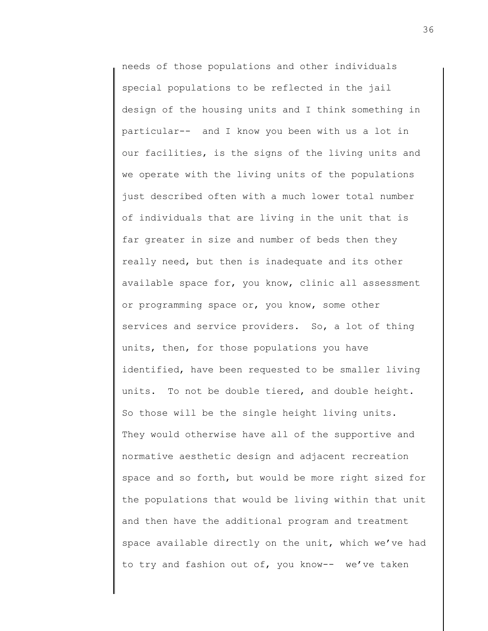needs of those populations and other individuals special populations to be reflected in the jail design of the housing units and I think something in particular-- and I know you been with us a lot in our facilities, is the signs of the living units and we operate with the living units of the populations just described often with a much lower total number of individuals that are living in the unit that is far greater in size and number of beds then they really need, but then is inadequate and its other available space for, you know, clinic all assessment or programming space or, you know, some other services and service providers. So, a lot of thing units, then, for those populations you have identified, have been requested to be smaller living units. To not be double tiered, and double height. So those will be the single height living units. They would otherwise have all of the supportive and normative aesthetic design and adjacent recreation space and so forth, but would be more right sized for the populations that would be living within that unit and then have the additional program and treatment space available directly on the unit, which we've had to try and fashion out of, you know-- we've taken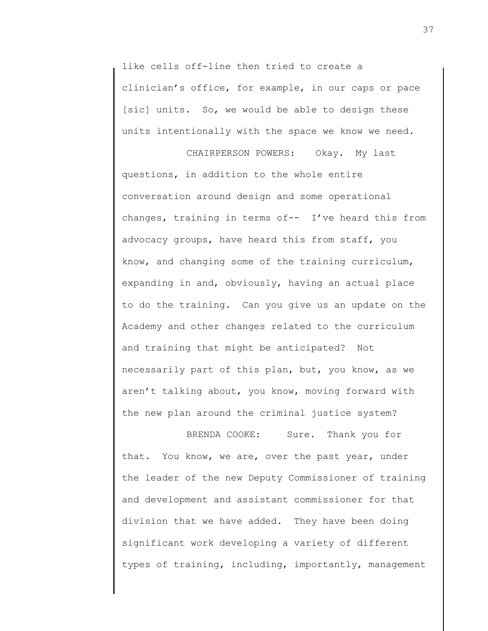like cells off-line then tried to create a clinician's office, for example, in our caps or pace [sic] units. So, we would be able to design these units intentionally with the space we know we need.

CHAIRPERSON POWERS: Okay. My last questions, in addition to the whole entire conversation around design and some operational changes, training in terms of-- I've heard this from advocacy groups, have heard this from staff, you know, and changing some of the training curriculum, expanding in and, obviously, having an actual place to do the training. Can you give us an update on the Academy and other changes related to the curriculum and training that might be anticipated? Not necessarily part of this plan, but, you know, as we aren't talking about, you know, moving forward with the new plan around the criminal justice system?

BRENDA COOKE: Sure. Thank you for that. You know, we are, over the past year, under the leader of the new Deputy Commissioner of training and development and assistant commissioner for that division that we have added. They have been doing significant work developing a variety of different types of training, including, importantly, management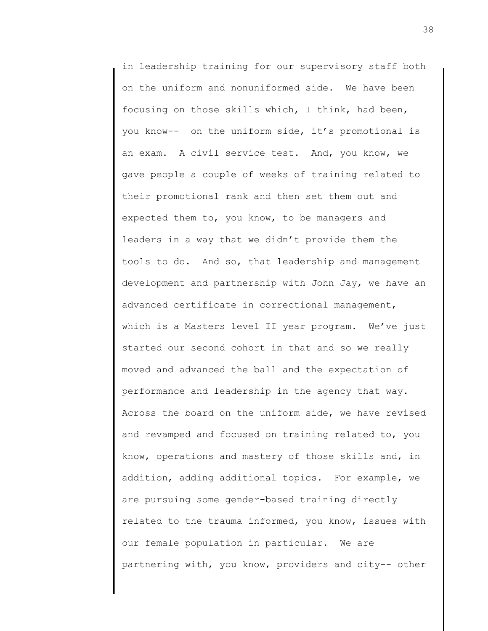in leadership training for our supervisory staff both on the uniform and nonuniformed side. We have been focusing on those skills which, I think, had been, you know-- on the uniform side, it's promotional is an exam. A civil service test. And, you know, we gave people a couple of weeks of training related to their promotional rank and then set them out and expected them to, you know, to be managers and leaders in a way that we didn't provide them the tools to do. And so, that leadership and management development and partnership with John Jay, we have an advanced certificate in correctional management, which is a Masters level II year program. We've just started our second cohort in that and so we really moved and advanced the ball and the expectation of performance and leadership in the agency that way. Across the board on the uniform side, we have revised and revamped and focused on training related to, you know, operations and mastery of those skills and, in addition, adding additional topics. For example, we are pursuing some gender-based training directly related to the trauma informed, you know, issues with our female population in particular. We are partnering with, you know, providers and city-- other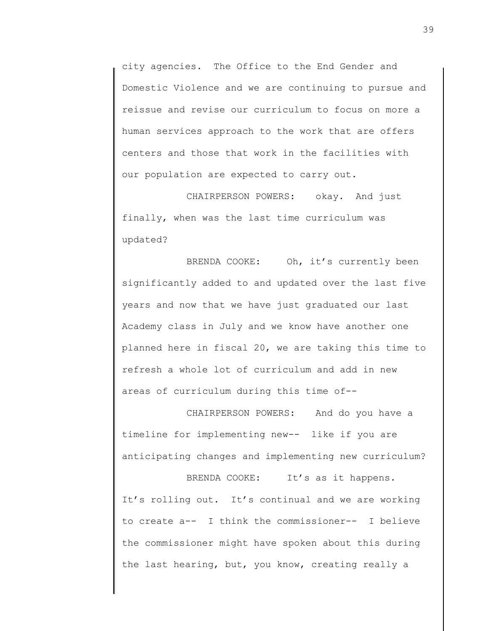city agencies. The Office to the End Gender and Domestic Violence and we are continuing to pursue and reissue and revise our curriculum to focus on more a human services approach to the work that are offers centers and those that work in the facilities with our population are expected to carry out.

CHAIRPERSON POWERS: okay. And just finally, when was the last time curriculum was updated?

BRENDA COOKE: Oh, it's currently been significantly added to and updated over the last five years and now that we have just graduated our last Academy class in July and we know have another one planned here in fiscal 20, we are taking this time to refresh a whole lot of curriculum and add in new areas of curriculum during this time of--

CHAIRPERSON POWERS: And do you have a timeline for implementing new-- like if you are anticipating changes and implementing new curriculum?

BRENDA COOKE: It's as it happens. It's rolling out. It's continual and we are working to create a-- I think the commissioner-- I believe the commissioner might have spoken about this during the last hearing, but, you know, creating really a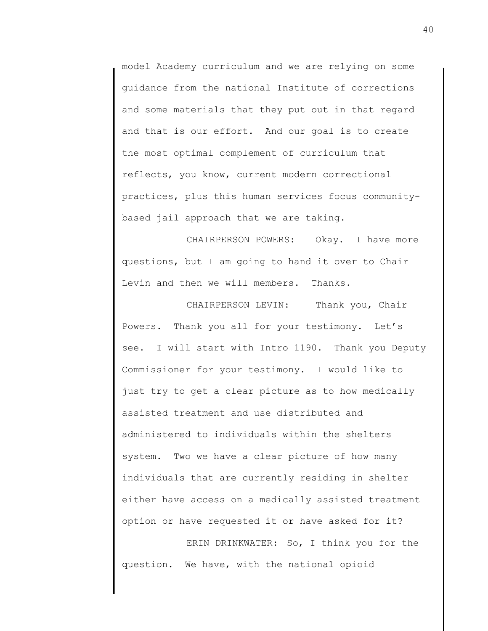model Academy curriculum and we are relying on some guidance from the national Institute of corrections and some materials that they put out in that regard and that is our effort. And our goal is to create the most optimal complement of curriculum that reflects, you know, current modern correctional practices, plus this human services focus communitybased jail approach that we are taking.

CHAIRPERSON POWERS: Okay. I have more questions, but I am going to hand it over to Chair Levin and then we will members. Thanks.

CHAIRPERSON LEVIN: Thank you, Chair Powers. Thank you all for your testimony. Let's see. I will start with Intro 1190. Thank you Deputy Commissioner for your testimony. I would like to just try to get a clear picture as to how medically assisted treatment and use distributed and administered to individuals within the shelters system. Two we have a clear picture of how many individuals that are currently residing in shelter either have access on a medically assisted treatment option or have requested it or have asked for it?

ERIN DRINKWATER: So, I think you for the question. We have, with the national opioid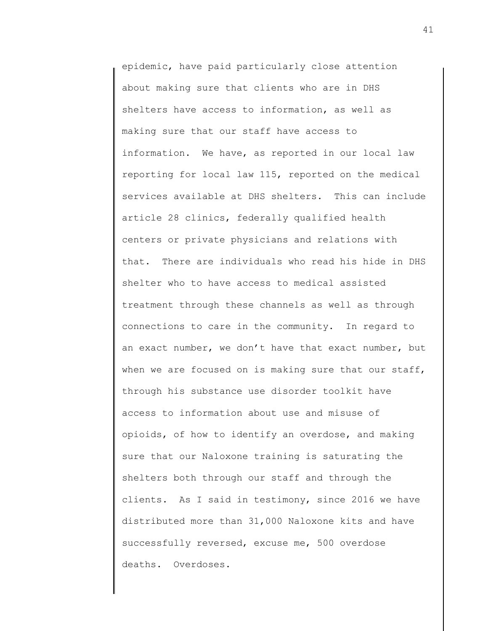epidemic, have paid particularly close attention about making sure that clients who are in DHS shelters have access to information, as well as making sure that our staff have access to information. We have, as reported in our local law reporting for local law 115, reported on the medical services available at DHS shelters. This can include article 28 clinics, federally qualified health centers or private physicians and relations with that. There are individuals who read his hide in DHS shelter who to have access to medical assisted treatment through these channels as well as through connections to care in the community. In regard to an exact number, we don't have that exact number, but when we are focused on is making sure that our staff, through his substance use disorder toolkit have access to information about use and misuse of opioids, of how to identify an overdose, and making sure that our Naloxone training is saturating the shelters both through our staff and through the clients. As I said in testimony, since 2016 we have distributed more than 31,000 Naloxone kits and have successfully reversed, excuse me, 500 overdose deaths. Overdoses.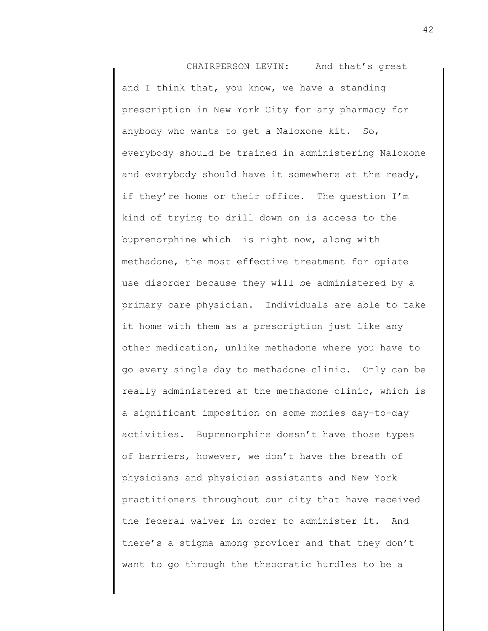CHAIRPERSON LEVIN: And that's great and I think that, you know, we have a standing prescription in New York City for any pharmacy for anybody who wants to get a Naloxone kit. So, everybody should be trained in administering Naloxone and everybody should have it somewhere at the ready, if they're home or their office. The question I'm kind of trying to drill down on is access to the buprenorphine which is right now, along with methadone, the most effective treatment for opiate use disorder because they will be administered by a primary care physician. Individuals are able to take it home with them as a prescription just like any other medication, unlike methadone where you have to go every single day to methadone clinic. Only can be really administered at the methadone clinic, which is a significant imposition on some monies day-to-day activities. Buprenorphine doesn't have those types of barriers, however, we don't have the breath of physicians and physician assistants and New York practitioners throughout our city that have received the federal waiver in order to administer it. And there's a stigma among provider and that they don't want to go through the theocratic hurdles to be a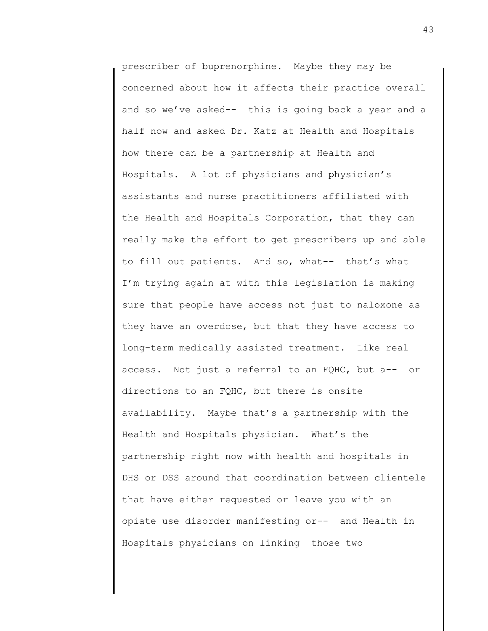prescriber of buprenorphine. Maybe they may be concerned about how it affects their practice overall and so we've asked-- this is going back a year and a half now and asked Dr. Katz at Health and Hospitals how there can be a partnership at Health and Hospitals. A lot of physicians and physician's assistants and nurse practitioners affiliated with the Health and Hospitals Corporation, that they can really make the effort to get prescribers up and able to fill out patients. And so, what-- that's what I'm trying again at with this legislation is making sure that people have access not just to naloxone as they have an overdose, but that they have access to long-term medically assisted treatment. Like real access. Not just a referral to an FQHC, but a-- or directions to an FQHC, but there is onsite availability. Maybe that's a partnership with the Health and Hospitals physician. What's the partnership right now with health and hospitals in DHS or DSS around that coordination between clientele that have either requested or leave you with an opiate use disorder manifesting or-- and Health in Hospitals physicians on linking those two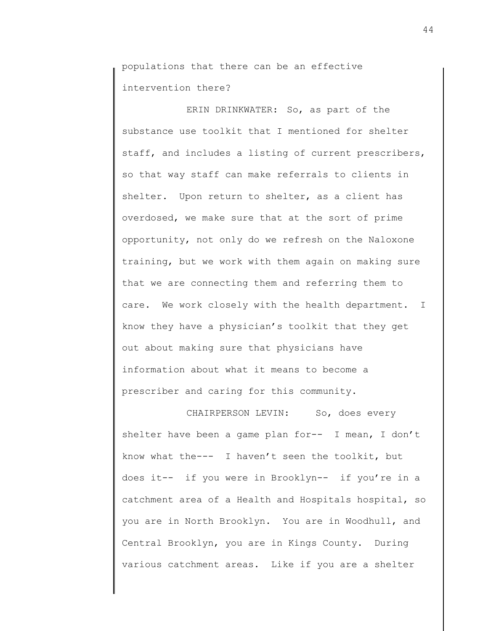populations that there can be an effective intervention there?

ERIN DRINKWATER: So, as part of the substance use toolkit that I mentioned for shelter staff, and includes a listing of current prescribers, so that way staff can make referrals to clients in shelter. Upon return to shelter, as a client has overdosed, we make sure that at the sort of prime opportunity, not only do we refresh on the Naloxone training, but we work with them again on making sure that we are connecting them and referring them to care. We work closely with the health department. I know they have a physician's toolkit that they get out about making sure that physicians have information about what it means to become a prescriber and caring for this community.

CHAIRPERSON LEVIN: So, does every shelter have been a game plan for-- I mean, I don't know what the--- I haven't seen the toolkit, but does it-- if you were in Brooklyn-- if you're in a catchment area of a Health and Hospitals hospital, so you are in North Brooklyn. You are in Woodhull, and Central Brooklyn, you are in Kings County. During various catchment areas. Like if you are a shelter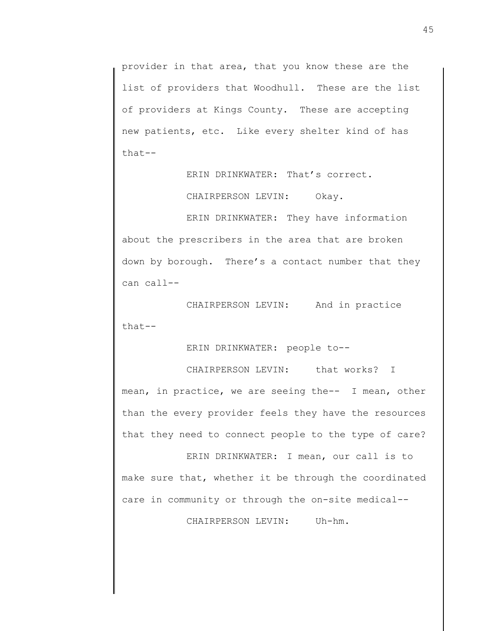provider in that area, that you know these are the list of providers that Woodhull. These are the list of providers at Kings County. These are accepting new patients, etc. Like every shelter kind of has that--

ERIN DRINKWATER: That's correct.

CHAIRPERSON LEVIN: Okay.

ERIN DRINKWATER: They have information about the prescribers in the area that are broken down by borough. There's a contact number that they can call--

CHAIRPERSON LEVIN: And in practice that--

ERIN DRINKWATER: people to--

CHAIRPERSON LEVIN: that works? I mean, in practice, we are seeing the-- I mean, other than the every provider feels they have the resources that they need to connect people to the type of care?

ERIN DRINKWATER: I mean, our call is to make sure that, whether it be through the coordinated care in community or through the on-site medical--

CHAIRPERSON LEVIN: Uh-hm.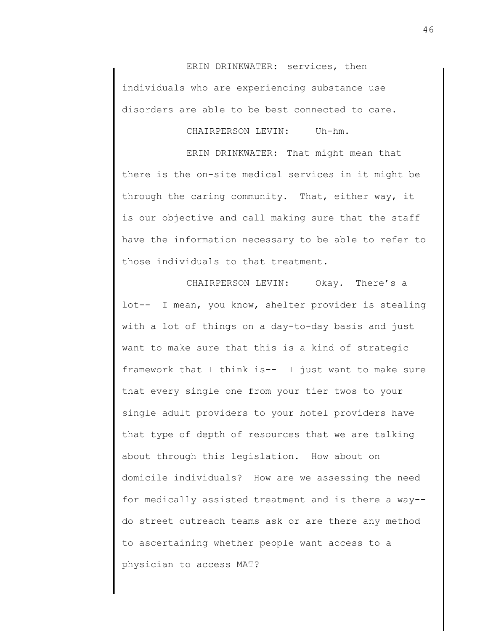ERIN DRINKWATER: services, then individuals who are experiencing substance use disorders are able to be best connected to care.

CHAIRPERSON LEVIN: Uh-hm.

ERIN DRINKWATER: That might mean that there is the on-site medical services in it might be through the caring community. That, either way, it is our objective and call making sure that the staff have the information necessary to be able to refer to those individuals to that treatment.

CHAIRPERSON LEVIN: Okay. There's a lot-- I mean, you know, shelter provider is stealing with a lot of things on a day-to-day basis and just want to make sure that this is a kind of strategic framework that I think is-- I just want to make sure that every single one from your tier twos to your single adult providers to your hotel providers have that type of depth of resources that we are talking about through this legislation. How about on domicile individuals? How are we assessing the need for medically assisted treatment and is there a way- do street outreach teams ask or are there any method to ascertaining whether people want access to a physician to access MAT?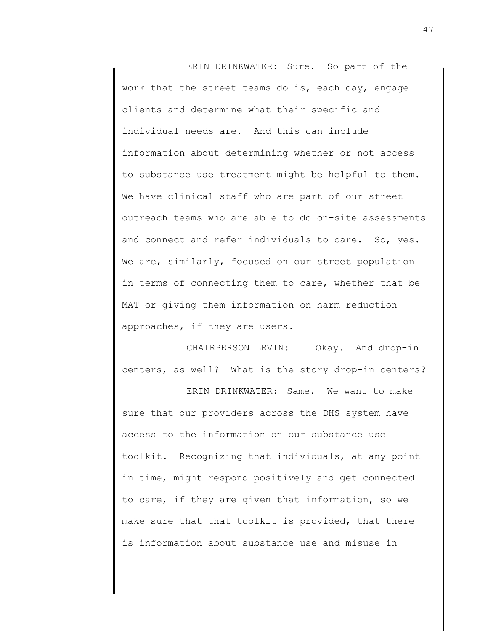ERIN DRINKWATER: Sure. So part of the work that the street teams do is, each day, engage clients and determine what their specific and individual needs are. And this can include information about determining whether or not access to substance use treatment might be helpful to them. We have clinical staff who are part of our street outreach teams who are able to do on-site assessments and connect and refer individuals to care. So, yes. We are, similarly, focused on our street population in terms of connecting them to care, whether that be MAT or giving them information on harm reduction approaches, if they are users.

CHAIRPERSON LEVIN: Okay. And drop-in centers, as well? What is the story drop-in centers?

ERIN DRINKWATER: Same. We want to make sure that our providers across the DHS system have access to the information on our substance use toolkit. Recognizing that individuals, at any point in time, might respond positively and get connected to care, if they are given that information, so we make sure that that toolkit is provided, that there is information about substance use and misuse in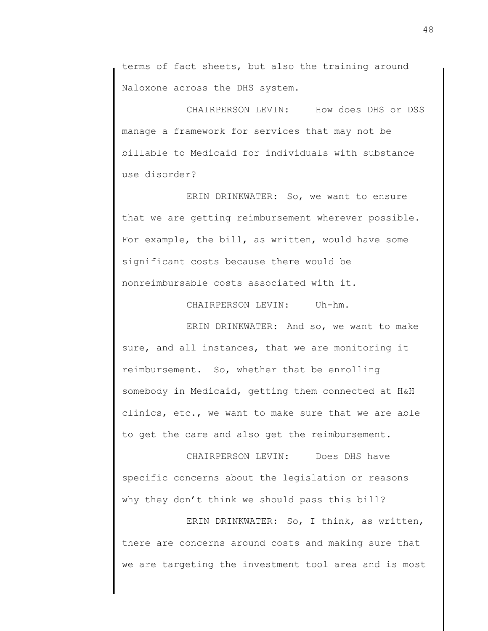terms of fact sheets, but also the training around Naloxone across the DHS system.

CHAIRPERSON LEVIN: How does DHS or DSS manage a framework for services that may not be billable to Medicaid for individuals with substance use disorder?

ERIN DRINKWATER: So, we want to ensure that we are getting reimbursement wherever possible. For example, the bill, as written, would have some significant costs because there would be nonreimbursable costs associated with it.

CHAIRPERSON LEVIN: Uh-hm.

ERIN DRINKWATER: And so, we want to make sure, and all instances, that we are monitoring it reimbursement. So, whether that be enrolling somebody in Medicaid, getting them connected at H&H clinics, etc., we want to make sure that we are able to get the care and also get the reimbursement.

CHAIRPERSON LEVIN: Does DHS have specific concerns about the legislation or reasons why they don't think we should pass this bill?

ERIN DRINKWATER: So, I think, as written, there are concerns around costs and making sure that we are targeting the investment tool area and is most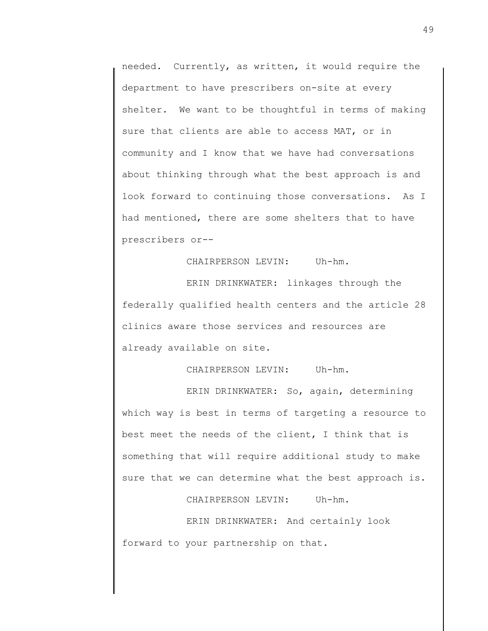needed. Currently, as written, it would require the department to have prescribers on-site at every shelter. We want to be thoughtful in terms of making sure that clients are able to access MAT, or in community and I know that we have had conversations about thinking through what the best approach is and look forward to continuing those conversations. As I had mentioned, there are some shelters that to have prescribers or--

CHAIRPERSON LEVIN: Uh-hm.

ERIN DRINKWATER: linkages through the federally qualified health centers and the article 28 clinics aware those services and resources are already available on site.

CHAIRPERSON LEVIN: Uh-hm.

ERIN DRINKWATER: So, again, determining which way is best in terms of targeting a resource to best meet the needs of the client, I think that is something that will require additional study to make sure that we can determine what the best approach is.

CHAIRPERSON LEVIN: Uh-hm.

ERIN DRINKWATER: And certainly look forward to your partnership on that.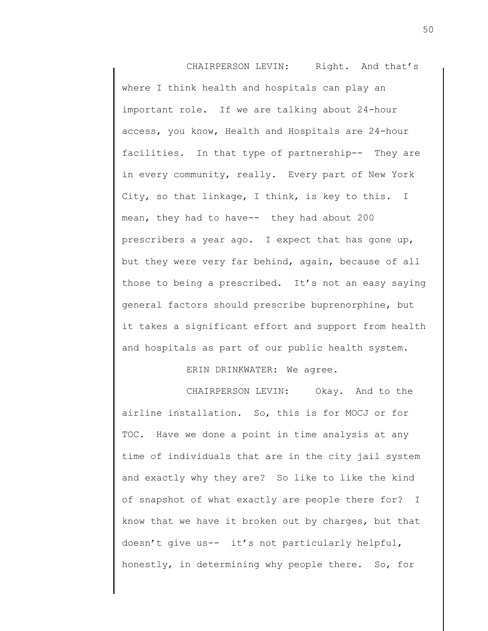CHAIRPERSON LEVIN: Right. And that's where I think health and hospitals can play an important role. If we are talking about 24-hour access, you know, Health and Hospitals are 24-hour facilities. In that type of partnership-- They are in every community, really. Every part of New York City, so that linkage, I think, is key to this. I mean, they had to have-- they had about 200 prescribers a year ago. I expect that has gone up, but they were very far behind, again, because of all those to being a prescribed. It's not an easy saying general factors should prescribe buprenorphine, but it takes a significant effort and support from health and hospitals as part of our public health system.

ERIN DRINKWATER: We agree.

CHAIRPERSON LEVIN: Okay. And to the airline installation. So, this is for MOCJ or for TOC. Have we done a point in time analysis at any time of individuals that are in the city jail system and exactly why they are? So like to like the kind of snapshot of what exactly are people there for? I know that we have it broken out by charges, but that doesn't give us-- it's not particularly helpful, honestly, in determining why people there. So, for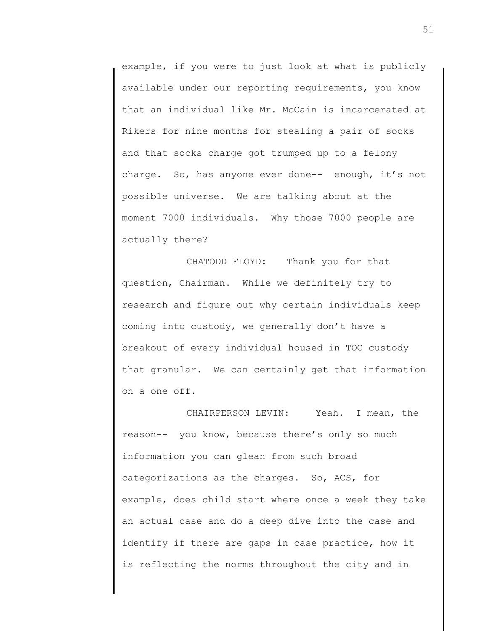example, if you were to just look at what is publicly available under our reporting requirements, you know that an individual like Mr. McCain is incarcerated at Rikers for nine months for stealing a pair of socks and that socks charge got trumped up to a felony charge. So, has anyone ever done-- enough, it's not possible universe. We are talking about at the moment 7000 individuals. Why those 7000 people are actually there?

CHATODD FLOYD: Thank you for that question, Chairman. While we definitely try to research and figure out why certain individuals keep coming into custody, we generally don't have a breakout of every individual housed in TOC custody that granular. We can certainly get that information on a one off.

CHAIRPERSON LEVIN: Yeah. I mean, the reason-- you know, because there's only so much information you can glean from such broad categorizations as the charges. So, ACS, for example, does child start where once a week they take an actual case and do a deep dive into the case and identify if there are gaps in case practice, how it is reflecting the norms throughout the city and in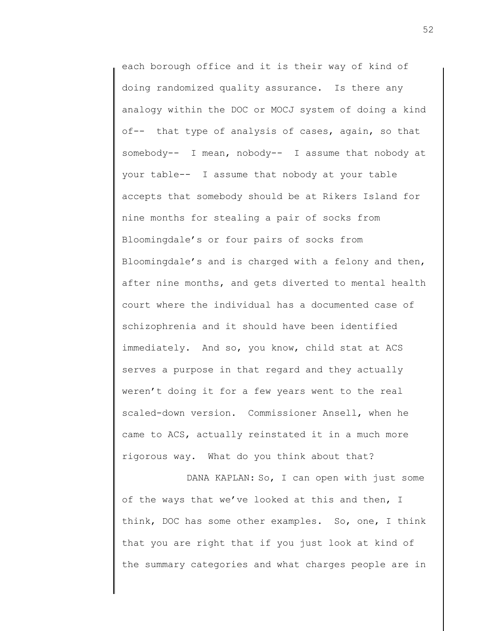each borough office and it is their way of kind of doing randomized quality assurance. Is there any analogy within the DOC or MOCJ system of doing a kind of-- that type of analysis of cases, again, so that somebody-- I mean, nobody-- I assume that nobody at your table-- I assume that nobody at your table accepts that somebody should be at Rikers Island for nine months for stealing a pair of socks from Bloomingdale's or four pairs of socks from Bloomingdale's and is charged with a felony and then, after nine months, and gets diverted to mental health court where the individual has a documented case of schizophrenia and it should have been identified immediately. And so, you know, child stat at ACS serves a purpose in that regard and they actually weren't doing it for a few years went to the real scaled-down version. Commissioner Ansell, when he came to ACS, actually reinstated it in a much more rigorous way. What do you think about that?

DANA KAPLAN: So, I can open with just some of the ways that we've looked at this and then, I think, DOC has some other examples. So, one, I think that you are right that if you just look at kind of the summary categories and what charges people are in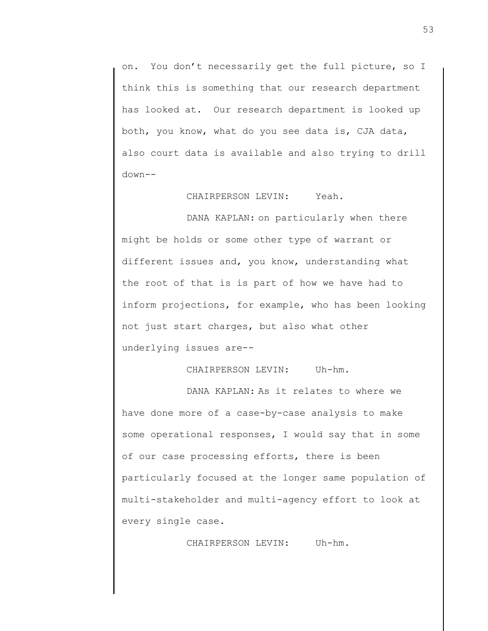on. You don't necessarily get the full picture, so I think this is something that our research department has looked at. Our research department is looked up both, you know, what do you see data is, CJA data, also court data is available and also trying to drill down--

CHAIRPERSON LEVIN: Yeah.

DANA KAPLAN: on particularly when there might be holds or some other type of warrant or different issues and, you know, understanding what the root of that is is part of how we have had to inform projections, for example, who has been looking not just start charges, but also what other underlying issues are--

CHAIRPERSON LEVIN: Uh-hm.

DANA KAPLAN: As it relates to where we have done more of a case-by-case analysis to make some operational responses, I would say that in some of our case processing efforts, there is been particularly focused at the longer same population of multi-stakeholder and multi-agency effort to look at every single case.

CHAIRPERSON LEVIN: Uh-hm.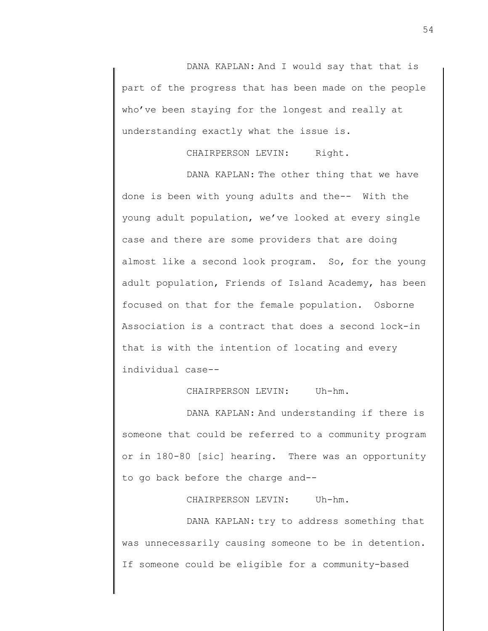DANA KAPLAN: And I would say that that is part of the progress that has been made on the people who've been staying for the longest and really at understanding exactly what the issue is.

CHAIRPERSON LEVIN: Right.

DANA KAPLAN: The other thing that we have done is been with young adults and the-- With the young adult population, we've looked at every single case and there are some providers that are doing almost like a second look program. So, for the young adult population, Friends of Island Academy, has been focused on that for the female population. Osborne Association is a contract that does a second lock-in that is with the intention of locating and every individual case--

CHAIRPERSON LEVIN: Uh-hm.

DANA KAPLAN: And understanding if there is someone that could be referred to a community program or in 180-80 [sic] hearing. There was an opportunity to go back before the charge and--

CHAIRPERSON LEVIN: Uh-hm.

DANA KAPLAN: try to address something that was unnecessarily causing someone to be in detention. If someone could be eligible for a community-based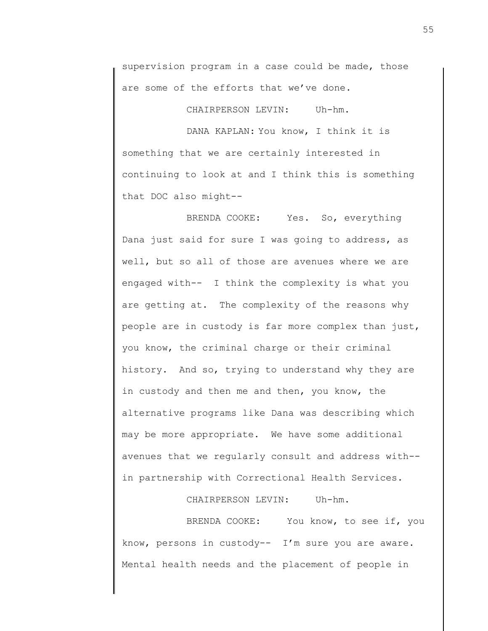supervision program in a case could be made, those are some of the efforts that we've done.

CHAIRPERSON LEVIN: Uh-hm.

DANA KAPLAN: You know, I think it is something that we are certainly interested in continuing to look at and I think this is something that DOC also might--

BRENDA COOKE: Yes. So, everything Dana just said for sure I was going to address, as well, but so all of those are avenues where we are engaged with-- I think the complexity is what you are getting at. The complexity of the reasons why people are in custody is far more complex than just, you know, the criminal charge or their criminal history. And so, trying to understand why they are in custody and then me and then, you know, the alternative programs like Dana was describing which may be more appropriate. We have some additional avenues that we regularly consult and address with- in partnership with Correctional Health Services.

CHAIRPERSON LEVIN: Uh-hm.

BRENDA COOKE: You know, to see if, you know, persons in custody-- I'm sure you are aware. Mental health needs and the placement of people in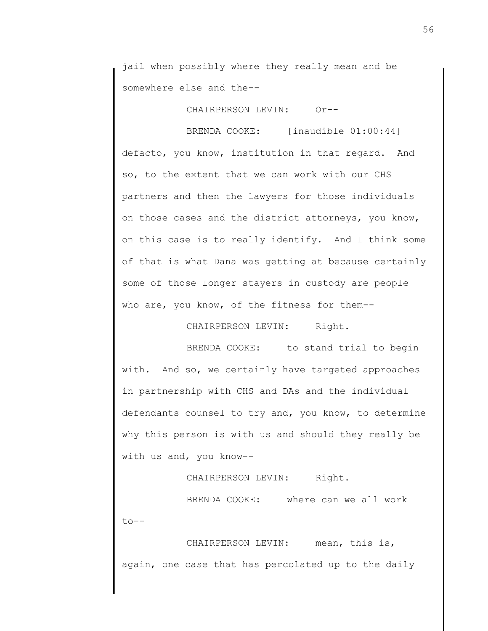jail when possibly where they really mean and be somewhere else and the--

CHAIRPERSON LEVIN: Or--

BRENDA COOKE: [inaudible 01:00:44] defacto, you know, institution in that regard. And so, to the extent that we can work with our CHS partners and then the lawyers for those individuals on those cases and the district attorneys, you know, on this case is to really identify. And I think some of that is what Dana was getting at because certainly some of those longer stayers in custody are people who are, you know, of the fitness for them--

CHAIRPERSON LEVIN: Right.

BRENDA COOKE: to stand trial to begin with. And so, we certainly have targeted approaches in partnership with CHS and DAs and the individual defendants counsel to try and, you know, to determine why this person is with us and should they really be with us and, you know--

CHAIRPERSON LEVIN: Right.

BRENDA COOKE: where can we all work to--

CHAIRPERSON LEVIN: mean, this is, again, one case that has percolated up to the daily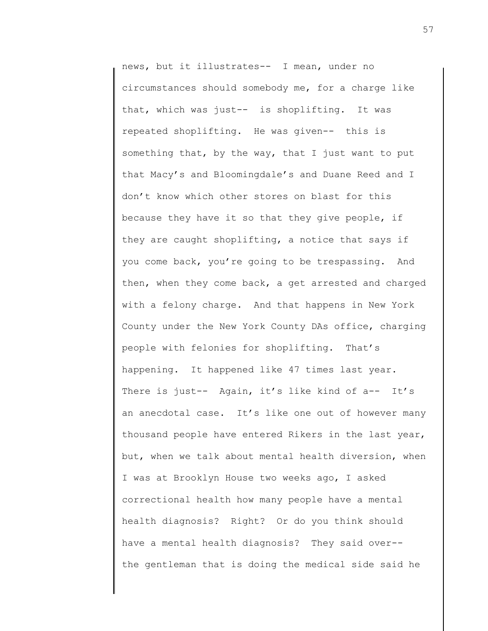news, but it illustrates-- I mean, under no circumstances should somebody me, for a charge like that, which was just-- is shoplifting. It was repeated shoplifting. He was given-- this is something that, by the way, that I just want to put that Macy's and Bloomingdale's and Duane Reed and I don't know which other stores on blast for this because they have it so that they give people, if they are caught shoplifting, a notice that says if you come back, you're going to be trespassing. And then, when they come back, a get arrested and charged with a felony charge. And that happens in New York County under the New York County DAs office, charging people with felonies for shoplifting. That's happening. It happened like 47 times last year. There is just-- Again, it's like kind of a-- It's an anecdotal case. It's like one out of however many thousand people have entered Rikers in the last year, but, when we talk about mental health diversion, when I was at Brooklyn House two weeks ago, I asked correctional health how many people have a mental health diagnosis? Right? Or do you think should have a mental health diagnosis? They said over- the gentleman that is doing the medical side said he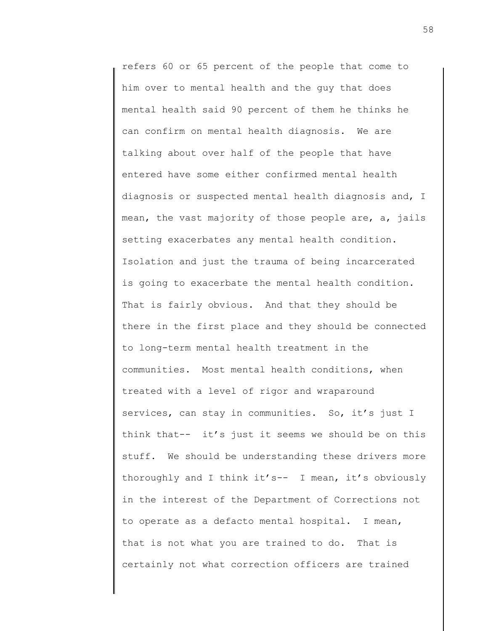refers 60 or 65 percent of the people that come to him over to mental health and the guy that does mental health said 90 percent of them he thinks he can confirm on mental health diagnosis. We are talking about over half of the people that have entered have some either confirmed mental health diagnosis or suspected mental health diagnosis and, I mean, the vast majority of those people are, a, jails setting exacerbates any mental health condition. Isolation and just the trauma of being incarcerated is going to exacerbate the mental health condition. That is fairly obvious. And that they should be there in the first place and they should be connected to long-term mental health treatment in the communities. Most mental health conditions, when treated with a level of rigor and wraparound services, can stay in communities. So, it's just I think that-- it's just it seems we should be on this stuff. We should be understanding these drivers more thoroughly and I think it's-- I mean, it's obviously in the interest of the Department of Corrections not to operate as a defacto mental hospital. I mean, that is not what you are trained to do. That is certainly not what correction officers are trained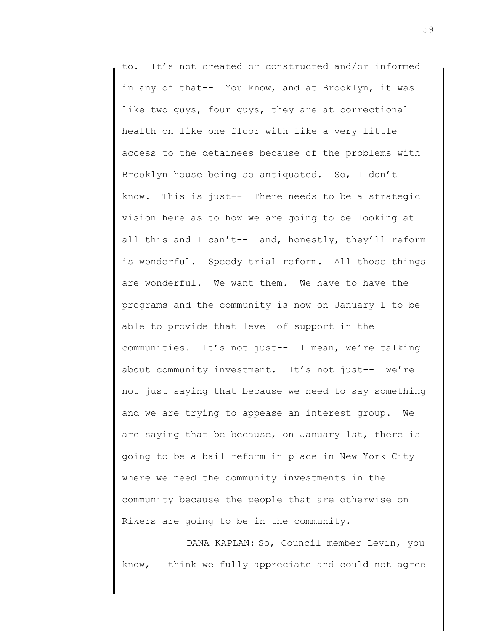to. It's not created or constructed and/or informed in any of that-- You know, and at Brooklyn, it was like two guys, four guys, they are at correctional health on like one floor with like a very little access to the detainees because of the problems with Brooklyn house being so antiquated. So, I don't know. This is just-- There needs to be a strategic vision here as to how we are going to be looking at all this and I can't-- and, honestly, they'll reform is wonderful. Speedy trial reform. All those things are wonderful. We want them. We have to have the programs and the community is now on January 1 to be able to provide that level of support in the communities. It's not just-- I mean, we're talking about community investment. It's not just-- we're not just saying that because we need to say something and we are trying to appease an interest group. We are saying that be because, on January 1st, there is going to be a bail reform in place in New York City where we need the community investments in the community because the people that are otherwise on Rikers are going to be in the community.

DANA KAPLAN: So, Council member Levin, you know, I think we fully appreciate and could not agree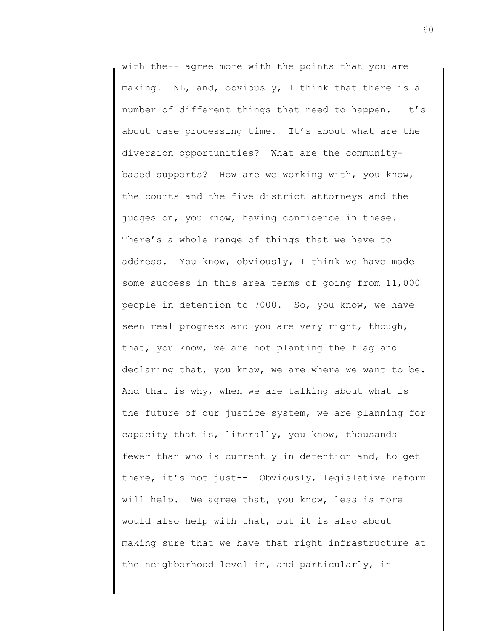with the-- agree more with the points that you are making. NL, and, obviously, I think that there is a number of different things that need to happen. It's about case processing time. It's about what are the diversion opportunities? What are the communitybased supports? How are we working with, you know, the courts and the five district attorneys and the judges on, you know, having confidence in these. There's a whole range of things that we have to address. You know, obviously, I think we have made some success in this area terms of going from 11,000 people in detention to 7000. So, you know, we have seen real progress and you are very right, though, that, you know, we are not planting the flag and declaring that, you know, we are where we want to be. And that is why, when we are talking about what is the future of our justice system, we are planning for capacity that is, literally, you know, thousands fewer than who is currently in detention and, to get there, it's not just-- Obviously, legislative reform will help. We agree that, you know, less is more would also help with that, but it is also about making sure that we have that right infrastructure at the neighborhood level in, and particularly, in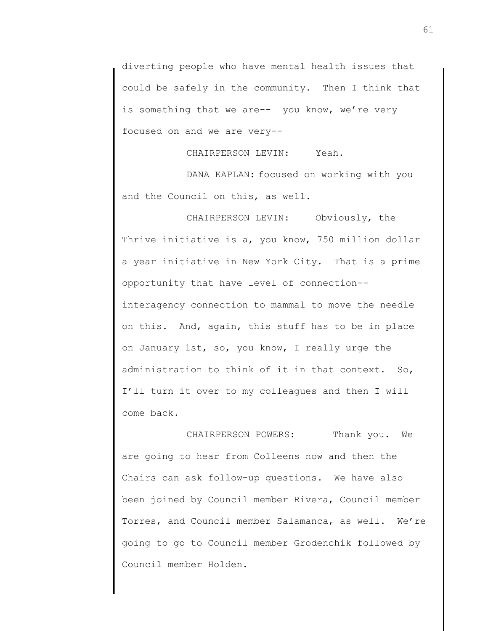diverting people who have mental health issues that could be safely in the community. Then I think that is something that we are-- you know, we're very focused on and we are very--

CHAIRPERSON LEVIN: Yeah.

DANA KAPLAN: focused on working with you and the Council on this, as well.

CHAIRPERSON LEVIN: Obviously, the Thrive initiative is a, you know, 750 million dollar a year initiative in New York City. That is a prime opportunity that have level of connection- interagency connection to mammal to move the needle on this. And, again, this stuff has to be in place on January 1st, so, you know, I really urge the administration to think of it in that context. So, I'll turn it over to my colleagues and then I will come back.

CHAIRPERSON POWERS: Thank you. We are going to hear from Colleens now and then the Chairs can ask follow-up questions. We have also been joined by Council member Rivera, Council member Torres, and Council member Salamanca, as well. We're going to go to Council member Grodenchik followed by Council member Holden.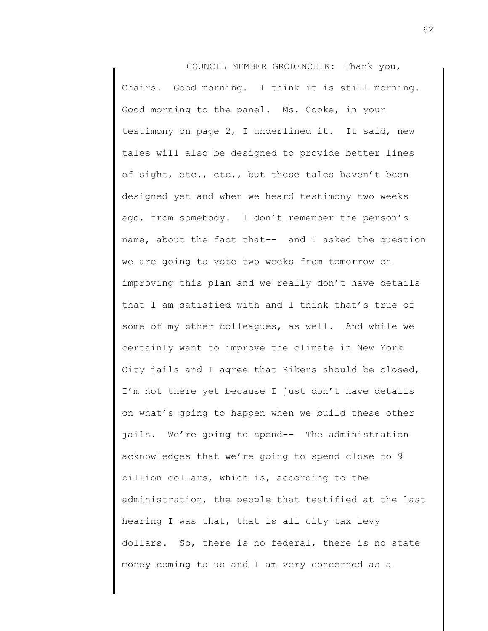COUNCIL MEMBER GRODENCHIK: Thank you, Chairs. Good morning. I think it is still morning. Good morning to the panel. Ms. Cooke, in your testimony on page 2, I underlined it. It said, new tales will also be designed to provide better lines of sight, etc., etc., but these tales haven't been designed yet and when we heard testimony two weeks ago, from somebody. I don't remember the person's name, about the fact that-- and I asked the question we are going to vote two weeks from tomorrow on improving this plan and we really don't have details that I am satisfied with and I think that's true of some of my other colleagues, as well. And while we certainly want to improve the climate in New York City jails and I agree that Rikers should be closed, I'm not there yet because I just don't have details on what's going to happen when we build these other jails. We're going to spend-- The administration acknowledges that we're going to spend close to 9 billion dollars, which is, according to the administration, the people that testified at the last hearing I was that, that is all city tax levy dollars. So, there is no federal, there is no state money coming to us and I am very concerned as a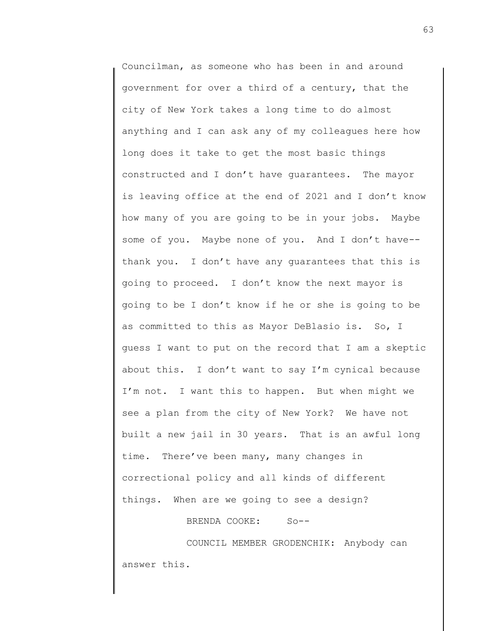Councilman, as someone who has been in and around government for over a third of a century, that the city of New York takes a long time to do almost anything and I can ask any of my colleagues here how long does it take to get the most basic things constructed and I don't have guarantees. The mayor is leaving office at the end of 2021 and I don't know how many of you are going to be in your jobs. Maybe some of you. Maybe none of you. And I don't have- thank you. I don't have any guarantees that this is going to proceed. I don't know the next mayor is going to be I don't know if he or she is going to be as committed to this as Mayor DeBlasio is. So, I guess I want to put on the record that I am a skeptic about this. I don't want to say I'm cynical because I'm not. I want this to happen. But when might we see a plan from the city of New York? We have not built a new jail in 30 years. That is an awful long time. There've been many, many changes in correctional policy and all kinds of different things. When are we going to see a design?

BRENDA COOKE: So--

COUNCIL MEMBER GRODENCHIK: Anybody can answer this.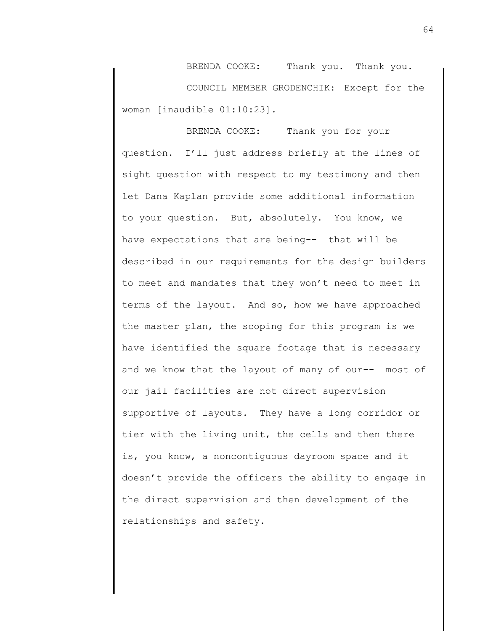BRENDA COOKE: Thank you. Thank you. COUNCIL MEMBER GRODENCHIK: Except for the woman [inaudible 01:10:23].

BRENDA COOKE: Thank you for your question. I'll just address briefly at the lines of sight question with respect to my testimony and then let Dana Kaplan provide some additional information to your question. But, absolutely. You know, we have expectations that are being-- that will be described in our requirements for the design builders to meet and mandates that they won't need to meet in terms of the layout. And so, how we have approached the master plan, the scoping for this program is we have identified the square footage that is necessary and we know that the layout of many of our-- most of our jail facilities are not direct supervision supportive of layouts. They have a long corridor or tier with the living unit, the cells and then there is, you know, a noncontiguous dayroom space and it doesn't provide the officers the ability to engage in the direct supervision and then development of the relationships and safety.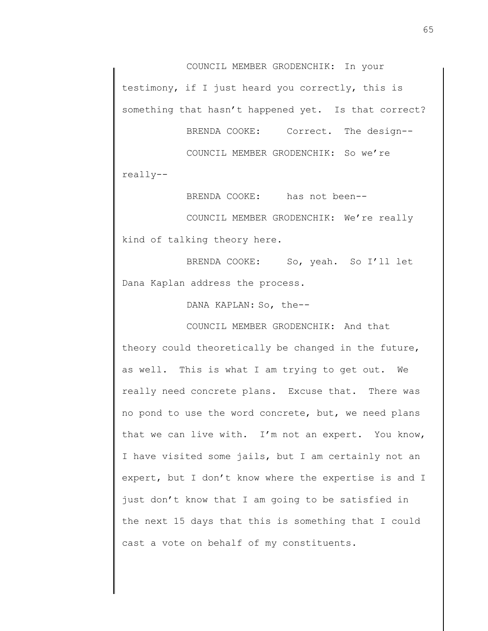COUNCIL MEMBER GRODENCHIK: In your testimony, if I just heard you correctly, this is something that hasn't happened yet. Is that correct?

BRENDA COOKE: Correct. The design--

COUNCIL MEMBER GRODENCHIK: So we're really--

BRENDA COOKE: has not been--

COUNCIL MEMBER GRODENCHIK: We're really kind of talking theory here.

BRENDA COOKE: So, yeah. So I'll let Dana Kaplan address the process.

DANA KAPLAN: So, the--

COUNCIL MEMBER GRODENCHIK: And that

theory could theoretically be changed in the future, as well. This is what I am trying to get out. We really need concrete plans. Excuse that. There was no pond to use the word concrete, but, we need plans that we can live with. I'm not an expert. You know, I have visited some jails, but I am certainly not an expert, but I don't know where the expertise is and I just don't know that I am going to be satisfied in the next 15 days that this is something that I could cast a vote on behalf of my constituents.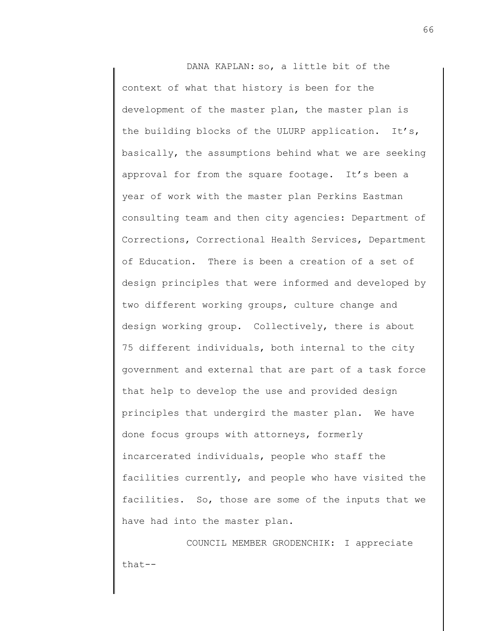DANA KAPLAN: so, a little bit of the context of what that history is been for the development of the master plan, the master plan is the building blocks of the ULURP application. It's, basically, the assumptions behind what we are seeking approval for from the square footage. It's been a year of work with the master plan Perkins Eastman consulting team and then city agencies: Department of Corrections, Correctional Health Services, Department of Education. There is been a creation of a set of design principles that were informed and developed by two different working groups, culture change and design working group. Collectively, there is about 75 different individuals, both internal to the city government and external that are part of a task force that help to develop the use and provided design principles that undergird the master plan. We have done focus groups with attorneys, formerly incarcerated individuals, people who staff the facilities currently, and people who have visited the facilities. So, those are some of the inputs that we have had into the master plan.

COUNCIL MEMBER GRODENCHIK: I appreciate that--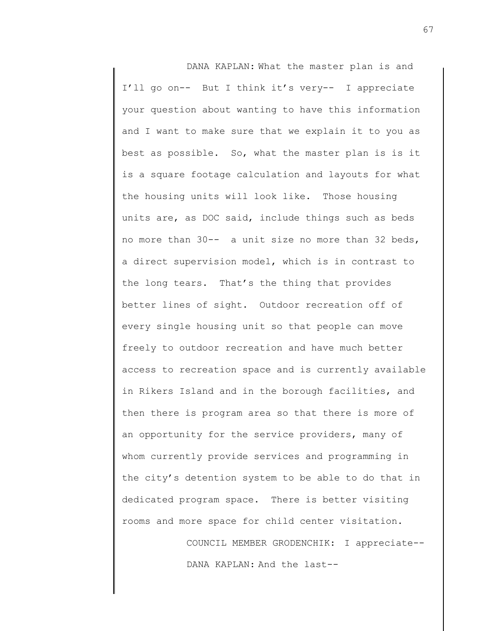DANA KAPLAN: What the master plan is and I'll go on-- But I think it's very-- I appreciate your question about wanting to have this information and I want to make sure that we explain it to you as best as possible. So, what the master plan is is it is a square footage calculation and layouts for what the housing units will look like. Those housing units are, as DOC said, include things such as beds no more than 30-- a unit size no more than 32 beds, a direct supervision model, which is in contrast to the long tears. That's the thing that provides better lines of sight. Outdoor recreation off of every single housing unit so that people can move freely to outdoor recreation and have much better access to recreation space and is currently available in Rikers Island and in the borough facilities, and then there is program area so that there is more of an opportunity for the service providers, many of whom currently provide services and programming in the city's detention system to be able to do that in dedicated program space. There is better visiting rooms and more space for child center visitation.

> COUNCIL MEMBER GRODENCHIK: I appreciate-- DANA KAPLAN: And the last--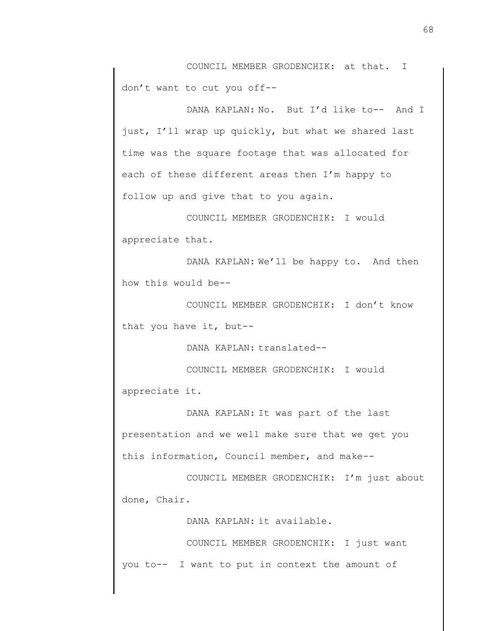COUNCIL MEMBER GRODENCHIK: at that. I don't want to cut you off--

DANA KAPLAN: No. But I'd like to-- And I just, I'll wrap up quickly, but what we shared last time was the square footage that was allocated for each of these different areas then I'm happy to follow up and give that to you again.

COUNCIL MEMBER GRODENCHIK: I would appreciate that.

DANA KAPLAN: We'll be happy to. And then how this would be--

COUNCIL MEMBER GRODENCHIK: I don't know that you have it, but--

DANA KAPLAN: translated--

COUNCIL MEMBER GRODENCHIK: I would appreciate it.

DANA KAPLAN: It was part of the last presentation and we well make sure that we get you this information, Council member, and make--

COUNCIL MEMBER GRODENCHIK: I'm just about done, Chair.

DANA KAPLAN: it available.

COUNCIL MEMBER GRODENCHIK: I just want you to-- I want to put in context the amount of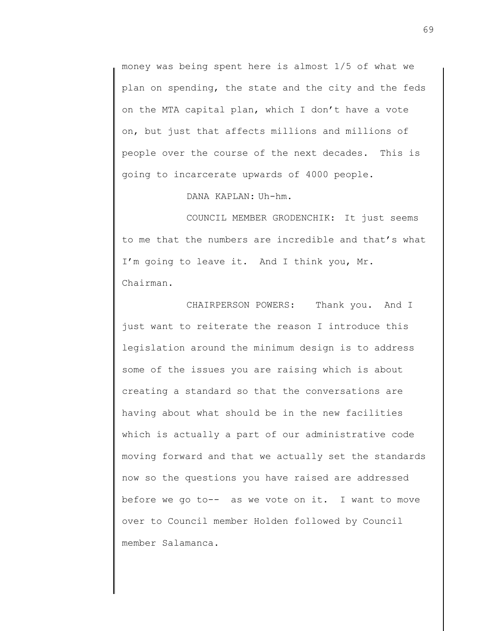money was being spent here is almost 1/5 of what we plan on spending, the state and the city and the feds on the MTA capital plan, which I don't have a vote on, but just that affects millions and millions of people over the course of the next decades. This is going to incarcerate upwards of 4000 people.

DANA KAPLAN: Uh-hm.

COUNCIL MEMBER GRODENCHIK: It just seems to me that the numbers are incredible and that's what I'm going to leave it. And I think you, Mr. Chairman.

CHAIRPERSON POWERS: Thank you. And I just want to reiterate the reason I introduce this legislation around the minimum design is to address some of the issues you are raising which is about creating a standard so that the conversations are having about what should be in the new facilities which is actually a part of our administrative code moving forward and that we actually set the standards now so the questions you have raised are addressed before we go to-- as we vote on it. I want to move over to Council member Holden followed by Council member Salamanca.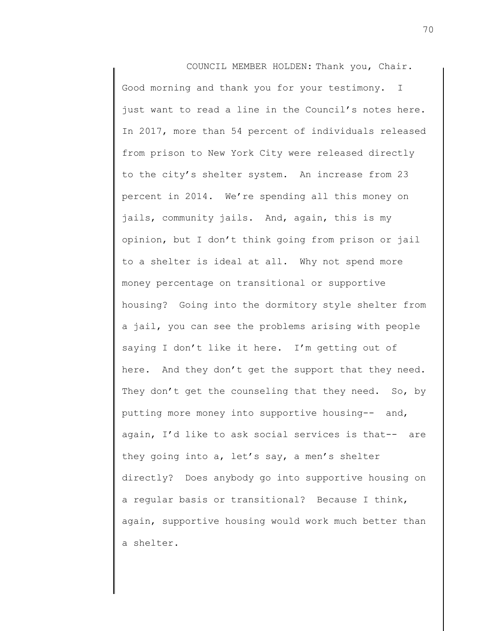COUNCIL MEMBER HOLDEN: Thank you, Chair. Good morning and thank you for your testimony. I just want to read a line in the Council's notes here. In 2017, more than 54 percent of individuals released from prison to New York City were released directly to the city's shelter system. An increase from 23 percent in 2014. We're spending all this money on jails, community jails. And, again, this is my opinion, but I don't think going from prison or jail to a shelter is ideal at all. Why not spend more money percentage on transitional or supportive housing? Going into the dormitory style shelter from a jail, you can see the problems arising with people saying I don't like it here. I'm getting out of here. And they don't get the support that they need. They don't get the counseling that they need. So, by putting more money into supportive housing-- and, again, I'd like to ask social services is that-- are they going into a, let's say, a men's shelter directly? Does anybody go into supportive housing on a regular basis or transitional? Because I think, again, supportive housing would work much better than a shelter.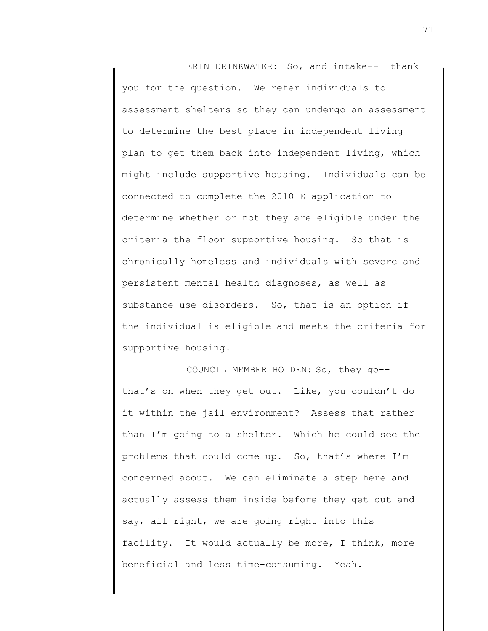ERIN DRINKWATER: So, and intake-- thank you for the question. We refer individuals to assessment shelters so they can undergo an assessment to determine the best place in independent living plan to get them back into independent living, which might include supportive housing. Individuals can be connected to complete the 2010 E application to determine whether or not they are eligible under the criteria the floor supportive housing. So that is chronically homeless and individuals with severe and persistent mental health diagnoses, as well as substance use disorders. So, that is an option if the individual is eligible and meets the criteria for supportive housing.

COUNCIL MEMBER HOLDEN: So, they go- that's on when they get out. Like, you couldn't do it within the jail environment? Assess that rather than I'm going to a shelter. Which he could see the problems that could come up. So, that's where I'm concerned about. We can eliminate a step here and actually assess them inside before they get out and say, all right, we are going right into this facility. It would actually be more, I think, more beneficial and less time-consuming. Yeah.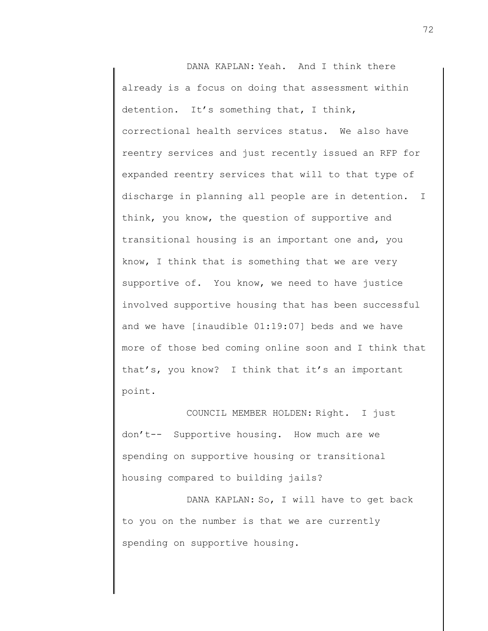DANA KAPLAN: Yeah. And I think there already is a focus on doing that assessment within detention. It's something that, I think, correctional health services status. We also have reentry services and just recently issued an RFP for expanded reentry services that will to that type of discharge in planning all people are in detention. I think, you know, the question of supportive and transitional housing is an important one and, you know, I think that is something that we are very supportive of. You know, we need to have justice involved supportive housing that has been successful and we have [inaudible 01:19:07] beds and we have more of those bed coming online soon and I think that that's, you know? I think that it's an important point.

COUNCIL MEMBER HOLDEN: Right. I just don't-- Supportive housing. How much are we spending on supportive housing or transitional housing compared to building jails?

DANA KAPLAN: So, I will have to get back to you on the number is that we are currently spending on supportive housing.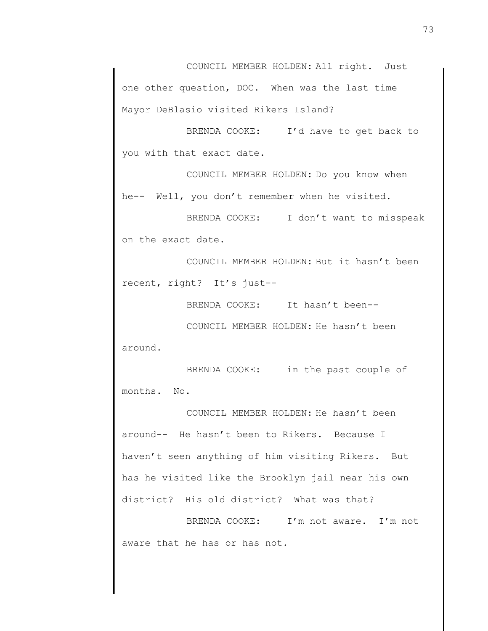COUNCIL MEMBER HOLDEN: All right. Just one other question, DOC. When was the last time Mayor DeBlasio visited Rikers Island?

BRENDA COOKE: I'd have to get back to you with that exact date.

COUNCIL MEMBER HOLDEN: Do you know when he-- Well, you don't remember when he visited.

BRENDA COOKE: I don't want to misspeak on the exact date.

COUNCIL MEMBER HOLDEN: But it hasn't been recent, right? It's just--

BRENDA COOKE: It hasn't been--

COUNCIL MEMBER HOLDEN: He hasn't been around.

BRENDA COOKE: in the past couple of months. No.

COUNCIL MEMBER HOLDEN: He hasn't been around-- He hasn't been to Rikers. Because I haven't seen anything of him visiting Rikers. But has he visited like the Brooklyn jail near his own district? His old district? What was that?

BRENDA COOKE: I'm not aware. I'm not aware that he has or has not.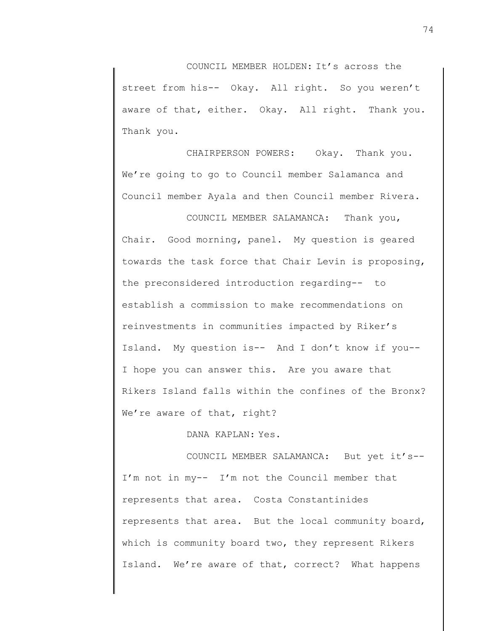COUNCIL MEMBER HOLDEN: It's across the street from his-- Okay. All right. So you weren't aware of that, either. Okay. All right. Thank you. Thank you.

CHAIRPERSON POWERS: Okay. Thank you. We're going to go to Council member Salamanca and Council member Ayala and then Council member Rivera.

COUNCIL MEMBER SALAMANCA: Thank you, Chair. Good morning, panel. My question is geared towards the task force that Chair Levin is proposing, the preconsidered introduction regarding-- to establish a commission to make recommendations on reinvestments in communities impacted by Riker's Island. My question is-- And I don't know if you-- I hope you can answer this. Are you aware that Rikers Island falls within the confines of the Bronx? We're aware of that, right?

DANA KAPLAN: Yes.

COUNCIL MEMBER SALAMANCA: But yet it's-- I'm not in my-- I'm not the Council member that represents that area. Costa Constantinides represents that area. But the local community board, which is community board two, they represent Rikers Island. We're aware of that, correct? What happens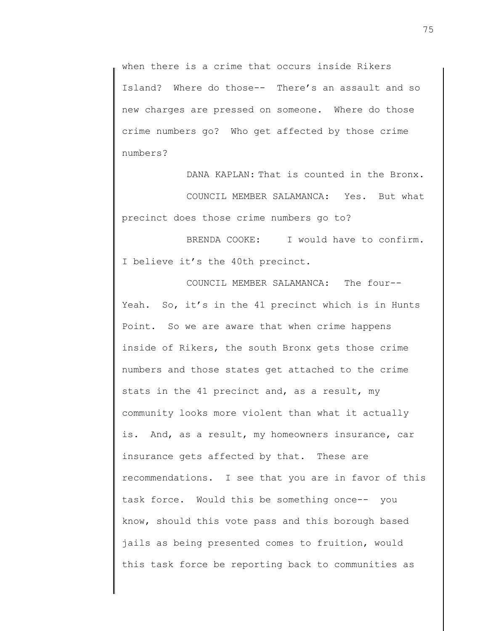when there is a crime that occurs inside Rikers Island? Where do those-- There's an assault and so new charges are pressed on someone. Where do those crime numbers go? Who get affected by those crime numbers?

DANA KAPLAN: That is counted in the Bronx. COUNCIL MEMBER SALAMANCA: Yes. But what precinct does those crime numbers go to?

BRENDA COOKE: I would have to confirm. I believe it's the 40th precinct.

COUNCIL MEMBER SALAMANCA: The four-- Yeah. So, it's in the 41 precinct which is in Hunts Point. So we are aware that when crime happens inside of Rikers, the south Bronx gets those crime numbers and those states get attached to the crime stats in the 41 precinct and, as a result, my community looks more violent than what it actually is. And, as a result, my homeowners insurance, car insurance gets affected by that. These are recommendations. I see that you are in favor of this task force. Would this be something once-- you know, should this vote pass and this borough based jails as being presented comes to fruition, would this task force be reporting back to communities as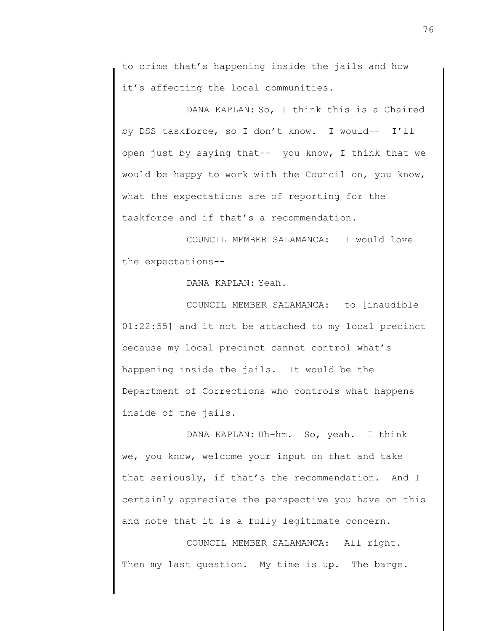to crime that's happening inside the jails and how it's affecting the local communities.

DANA KAPLAN: So, I think this is a Chaired by DSS taskforce, so I don't know. I would-- I'll open just by saying that-- you know, I think that we would be happy to work with the Council on, you know, what the expectations are of reporting for the taskforce and if that's a recommendation.

COUNCIL MEMBER SALAMANCA: I would love the expectations--

DANA KAPLAN: Yeah.

COUNCIL MEMBER SALAMANCA: to [inaudible 01:22:55] and it not be attached to my local precinct because my local precinct cannot control what's happening inside the jails. It would be the Department of Corrections who controls what happens inside of the jails.

DANA KAPLAN: Uh-hm. So, yeah. I think we, you know, welcome your input on that and take that seriously, if that's the recommendation. And I certainly appreciate the perspective you have on this and note that it is a fully legitimate concern.

COUNCIL MEMBER SALAMANCA: All right. Then my last question. My time is up. The barge.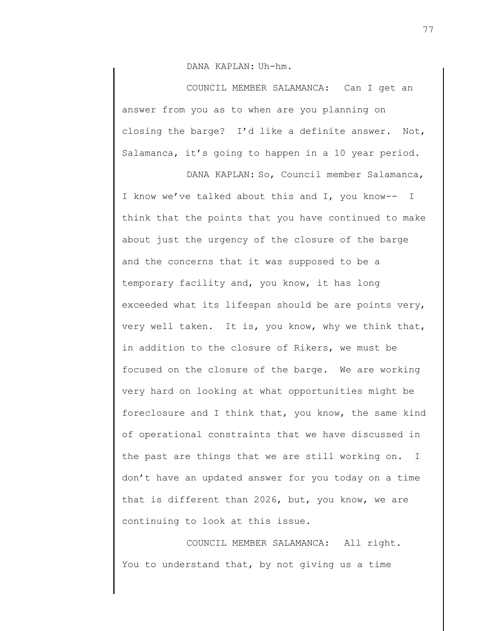DANA KAPLAN: Uh-hm.

COUNCIL MEMBER SALAMANCA: Can I get an answer from you as to when are you planning on closing the barge? I'd like a definite answer. Not, Salamanca, it's going to happen in a 10 year period.

DANA KAPLAN: So, Council member Salamanca, I know we've talked about this and I, you know-- I think that the points that you have continued to make about just the urgency of the closure of the barge and the concerns that it was supposed to be a temporary facility and, you know, it has long exceeded what its lifespan should be are points very, very well taken. It is, you know, why we think that, in addition to the closure of Rikers, we must be focused on the closure of the barge. We are working very hard on looking at what opportunities might be foreclosure and I think that, you know, the same kind of operational constraints that we have discussed in the past are things that we are still working on. I don't have an updated answer for you today on a time that is different than 2026, but, you know, we are continuing to look at this issue.

COUNCIL MEMBER SALAMANCA: All right. You to understand that, by not giving us a time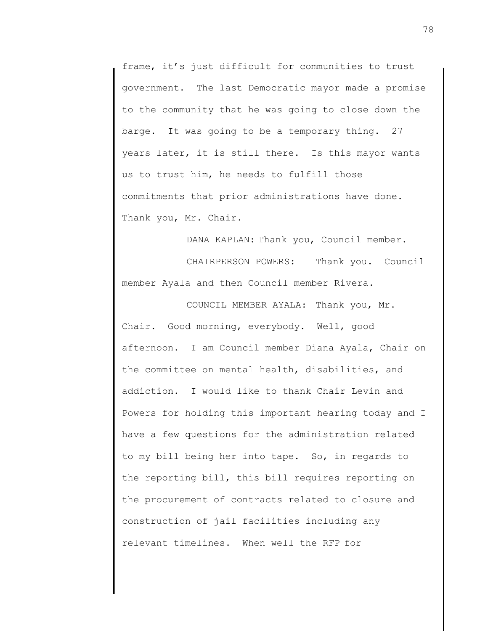frame, it's just difficult for communities to trust government. The last Democratic mayor made a promise to the community that he was going to close down the barge. It was going to be a temporary thing. 27 years later, it is still there. Is this mayor wants us to trust him, he needs to fulfill those commitments that prior administrations have done. Thank you, Mr. Chair.

DANA KAPLAN: Thank you, Council member.

CHAIRPERSON POWERS: Thank you. Council member Ayala and then Council member Rivera.

COUNCIL MEMBER AYALA: Thank you, Mr. Chair. Good morning, everybody. Well, good afternoon. I am Council member Diana Ayala, Chair on the committee on mental health, disabilities, and addiction. I would like to thank Chair Levin and Powers for holding this important hearing today and I have a few questions for the administration related to my bill being her into tape. So, in regards to the reporting bill, this bill requires reporting on the procurement of contracts related to closure and construction of jail facilities including any relevant timelines. When well the RFP for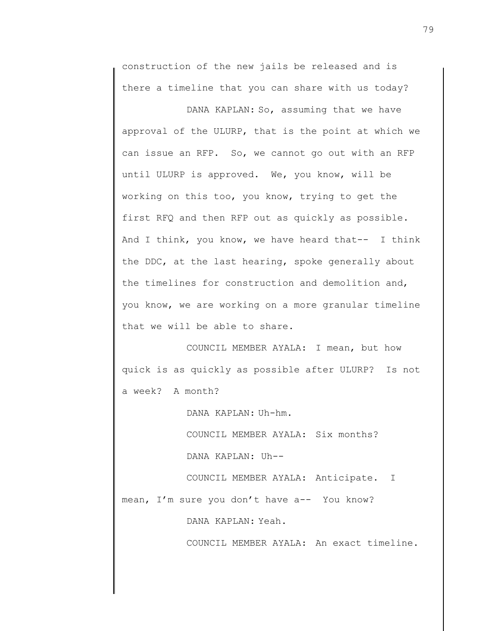construction of the new jails be released and is there a timeline that you can share with us today?

DANA KAPLAN: So, assuming that we have approval of the ULURP, that is the point at which we can issue an RFP. So, we cannot go out with an RFP until ULURP is approved. We, you know, will be working on this too, you know, trying to get the first RFQ and then RFP out as quickly as possible. And I think, you know, we have heard that-- I think the DDC, at the last hearing, spoke generally about the timelines for construction and demolition and, you know, we are working on a more granular timeline that we will be able to share.

COUNCIL MEMBER AYALA: I mean, but how quick is as quickly as possible after ULURP? Is not a week? A month?

DANA KAPLAN: Uh-hm.

COUNCIL MEMBER AYALA: Six months?

DANA KAPLAN: Uh--

COUNCIL MEMBER AYALA: Anticipate. I mean, I'm sure you don't have a-- You know?

DANA KAPLAN: Yeah.

COUNCIL MEMBER AYALA: An exact timeline.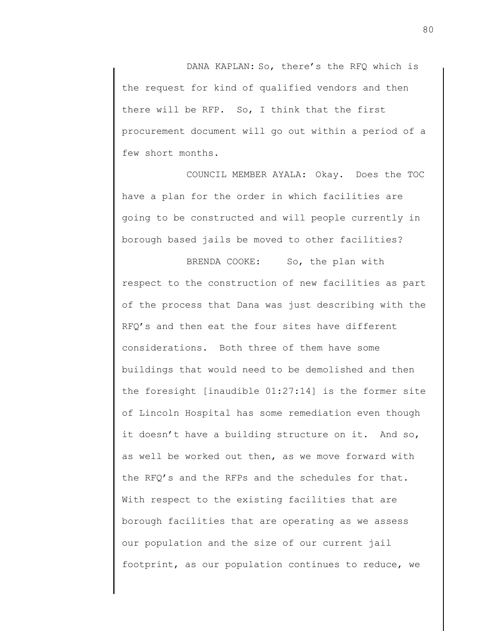DANA KAPLAN: So, there's the RFQ which is the request for kind of qualified vendors and then there will be RFP. So, I think that the first procurement document will go out within a period of a few short months.

COUNCIL MEMBER AYALA: Okay. Does the TOC have a plan for the order in which facilities are going to be constructed and will people currently in borough based jails be moved to other facilities?

BRENDA COOKE: So, the plan with respect to the construction of new facilities as part of the process that Dana was just describing with the RFQ's and then eat the four sites have different considerations. Both three of them have some buildings that would need to be demolished and then the foresight [inaudible 01:27:14] is the former site of Lincoln Hospital has some remediation even though it doesn't have a building structure on it. And so, as well be worked out then, as we move forward with the RFQ's and the RFPs and the schedules for that. With respect to the existing facilities that are borough facilities that are operating as we assess our population and the size of our current jail footprint, as our population continues to reduce, we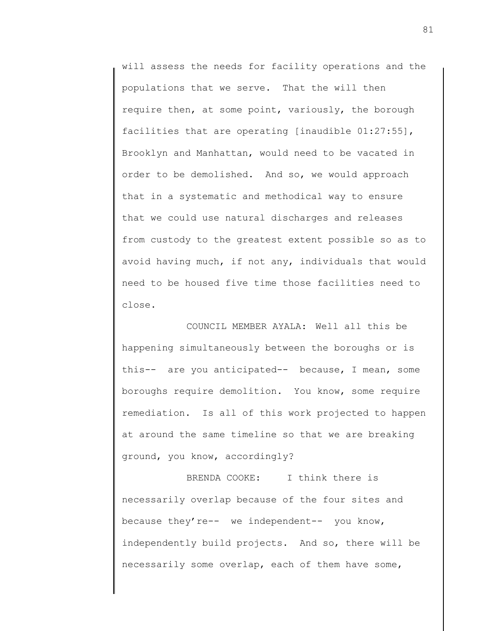will assess the needs for facility operations and the populations that we serve. That the will then require then, at some point, variously, the borough facilities that are operating [inaudible 01:27:55], Brooklyn and Manhattan, would need to be vacated in order to be demolished. And so, we would approach that in a systematic and methodical way to ensure that we could use natural discharges and releases from custody to the greatest extent possible so as to avoid having much, if not any, individuals that would need to be housed five time those facilities need to close.

COUNCIL MEMBER AYALA: Well all this be happening simultaneously between the boroughs or is this-- are you anticipated-- because, I mean, some boroughs require demolition. You know, some require remediation. Is all of this work projected to happen at around the same timeline so that we are breaking ground, you know, accordingly?

BRENDA COOKE: I think there is necessarily overlap because of the four sites and because they're-- we independent-- you know, independently build projects. And so, there will be necessarily some overlap, each of them have some,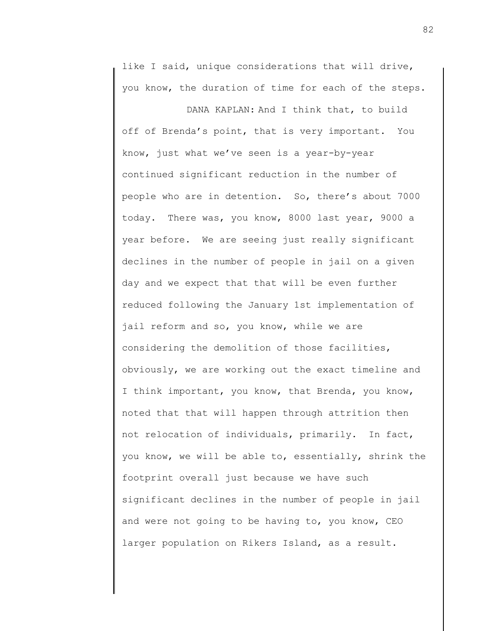like I said, unique considerations that will drive, you know, the duration of time for each of the steps.

DANA KAPLAN: And I think that, to build off of Brenda's point, that is very important. You know, just what we've seen is a year-by-year continued significant reduction in the number of people who are in detention. So, there's about 7000 today. There was, you know, 8000 last year, 9000 a year before. We are seeing just really significant declines in the number of people in jail on a given day and we expect that that will be even further reduced following the January 1st implementation of jail reform and so, you know, while we are considering the demolition of those facilities, obviously, we are working out the exact timeline and I think important, you know, that Brenda, you know, noted that that will happen through attrition then not relocation of individuals, primarily. In fact, you know, we will be able to, essentially, shrink the footprint overall just because we have such significant declines in the number of people in jail and were not going to be having to, you know, CEO larger population on Rikers Island, as a result.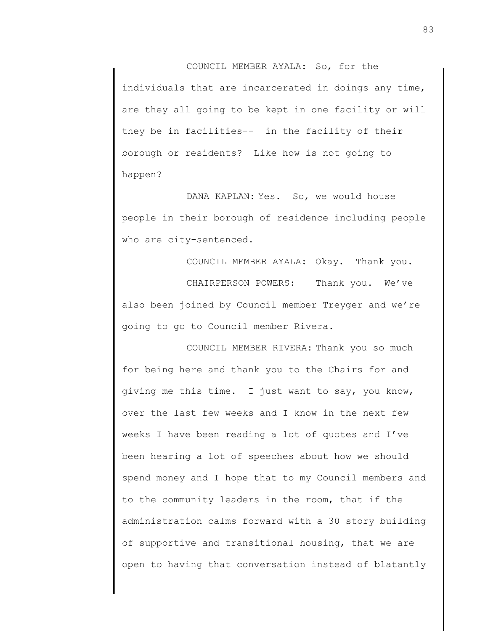COUNCIL MEMBER AYALA: So, for the individuals that are incarcerated in doings any time, are they all going to be kept in one facility or will they be in facilities-- in the facility of their borough or residents? Like how is not going to happen?

DANA KAPLAN: Yes. So, we would house people in their borough of residence including people who are city-sentenced.

COUNCIL MEMBER AYALA: Okay. Thank you. CHAIRPERSON POWERS: Thank you. We've also been joined by Council member Treyger and we're going to go to Council member Rivera.

COUNCIL MEMBER RIVERA: Thank you so much for being here and thank you to the Chairs for and giving me this time. I just want to say, you know, over the last few weeks and I know in the next few weeks I have been reading a lot of quotes and I've been hearing a lot of speeches about how we should spend money and I hope that to my Council members and to the community leaders in the room, that if the administration calms forward with a 30 story building of supportive and transitional housing, that we are open to having that conversation instead of blatantly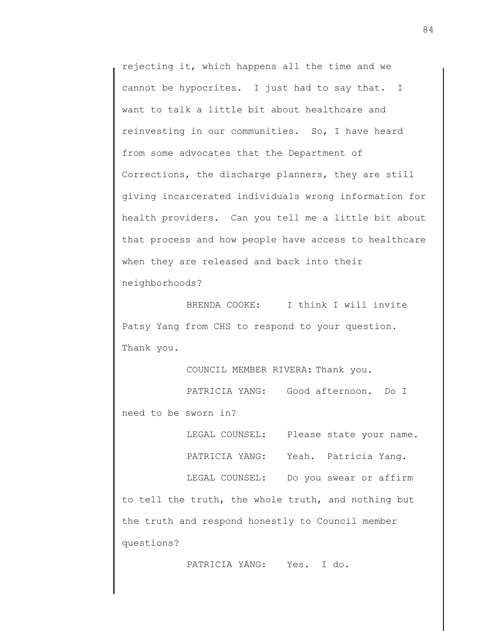rejecting it, which happens all the time and we cannot be hypocrites. I just had to say that. I want to talk a little bit about healthcare and reinvesting in our communities. So, I have heard from some advocates that the Department of Corrections, the discharge planners, they are still giving incarcerated individuals wrong information for health providers. Can you tell me a little bit about that process and how people have access to healthcare when they are released and back into their neighborhoods?

BRENDA COOKE: I think I will invite Patsy Yang from CHS to respond to your question. Thank you.

COUNCIL MEMBER RIVERA: Thank you.

PATRICIA YANG: Good afternoon. Do I need to be sworn in?

LEGAL COUNSEL: Please state your name.

PATRICIA YANG: Yeah. Patricia Yang.

LEGAL COUNSEL: Do you swear or affirm to tell the truth, the whole truth, and nothing but the truth and respond honestly to Council member

questions?

PATRICIA YANG: Yes. I do.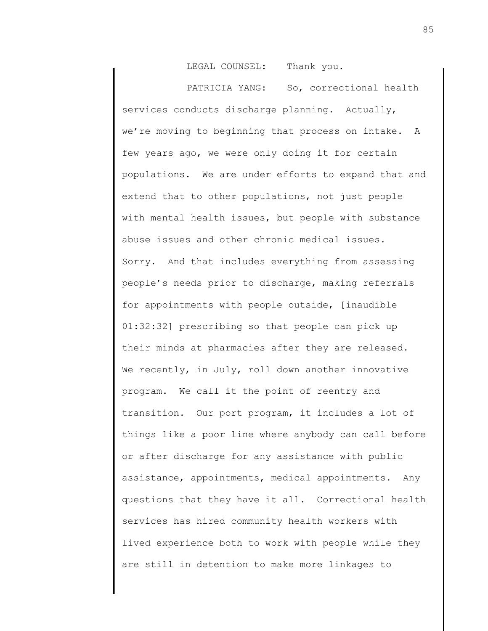LEGAL COUNSEL: Thank you.

PATRICIA YANG: So, correctional health services conducts discharge planning. Actually, we're moving to beginning that process on intake. A few years ago, we were only doing it for certain populations. We are under efforts to expand that and extend that to other populations, not just people with mental health issues, but people with substance abuse issues and other chronic medical issues. Sorry. And that includes everything from assessing people's needs prior to discharge, making referrals for appointments with people outside, [inaudible 01:32:32] prescribing so that people can pick up their minds at pharmacies after they are released. We recently, in July, roll down another innovative program. We call it the point of reentry and transition. Our port program, it includes a lot of things like a poor line where anybody can call before or after discharge for any assistance with public assistance, appointments, medical appointments. Any questions that they have it all. Correctional health services has hired community health workers with lived experience both to work with people while they are still in detention to make more linkages to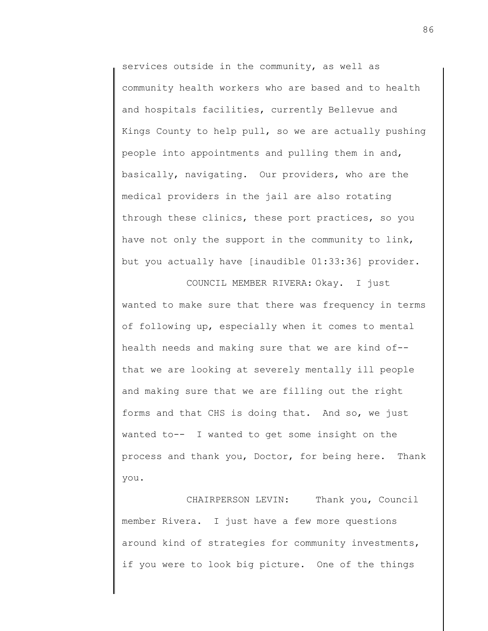services outside in the community, as well as community health workers who are based and to health and hospitals facilities, currently Bellevue and Kings County to help pull, so we are actually pushing people into appointments and pulling them in and, basically, navigating. Our providers, who are the medical providers in the jail are also rotating through these clinics, these port practices, so you have not only the support in the community to link, but you actually have [inaudible 01:33:36] provider.

COUNCIL MEMBER RIVERA: Okay. I just wanted to make sure that there was frequency in terms of following up, especially when it comes to mental health needs and making sure that we are kind of- that we are looking at severely mentally ill people and making sure that we are filling out the right forms and that CHS is doing that. And so, we just wanted to-- I wanted to get some insight on the process and thank you, Doctor, for being here. Thank you.

CHAIRPERSON LEVIN: Thank you, Council member Rivera. I just have a few more questions around kind of strategies for community investments, if you were to look big picture. One of the things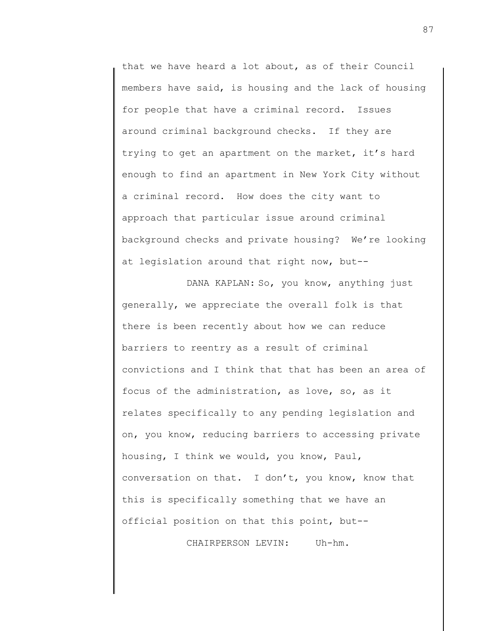that we have heard a lot about, as of their Council members have said, is housing and the lack of housing for people that have a criminal record. Issues around criminal background checks. If they are trying to get an apartment on the market, it's hard enough to find an apartment in New York City without a criminal record. How does the city want to approach that particular issue around criminal background checks and private housing? We're looking at legislation around that right now, but--

DANA KAPLAN: So, you know, anything just generally, we appreciate the overall folk is that there is been recently about how we can reduce barriers to reentry as a result of criminal convictions and I think that that has been an area of focus of the administration, as love, so, as it relates specifically to any pending legislation and on, you know, reducing barriers to accessing private housing, I think we would, you know, Paul, conversation on that. I don't, you know, know that this is specifically something that we have an official position on that this point, but--

CHAIRPERSON LEVIN: Uh-hm.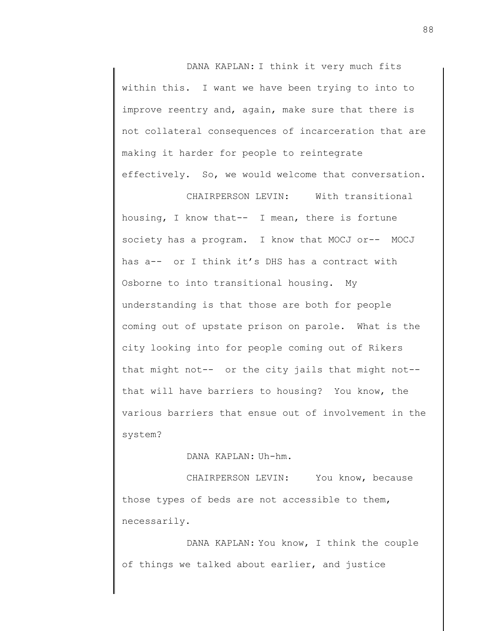DANA KAPLAN: I think it very much fits within this. I want we have been trying to into to improve reentry and, again, make sure that there is not collateral consequences of incarceration that are making it harder for people to reintegrate effectively. So, we would welcome that conversation.

CHAIRPERSON LEVIN: With transitional housing, I know that-- I mean, there is fortune society has a program. I know that MOCJ or-- MOCJ has a-- or I think it's DHS has a contract with Osborne to into transitional housing. My understanding is that those are both for people coming out of upstate prison on parole. What is the city looking into for people coming out of Rikers that might not-- or the city jails that might not- that will have barriers to housing? You know, the various barriers that ensue out of involvement in the system?

## DANA KAPLAN: Uh-hm.

CHAIRPERSON LEVIN: You know, because those types of beds are not accessible to them, necessarily.

DANA KAPLAN: You know, I think the couple of things we talked about earlier, and justice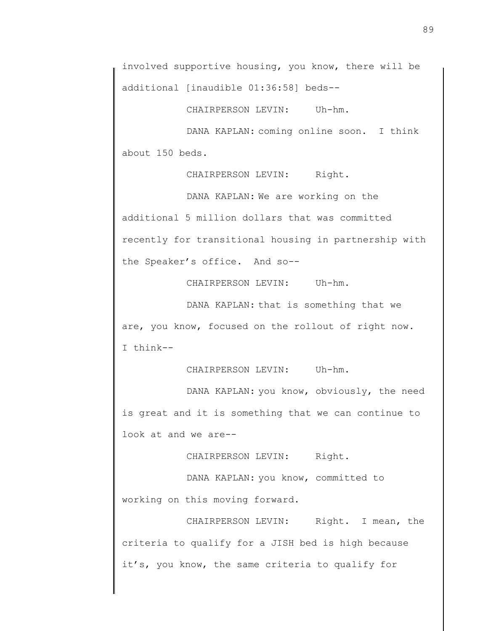involved supportive housing, you know, there will be additional [inaudible 01:36:58] beds--

CHAIRPERSON LEVIN: Uh-hm.

DANA KAPLAN: coming online soon. I think about 150 beds.

CHAIRPERSON LEVIN: Right.

DANA KAPLAN: We are working on the additional 5 million dollars that was committed recently for transitional housing in partnership with the Speaker's office. And so--

CHAIRPERSON LEVIN: Uh-hm.

DANA KAPLAN: that is something that we are, you know, focused on the rollout of right now. I think--

CHAIRPERSON LEVIN: Uh-hm.

DANA KAPLAN: you know, obviously, the need is great and it is something that we can continue to look at and we are--

CHAIRPERSON LEVIN: Right.

DANA KAPLAN: you know, committed to working on this moving forward.

CHAIRPERSON LEVIN: Right. I mean, the criteria to qualify for a JISH bed is high because it's, you know, the same criteria to qualify for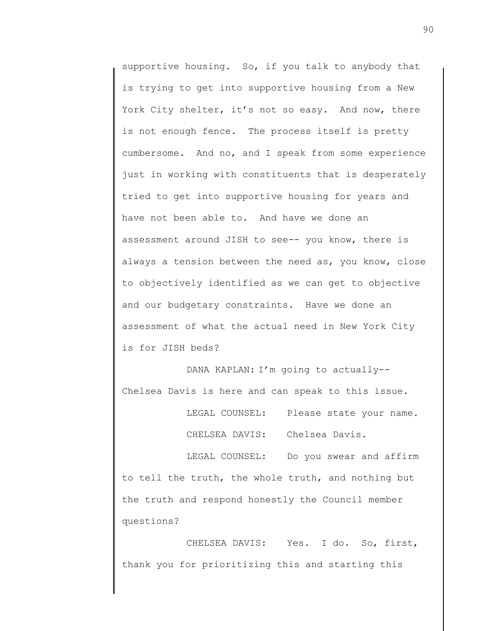supportive housing. So, if you talk to anybody that is trying to get into supportive housing from a New York City shelter, it's not so easy. And now, there is not enough fence. The process itself is pretty cumbersome. And no, and I speak from some experience just in working with constituents that is desperately tried to get into supportive housing for years and have not been able to. And have we done an assessment around JISH to see-- you know, there is always a tension between the need as, you know, close to objectively identified as we can get to objective and our budgetary constraints. Have we done an assessment of what the actual need in New York City is for JISH beds?

DANA KAPLAN: I'm going to actually-- Chelsea Davis is here and can speak to this issue.

> LEGAL COUNSEL: Please state your name. CHELSEA DAVIS: Chelsea Davis.

LEGAL COUNSEL: Do you swear and affirm to tell the truth, the whole truth, and nothing but the truth and respond honestly the Council member questions?

CHELSEA DAVIS: Yes. I do. So, first, thank you for prioritizing this and starting this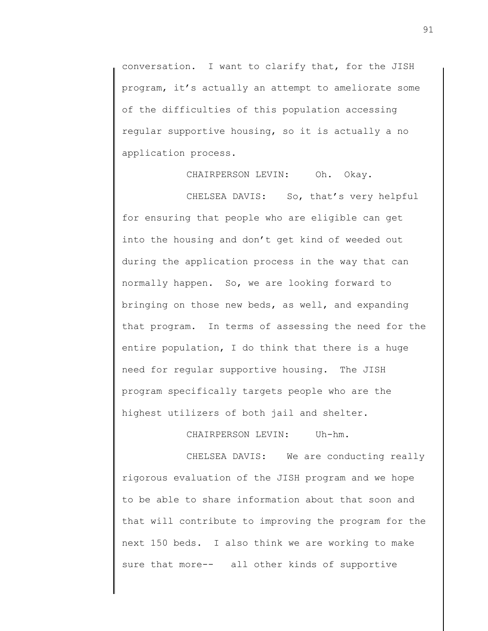conversation. I want to clarify that, for the JISH program, it's actually an attempt to ameliorate some of the difficulties of this population accessing regular supportive housing, so it is actually a no application process.

CHAIRPERSON LEVIN: Oh. Okay.

CHELSEA DAVIS: So, that's very helpful for ensuring that people who are eligible can get into the housing and don't get kind of weeded out during the application process in the way that can normally happen. So, we are looking forward to bringing on those new beds, as well, and expanding that program. In terms of assessing the need for the entire population, I do think that there is a huge need for regular supportive housing. The JISH program specifically targets people who are the highest utilizers of both jail and shelter.

CHAIRPERSON LEVIN: Uh-hm.

CHELSEA DAVIS: We are conducting really rigorous evaluation of the JISH program and we hope to be able to share information about that soon and that will contribute to improving the program for the next 150 beds. I also think we are working to make sure that more-- all other kinds of supportive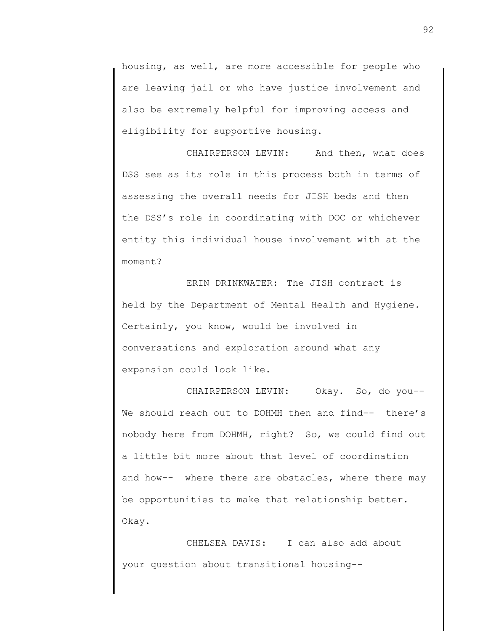housing, as well, are more accessible for people who are leaving jail or who have justice involvement and also be extremely helpful for improving access and eligibility for supportive housing.

CHAIRPERSON LEVIN: And then, what does DSS see as its role in this process both in terms of assessing the overall needs for JISH beds and then the DSS's role in coordinating with DOC or whichever entity this individual house involvement with at the moment?

ERIN DRINKWATER: The JISH contract is held by the Department of Mental Health and Hygiene. Certainly, you know, would be involved in conversations and exploration around what any expansion could look like.

CHAIRPERSON LEVIN: Okay. So, do you-- We should reach out to DOHMH then and find-- there's nobody here from DOHMH, right? So, we could find out a little bit more about that level of coordination and how-- where there are obstacles, where there may be opportunities to make that relationship better. Okay.

CHELSEA DAVIS: I can also add about your question about transitional housing--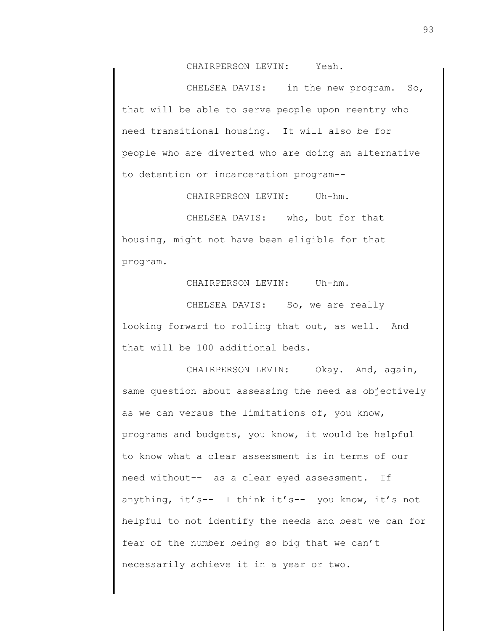CHAIRPERSON LEVIN: Yeah.

CHELSEA DAVIS: in the new program. So, that will be able to serve people upon reentry who need transitional housing. It will also be for people who are diverted who are doing an alternative to detention or incarceration program--

CHAIRPERSON LEVIN: Uh-hm.

CHELSEA DAVIS: who, but for that housing, might not have been eligible for that program.

CHAIRPERSON LEVIN: Uh-hm.

CHELSEA DAVIS: So, we are really looking forward to rolling that out, as well. And that will be 100 additional beds.

CHAIRPERSON LEVIN: Okay. And, again, same question about assessing the need as objectively as we can versus the limitations of, you know, programs and budgets, you know, it would be helpful to know what a clear assessment is in terms of our need without-- as a clear eyed assessment. If anything, it's-- I think it's-- you know, it's not helpful to not identify the needs and best we can for fear of the number being so big that we can't necessarily achieve it in a year or two.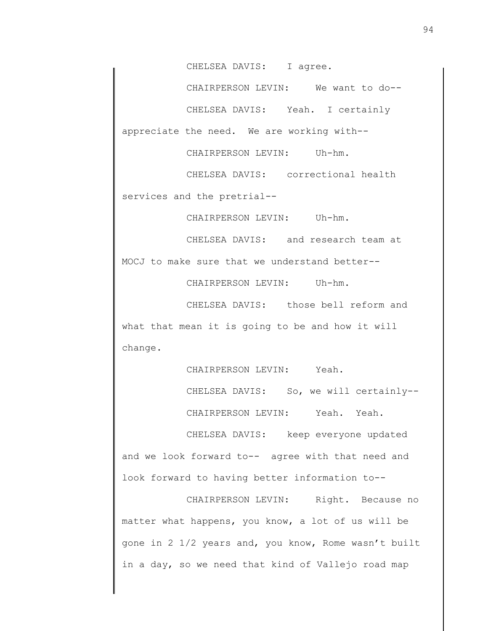CHELSEA DAVIS: I agree.

CHAIRPERSON LEVIN: We want to do--

CHELSEA DAVIS: Yeah. I certainly appreciate the need. We are working with--

CHAIRPERSON LEVIN: Uh-hm.

CHELSEA DAVIS: correctional health services and the pretrial--

CHAIRPERSON LEVIN: Uh-hm.

CHELSEA DAVIS: and research team at MOCJ to make sure that we understand better--

CHAIRPERSON LEVIN: Uh-hm.

CHELSEA DAVIS: those bell reform and what that mean it is going to be and how it will change.

CHAIRPERSON LEVIN: Yeah.

CHELSEA DAVIS: So, we will certainly--

CHAIRPERSON LEVIN: Yeah. Yeah.

CHELSEA DAVIS: keep everyone updated and we look forward to-- agree with that need and look forward to having better information to--

CHAIRPERSON LEVIN: Right. Because no matter what happens, you know, a lot of us will be gone in 2 1/2 years and, you know, Rome wasn't built in a day, so we need that kind of Vallejo road map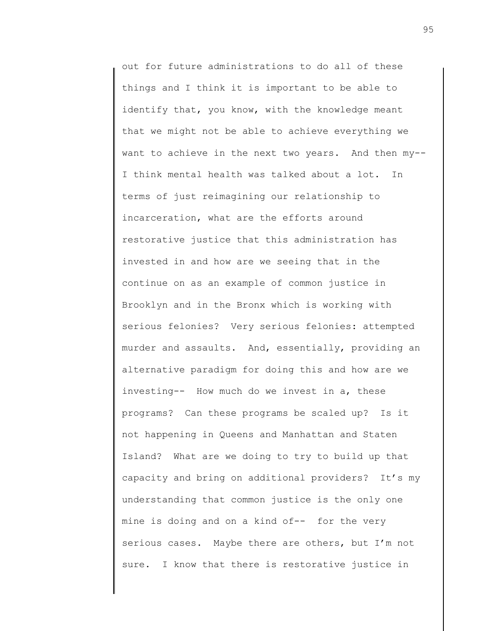out for future administrations to do all of these things and I think it is important to be able to identify that, you know, with the knowledge meant that we might not be able to achieve everything we want to achieve in the next two years. And then my-- I think mental health was talked about a lot. In terms of just reimagining our relationship to incarceration, what are the efforts around restorative justice that this administration has invested in and how are we seeing that in the continue on as an example of common justice in Brooklyn and in the Bronx which is working with serious felonies? Very serious felonies: attempted murder and assaults. And, essentially, providing an alternative paradigm for doing this and how are we investing-- How much do we invest in a, these programs? Can these programs be scaled up? Is it not happening in Queens and Manhattan and Staten Island? What are we doing to try to build up that capacity and bring on additional providers? It's my understanding that common justice is the only one mine is doing and on a kind of-- for the very serious cases. Maybe there are others, but I'm not sure. I know that there is restorative justice in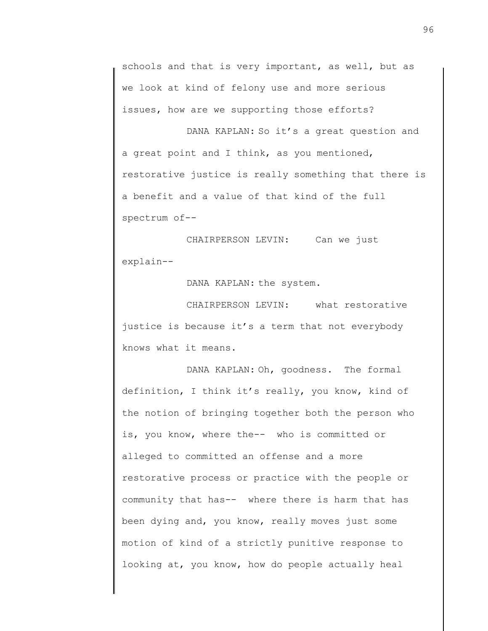schools and that is very important, as well, but as we look at kind of felony use and more serious issues, how are we supporting those efforts?

DANA KAPLAN: So it's a great question and a great point and I think, as you mentioned, restorative justice is really something that there is a benefit and a value of that kind of the full spectrum of--

CHAIRPERSON LEVIN: Can we just explain--

DANA KAPLAN: the system.

CHAIRPERSON LEVIN: what restorative justice is because it's a term that not everybody knows what it means.

DANA KAPLAN: Oh, goodness. The formal definition, I think it's really, you know, kind of the notion of bringing together both the person who is, you know, where the-- who is committed or alleged to committed an offense and a more restorative process or practice with the people or community that has-- where there is harm that has been dying and, you know, really moves just some motion of kind of a strictly punitive response to looking at, you know, how do people actually heal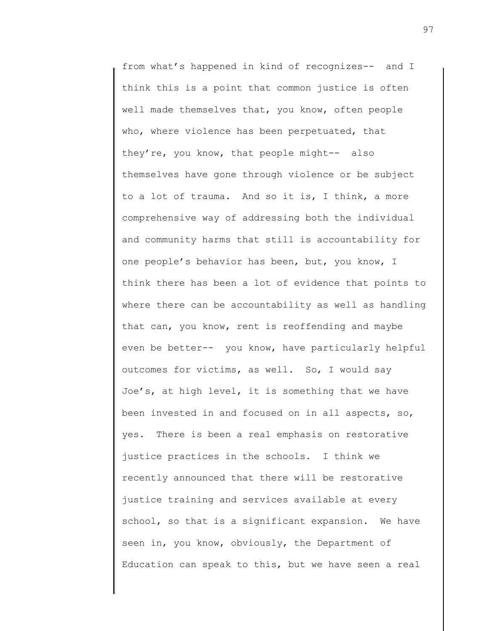from what's happened in kind of recognizes-- and I think this is a point that common justice is often well made themselves that, you know, often people who, where violence has been perpetuated, that they're, you know, that people might-- also themselves have gone through violence or be subject to a lot of trauma. And so it is, I think, a more comprehensive way of addressing both the individual and community harms that still is accountability for one people's behavior has been, but, you know, I think there has been a lot of evidence that points to where there can be accountability as well as handling that can, you know, rent is reoffending and maybe even be better-- you know, have particularly helpful outcomes for victims, as well. So, I would say Joe's, at high level, it is something that we have been invested in and focused on in all aspects, so, yes. There is been a real emphasis on restorative justice practices in the schools. I think we recently announced that there will be restorative justice training and services available at every school, so that is a significant expansion. We have seen in, you know, obviously, the Department of Education can speak to this, but we have seen a real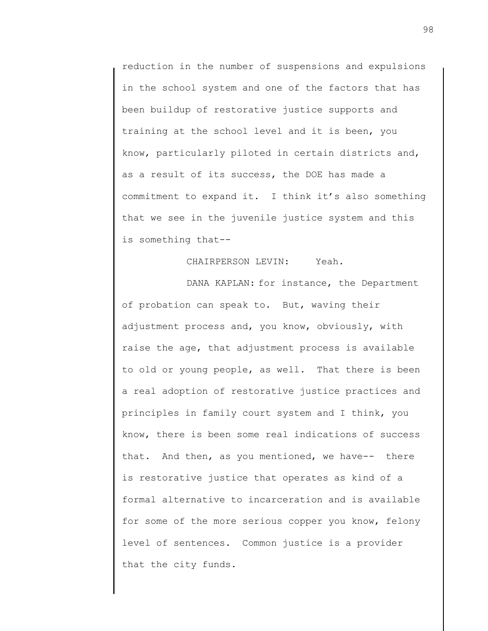reduction in the number of suspensions and expulsions in the school system and one of the factors that has been buildup of restorative justice supports and training at the school level and it is been, you know, particularly piloted in certain districts and, as a result of its success, the DOE has made a commitment to expand it. I think it's also something that we see in the juvenile justice system and this is something that--

## CHAIRPERSON LEVIN: Yeah.

DANA KAPLAN: for instance, the Department of probation can speak to. But, waving their adjustment process and, you know, obviously, with raise the age, that adjustment process is available to old or young people, as well. That there is been a real adoption of restorative justice practices and principles in family court system and I think, you know, there is been some real indications of success that. And then, as you mentioned, we have-- there is restorative justice that operates as kind of a formal alternative to incarceration and is available for some of the more serious copper you know, felony level of sentences. Common justice is a provider that the city funds.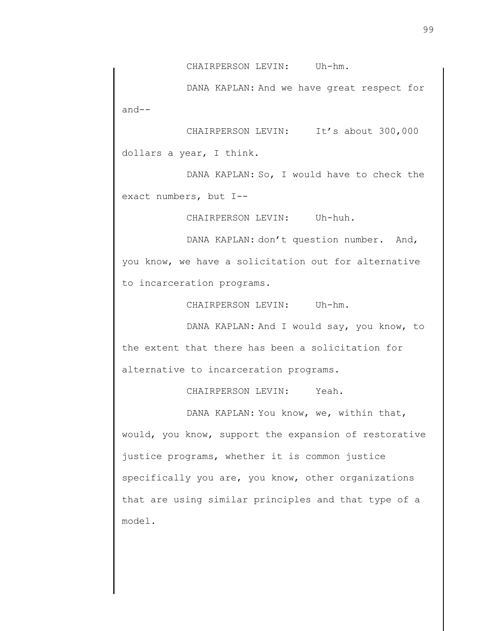CHAIRPERSON LEVIN: Uh-hm.

DANA KAPLAN: And we have great respect for and--

CHAIRPERSON LEVIN: It's about 300,000 dollars a year, I think.

DANA KAPLAN: So, I would have to check the exact numbers, but I--

CHAIRPERSON LEVIN: Uh-huh.

DANA KAPLAN: don't question number. And, you know, we have a solicitation out for alternative to incarceration programs.

CHAIRPERSON LEVIN: Uh-hm.

DANA KAPLAN: And I would say, you know, to the extent that there has been a solicitation for alternative to incarceration programs.

CHAIRPERSON LEVIN: Yeah.

DANA KAPLAN: You know, we, within that, would, you know, support the expansion of restorative justice programs, whether it is common justice specifically you are, you know, other organizations that are using similar principles and that type of a model.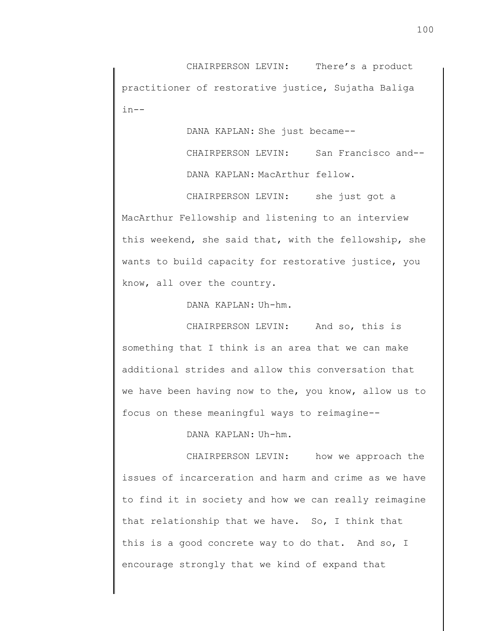CHAIRPERSON LEVIN: There's a product practitioner of restorative justice, Sujatha Baliga in--

DANA KAPLAN: She just became--

CHAIRPERSON LEVIN: San Francisco and-- DANA KAPLAN: MacArthur fellow.

CHAIRPERSON LEVIN: she just got a MacArthur Fellowship and listening to an interview this weekend, she said that, with the fellowship, she wants to build capacity for restorative justice, you know, all over the country.

DANA KAPLAN: Uh-hm.

CHAIRPERSON LEVIN: And so, this is something that I think is an area that we can make additional strides and allow this conversation that we have been having now to the, you know, allow us to focus on these meaningful ways to reimagine--

DANA KAPLAN: Uh-hm.

CHAIRPERSON LEVIN: how we approach the issues of incarceration and harm and crime as we have to find it in society and how we can really reimagine that relationship that we have. So, I think that this is a good concrete way to do that. And so, I encourage strongly that we kind of expand that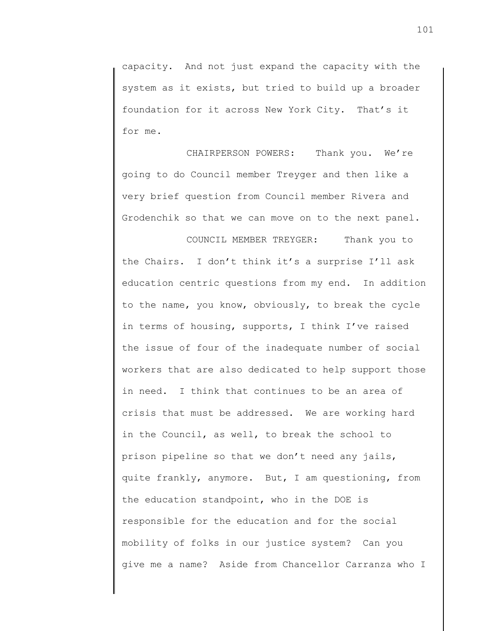capacity. And not just expand the capacity with the system as it exists, but tried to build up a broader foundation for it across New York City. That's it for me.

CHAIRPERSON POWERS: Thank you. We're going to do Council member Treyger and then like a very brief question from Council member Rivera and Grodenchik so that we can move on to the next panel.

COUNCIL MEMBER TREYGER: Thank you to the Chairs. I don't think it's a surprise I'll ask education centric questions from my end. In addition to the name, you know, obviously, to break the cycle in terms of housing, supports, I think I've raised the issue of four of the inadequate number of social workers that are also dedicated to help support those in need. I think that continues to be an area of crisis that must be addressed. We are working hard in the Council, as well, to break the school to prison pipeline so that we don't need any jails, quite frankly, anymore. But, I am questioning, from the education standpoint, who in the DOE is responsible for the education and for the social mobility of folks in our justice system? Can you give me a name? Aside from Chancellor Carranza who I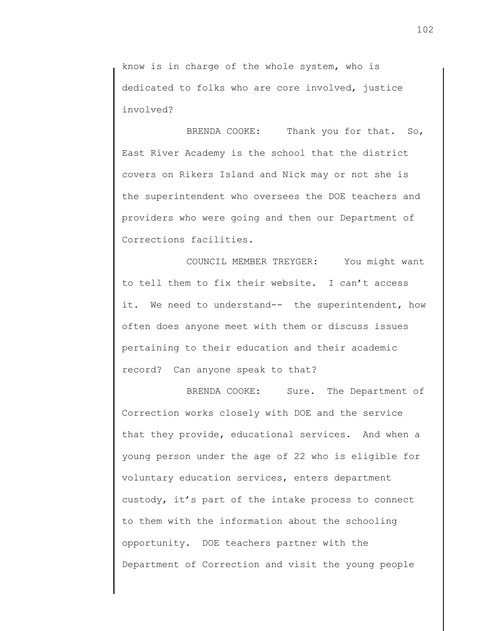know is in charge of the whole system, who is dedicated to folks who are core involved, justice involved?

BRENDA COOKE: Thank you for that. So, East River Academy is the school that the district covers on Rikers Island and Nick may or not she is the superintendent who oversees the DOE teachers and providers who were going and then our Department of Corrections facilities.

COUNCIL MEMBER TREYGER: You might want to tell them to fix their website. I can't access it. We need to understand-- the superintendent, how often does anyone meet with them or discuss issues pertaining to their education and their academic record? Can anyone speak to that?

BRENDA COOKE: Sure. The Department of Correction works closely with DOE and the service that they provide, educational services. And when a young person under the age of 22 who is eligible for voluntary education services, enters department custody, it's part of the intake process to connect to them with the information about the schooling opportunity. DOE teachers partner with the Department of Correction and visit the young people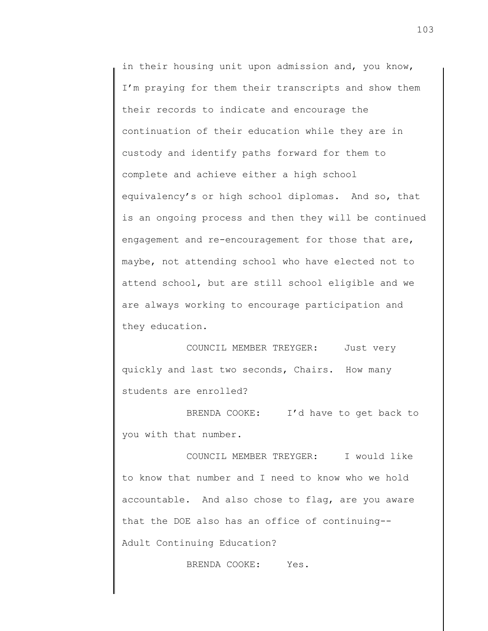in their housing unit upon admission and, you know, I'm praying for them their transcripts and show them their records to indicate and encourage the continuation of their education while they are in custody and identify paths forward for them to complete and achieve either a high school equivalency's or high school diplomas. And so, that is an ongoing process and then they will be continued engagement and re-encouragement for those that are, maybe, not attending school who have elected not to attend school, but are still school eligible and we are always working to encourage participation and they education.

COUNCIL MEMBER TREYGER: Just very quickly and last two seconds, Chairs. How many students are enrolled?

BRENDA COOKE: I'd have to get back to you with that number.

COUNCIL MEMBER TREYGER: I would like to know that number and I need to know who we hold accountable. And also chose to flag, are you aware that the DOE also has an office of continuing-- Adult Continuing Education?

BRENDA COOKE: Yes.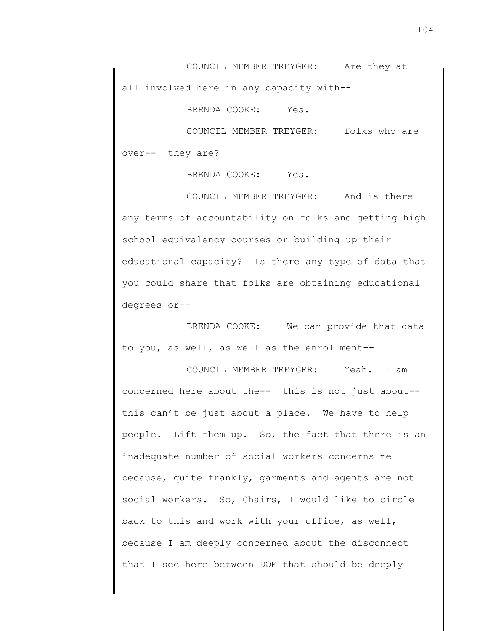COUNCIL MEMBER TREYGER: Are they at all involved here in any capacity with--

BRENDA COOKE: Yes.

COUNCIL MEMBER TREYGER: folks who are over-- they are?

BRENDA COOKE: Yes.

COUNCIL MEMBER TREYGER: And is there any terms of accountability on folks and getting high school equivalency courses or building up their educational capacity? Is there any type of data that you could share that folks are obtaining educational degrees or--

BRENDA COOKE: We can provide that data to you, as well, as well as the enrollment--

COUNCIL MEMBER TREYGER: Yeah. I am concerned here about the-- this is not just about- this can't be just about a place. We have to help people. Lift them up. So, the fact that there is an inadequate number of social workers concerns me because, quite frankly, garments and agents are not social workers. So, Chairs, I would like to circle back to this and work with your office, as well, because I am deeply concerned about the disconnect that I see here between DOE that should be deeply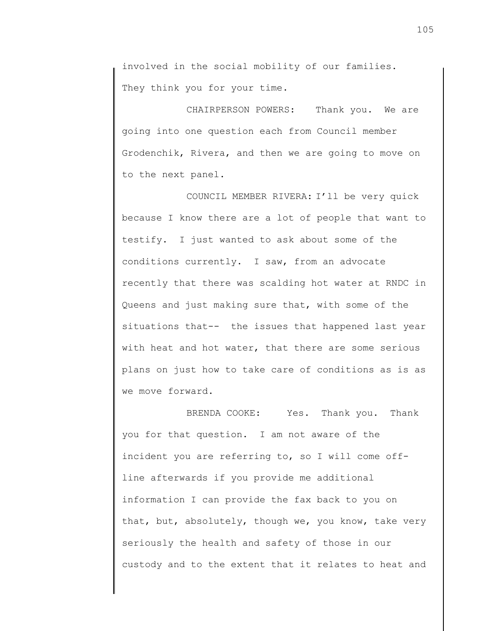involved in the social mobility of our families. They think you for your time.

CHAIRPERSON POWERS: Thank you. We are going into one question each from Council member Grodenchik, Rivera, and then we are going to move on to the next panel.

COUNCIL MEMBER RIVERA: I'll be very quick because I know there are a lot of people that want to testify. I just wanted to ask about some of the conditions currently. I saw, from an advocate recently that there was scalding hot water at RNDC in Queens and just making sure that, with some of the situations that-- the issues that happened last year with heat and hot water, that there are some serious plans on just how to take care of conditions as is as we move forward.

BRENDA COOKE: Yes. Thank you. Thank you for that question. I am not aware of the incident you are referring to, so I will come offline afterwards if you provide me additional information I can provide the fax back to you on that, but, absolutely, though we, you know, take very seriously the health and safety of those in our custody and to the extent that it relates to heat and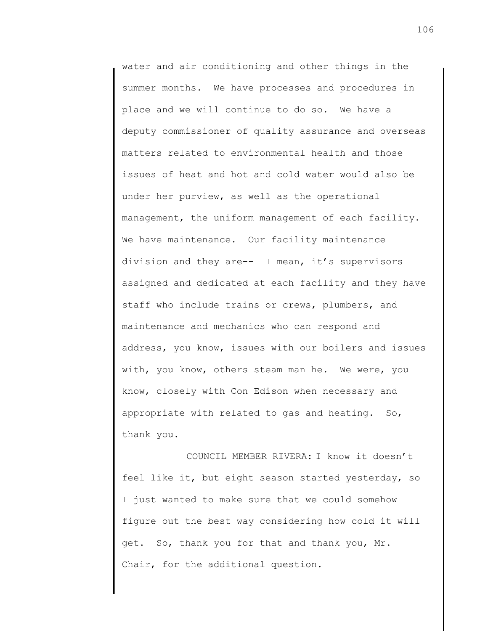water and air conditioning and other things in the summer months. We have processes and procedures in place and we will continue to do so. We have a deputy commissioner of quality assurance and overseas matters related to environmental health and those issues of heat and hot and cold water would also be under her purview, as well as the operational management, the uniform management of each facility. We have maintenance. Our facility maintenance division and they are-- I mean, it's supervisors assigned and dedicated at each facility and they have staff who include trains or crews, plumbers, and maintenance and mechanics who can respond and address, you know, issues with our boilers and issues with, you know, others steam man he. We were, you know, closely with Con Edison when necessary and appropriate with related to gas and heating. So, thank you.

COUNCIL MEMBER RIVERA: I know it doesn't feel like it, but eight season started yesterday, so I just wanted to make sure that we could somehow figure out the best way considering how cold it will get. So, thank you for that and thank you, Mr. Chair, for the additional question.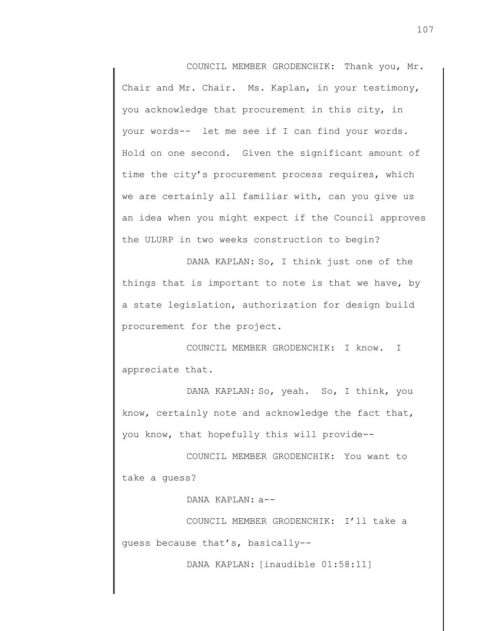COUNCIL MEMBER GRODENCHIK: Thank you, Mr. Chair and Mr. Chair. Ms. Kaplan, in your testimony, you acknowledge that procurement in this city, in your words-- let me see if I can find your words. Hold on one second. Given the significant amount of time the city's procurement process requires, which we are certainly all familiar with, can you give us an idea when you might expect if the Council approves the ULURP in two weeks construction to begin?

DANA KAPLAN: So, I think just one of the things that is important to note is that we have, by a state legislation, authorization for design build procurement for the project.

COUNCIL MEMBER GRODENCHIK: I know. I appreciate that.

DANA KAPLAN: So, yeah. So, I think, you know, certainly note and acknowledge the fact that, you know, that hopefully this will provide--

COUNCIL MEMBER GRODENCHIK: You want to take a guess?

DANA KAPLAN: a--

COUNCIL MEMBER GRODENCHIK: I'll take a guess because that's, basically--

DANA KAPLAN: [inaudible 01:58:11]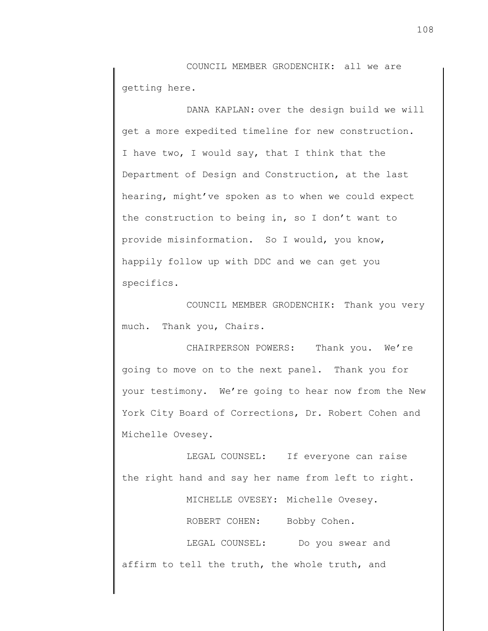COUNCIL MEMBER GRODENCHIK: all we are getting here.

DANA KAPLAN: over the design build we will get a more expedited timeline for new construction. I have two, I would say, that I think that the Department of Design and Construction, at the last hearing, might've spoken as to when we could expect the construction to being in, so I don't want to provide misinformation. So I would, you know, happily follow up with DDC and we can get you specifics.

COUNCIL MEMBER GRODENCHIK: Thank you very much. Thank you, Chairs.

CHAIRPERSON POWERS: Thank you. We're going to move on to the next panel. Thank you for your testimony. We're going to hear now from the New York City Board of Corrections, Dr. Robert Cohen and Michelle Ovesey.

LEGAL COUNSEL: If everyone can raise the right hand and say her name from left to right.

MICHELLE OVESEY: Michelle Ovesey.

ROBERT COHEN: Bobby Cohen.

LEGAL COUNSEL: Do you swear and affirm to tell the truth, the whole truth, and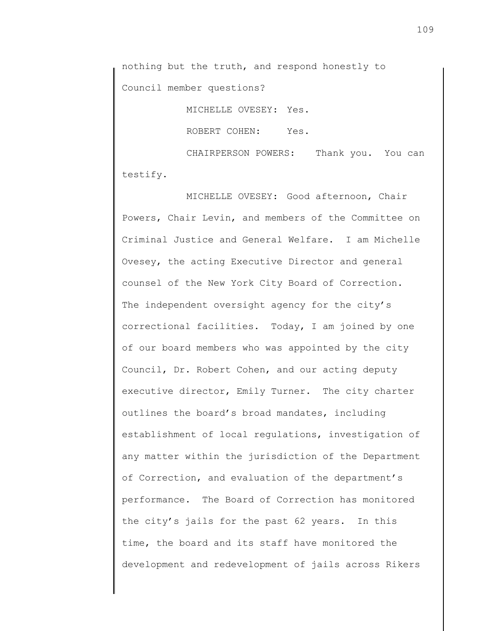nothing but the truth, and respond honestly to Council member questions?

MICHELLE OVESEY: Yes.

ROBERT COHEN: Yes.

CHAIRPERSON POWERS: Thank you. You can testify.

MICHELLE OVESEY: Good afternoon, Chair Powers, Chair Levin, and members of the Committee on Criminal Justice and General Welfare. I am Michelle Ovesey, the acting Executive Director and general counsel of the New York City Board of Correction. The independent oversight agency for the city's correctional facilities. Today, I am joined by one of our board members who was appointed by the city Council, Dr. Robert Cohen, and our acting deputy executive director, Emily Turner. The city charter outlines the board's broad mandates, including establishment of local regulations, investigation of any matter within the jurisdiction of the Department of Correction, and evaluation of the department's performance. The Board of Correction has monitored the city's jails for the past 62 years. In this time, the board and its staff have monitored the development and redevelopment of jails across Rikers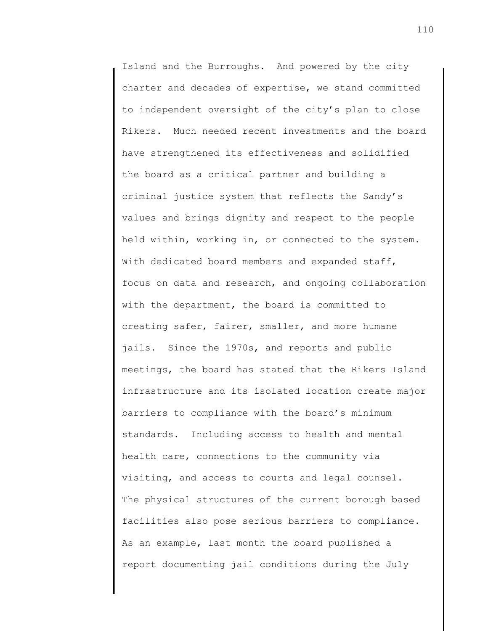Island and the Burroughs. And powered by the city charter and decades of expertise, we stand committed to independent oversight of the city's plan to close Rikers. Much needed recent investments and the board have strengthened its effectiveness and solidified the board as a critical partner and building a criminal justice system that reflects the Sandy's values and brings dignity and respect to the people held within, working in, or connected to the system. With dedicated board members and expanded staff, focus on data and research, and ongoing collaboration with the department, the board is committed to creating safer, fairer, smaller, and more humane jails. Since the 1970s, and reports and public meetings, the board has stated that the Rikers Island infrastructure and its isolated location create major barriers to compliance with the board's minimum standards. Including access to health and mental health care, connections to the community via visiting, and access to courts and legal counsel. The physical structures of the current borough based facilities also pose serious barriers to compliance. As an example, last month the board published a report documenting jail conditions during the July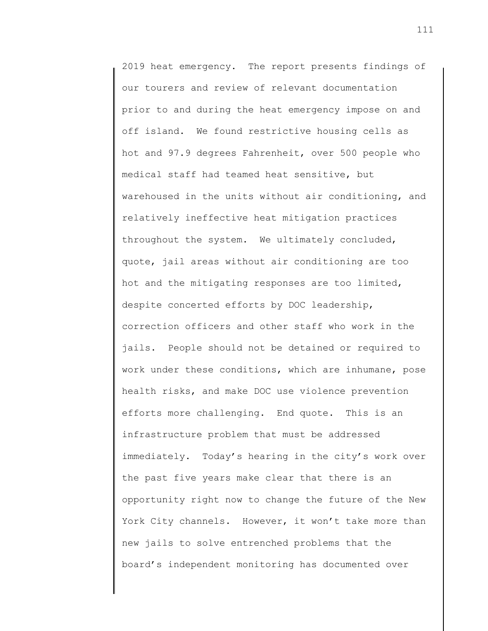2019 heat emergency. The report presents findings of our tourers and review of relevant documentation prior to and during the heat emergency impose on and off island. We found restrictive housing cells as hot and 97.9 degrees Fahrenheit, over 500 people who medical staff had teamed heat sensitive, but warehoused in the units without air conditioning, and relatively ineffective heat mitigation practices throughout the system. We ultimately concluded, quote, jail areas without air conditioning are too hot and the mitigating responses are too limited, despite concerted efforts by DOC leadership, correction officers and other staff who work in the jails. People should not be detained or required to work under these conditions, which are inhumane, pose health risks, and make DOC use violence prevention efforts more challenging. End quote. This is an infrastructure problem that must be addressed immediately. Today's hearing in the city's work over the past five years make clear that there is an opportunity right now to change the future of the New York City channels. However, it won't take more than new jails to solve entrenched problems that the board's independent monitoring has documented over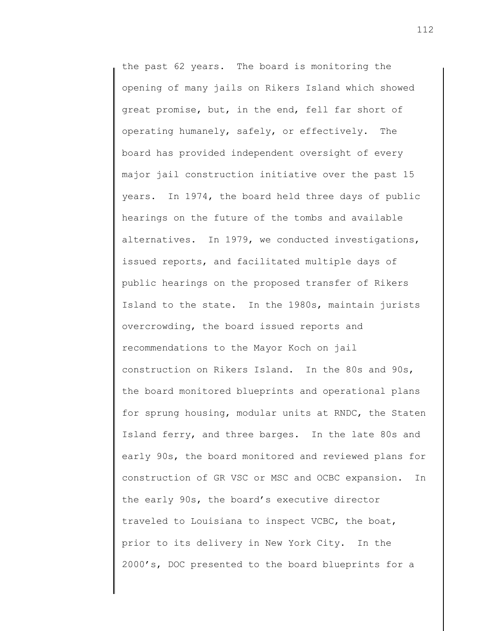the past 62 years. The board is monitoring the opening of many jails on Rikers Island which showed great promise, but, in the end, fell far short of operating humanely, safely, or effectively. The board has provided independent oversight of every major jail construction initiative over the past 15 years. In 1974, the board held three days of public hearings on the future of the tombs and available alternatives. In 1979, we conducted investigations, issued reports, and facilitated multiple days of public hearings on the proposed transfer of Rikers Island to the state. In the 1980s, maintain jurists overcrowding, the board issued reports and recommendations to the Mayor Koch on jail construction on Rikers Island. In the 80s and 90s, the board monitored blueprints and operational plans for sprung housing, modular units at RNDC, the Staten Island ferry, and three barges. In the late 80s and early 90s, the board monitored and reviewed plans for construction of GR VSC or MSC and OCBC expansion. In the early 90s, the board's executive director traveled to Louisiana to inspect VCBC, the boat, prior to its delivery in New York City. In the 2000's, DOC presented to the board blueprints for a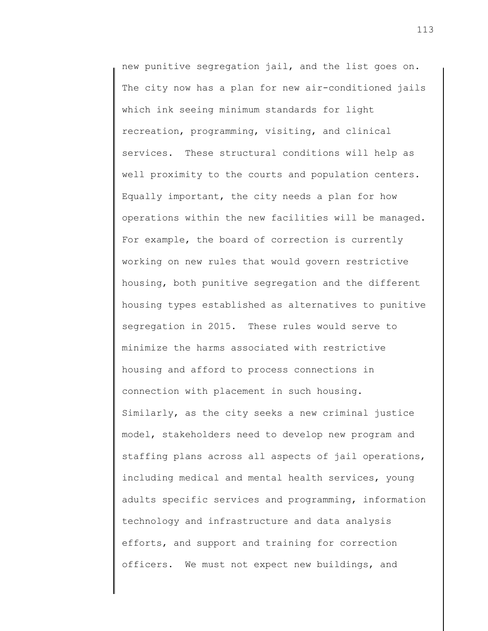new punitive segregation jail, and the list goes on. The city now has a plan for new air-conditioned jails which ink seeing minimum standards for light recreation, programming, visiting, and clinical services. These structural conditions will help as well proximity to the courts and population centers. Equally important, the city needs a plan for how operations within the new facilities will be managed. For example, the board of correction is currently working on new rules that would govern restrictive housing, both punitive segregation and the different housing types established as alternatives to punitive segregation in 2015. These rules would serve to minimize the harms associated with restrictive housing and afford to process connections in connection with placement in such housing. Similarly, as the city seeks a new criminal justice model, stakeholders need to develop new program and staffing plans across all aspects of jail operations, including medical and mental health services, young adults specific services and programming, information technology and infrastructure and data analysis efforts, and support and training for correction officers. We must not expect new buildings, and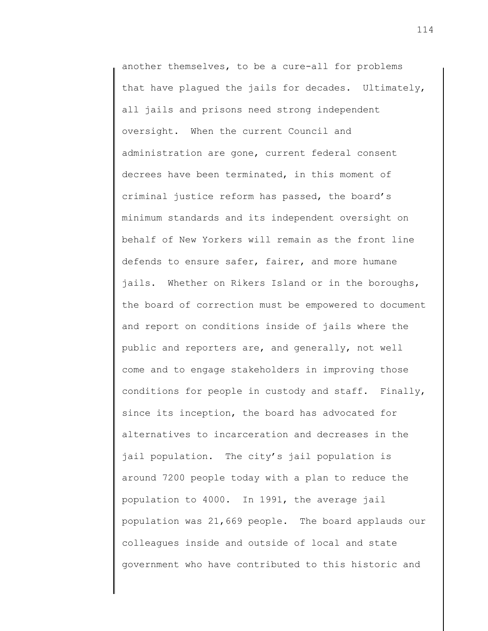another themselves, to be a cure-all for problems that have plagued the jails for decades. Ultimately, all jails and prisons need strong independent oversight. When the current Council and administration are gone, current federal consent decrees have been terminated, in this moment of criminal justice reform has passed, the board's minimum standards and its independent oversight on behalf of New Yorkers will remain as the front line defends to ensure safer, fairer, and more humane jails. Whether on Rikers Island or in the boroughs, the board of correction must be empowered to document and report on conditions inside of jails where the public and reporters are, and generally, not well come and to engage stakeholders in improving those conditions for people in custody and staff. Finally, since its inception, the board has advocated for alternatives to incarceration and decreases in the jail population. The city's jail population is around 7200 people today with a plan to reduce the population to 4000. In 1991, the average jail population was 21,669 people. The board applauds our colleagues inside and outside of local and state government who have contributed to this historic and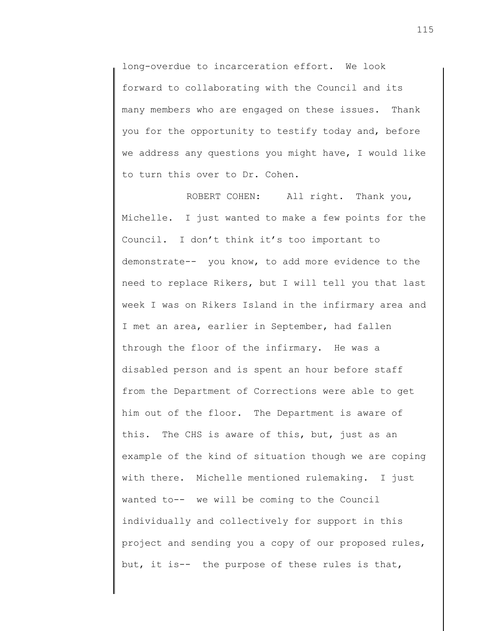long-overdue to incarceration effort. We look forward to collaborating with the Council and its many members who are engaged on these issues. Thank you for the opportunity to testify today and, before we address any questions you might have, I would like to turn this over to Dr. Cohen.

ROBERT COHEN: All right. Thank you, Michelle. I just wanted to make a few points for the Council. I don't think it's too important to demonstrate-- you know, to add more evidence to the need to replace Rikers, but I will tell you that last week I was on Rikers Island in the infirmary area and I met an area, earlier in September, had fallen through the floor of the infirmary. He was a disabled person and is spent an hour before staff from the Department of Corrections were able to get him out of the floor. The Department is aware of this. The CHS is aware of this, but, just as an example of the kind of situation though we are coping with there. Michelle mentioned rulemaking. I just wanted to-- we will be coming to the Council individually and collectively for support in this project and sending you a copy of our proposed rules, but, it is-- the purpose of these rules is that,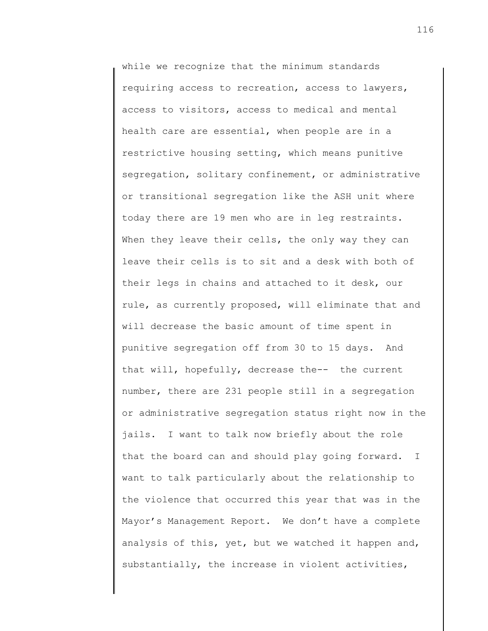while we recognize that the minimum standards requiring access to recreation, access to lawyers, access to visitors, access to medical and mental health care are essential, when people are in a restrictive housing setting, which means punitive segregation, solitary confinement, or administrative or transitional segregation like the ASH unit where today there are 19 men who are in leg restraints. When they leave their cells, the only way they can leave their cells is to sit and a desk with both of their legs in chains and attached to it desk, our rule, as currently proposed, will eliminate that and will decrease the basic amount of time spent in punitive segregation off from 30 to 15 days. And that will, hopefully, decrease the-- the current number, there are 231 people still in a segregation or administrative segregation status right now in the jails. I want to talk now briefly about the role that the board can and should play going forward. I want to talk particularly about the relationship to the violence that occurred this year that was in the Mayor's Management Report. We don't have a complete analysis of this, yet, but we watched it happen and, substantially, the increase in violent activities,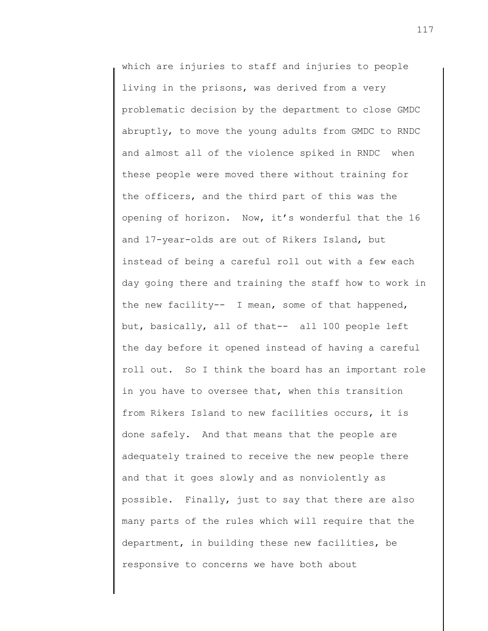which are injuries to staff and injuries to people living in the prisons, was derived from a very problematic decision by the department to close GMDC abruptly, to move the young adults from GMDC to RNDC and almost all of the violence spiked in RNDC when these people were moved there without training for the officers, and the third part of this was the opening of horizon. Now, it's wonderful that the 16 and 17-year-olds are out of Rikers Island, but instead of being a careful roll out with a few each day going there and training the staff how to work in the new facility-- I mean, some of that happened, but, basically, all of that-- all 100 people left the day before it opened instead of having a careful roll out. So I think the board has an important role in you have to oversee that, when this transition from Rikers Island to new facilities occurs, it is done safely. And that means that the people are adequately trained to receive the new people there and that it goes slowly and as nonviolently as possible. Finally, just to say that there are also many parts of the rules which will require that the department, in building these new facilities, be responsive to concerns we have both about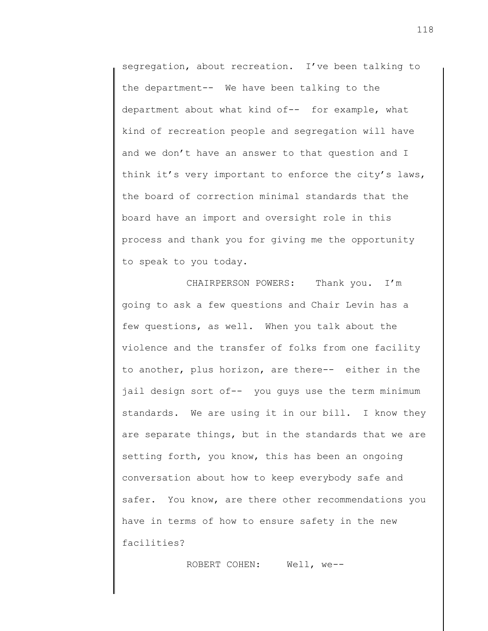segregation, about recreation. I've been talking to the department-- We have been talking to the department about what kind of-- for example, what kind of recreation people and segregation will have and we don't have an answer to that question and I think it's very important to enforce the city's laws, the board of correction minimal standards that the board have an import and oversight role in this process and thank you for giving me the opportunity to speak to you today.

CHAIRPERSON POWERS: Thank you. I'm going to ask a few questions and Chair Levin has a few questions, as well. When you talk about the violence and the transfer of folks from one facility to another, plus horizon, are there-- either in the jail design sort of-- you guys use the term minimum standards. We are using it in our bill. I know they are separate things, but in the standards that we are setting forth, you know, this has been an ongoing conversation about how to keep everybody safe and safer. You know, are there other recommendations you have in terms of how to ensure safety in the new facilities?

ROBERT COHEN: Well, we--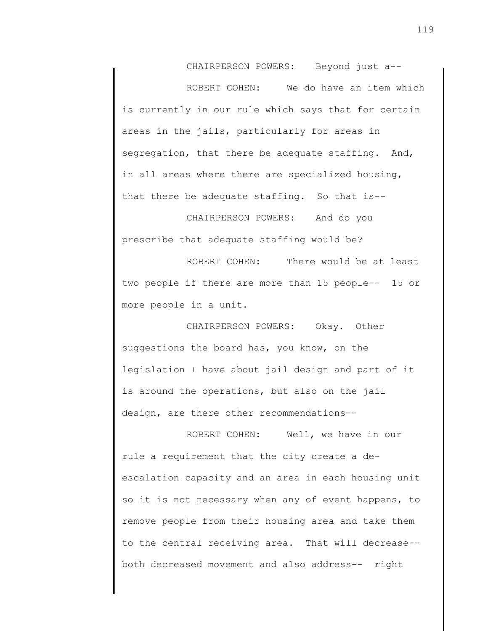CHAIRPERSON POWERS: Beyond just a--

ROBERT COHEN: We do have an item which is currently in our rule which says that for certain areas in the jails, particularly for areas in segregation, that there be adequate staffing. And, in all areas where there are specialized housing, that there be adequate staffing. So that is--

CHAIRPERSON POWERS: And do you prescribe that adequate staffing would be?

ROBERT COHEN: There would be at least two people if there are more than 15 people-- 15 or more people in a unit.

CHAIRPERSON POWERS: Okay. Other suggestions the board has, you know, on the legislation I have about jail design and part of it is around the operations, but also on the jail design, are there other recommendations--

ROBERT COHEN: Well, we have in our rule a requirement that the city create a deescalation capacity and an area in each housing unit so it is not necessary when any of event happens, to remove people from their housing area and take them to the central receiving area. That will decrease- both decreased movement and also address-- right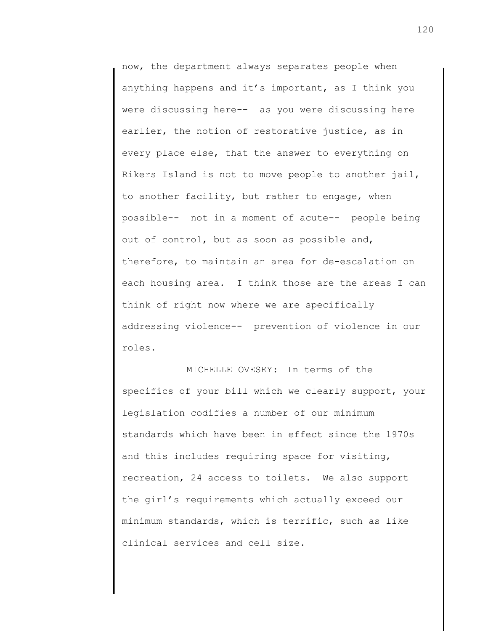now, the department always separates people when anything happens and it's important, as I think you were discussing here-- as you were discussing here earlier, the notion of restorative justice, as in every place else, that the answer to everything on Rikers Island is not to move people to another jail, to another facility, but rather to engage, when possible-- not in a moment of acute-- people being out of control, but as soon as possible and, therefore, to maintain an area for de-escalation on each housing area. I think those are the areas I can think of right now where we are specifically addressing violence-- prevention of violence in our roles.

MICHELLE OVESEY: In terms of the specifics of your bill which we clearly support, your legislation codifies a number of our minimum standards which have been in effect since the 1970s and this includes requiring space for visiting, recreation, 24 access to toilets. We also support the girl's requirements which actually exceed our minimum standards, which is terrific, such as like clinical services and cell size.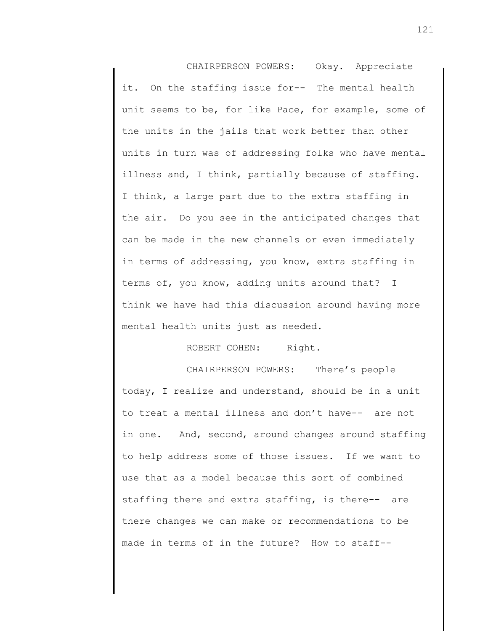CHAIRPERSON POWERS: Okay. Appreciate it. On the staffing issue for-- The mental health unit seems to be, for like Pace, for example, some of the units in the jails that work better than other units in turn was of addressing folks who have mental illness and, I think, partially because of staffing. I think, a large part due to the extra staffing in the air. Do you see in the anticipated changes that can be made in the new channels or even immediately in terms of addressing, you know, extra staffing in terms of, you know, adding units around that? I think we have had this discussion around having more mental health units just as needed.

## ROBERT COHEN: Right.

CHAIRPERSON POWERS: There's people today, I realize and understand, should be in a unit to treat a mental illness and don't have-- are not in one. And, second, around changes around staffing to help address some of those issues. If we want to use that as a model because this sort of combined staffing there and extra staffing, is there-- are there changes we can make or recommendations to be made in terms of in the future? How to staff--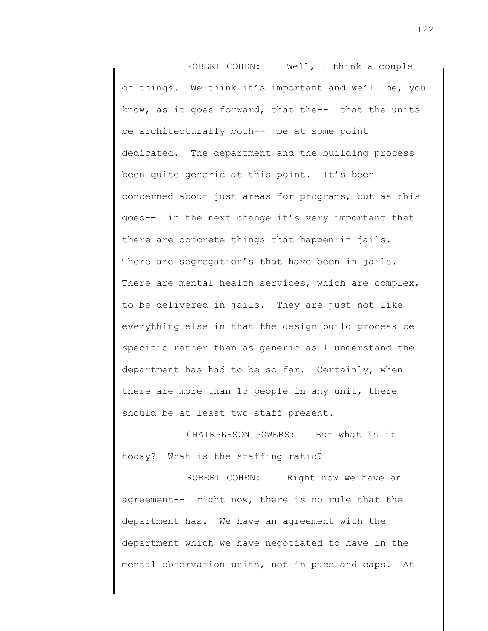ROBERT COHEN: Well, I think a couple of things. We think it's important and we'll be, you know, as it goes forward, that the-- that the units be architecturally both-- be at some point dedicated. The department and the building process been quite generic at this point. It's been concerned about just areas for programs, but as this goes-- in the next change it's very important that there are concrete things that happen in jails. There are segregation's that have been in jails. There are mental health services, which are complex, to be delivered in jails. They are just not like everything else in that the design build process be specific rather than as generic as I understand the department has had to be so far. Certainly, when there are more than 15 people in any unit, there should be at least two staff present.

CHAIRPERSON POWERS: But what is it today? What is the staffing ratio?

ROBERT COHEN: Right now we have an agreement-- right now, there is no rule that the department has. We have an agreement with the department which we have negotiated to have in the mental observation units, not in pace and caps. At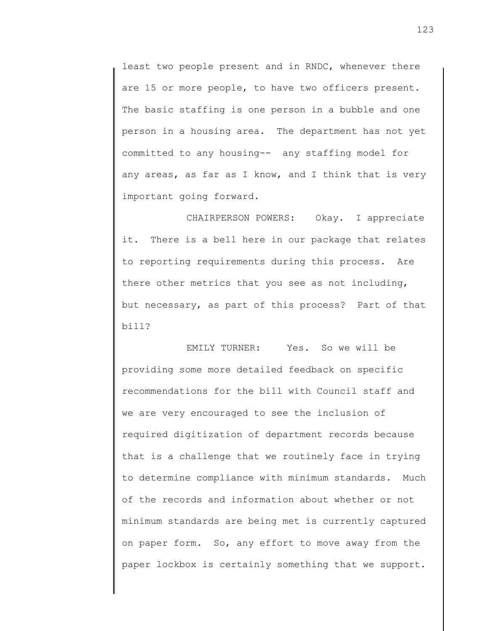least two people present and in RNDC, whenever there are 15 or more people, to have two officers present. The basic staffing is one person in a bubble and one person in a housing area. The department has not yet committed to any housing-- any staffing model for any areas, as far as I know, and I think that is very important going forward.

CHAIRPERSON POWERS: Okay. I appreciate it. There is a bell here in our package that relates to reporting requirements during this process. Are there other metrics that you see as not including, but necessary, as part of this process? Part of that bill?

EMILY TURNER: Yes. So we will be providing some more detailed feedback on specific recommendations for the bill with Council staff and we are very encouraged to see the inclusion of required digitization of department records because that is a challenge that we routinely face in trying to determine compliance with minimum standards. Much of the records and information about whether or not minimum standards are being met is currently captured on paper form. So, any effort to move away from the paper lockbox is certainly something that we support.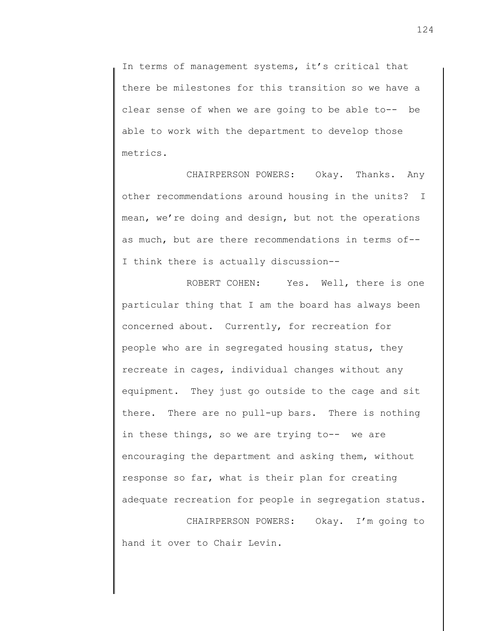In terms of management systems, it's critical that there be milestones for this transition so we have a clear sense of when we are going to be able to-- be able to work with the department to develop those metrics.

CHAIRPERSON POWERS: Okay. Thanks. Any other recommendations around housing in the units? I mean, we're doing and design, but not the operations as much, but are there recommendations in terms of-- I think there is actually discussion--

ROBERT COHEN: Yes. Well, there is one particular thing that I am the board has always been concerned about. Currently, for recreation for people who are in segregated housing status, they recreate in cages, individual changes without any equipment. They just go outside to the cage and sit there. There are no pull-up bars. There is nothing in these things, so we are trying to-- we are encouraging the department and asking them, without response so far, what is their plan for creating adequate recreation for people in segregation status.

CHAIRPERSON POWERS: Okay. I'm going to hand it over to Chair Levin.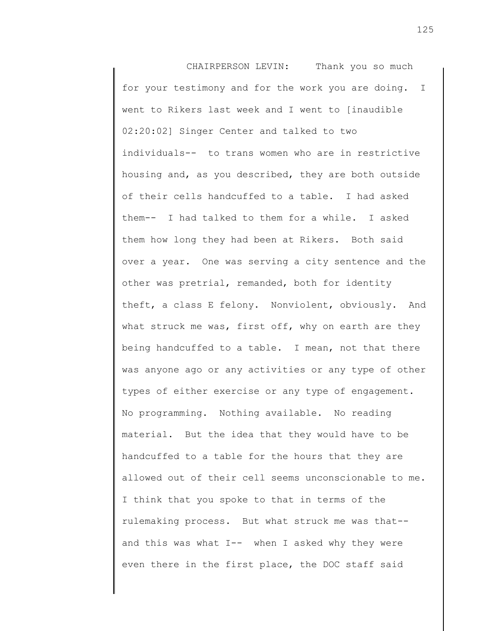CHAIRPERSON LEVIN: Thank you so much for your testimony and for the work you are doing. I went to Rikers last week and I went to [inaudible 02:20:02] Singer Center and talked to two individuals-- to trans women who are in restrictive housing and, as you described, they are both outside of their cells handcuffed to a table. I had asked them-- I had talked to them for a while. I asked them how long they had been at Rikers. Both said over a year. One was serving a city sentence and the other was pretrial, remanded, both for identity theft, a class E felony. Nonviolent, obviously. And what struck me was, first off, why on earth are they being handcuffed to a table. I mean, not that there was anyone ago or any activities or any type of other types of either exercise or any type of engagement. No programming. Nothing available. No reading material. But the idea that they would have to be handcuffed to a table for the hours that they are allowed out of their cell seems unconscionable to me. I think that you spoke to that in terms of the rulemaking process. But what struck me was that- and this was what  $I$ -- when I asked why they were even there in the first place, the DOC staff said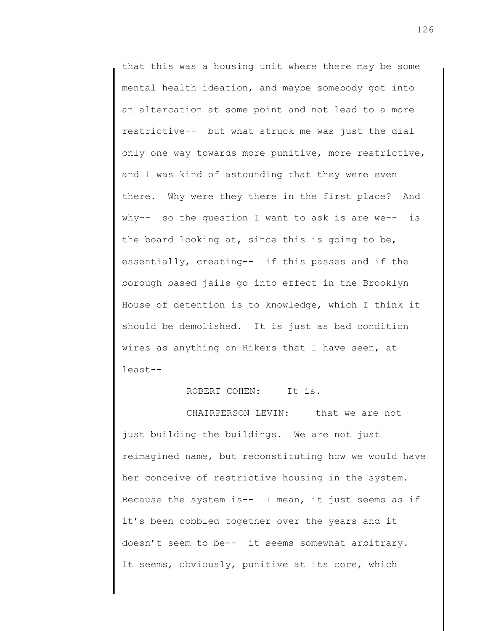that this was a housing unit where there may be some mental health ideation, and maybe somebody got into an altercation at some point and not lead to a more restrictive-- but what struck me was just the dial only one way towards more punitive, more restrictive, and I was kind of astounding that they were even there. Why were they there in the first place? And why-- so the question I want to ask is are we-- is the board looking at, since this is going to be, essentially, creating-- if this passes and if the borough based jails go into effect in the Brooklyn House of detention is to knowledge, which I think it should be demolished. It is just as bad condition wires as anything on Rikers that I have seen, at least--

ROBERT COHEN: It is.

CHAIRPERSON LEVIN: that we are not just building the buildings. We are not just reimagined name, but reconstituting how we would have her conceive of restrictive housing in the system. Because the system is--  $I$  mean, it just seems as if it's been cobbled together over the years and it doesn't seem to be-- it seems somewhat arbitrary. It seems, obviously, punitive at its core, which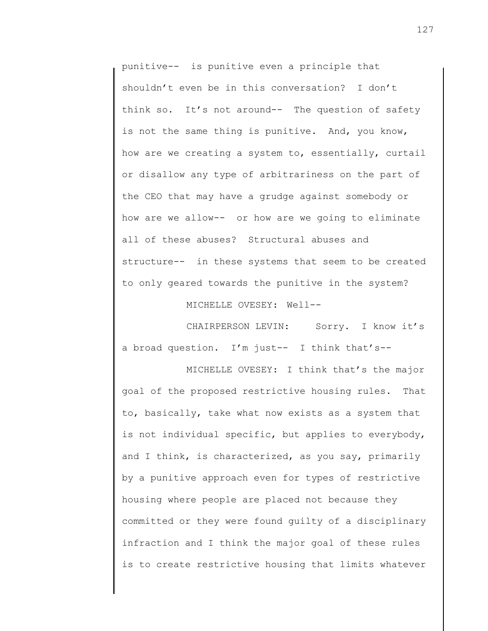punitive-- is punitive even a principle that shouldn't even be in this conversation? I don't think so. It's not around-- The question of safety is not the same thing is punitive. And, you know, how are we creating a system to, essentially, curtail or disallow any type of arbitrariness on the part of the CEO that may have a grudge against somebody or how are we allow-- or how are we going to eliminate all of these abuses? Structural abuses and structure-- in these systems that seem to be created to only geared towards the punitive in the system?

MICHELLE OVESEY: Well--

CHAIRPERSON LEVIN: Sorry. I know it's a broad question. I'm just-- I think that's--

MICHELLE OVESEY: I think that's the major goal of the proposed restrictive housing rules. That to, basically, take what now exists as a system that is not individual specific, but applies to everybody, and I think, is characterized, as you say, primarily by a punitive approach even for types of restrictive housing where people are placed not because they committed or they were found guilty of a disciplinary infraction and I think the major goal of these rules is to create restrictive housing that limits whatever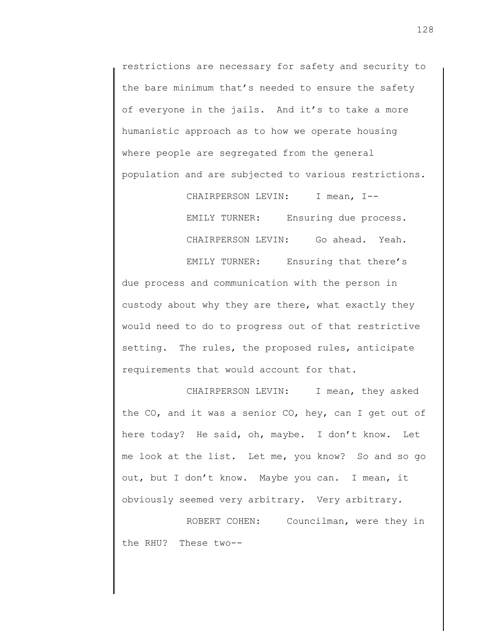restrictions are necessary for safety and security to the bare minimum that's needed to ensure the safety of everyone in the jails. And it's to take a more humanistic approach as to how we operate housing where people are segregated from the general population and are subjected to various restrictions.

> CHAIRPERSON LEVIN: I mean, I--EMILY TURNER: Ensuring due process. CHAIRPERSON LEVIN: Go ahead. Yeah.

EMILY TURNER: Ensuring that there's due process and communication with the person in custody about why they are there, what exactly they would need to do to progress out of that restrictive setting. The rules, the proposed rules, anticipate requirements that would account for that.

CHAIRPERSON LEVIN: I mean, they asked the CO, and it was a senior CO, hey, can I get out of here today? He said, oh, maybe. I don't know. Let me look at the list. Let me, you know? So and so go out, but I don't know. Maybe you can. I mean, it obviously seemed very arbitrary. Very arbitrary.

ROBERT COHEN: Councilman, were they in the RHU? These two--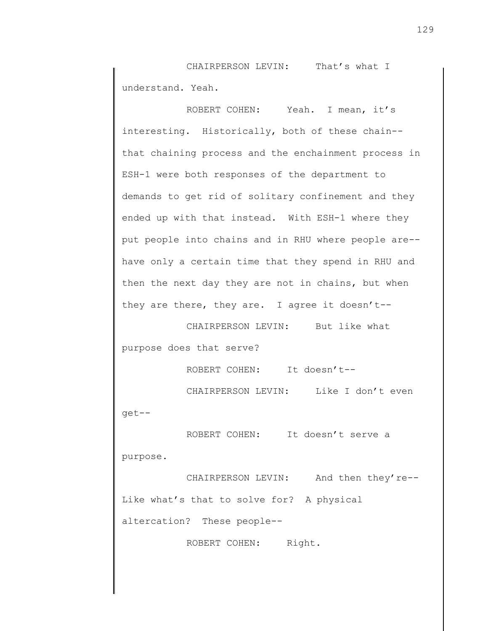CHAIRPERSON LEVIN: That's what I understand. Yeah.

ROBERT COHEN: Yeah. I mean, it's interesting. Historically, both of these chain- that chaining process and the enchainment process in ESH-1 were both responses of the department to demands to get rid of solitary confinement and they ended up with that instead. With ESH-1 where they put people into chains and in RHU where people are- have only a certain time that they spend in RHU and then the next day they are not in chains, but when they are there, they are. I agree it doesn't--

CHAIRPERSON LEVIN: But like what purpose does that serve?

ROBERT COHEN: It doesn't--

CHAIRPERSON LEVIN: Like I don't even

get--

ROBERT COHEN: It doesn't serve a

purpose.

CHAIRPERSON LEVIN: And then they're-- Like what's that to solve for? A physical altercation? These people--

ROBERT COHEN: Right.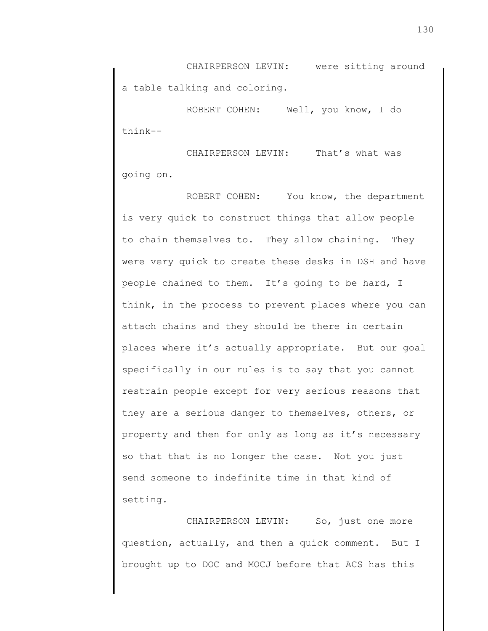CHAIRPERSON LEVIN: were sitting around a table talking and coloring.

ROBERT COHEN: Well, you know, I do think--

CHAIRPERSON LEVIN: That's what was going on.

ROBERT COHEN: You know, the department is very quick to construct things that allow people to chain themselves to. They allow chaining. They were very quick to create these desks in DSH and have people chained to them. It's going to be hard, I think, in the process to prevent places where you can attach chains and they should be there in certain places where it's actually appropriate. But our goal specifically in our rules is to say that you cannot restrain people except for very serious reasons that they are a serious danger to themselves, others, or property and then for only as long as it's necessary so that that is no longer the case. Not you just send someone to indefinite time in that kind of setting.

CHAIRPERSON LEVIN: So, just one more question, actually, and then a quick comment. But I brought up to DOC and MOCJ before that ACS has this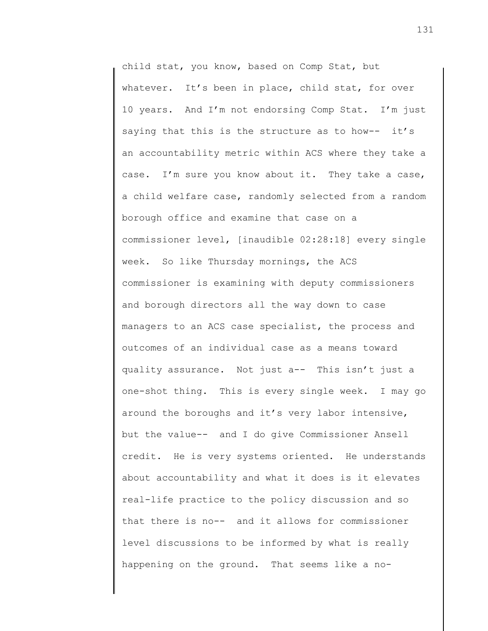child stat, you know, based on Comp Stat, but whatever. It's been in place, child stat, for over 10 years. And I'm not endorsing Comp Stat. I'm just saying that this is the structure as to how-- it's an accountability metric within ACS where they take a case. I'm sure you know about it. They take a case, a child welfare case, randomly selected from a random borough office and examine that case on a commissioner level, [inaudible 02:28:18] every single week. So like Thursday mornings, the ACS commissioner is examining with deputy commissioners and borough directors all the way down to case managers to an ACS case specialist, the process and outcomes of an individual case as a means toward quality assurance. Not just a-- This isn't just a one-shot thing. This is every single week. I may go around the boroughs and it's very labor intensive, but the value-- and I do give Commissioner Ansell credit. He is very systems oriented. He understands about accountability and what it does is it elevates real-life practice to the policy discussion and so that there is no-- and it allows for commissioner level discussions to be informed by what is really happening on the ground. That seems like a no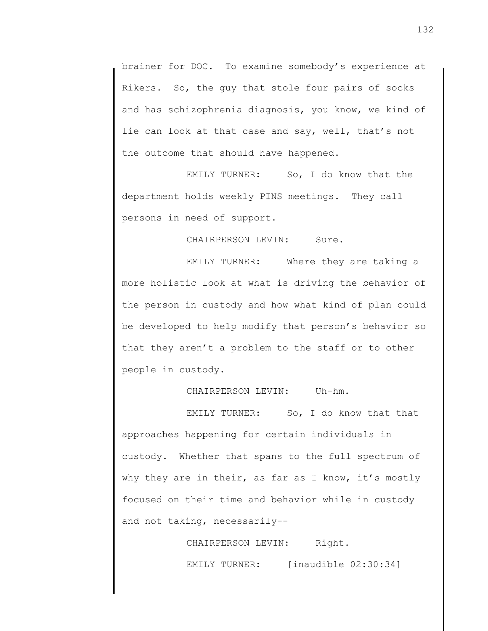brainer for DOC. To examine somebody's experience at Rikers. So, the guy that stole four pairs of socks and has schizophrenia diagnosis, you know, we kind of lie can look at that case and say, well, that's not the outcome that should have happened.

EMILY TURNER: So, I do know that the department holds weekly PINS meetings. They call persons in need of support.

CHAIRPERSON LEVIN: Sure.

EMILY TURNER: Where they are taking a more holistic look at what is driving the behavior of the person in custody and how what kind of plan could be developed to help modify that person's behavior so that they aren't a problem to the staff or to other people in custody.

CHAIRPERSON LEVIN: Uh-hm.

EMILY TURNER: So, I do know that that approaches happening for certain individuals in custody. Whether that spans to the full spectrum of why they are in their, as far as I know, it's mostly focused on their time and behavior while in custody and not taking, necessarily--

> CHAIRPERSON LEVIN: Right. EMILY TURNER: [inaudible 02:30:34]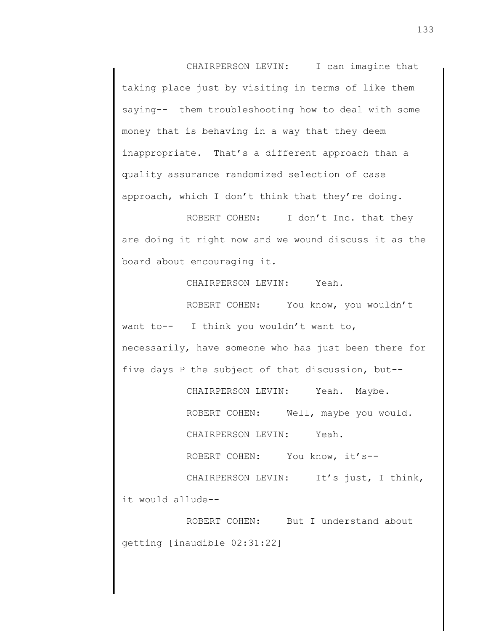CHAIRPERSON LEVIN: I can imagine that taking place just by visiting in terms of like them saying-- them troubleshooting how to deal with some money that is behaving in a way that they deem inappropriate. That's a different approach than a quality assurance randomized selection of case approach, which I don't think that they're doing.

ROBERT COHEN: I don't Inc. that they are doing it right now and we wound discuss it as the board about encouraging it.

CHAIRPERSON LEVIN: Yeah.

ROBERT COHEN: You know, you wouldn't want to-- I think you wouldn't want to, necessarily, have someone who has just been there for five days P the subject of that discussion, but--

CHAIRPERSON LEVIN: Yeah. Maybe.

ROBERT COHEN: Well, maybe you would.

CHAIRPERSON LEVIN: Yeah.

ROBERT COHEN: You know, it's--

CHAIRPERSON LEVIN: It's just, I think, it would allude--

ROBERT COHEN: But I understand about getting [inaudible 02:31:22]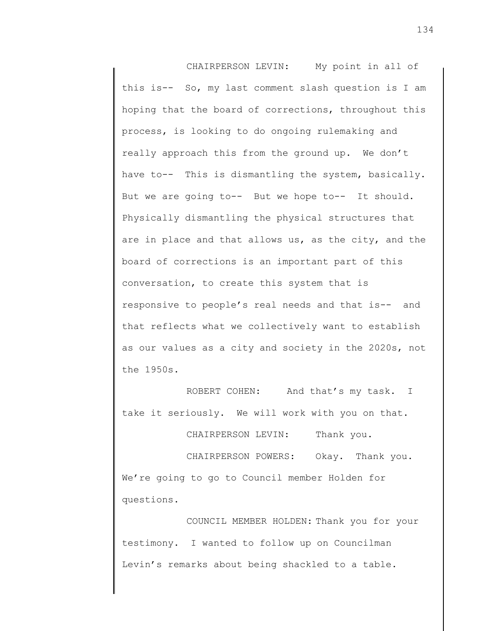CHAIRPERSON LEVIN: My point in all of this is-- So, my last comment slash question is I am hoping that the board of corrections, throughout this process, is looking to do ongoing rulemaking and really approach this from the ground up. We don't have to-- This is dismantling the system, basically. But we are going to-- But we hope to-- It should. Physically dismantling the physical structures that are in place and that allows us, as the city, and the board of corrections is an important part of this conversation, to create this system that is responsive to people's real needs and that is-- and that reflects what we collectively want to establish as our values as a city and society in the 2020s, not the 1950s.

ROBERT COHEN: And that's my task. I take it seriously. We will work with you on that.

CHAIRPERSON LEVIN: Thank you.

CHAIRPERSON POWERS: Okay. Thank you. We're going to go to Council member Holden for questions.

COUNCIL MEMBER HOLDEN: Thank you for your testimony. I wanted to follow up on Councilman Levin's remarks about being shackled to a table.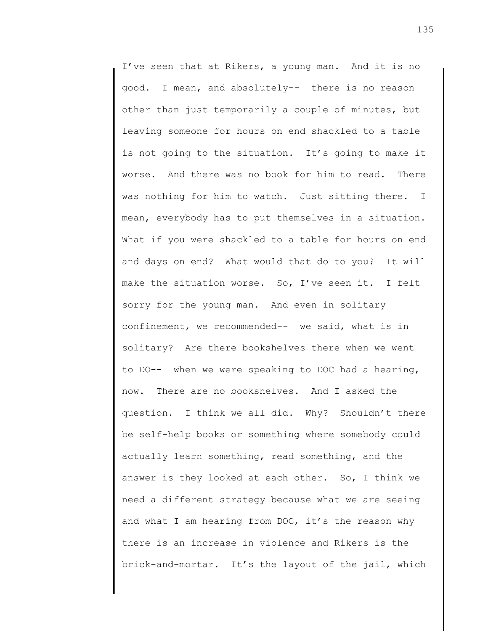I've seen that at Rikers, a young man. And it is no good. I mean, and absolutely-- there is no reason other than just temporarily a couple of minutes, but leaving someone for hours on end shackled to a table is not going to the situation. It's going to make it worse. And there was no book for him to read. There was nothing for him to watch. Just sitting there. I mean, everybody has to put themselves in a situation. What if you were shackled to a table for hours on end and days on end? What would that do to you? It will make the situation worse. So, I've seen it. I felt sorry for the young man. And even in solitary confinement, we recommended-- we said, what is in solitary? Are there bookshelves there when we went to DO-- when we were speaking to DOC had a hearing, now. There are no bookshelves. And I asked the question. I think we all did. Why? Shouldn't there be self-help books or something where somebody could actually learn something, read something, and the answer is they looked at each other. So, I think we need a different strategy because what we are seeing and what I am hearing from DOC, it's the reason why there is an increase in violence and Rikers is the brick-and-mortar. It's the layout of the jail, which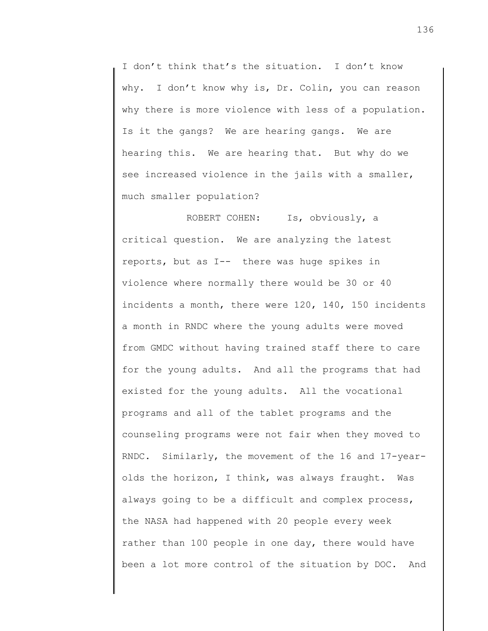I don't think that's the situation. I don't know why. I don't know why is, Dr. Colin, you can reason why there is more violence with less of a population. Is it the gangs? We are hearing gangs. We are hearing this. We are hearing that. But why do we see increased violence in the jails with a smaller, much smaller population?

ROBERT COHEN: Is, obviously, a critical question. We are analyzing the latest reports, but as I-- there was huge spikes in violence where normally there would be 30 or 40 incidents a month, there were 120, 140, 150 incidents a month in RNDC where the young adults were moved from GMDC without having trained staff there to care for the young adults. And all the programs that had existed for the young adults. All the vocational programs and all of the tablet programs and the counseling programs were not fair when they moved to RNDC. Similarly, the movement of the 16 and 17-yearolds the horizon, I think, was always fraught. Was always going to be a difficult and complex process, the NASA had happened with 20 people every week rather than 100 people in one day, there would have been a lot more control of the situation by DOC. And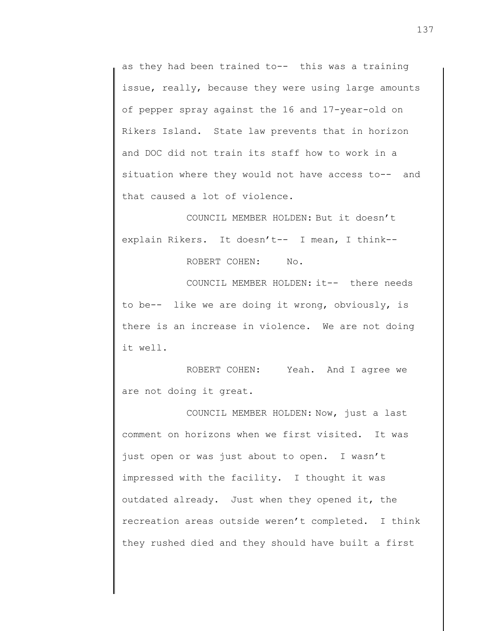as they had been trained to-- this was a training issue, really, because they were using large amounts of pepper spray against the 16 and 17-year-old on Rikers Island. State law prevents that in horizon and DOC did not train its staff how to work in a situation where they would not have access to-- and that caused a lot of violence.

COUNCIL MEMBER HOLDEN: But it doesn't explain Rikers. It doesn't-- I mean, I think--

ROBERT COHEN: No.

COUNCIL MEMBER HOLDEN: it-- there needs to be-- like we are doing it wrong, obviously, is there is an increase in violence. We are not doing it well.

ROBERT COHEN: Yeah. And I agree we are not doing it great.

COUNCIL MEMBER HOLDEN: Now, just a last comment on horizons when we first visited. It was just open or was just about to open. I wasn't impressed with the facility. I thought it was outdated already. Just when they opened it, the recreation areas outside weren't completed. I think they rushed died and they should have built a first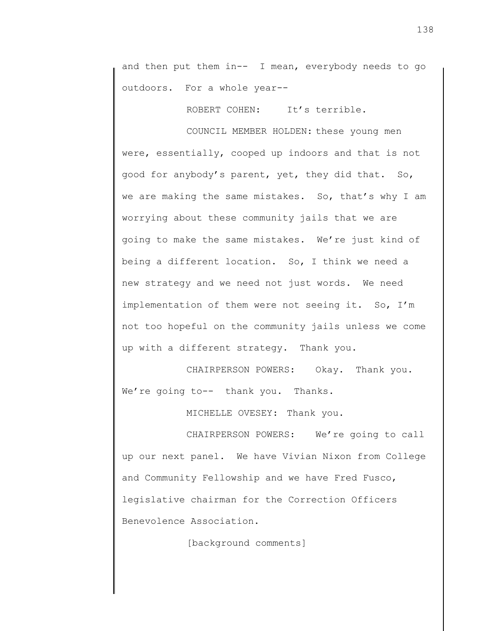and then put them in-- I mean, everybody needs to go outdoors. For a whole year--

ROBERT COHEN: It's terrible.

COUNCIL MEMBER HOLDEN: these young men were, essentially, cooped up indoors and that is not good for anybody's parent, yet, they did that. So, we are making the same mistakes. So, that's why I am worrying about these community jails that we are going to make the same mistakes. We're just kind of being a different location. So, I think we need a new strategy and we need not just words. We need implementation of them were not seeing it. So, I'm not too hopeful on the community jails unless we come up with a different strategy. Thank you.

CHAIRPERSON POWERS: Okay. Thank you. We're going to-- thank you. Thanks.

MICHELLE OVESEY: Thank you.

CHAIRPERSON POWERS: We're going to call up our next panel. We have Vivian Nixon from College and Community Fellowship and we have Fred Fusco, legislative chairman for the Correction Officers Benevolence Association.

[background comments]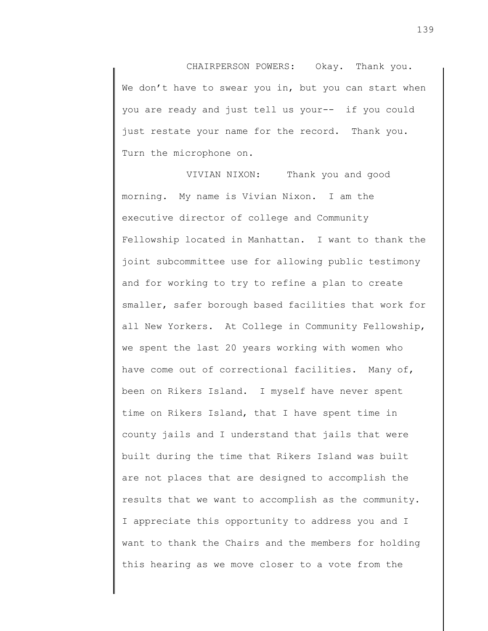CHAIRPERSON POWERS: Okay. Thank you. We don't have to swear you in, but you can start when you are ready and just tell us your-- if you could just restate your name for the record. Thank you. Turn the microphone on.

VIVIAN NIXON: Thank you and good morning. My name is Vivian Nixon. I am the executive director of college and Community Fellowship located in Manhattan. I want to thank the joint subcommittee use for allowing public testimony and for working to try to refine a plan to create smaller, safer borough based facilities that work for all New Yorkers. At College in Community Fellowship, we spent the last 20 years working with women who have come out of correctional facilities. Many of, been on Rikers Island. I myself have never spent time on Rikers Island, that I have spent time in county jails and I understand that jails that were built during the time that Rikers Island was built are not places that are designed to accomplish the results that we want to accomplish as the community. I appreciate this opportunity to address you and I want to thank the Chairs and the members for holding this hearing as we move closer to a vote from the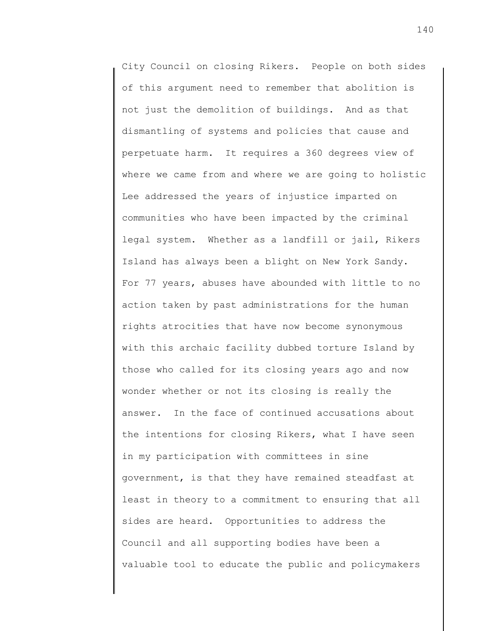City Council on closing Rikers. People on both sides of this argument need to remember that abolition is not just the demolition of buildings. And as that dismantling of systems and policies that cause and perpetuate harm. It requires a 360 degrees view of where we came from and where we are going to holistic Lee addressed the years of injustice imparted on communities who have been impacted by the criminal legal system. Whether as a landfill or jail, Rikers Island has always been a blight on New York Sandy. For 77 years, abuses have abounded with little to no action taken by past administrations for the human rights atrocities that have now become synonymous with this archaic facility dubbed torture Island by those who called for its closing years ago and now wonder whether or not its closing is really the answer. In the face of continued accusations about the intentions for closing Rikers, what I have seen in my participation with committees in sine government, is that they have remained steadfast at least in theory to a commitment to ensuring that all sides are heard. Opportunities to address the Council and all supporting bodies have been a valuable tool to educate the public and policymakers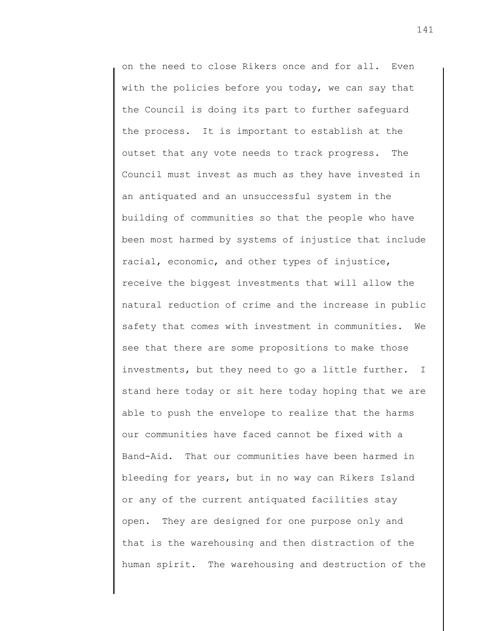on the need to close Rikers once and for all. Even with the policies before you today, we can say that the Council is doing its part to further safeguard the process. It is important to establish at the outset that any vote needs to track progress. The Council must invest as much as they have invested in an antiquated and an unsuccessful system in the building of communities so that the people who have been most harmed by systems of injustice that include racial, economic, and other types of injustice, receive the biggest investments that will allow the natural reduction of crime and the increase in public safety that comes with investment in communities. We see that there are some propositions to make those investments, but they need to go a little further. I stand here today or sit here today hoping that we are able to push the envelope to realize that the harms our communities have faced cannot be fixed with a Band-Aid. That our communities have been harmed in bleeding for years, but in no way can Rikers Island or any of the current antiquated facilities stay open. They are designed for one purpose only and that is the warehousing and then distraction of the human spirit. The warehousing and destruction of the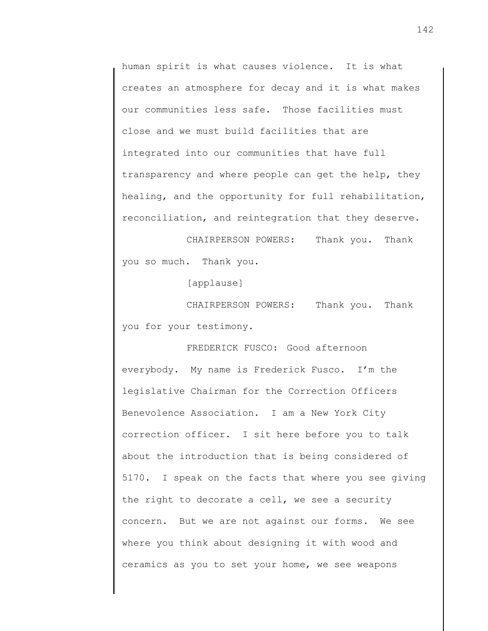human spirit is what causes violence. It is what creates an atmosphere for decay and it is what makes our communities less safe. Those facilities must close and we must build facilities that are integrated into our communities that have full transparency and where people can get the help, they healing, and the opportunity for full rehabilitation, reconciliation, and reintegration that they deserve.

CHAIRPERSON POWERS: Thank you. Thank you so much. Thank you.

[applause]

CHAIRPERSON POWERS: Thank you. Thank you for your testimony.

FREDERICK FUSCO: Good afternoon everybody. My name is Frederick Fusco. I'm the legislative Chairman for the Correction Officers Benevolence Association. I am a New York City correction officer. I sit here before you to talk about the introduction that is being considered of 5170. I speak on the facts that where you see giving the right to decorate a cell, we see a security concern. But we are not against our forms. We see where you think about designing it with wood and ceramics as you to set your home, we see weapons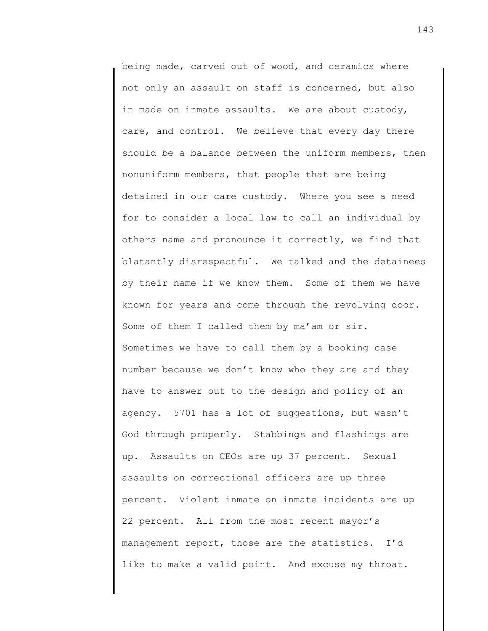being made, carved out of wood, and ceramics where not only an assault on staff is concerned, but also in made on inmate assaults. We are about custody, care, and control. We believe that every day there should be a balance between the uniform members, then nonuniform members, that people that are being detained in our care custody. Where you see a need for to consider a local law to call an individual by others name and pronounce it correctly, we find that blatantly disrespectful. We talked and the detainees by their name if we know them. Some of them we have known for years and come through the revolving door. Some of them I called them by ma'am or sir. Sometimes we have to call them by a booking case number because we don't know who they are and they have to answer out to the design and policy of an agency. 5701 has a lot of suggestions, but wasn't God through properly. Stabbings and flashings are up. Assaults on CEOs are up 37 percent. Sexual assaults on correctional officers are up three percent. Violent inmate on inmate incidents are up 22 percent. All from the most recent mayor's management report, those are the statistics. I'd like to make a valid point. And excuse my throat.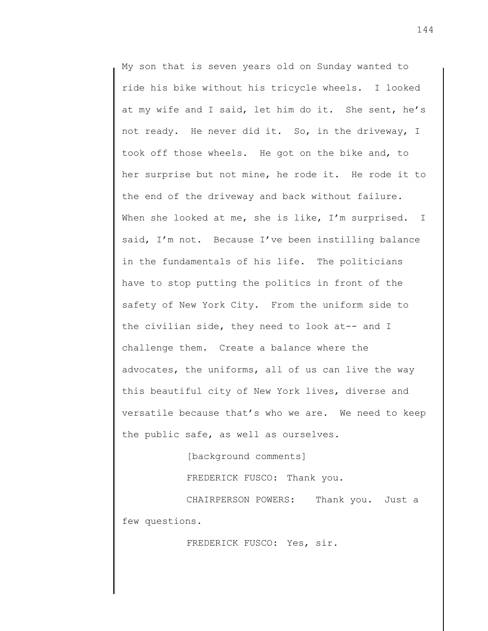My son that is seven years old on Sunday wanted to ride his bike without his tricycle wheels. I looked at my wife and I said, let him do it. She sent, he's not ready. He never did it. So, in the driveway, I took off those wheels. He got on the bike and, to her surprise but not mine, he rode it. He rode it to the end of the driveway and back without failure. When she looked at me, she is like, I'm surprised. I said, I'm not. Because I've been instilling balance in the fundamentals of his life. The politicians have to stop putting the politics in front of the safety of New York City. From the uniform side to the civilian side, they need to look at-- and I challenge them. Create a balance where the advocates, the uniforms, all of us can live the way this beautiful city of New York lives, diverse and versatile because that's who we are. We need to keep the public safe, as well as ourselves.

[background comments]

FREDERICK FUSCO: Thank you.

CHAIRPERSON POWERS: Thank you. Just a few questions.

FREDERICK FUSCO: Yes, sir.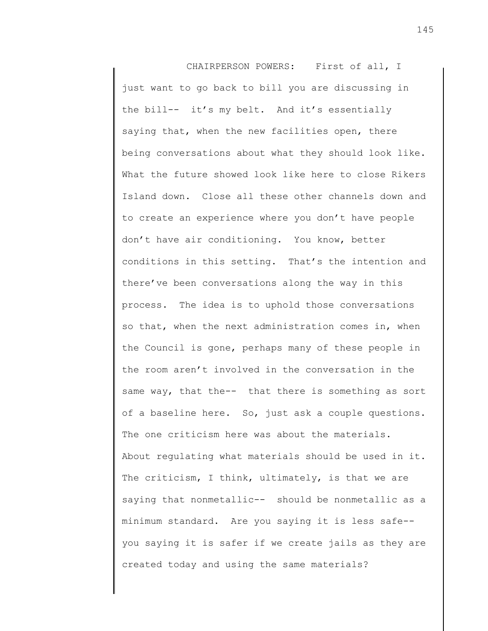CHAIRPERSON POWERS: First of all, I just want to go back to bill you are discussing in the bill-- it's my belt. And it's essentially saying that, when the new facilities open, there being conversations about what they should look like. What the future showed look like here to close Rikers Island down. Close all these other channels down and to create an experience where you don't have people don't have air conditioning. You know, better conditions in this setting. That's the intention and there've been conversations along the way in this process. The idea is to uphold those conversations so that, when the next administration comes in, when the Council is gone, perhaps many of these people in the room aren't involved in the conversation in the same way, that the-- that there is something as sort of a baseline here. So, just ask a couple questions. The one criticism here was about the materials. About regulating what materials should be used in it. The criticism, I think, ultimately, is that we are saying that nonmetallic-- should be nonmetallic as a minimum standard. Are you saying it is less safe- you saying it is safer if we create jails as they are created today and using the same materials?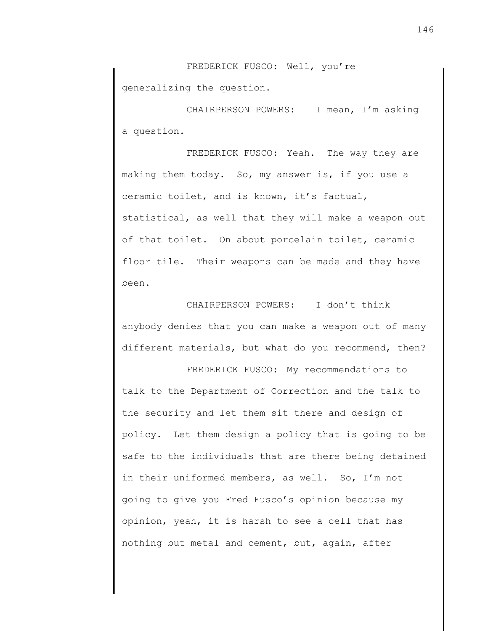FREDERICK FUSCO: Well, you're generalizing the question.

CHAIRPERSON POWERS: I mean, I'm asking a question.

FREDERICK FUSCO: Yeah. The way they are making them today. So, my answer is, if you use a ceramic toilet, and is known, it's factual, statistical, as well that they will make a weapon out of that toilet. On about porcelain toilet, ceramic floor tile. Their weapons can be made and they have been.

CHAIRPERSON POWERS: I don't think anybody denies that you can make a weapon out of many different materials, but what do you recommend, then?

FREDERICK FUSCO: My recommendations to talk to the Department of Correction and the talk to the security and let them sit there and design of policy. Let them design a policy that is going to be safe to the individuals that are there being detained in their uniformed members, as well. So, I'm not going to give you Fred Fusco's opinion because my opinion, yeah, it is harsh to see a cell that has nothing but metal and cement, but, again, after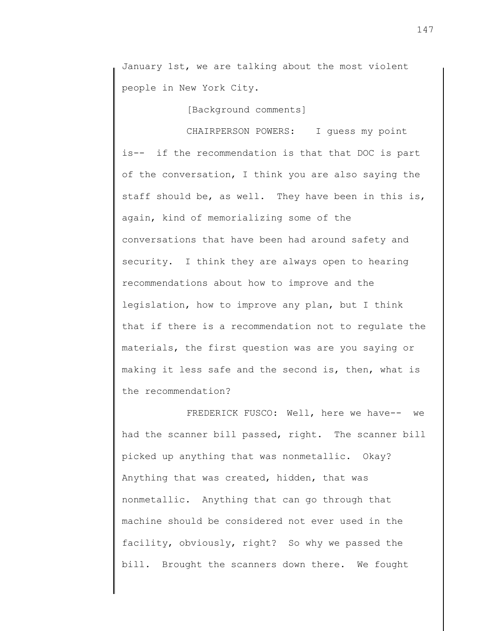January 1st, we are talking about the most violent people in New York City.

[Background comments]

CHAIRPERSON POWERS: I guess my point is-- if the recommendation is that that DOC is part of the conversation, I think you are also saying the staff should be, as well. They have been in this is, again, kind of memorializing some of the conversations that have been had around safety and security. I think they are always open to hearing recommendations about how to improve and the legislation, how to improve any plan, but I think that if there is a recommendation not to regulate the materials, the first question was are you saying or making it less safe and the second is, then, what is the recommendation?

FREDERICK FUSCO: Well, here we have-- we had the scanner bill passed, right. The scanner bill picked up anything that was nonmetallic. Okay? Anything that was created, hidden, that was nonmetallic. Anything that can go through that machine should be considered not ever used in the facility, obviously, right? So why we passed the bill. Brought the scanners down there. We fought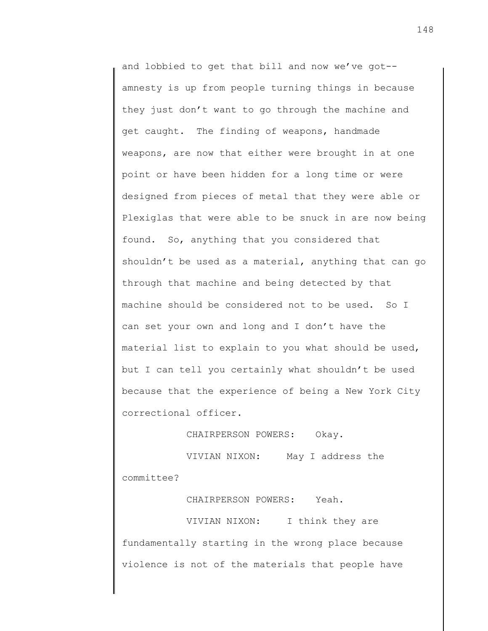and lobbied to get that bill and now we've got- amnesty is up from people turning things in because they just don't want to go through the machine and get caught. The finding of weapons, handmade weapons, are now that either were brought in at one point or have been hidden for a long time or were designed from pieces of metal that they were able or Plexiglas that were able to be snuck in are now being found. So, anything that you considered that shouldn't be used as a material, anything that can go through that machine and being detected by that machine should be considered not to be used. So I can set your own and long and I don't have the material list to explain to you what should be used, but I can tell you certainly what shouldn't be used because that the experience of being a New York City correctional officer.

CHAIRPERSON POWERS: Okay.

VIVIAN NIXON: May I address the committee?

CHAIRPERSON POWERS: Yeah.

VIVIAN NIXON: I think they are fundamentally starting in the wrong place because violence is not of the materials that people have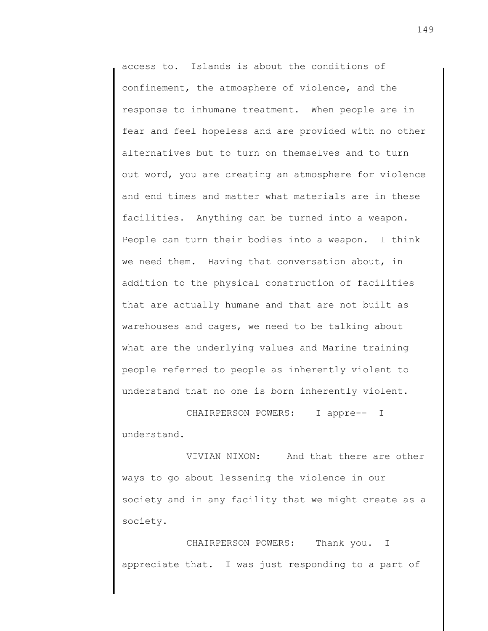access to. Islands is about the conditions of confinement, the atmosphere of violence, and the response to inhumane treatment. When people are in fear and feel hopeless and are provided with no other alternatives but to turn on themselves and to turn out word, you are creating an atmosphere for violence and end times and matter what materials are in these facilities. Anything can be turned into a weapon. People can turn their bodies into a weapon. I think we need them. Having that conversation about, in addition to the physical construction of facilities that are actually humane and that are not built as warehouses and cages, we need to be talking about what are the underlying values and Marine training people referred to people as inherently violent to understand that no one is born inherently violent.

CHAIRPERSON POWERS: I appre-- I understand.

VIVIAN NIXON: And that there are other ways to go about lessening the violence in our society and in any facility that we might create as a society.

CHAIRPERSON POWERS: Thank you. I appreciate that. I was just responding to a part of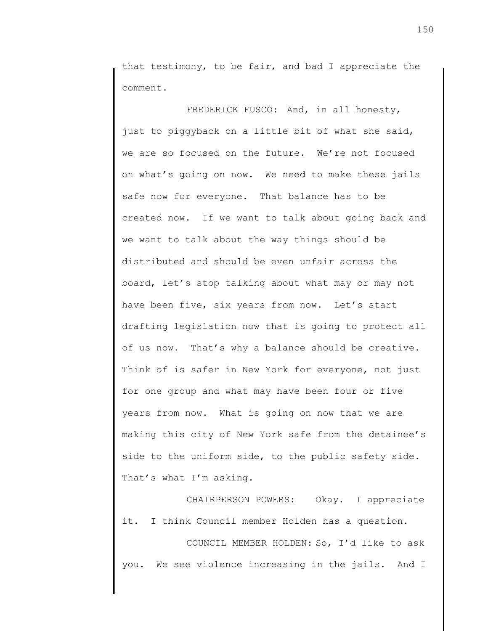that testimony, to be fair, and bad I appreciate the comment.

FREDERICK FUSCO: And, in all honesty, just to piggyback on a little bit of what she said, we are so focused on the future. We're not focused on what's going on now. We need to make these jails safe now for everyone. That balance has to be created now. If we want to talk about going back and we want to talk about the way things should be distributed and should be even unfair across the board, let's stop talking about what may or may not have been five, six years from now. Let's start drafting legislation now that is going to protect all of us now. That's why a balance should be creative. Think of is safer in New York for everyone, not just for one group and what may have been four or five years from now. What is going on now that we are making this city of New York safe from the detainee's side to the uniform side, to the public safety side. That's what I'm asking.

CHAIRPERSON POWERS: Okay. I appreciate it. I think Council member Holden has a question.

COUNCIL MEMBER HOLDEN: So, I'd like to ask you. We see violence increasing in the jails. And I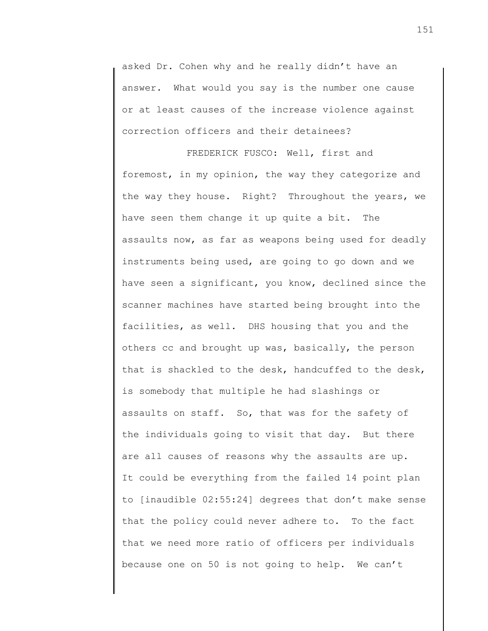asked Dr. Cohen why and he really didn't have an answer. What would you say is the number one cause or at least causes of the increase violence against correction officers and their detainees?

FREDERICK FUSCO: Well, first and foremost, in my opinion, the way they categorize and the way they house. Right? Throughout the years, we have seen them change it up quite a bit. The assaults now, as far as weapons being used for deadly instruments being used, are going to go down and we have seen a significant, you know, declined since the scanner machines have started being brought into the facilities, as well. DHS housing that you and the others cc and brought up was, basically, the person that is shackled to the desk, handcuffed to the desk, is somebody that multiple he had slashings or assaults on staff. So, that was for the safety of the individuals going to visit that day. But there are all causes of reasons why the assaults are up. It could be everything from the failed 14 point plan to [inaudible 02:55:24] degrees that don't make sense that the policy could never adhere to. To the fact that we need more ratio of officers per individuals because one on 50 is not going to help. We can't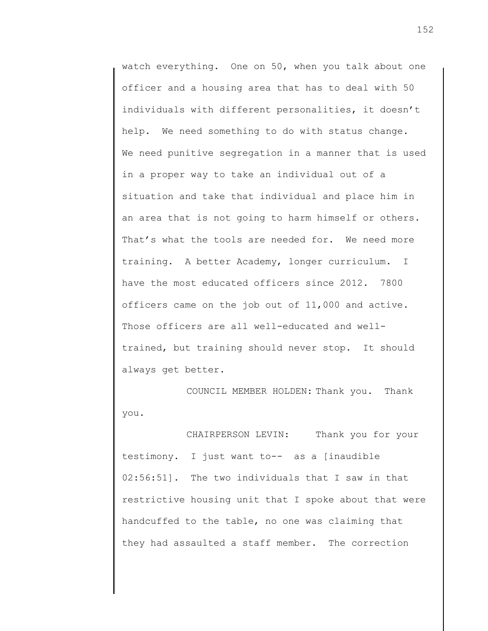watch everything. One on 50, when you talk about one officer and a housing area that has to deal with 50 individuals with different personalities, it doesn't help. We need something to do with status change. We need punitive segregation in a manner that is used in a proper way to take an individual out of a situation and take that individual and place him in an area that is not going to harm himself or others. That's what the tools are needed for. We need more training. A better Academy, longer curriculum. I have the most educated officers since 2012. 7800 officers came on the job out of 11,000 and active. Those officers are all well-educated and welltrained, but training should never stop. It should always get better.

COUNCIL MEMBER HOLDEN: Thank you. Thank you.

CHAIRPERSON LEVIN: Thank you for your testimony. I just want to-- as a [inaudible 02:56:51]. The two individuals that I saw in that restrictive housing unit that I spoke about that were handcuffed to the table, no one was claiming that they had assaulted a staff member. The correction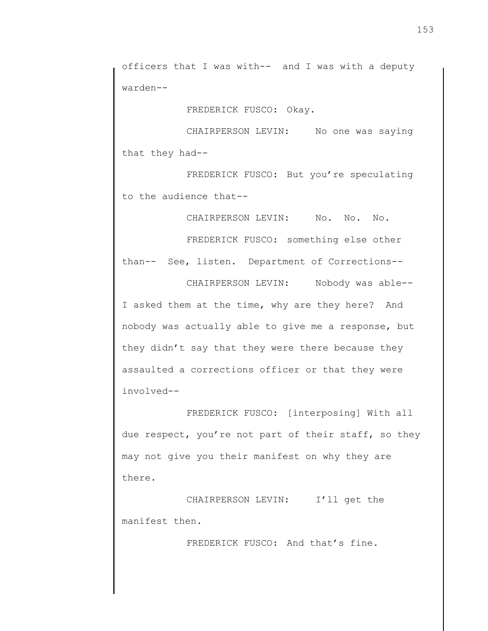officers that I was with-- and I was with a deputy warden--

FREDERICK FUSCO: Okay.

CHAIRPERSON LEVIN: No one was saying that they had--

FREDERICK FUSCO: But you're speculating to the audience that--

CHAIRPERSON LEVIN: No. No. No.

FREDERICK FUSCO: something else other than-- See, listen. Department of Corrections-- CHAIRPERSON LEVIN: Nobody was able--

I asked them at the time, why are they here? And nobody was actually able to give me a response, but they didn't say that they were there because they assaulted a corrections officer or that they were involved--

FREDERICK FUSCO: [interposing] With all due respect, you're not part of their staff, so they may not give you their manifest on why they are there.

CHAIRPERSON LEVIN: I'll get the manifest then.

FREDERICK FUSCO: And that's fine.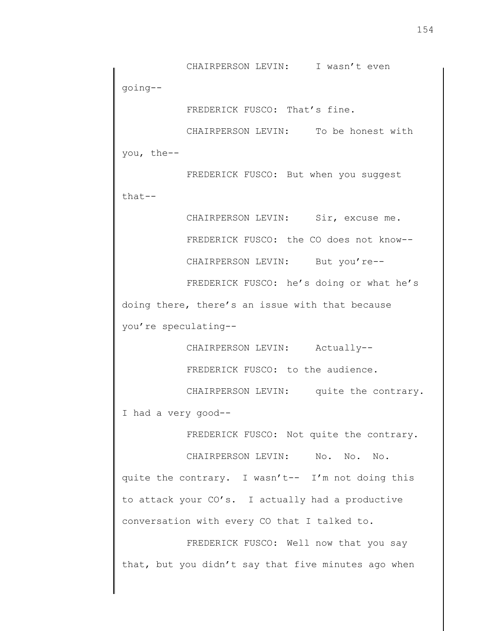CHAIRPERSON LEVIN: I wasn't even going--

FREDERICK FUSCO: That's fine.

CHAIRPERSON LEVIN: To be honest with you, the--

FREDERICK FUSCO: But when you suggest that--

> CHAIRPERSON LEVIN: Sir, excuse me. FREDERICK FUSCO: the CO does not know-- CHAIRPERSON LEVIN: But you're--

FREDERICK FUSCO: he's doing or what he's doing there, there's an issue with that because you're speculating--

CHAIRPERSON LEVIN: Actually--

FREDERICK FUSCO: to the audience.

CHAIRPERSON LEVIN: quite the contrary. I had a very good--

FREDERICK FUSCO: Not quite the contrary.

CHAIRPERSON LEVIN: No. No. No. quite the contrary. I wasn't-- I'm not doing this to attack your CO's. I actually had a productive conversation with every CO that I talked to.

FREDERICK FUSCO: Well now that you say that, but you didn't say that five minutes ago when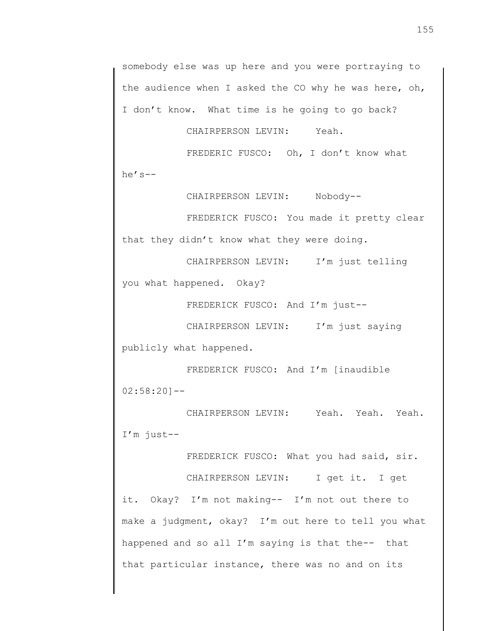somebody else was up here and you were portraying to the audience when I asked the CO why he was here, oh, I don't know. What time is he going to go back?

CHAIRPERSON LEVIN: Yeah.

FREDERIC FUSCO: Oh, I don't know what he's--

CHAIRPERSON LEVIN: Nobody--

FREDERICK FUSCO: You made it pretty clear that they didn't know what they were doing.

CHAIRPERSON LEVIN: I'm just telling you what happened. Okay?

FREDERICK FUSCO: And I'm just--

CHAIRPERSON LEVIN: I'm just saying publicly what happened.

FREDERICK FUSCO: And I'm [inaudible  $02:58:20$ ] --

CHAIRPERSON LEVIN: Yeah. Yeah. Yeah. I'm just--

FREDERICK FUSCO: What you had said, sir.

CHAIRPERSON LEVIN: I get it. I get it. Okay? I'm not making-- I'm not out there to make a judgment, okay? I'm out here to tell you what happened and so all I'm saying is that the-- that that particular instance, there was no and on its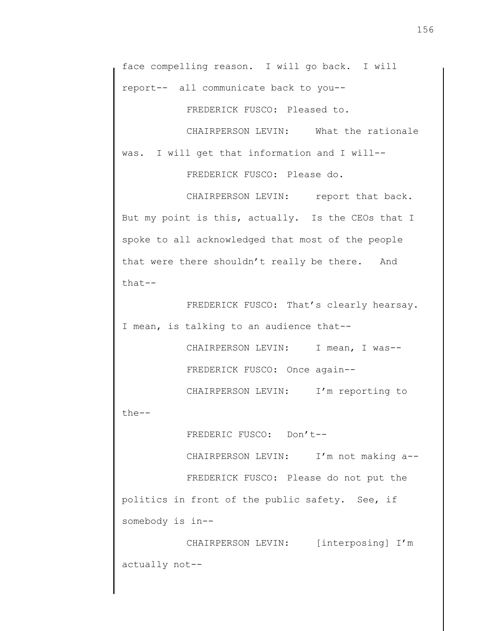FREDERICK FUSCO: Pleased to.

CHAIRPERSON LEVIN: What the rationale was. I will get that information and I will-- FREDERICK FUSCO: Please do.

CHAIRPERSON LEVIN: report that back. But my point is this, actually. Is the CEOs that I spoke to all acknowledged that most of the people that were there shouldn't really be there. And that--

FREDERICK FUSCO: That's clearly hearsay. I mean, is talking to an audience that--

> CHAIRPERSON LEVIN: I mean, I was--FREDERICK FUSCO: Once again--

CHAIRPERSON LEVIN: I'm reporting to

the--

FREDERIC FUSCO: Don't--

CHAIRPERSON LEVIN: I'm not making a--

FREDERICK FUSCO: Please do not put the politics in front of the public safety. See, if somebody is in--

CHAIRPERSON LEVIN: [interposing] I'm actually not--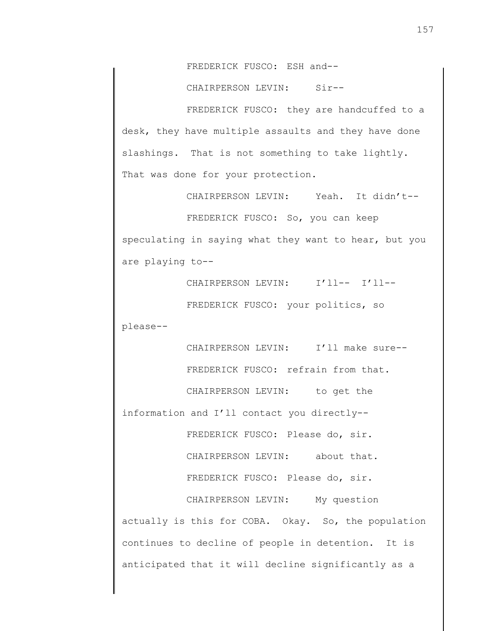FREDERICK FUSCO: ESH and--

CHAIRPERSON LEVIN: Sir--

FREDERICK FUSCO: they are handcuffed to a desk, they have multiple assaults and they have done slashings. That is not something to take lightly. That was done for your protection.

CHAIRPERSON LEVIN: Yeah. It didn't--

FREDERICK FUSCO: So, you can keep speculating in saying what they want to hear, but you are playing to--

CHAIRPERSON LEVIN: I'll-- I'll--

FREDERICK FUSCO: your politics, so

please--

CHAIRPERSON LEVIN: I'll make sure--

FREDERICK FUSCO: refrain from that.

CHAIRPERSON LEVIN: to get the

information and I'll contact you directly--

FREDERICK FUSCO: Please do, sir.

CHAIRPERSON LEVIN: about that.

FREDERICK FUSCO: Please do, sir.

CHAIRPERSON LEVIN: My question actually is this for COBA. Okay. So, the population continues to decline of people in detention. It is anticipated that it will decline significantly as a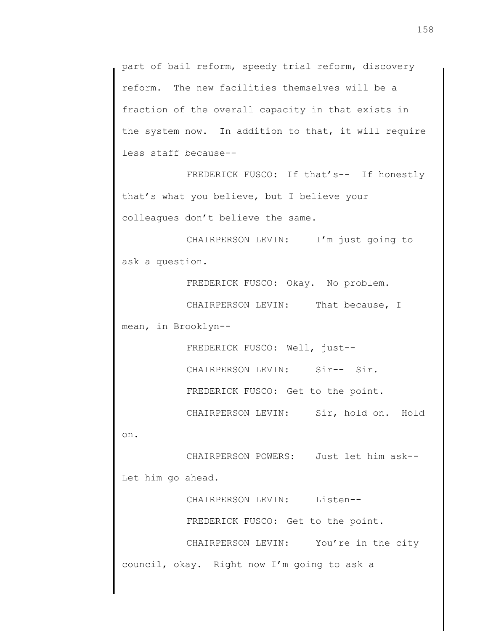part of bail reform, speedy trial reform, discovery reform. The new facilities themselves will be a fraction of the overall capacity in that exists in the system now. In addition to that, it will require less staff because--

FREDERICK FUSCO: If that's-- If honestly that's what you believe, but I believe your colleagues don't believe the same.

CHAIRPERSON LEVIN: I'm just going to ask a question.

FREDERICK FUSCO: Okay. No problem.

CHAIRPERSON LEVIN: That because, I mean, in Brooklyn--

FREDERICK FUSCO: Well, just--

CHAIRPERSON LEVIN: Sir-- Sir.

FREDERICK FUSCO: Get to the point.

CHAIRPERSON LEVIN: Sir, hold on. Hold

on.

CHAIRPERSON POWERS: Just let him ask-- Let him go ahead.

CHAIRPERSON LEVIN: Listen--

FREDERICK FUSCO: Get to the point.

CHAIRPERSON LEVIN: You're in the city council, okay. Right now I'm going to ask a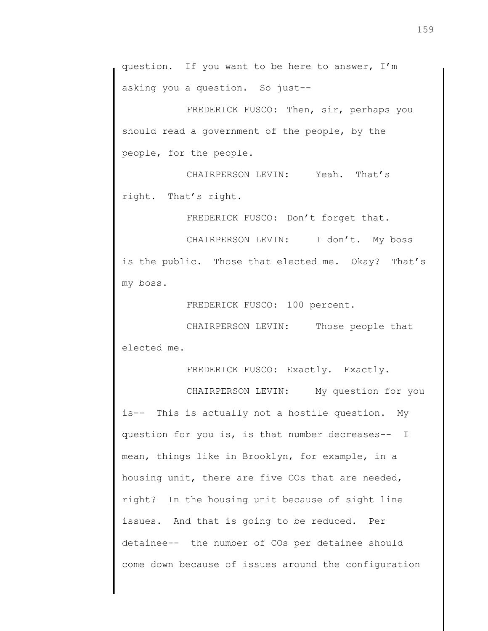question. If you want to be here to answer, I'm asking you a question. So just--

FREDERICK FUSCO: Then, sir, perhaps you should read a government of the people, by the people, for the people.

CHAIRPERSON LEVIN: Yeah. That's right. That's right.

FREDERICK FUSCO: Don't forget that.

CHAIRPERSON LEVIN: I don't. My boss is the public. Those that elected me. Okay? That's my boss.

FREDERICK FUSCO: 100 percent.

CHAIRPERSON LEVIN: Those people that elected me.

FREDERICK FUSCO: Exactly. Exactly.

CHAIRPERSON LEVIN: My question for you is-- This is actually not a hostile question. My question for you is, is that number decreases-- I mean, things like in Brooklyn, for example, in a housing unit, there are five COs that are needed, right? In the housing unit because of sight line issues. And that is going to be reduced. Per detainee-- the number of COs per detainee should come down because of issues around the configuration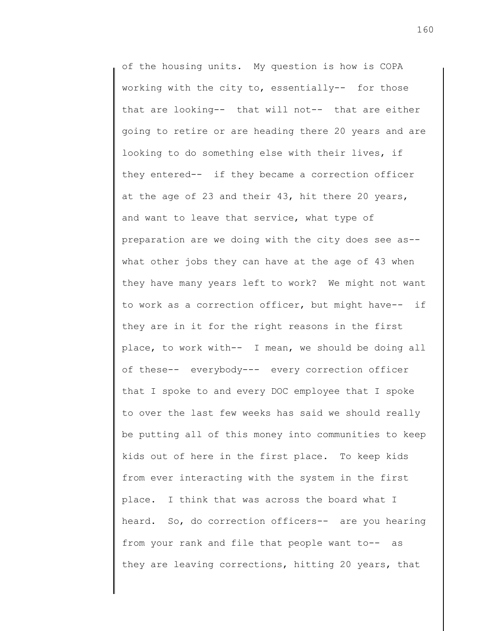of the housing units. My question is how is COPA working with the city to, essentially-- for those that are looking-- that will not-- that are either going to retire or are heading there 20 years and are looking to do something else with their lives, if they entered-- if they became a correction officer at the age of 23 and their 43, hit there 20 years, and want to leave that service, what type of preparation are we doing with the city does see as- what other jobs they can have at the age of 43 when they have many years left to work? We might not want to work as a correction officer, but might have-- if they are in it for the right reasons in the first place, to work with-- I mean, we should be doing all of these-- everybody--- every correction officer that I spoke to and every DOC employee that I spoke to over the last few weeks has said we should really be putting all of this money into communities to keep kids out of here in the first place. To keep kids from ever interacting with the system in the first place. I think that was across the board what I heard. So, do correction officers-- are you hearing from your rank and file that people want to-- as they are leaving corrections, hitting 20 years, that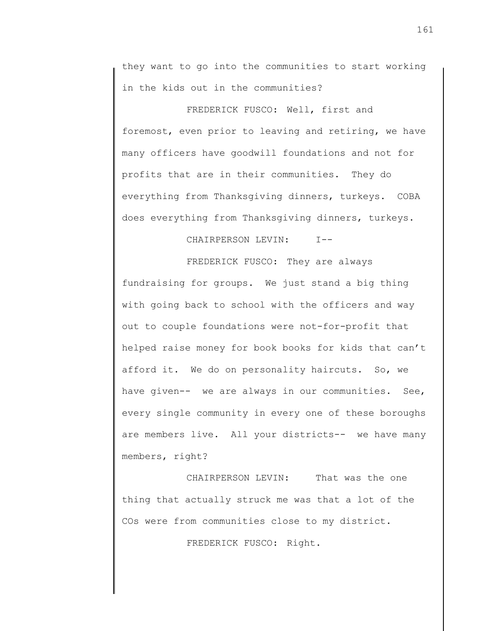they want to go into the communities to start working in the kids out in the communities?

FREDERICK FUSCO: Well, first and foremost, even prior to leaving and retiring, we have many officers have goodwill foundations and not for profits that are in their communities. They do everything from Thanksgiving dinners, turkeys. COBA does everything from Thanksgiving dinners, turkeys.

CHAIRPERSON LEVIN: I--

FREDERICK FUSCO: They are always fundraising for groups. We just stand a big thing with going back to school with the officers and way out to couple foundations were not-for-profit that helped raise money for book books for kids that can't afford it. We do on personality haircuts. So, we have given-- we are always in our communities. See, every single community in every one of these boroughs are members live. All your districts-- we have many members, right?

CHAIRPERSON LEVIN: That was the one thing that actually struck me was that a lot of the COs were from communities close to my district.

FREDERICK FUSCO: Right.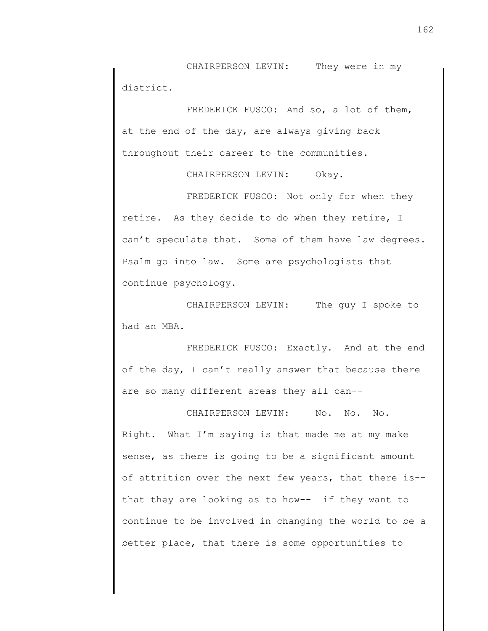CHAIRPERSON LEVIN: They were in my district.

FREDERICK FUSCO: And so, a lot of them, at the end of the day, are always giving back throughout their career to the communities.

CHAIRPERSON LEVIN: Okay.

FREDERICK FUSCO: Not only for when they retire. As they decide to do when they retire, I can't speculate that. Some of them have law degrees. Psalm go into law. Some are psychologists that continue psychology.

CHAIRPERSON LEVIN: The guy I spoke to had an MBA.

FREDERICK FUSCO: Exactly. And at the end of the day, I can't really answer that because there are so many different areas they all can--

CHAIRPERSON LEVIN: No. No. No. Right. What I'm saying is that made me at my make sense, as there is going to be a significant amount of attrition over the next few years, that there is- that they are looking as to how-- if they want to continue to be involved in changing the world to be a better place, that there is some opportunities to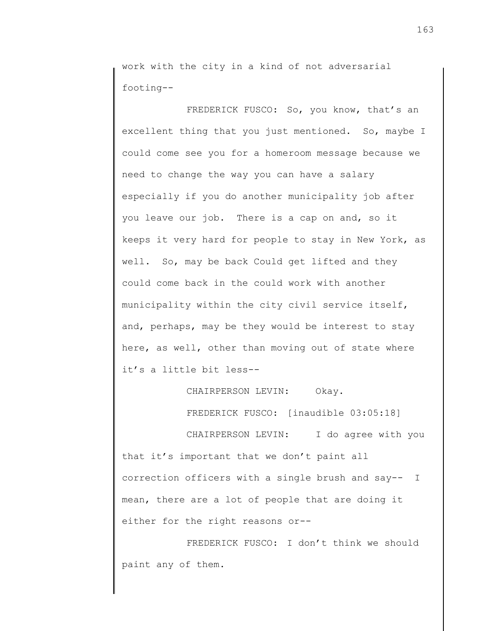work with the city in a kind of not adversarial footing--

FREDERICK FUSCO: So, you know, that's an excellent thing that you just mentioned. So, maybe I could come see you for a homeroom message because we need to change the way you can have a salary especially if you do another municipality job after you leave our job. There is a cap on and, so it keeps it very hard for people to stay in New York, as well. So, may be back Could get lifted and they could come back in the could work with another municipality within the city civil service itself, and, perhaps, may be they would be interest to stay here, as well, other than moving out of state where it's a little bit less--

CHAIRPERSON LEVIN: Okay.

FREDERICK FUSCO: [inaudible 03:05:18]

CHAIRPERSON LEVIN: I do agree with you that it's important that we don't paint all correction officers with a single brush and say-- I mean, there are a lot of people that are doing it either for the right reasons or--

FREDERICK FUSCO: I don't think we should paint any of them.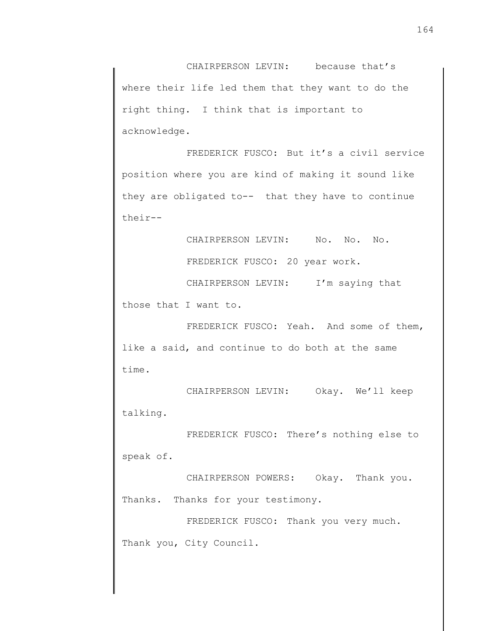CHAIRPERSON LEVIN: because that's where their life led them that they want to do the right thing. I think that is important to acknowledge.

FREDERICK FUSCO: But it's a civil service position where you are kind of making it sound like they are obligated to-- that they have to continue their--

CHAIRPERSON LEVIN: No. No. No.

FREDERICK FUSCO: 20 year work.

CHAIRPERSON LEVIN: I'm saying that

those that I want to.

FREDERICK FUSCO: Yeah. And some of them, like a said, and continue to do both at the same time.

CHAIRPERSON LEVIN: Okay. We'll keep talking.

FREDERICK FUSCO: There's nothing else to speak of.

CHAIRPERSON POWERS: Okay. Thank you. Thanks. Thanks for your testimony.

FREDERICK FUSCO: Thank you very much. Thank you, City Council.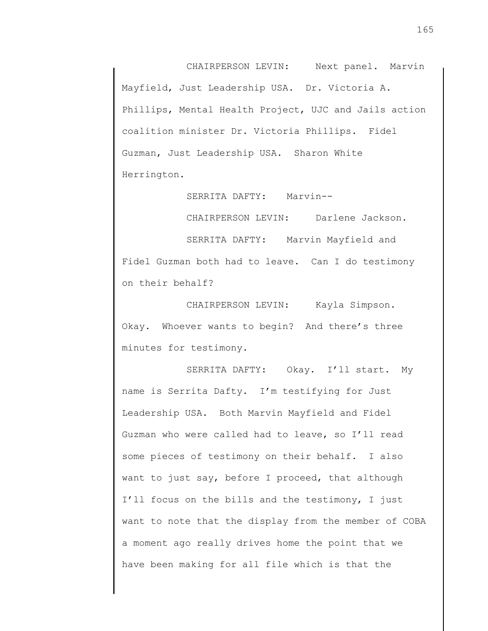CHAIRPERSON LEVIN: Next panel. Marvin Mayfield, Just Leadership USA. Dr. Victoria A. Phillips, Mental Health Project, UJC and Jails action coalition minister Dr. Victoria Phillips. Fidel Guzman, Just Leadership USA. Sharon White Herrington.

SERRITA DAFTY: Marvin-- CHAIRPERSON LEVIN: Darlene Jackson. SERRITA DAFTY: Marvin Mayfield and Fidel Guzman both had to leave. Can I do testimony on their behalf?

CHAIRPERSON LEVIN: Kayla Simpson. Okay. Whoever wants to begin? And there's three minutes for testimony.

SERRITA DAFTY: Okay. I'll start. My name is Serrita Dafty. I'm testifying for Just Leadership USA. Both Marvin Mayfield and Fidel Guzman who were called had to leave, so I'll read some pieces of testimony on their behalf. I also want to just say, before I proceed, that although I'll focus on the bills and the testimony, I just want to note that the display from the member of COBA a moment ago really drives home the point that we have been making for all file which is that the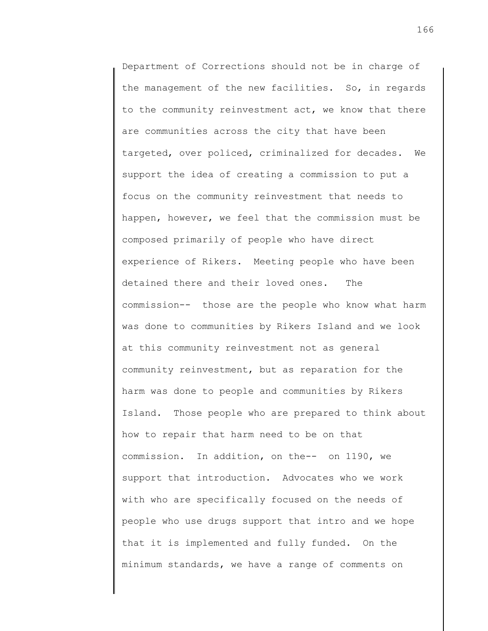Department of Corrections should not be in charge of the management of the new facilities. So, in regards to the community reinvestment act, we know that there are communities across the city that have been targeted, over policed, criminalized for decades. We support the idea of creating a commission to put a focus on the community reinvestment that needs to happen, however, we feel that the commission must be composed primarily of people who have direct experience of Rikers. Meeting people who have been detained there and their loved ones. The commission-- those are the people who know what harm was done to communities by Rikers Island and we look at this community reinvestment not as general community reinvestment, but as reparation for the harm was done to people and communities by Rikers Island. Those people who are prepared to think about how to repair that harm need to be on that commission. In addition, on the-- on 1190, we support that introduction. Advocates who we work with who are specifically focused on the needs of people who use drugs support that intro and we hope that it is implemented and fully funded. On the minimum standards, we have a range of comments on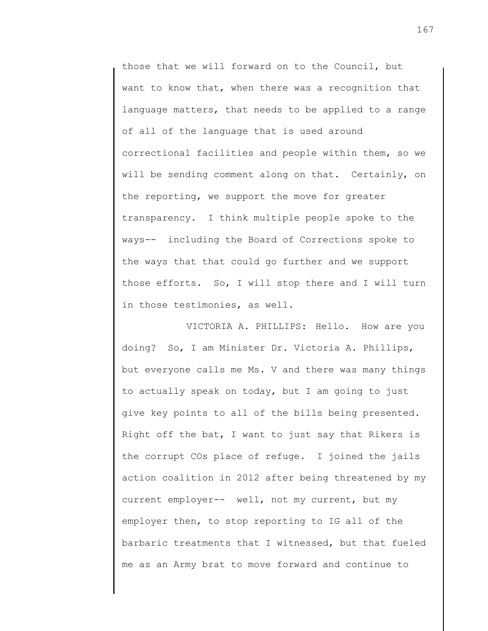those that we will forward on to the Council, but want to know that, when there was a recognition that language matters, that needs to be applied to a range of all of the language that is used around correctional facilities and people within them, so we will be sending comment along on that. Certainly, on the reporting, we support the move for greater transparency. I think multiple people spoke to the ways-- including the Board of Corrections spoke to the ways that that could go further and we support those efforts. So, I will stop there and I will turn in those testimonies, as well.

VICTORIA A. PHILLIPS: Hello. How are you doing? So, I am Minister Dr. Victoria A. Phillips, but everyone calls me Ms. V and there was many things to actually speak on today, but I am going to just give key points to all of the bills being presented. Right off the bat, I want to just say that Rikers is the corrupt COs place of refuge. I joined the jails action coalition in 2012 after being threatened by my current employer-- well, not my current, but my employer then, to stop reporting to IG all of the barbaric treatments that I witnessed, but that fueled me as an Army brat to move forward and continue to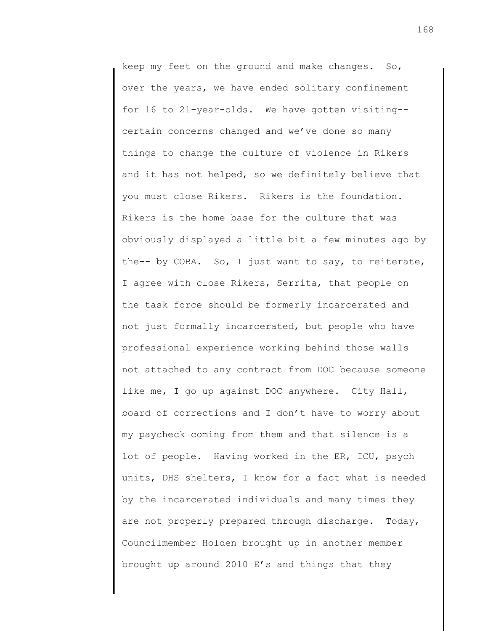keep my feet on the ground and make changes. So, over the years, we have ended solitary confinement for 16 to 21-year-olds. We have gotten visiting- certain concerns changed and we've done so many things to change the culture of violence in Rikers and it has not helped, so we definitely believe that you must close Rikers. Rikers is the foundation. Rikers is the home base for the culture that was obviously displayed a little bit a few minutes ago by the-- by COBA. So, I just want to say, to reiterate, I agree with close Rikers, Serrita, that people on the task force should be formerly incarcerated and not just formally incarcerated, but people who have professional experience working behind those walls not attached to any contract from DOC because someone like me, I go up against DOC anywhere. City Hall, board of corrections and I don't have to worry about my paycheck coming from them and that silence is a lot of people. Having worked in the ER, ICU, psych units, DHS shelters, I know for a fact what is needed by the incarcerated individuals and many times they are not properly prepared through discharge. Today, Councilmember Holden brought up in another member brought up around 2010 E's and things that they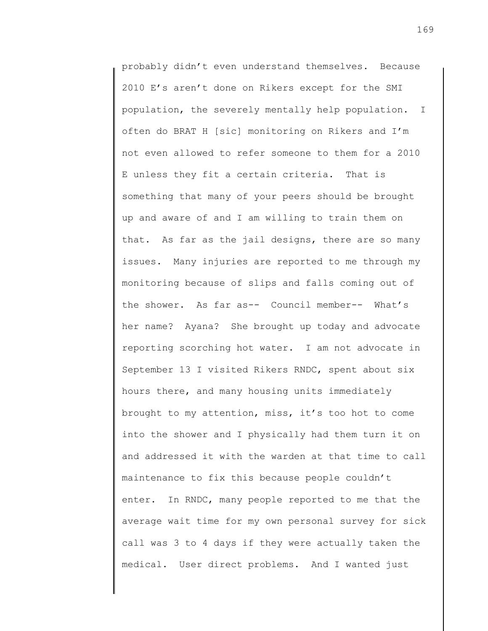probably didn't even understand themselves. Because 2010 E's aren't done on Rikers except for the SMI population, the severely mentally help population. I often do BRAT H [sic] monitoring on Rikers and I'm not even allowed to refer someone to them for a 2010 E unless they fit a certain criteria. That is something that many of your peers should be brought up and aware of and I am willing to train them on that. As far as the jail designs, there are so many issues. Many injuries are reported to me through my monitoring because of slips and falls coming out of the shower. As far as-- Council member-- What's her name? Ayana? She brought up today and advocate reporting scorching hot water. I am not advocate in September 13 I visited Rikers RNDC, spent about six hours there, and many housing units immediately brought to my attention, miss, it's too hot to come into the shower and I physically had them turn it on and addressed it with the warden at that time to call maintenance to fix this because people couldn't enter. In RNDC, many people reported to me that the average wait time for my own personal survey for sick call was 3 to 4 days if they were actually taken the medical. User direct problems. And I wanted just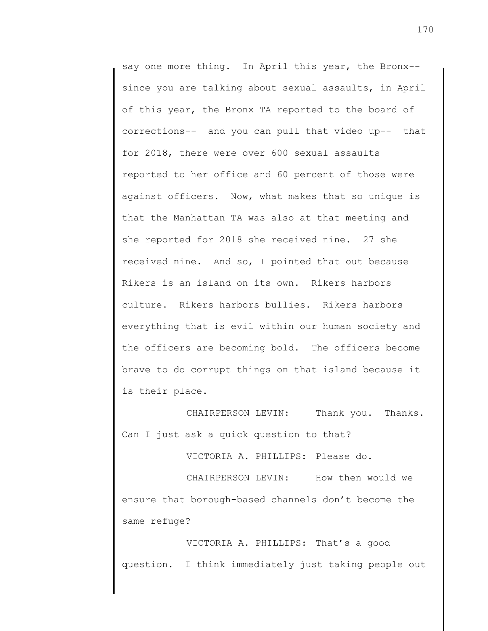say one more thing. In April this year, the Bronx-since you are talking about sexual assaults, in April of this year, the Bronx TA reported to the board of corrections-- and you can pull that video up-- that for 2018, there were over 600 sexual assaults reported to her office and 60 percent of those were against officers. Now, what makes that so unique is that the Manhattan TA was also at that meeting and she reported for 2018 she received nine. 27 she received nine. And so, I pointed that out because Rikers is an island on its own. Rikers harbors culture. Rikers harbors bullies. Rikers harbors everything that is evil within our human society and the officers are becoming bold. The officers become brave to do corrupt things on that island because it is their place.

CHAIRPERSON LEVIN: Thank you. Thanks. Can I just ask a quick question to that?

VICTORIA A. PHILLIPS: Please do.

CHAIRPERSON LEVIN: How then would we ensure that borough-based channels don't become the same refuge?

VICTORIA A. PHILLIPS: That's a good question. I think immediately just taking people out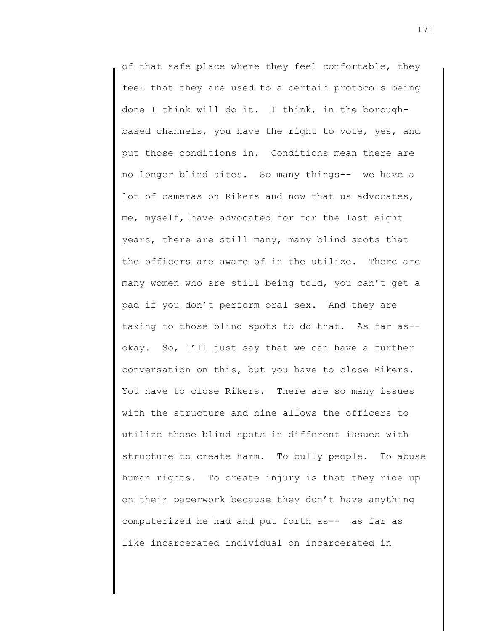of that safe place where they feel comfortable, they feel that they are used to a certain protocols being done I think will do it. I think, in the boroughbased channels, you have the right to vote, yes, and put those conditions in. Conditions mean there are no longer blind sites. So many things-- we have a lot of cameras on Rikers and now that us advocates, me, myself, have advocated for for the last eight years, there are still many, many blind spots that the officers are aware of in the utilize. There are many women who are still being told, you can't get a pad if you don't perform oral sex. And they are taking to those blind spots to do that. As far as- okay. So, I'll just say that we can have a further conversation on this, but you have to close Rikers. You have to close Rikers. There are so many issues with the structure and nine allows the officers to utilize those blind spots in different issues with structure to create harm. To bully people. To abuse human rights. To create injury is that they ride up on their paperwork because they don't have anything computerized he had and put forth as-- as far as like incarcerated individual on incarcerated in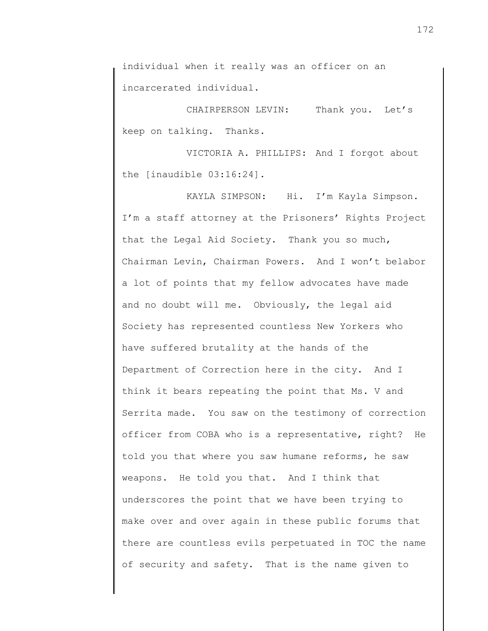individual when it really was an officer on an incarcerated individual.

CHAIRPERSON LEVIN: Thank you. Let's keep on talking. Thanks.

VICTORIA A. PHILLIPS: And I forgot about the [inaudible 03:16:24].

KAYLA SIMPSON: Hi. I'm Kayla Simpson. I'm a staff attorney at the Prisoners' Rights Project that the Legal Aid Society. Thank you so much, Chairman Levin, Chairman Powers. And I won't belabor a lot of points that my fellow advocates have made and no doubt will me. Obviously, the legal aid Society has represented countless New Yorkers who have suffered brutality at the hands of the Department of Correction here in the city. And I think it bears repeating the point that Ms. V and Serrita made. You saw on the testimony of correction officer from COBA who is a representative, right? He told you that where you saw humane reforms, he saw weapons. He told you that. And I think that underscores the point that we have been trying to make over and over again in these public forums that there are countless evils perpetuated in TOC the name of security and safety. That is the name given to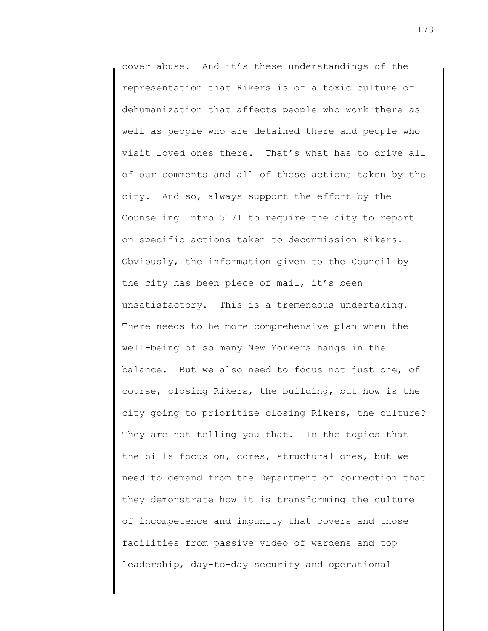cover abuse. And it's these understandings of the representation that Rikers is of a toxic culture of dehumanization that affects people who work there as well as people who are detained there and people who visit loved ones there. That's what has to drive all our comments and all of these actions taken by the city. And so, always support the effort by the Counseling Intro 5171 to require the city to report on specific actions taken to decommission Rikers. Obviously, the information given to the Council by the city has been piece of mail, it's been unsatisfactory. This is a tremendous undertaking. There needs to be more comprehensive plan when the well-being of so many New Yorkers hangs in the balance. But we also need to focus not just one, of course, closing Rikers, the building, but how is the city going to prioritize closing Rikers, the culture? They are not telling you that. In the topics that the bills focus on, cores, structural ones, but we need to demand from the Department of correction that they demonstrate how it is transforming the culture of incompetence and impunity that covers and those facilities from passive video of wardens and top leadership, day-to-day security and operational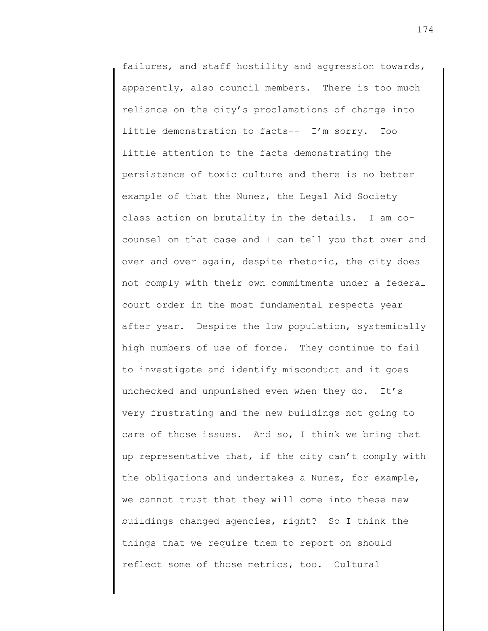failures, and staff hostility and aggression towards, apparently, also council members. There is too much reliance on the city's proclamations of change into little demonstration to facts-- I'm sorry. Too little attention to the facts demonstrating the persistence of toxic culture and there is no better example of that the Nunez, the Legal Aid Society class action on brutality in the details. I am cocounsel on that case and I can tell you that over and over and over again, despite rhetoric, the city does not comply with their own commitments under a federal court order in the most fundamental respects year after year. Despite the low population, systemically high numbers of use of force. They continue to fail to investigate and identify misconduct and it goes unchecked and unpunished even when they do. It's very frustrating and the new buildings not going to care of those issues. And so, I think we bring that up representative that, if the city can't comply with the obligations and undertakes a Nunez, for example, we cannot trust that they will come into these new buildings changed agencies, right? So I think the things that we require them to report on should reflect some of those metrics, too. Cultural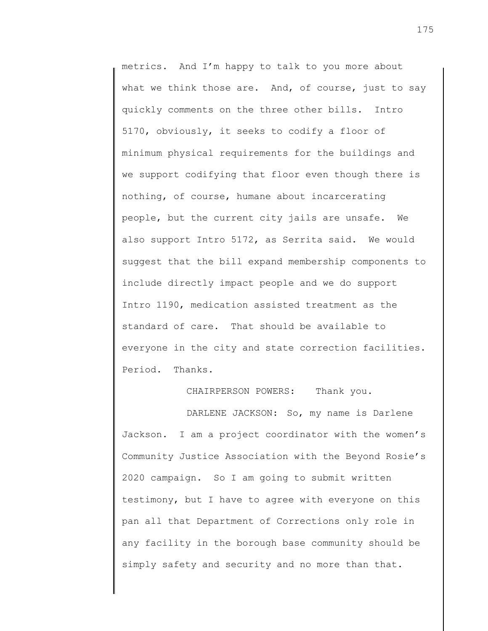metrics. And I'm happy to talk to you more about what we think those are. And, of course, just to say quickly comments on the three other bills. Intro 5170, obviously, it seeks to codify a floor of minimum physical requirements for the buildings and we support codifying that floor even though there is nothing, of course, humane about incarcerating people, but the current city jails are unsafe. We also support Intro 5172, as Serrita said. We would suggest that the bill expand membership components to include directly impact people and we do support Intro 1190, medication assisted treatment as the standard of care. That should be available to everyone in the city and state correction facilities. Period. Thanks.

CHAIRPERSON POWERS: Thank you.

DARLENE JACKSON: So, my name is Darlene Jackson. I am a project coordinator with the women's Community Justice Association with the Beyond Rosie's 2020 campaign. So I am going to submit written testimony, but I have to agree with everyone on this pan all that Department of Corrections only role in any facility in the borough base community should be simply safety and security and no more than that.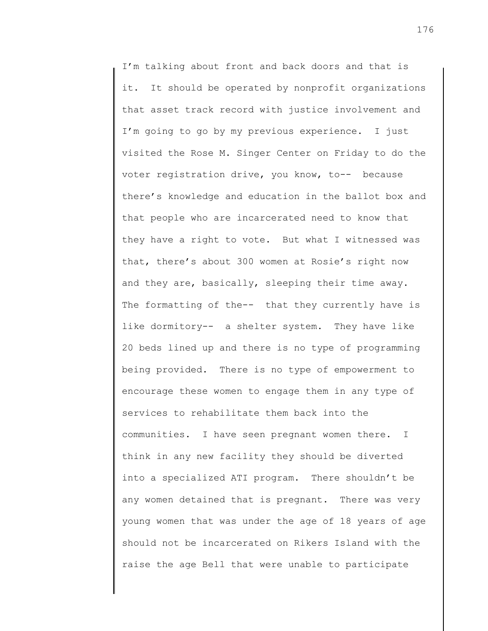I'm talking about front and back doors and that is it. It should be operated by nonprofit organizations that asset track record with justice involvement and I'm going to go by my previous experience. I just visited the Rose M. Singer Center on Friday to do the voter registration drive, you know, to-- because there's knowledge and education in the ballot box and that people who are incarcerated need to know that they have a right to vote. But what I witnessed was that, there's about 300 women at Rosie's right now and they are, basically, sleeping their time away. The formatting of the-- that they currently have is like dormitory-- a shelter system. They have like 20 beds lined up and there is no type of programming being provided. There is no type of empowerment to encourage these women to engage them in any type of services to rehabilitate them back into the communities. I have seen pregnant women there. I think in any new facility they should be diverted into a specialized ATI program. There shouldn't be any women detained that is pregnant. There was very young women that was under the age of 18 years of age should not be incarcerated on Rikers Island with the raise the age Bell that were unable to participate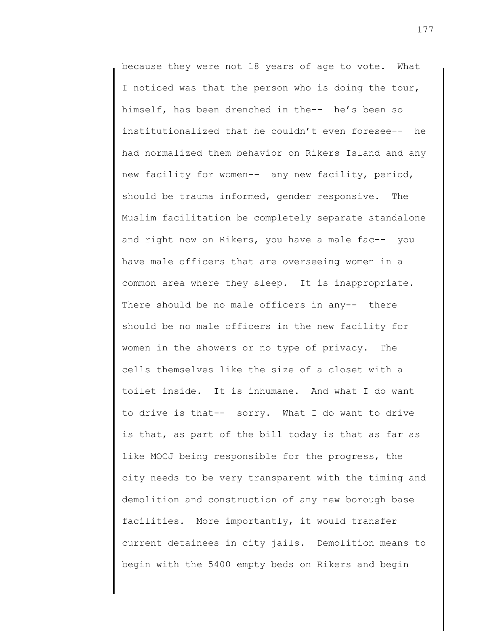because they were not 18 years of age to vote. What I noticed was that the person who is doing the tour, himself, has been drenched in the-- he's been so institutionalized that he couldn't even foresee-- he had normalized them behavior on Rikers Island and any new facility for women-- any new facility, period, should be trauma informed, gender responsive. The Muslim facilitation be completely separate standalone and right now on Rikers, you have a male fac-- you have male officers that are overseeing women in a common area where they sleep. It is inappropriate. There should be no male officers in any-- there should be no male officers in the new facility for women in the showers or no type of privacy. The cells themselves like the size of a closet with a toilet inside. It is inhumane. And what I do want to drive is that-- sorry. What I do want to drive is that, as part of the bill today is that as far as like MOCJ being responsible for the progress, the city needs to be very transparent with the timing and demolition and construction of any new borough base facilities. More importantly, it would transfer current detainees in city jails. Demolition means to begin with the 5400 empty beds on Rikers and begin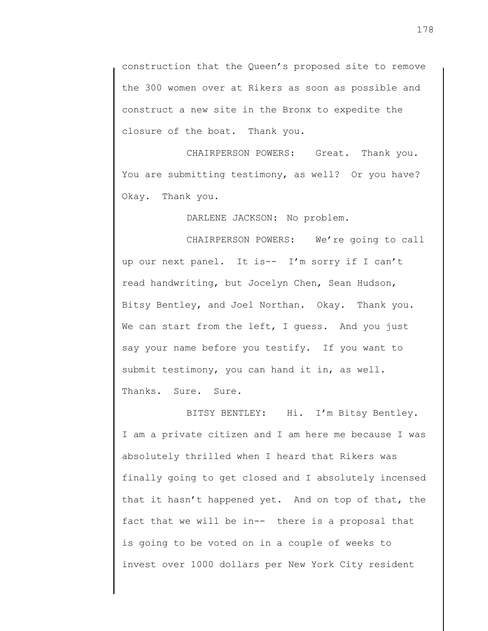construction that the Queen's proposed site to remove the 300 women over at Rikers as soon as possible and construct a new site in the Bronx to expedite the closure of the boat. Thank you.

CHAIRPERSON POWERS: Great. Thank you. You are submitting testimony, as well? Or you have? Okay. Thank you.

DARLENE JACKSON: No problem.

CHAIRPERSON POWERS: We're going to call up our next panel. It is-- I'm sorry if I can't read handwriting, but Jocelyn Chen, Sean Hudson, Bitsy Bentley, and Joel Northan. Okay. Thank you. We can start from the left, I guess. And you just say your name before you testify. If you want to submit testimony, you can hand it in, as well. Thanks. Sure. Sure.

BITSY BENTLEY: Hi. I'm Bitsy Bentley. I am a private citizen and I am here me because I was absolutely thrilled when I heard that Rikers was finally going to get closed and I absolutely incensed that it hasn't happened yet. And on top of that, the fact that we will be in-- there is a proposal that is going to be voted on in a couple of weeks to invest over 1000 dollars per New York City resident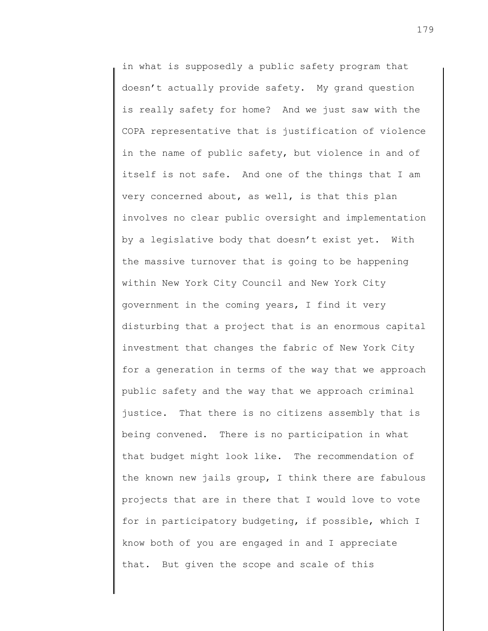in what is supposedly a public safety program that doesn't actually provide safety. My grand question is really safety for home? And we just saw with the COPA representative that is justification of violence in the name of public safety, but violence in and of itself is not safe. And one of the things that I am very concerned about, as well, is that this plan involves no clear public oversight and implementation by a legislative body that doesn't exist yet. With the massive turnover that is going to be happening within New York City Council and New York City government in the coming years, I find it very disturbing that a project that is an enormous capital investment that changes the fabric of New York City for a generation in terms of the way that we approach public safety and the way that we approach criminal justice. That there is no citizens assembly that is being convened. There is no participation in what that budget might look like. The recommendation of the known new jails group, I think there are fabulous projects that are in there that I would love to vote for in participatory budgeting, if possible, which I know both of you are engaged in and I appreciate that. But given the scope and scale of this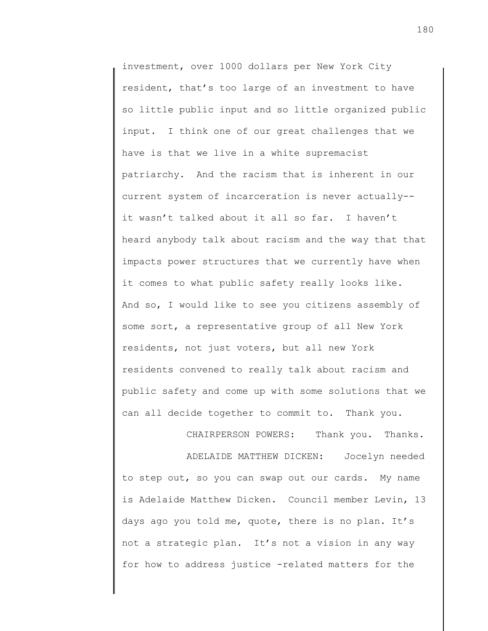investment, over 1000 dollars per New York City resident, that's too large of an investment to have so little public input and so little organized public input. I think one of our great challenges that we have is that we live in a white supremacist patriarchy. And the racism that is inherent in our current system of incarceration is never actually- it wasn't talked about it all so far. I haven't heard anybody talk about racism and the way that that impacts power structures that we currently have when it comes to what public safety really looks like. And so, I would like to see you citizens assembly of some sort, a representative group of all New York residents, not just voters, but all new York residents convened to really talk about racism and public safety and come up with some solutions that we can all decide together to commit to. Thank you.

ADELAIDE MATTHEW DICKEN: Jocelyn needed to step out, so you can swap out our cards. My name is Adelaide Matthew Dicken. Council member Levin, 13 days ago you told me, quote, there is no plan. It's not a strategic plan. It's not a vision in any way for how to address justice -related matters for the

CHAIRPERSON POWERS: Thank you. Thanks.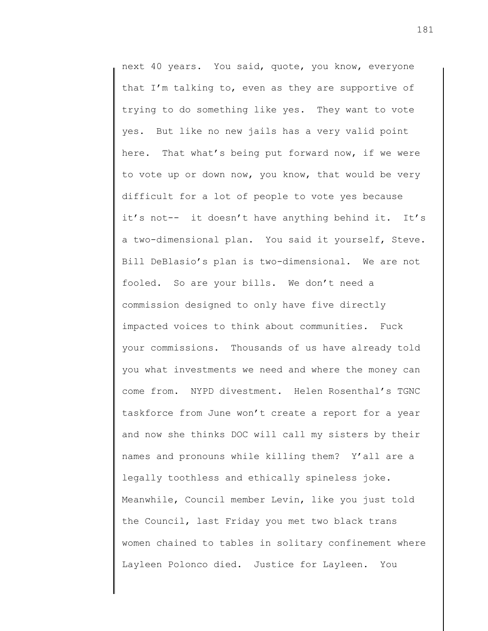next 40 years. You said, quote, you know, everyone that I'm talking to, even as they are supportive of trying to do something like yes. They want to vote yes. But like no new jails has a very valid point here. That what's being put forward now, if we were to vote up or down now, you know, that would be very difficult for a lot of people to vote yes because it's not-- it doesn't have anything behind it. It's a two-dimensional plan. You said it yourself, Steve. Bill DeBlasio's plan is two-dimensional. We are not fooled. So are your bills. We don't need a commission designed to only have five directly impacted voices to think about communities. Fuck your commissions. Thousands of us have already told you what investments we need and where the money can come from. NYPD divestment. Helen Rosenthal's TGNC taskforce from June won't create a report for a year and now she thinks DOC will call my sisters by their names and pronouns while killing them? Y'all are a legally toothless and ethically spineless joke. Meanwhile, Council member Levin, like you just told the Council, last Friday you met two black trans women chained to tables in solitary confinement where Layleen Polonco died. Justice for Layleen. You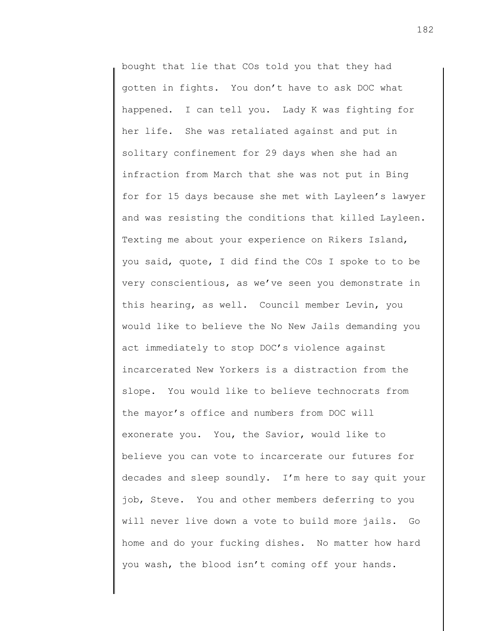bought that lie that COs told you that they had gotten in fights. You don't have to ask DOC what happened. I can tell you. Lady K was fighting for her life. She was retaliated against and put in solitary confinement for 29 days when she had an infraction from March that she was not put in Bing for for 15 days because she met with Layleen's lawyer and was resisting the conditions that killed Layleen. Texting me about your experience on Rikers Island, you said, quote, I did find the COs I spoke to to be very conscientious, as we've seen you demonstrate in this hearing, as well. Council member Levin, you would like to believe the No New Jails demanding you act immediately to stop DOC's violence against incarcerated New Yorkers is a distraction from the slope. You would like to believe technocrats from the mayor's office and numbers from DOC will exonerate you. You, the Savior, would like to believe you can vote to incarcerate our futures for decades and sleep soundly. I'm here to say quit your job, Steve. You and other members deferring to you will never live down a vote to build more jails. Go home and do your fucking dishes. No matter how hard you wash, the blood isn't coming off your hands.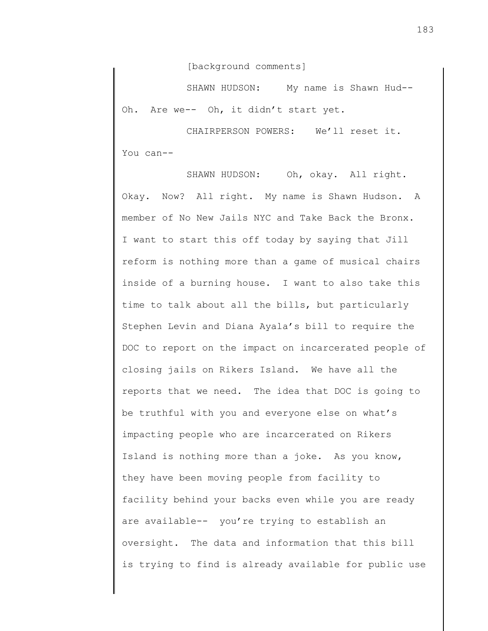[background comments]

SHAWN HUDSON: My name is Shawn Hud-- Oh. Are we-- Oh, it didn't start yet.

CHAIRPERSON POWERS: We'll reset it. You can--

SHAWN HUDSON: Oh, okay. All right. Okay. Now? All right. My name is Shawn Hudson. A member of No New Jails NYC and Take Back the Bronx. I want to start this off today by saying that Jill reform is nothing more than a game of musical chairs inside of a burning house. I want to also take this time to talk about all the bills, but particularly Stephen Levin and Diana Ayala's bill to require the DOC to report on the impact on incarcerated people of closing jails on Rikers Island. We have all the reports that we need. The idea that DOC is going to be truthful with you and everyone else on what's impacting people who are incarcerated on Rikers Island is nothing more than a joke. As you know, they have been moving people from facility to facility behind your backs even while you are ready are available-- you're trying to establish an oversight. The data and information that this bill is trying to find is already available for public use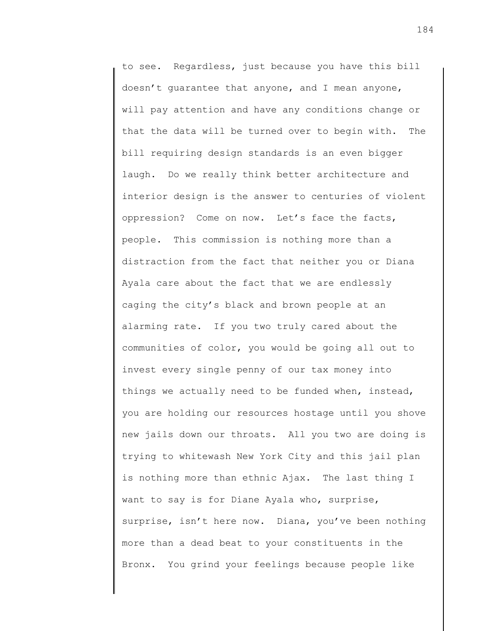to see. Regardless, just because you have this bill doesn't guarantee that anyone, and I mean anyone, will pay attention and have any conditions change or that the data will be turned over to begin with. The bill requiring design standards is an even bigger laugh. Do we really think better architecture and interior design is the answer to centuries of violent oppression? Come on now. Let's face the facts, people. This commission is nothing more than a distraction from the fact that neither you or Diana Ayala care about the fact that we are endlessly caging the city's black and brown people at an alarming rate. If you two truly cared about the communities of color, you would be going all out to invest every single penny of our tax money into things we actually need to be funded when, instead, you are holding our resources hostage until you shove new jails down our throats. All you two are doing is trying to whitewash New York City and this jail plan is nothing more than ethnic Ajax. The last thing I want to say is for Diane Ayala who, surprise, surprise, isn't here now. Diana, you've been nothing more than a dead beat to your constituents in the Bronx. You grind your feelings because people like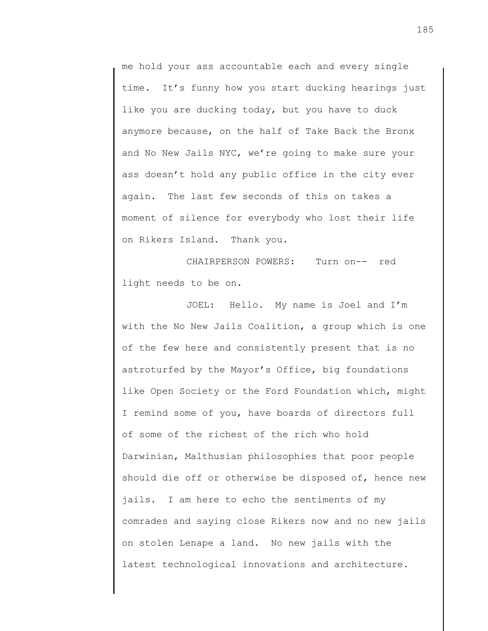me hold your ass accountable each and every single time. It's funny how you start ducking hearings just like you are ducking today, but you have to duck anymore because, on the half of Take Back the Bronx and No New Jails NYC, we're going to make sure your ass doesn't hold any public office in the city ever again. The last few seconds of this on takes a moment of silence for everybody who lost their life on Rikers Island. Thank you.

CHAIRPERSON POWERS: Turn on-- red light needs to be on.

JOEL: Hello. My name is Joel and I'm with the No New Jails Coalition, a group which is one of the few here and consistently present that is no astroturfed by the Mayor's Office, big foundations like Open Society or the Ford Foundation which, might I remind some of you, have boards of directors full of some of the richest of the rich who hold Darwinian, Malthusian philosophies that poor people should die off or otherwise be disposed of, hence new jails. I am here to echo the sentiments of my comrades and saying close Rikers now and no new jails on stolen Lenape a land. No new jails with the latest technological innovations and architecture.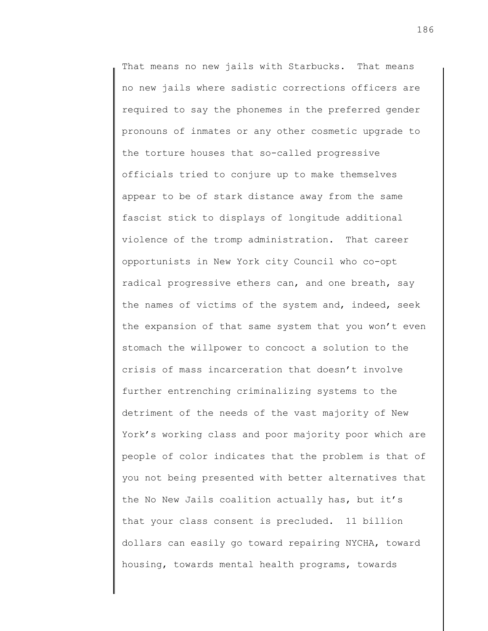That means no new jails with Starbucks. That means no new jails where sadistic corrections officers are required to say the phonemes in the preferred gender pronouns of inmates or any other cosmetic upgrade to the torture houses that so-called progressive officials tried to conjure up to make themselves appear to be of stark distance away from the same fascist stick to displays of longitude additional violence of the tromp administration. That career opportunists in New York city Council who co-opt radical progressive ethers can, and one breath, say the names of victims of the system and, indeed, seek the expansion of that same system that you won't even stomach the willpower to concoct a solution to the crisis of mass incarceration that doesn't involve further entrenching criminalizing systems to the detriment of the needs of the vast majority of New York's working class and poor majority poor which are people of color indicates that the problem is that of you not being presented with better alternatives that the No New Jails coalition actually has, but it's that your class consent is precluded. 11 billion dollars can easily go toward repairing NYCHA, toward housing, towards mental health programs, towards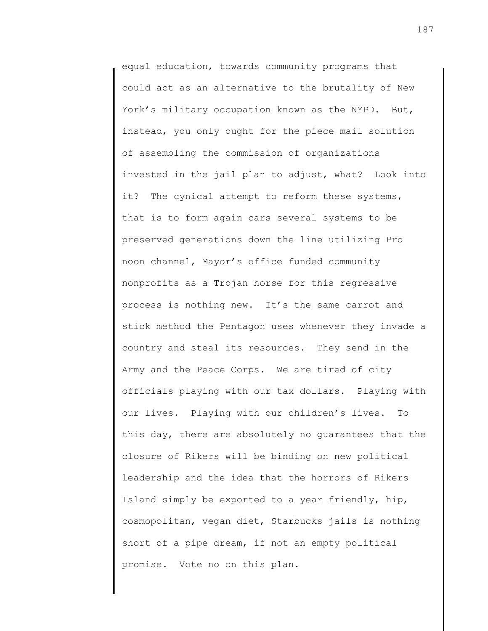equal education, towards community programs that could act as an alternative to the brutality of New York's military occupation known as the NYPD. But, instead, you only ought for the piece mail solution of assembling the commission of organizations invested in the jail plan to adjust, what? Look into it? The cynical attempt to reform these systems, that is to form again cars several systems to be preserved generations down the line utilizing Pro noon channel, Mayor's office funded community nonprofits as a Trojan horse for this regressive process is nothing new. It's the same carrot and stick method the Pentagon uses whenever they invade a country and steal its resources. They send in the Army and the Peace Corps. We are tired of city officials playing with our tax dollars. Playing with our lives. Playing with our children's lives. To this day, there are absolutely no guarantees that the closure of Rikers will be binding on new political leadership and the idea that the horrors of Rikers Island simply be exported to a year friendly, hip, cosmopolitan, vegan diet, Starbucks jails is nothing short of a pipe dream, if not an empty political promise. Vote no on this plan.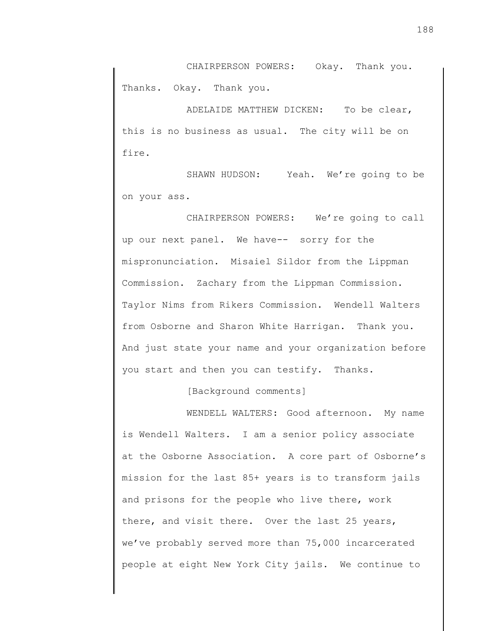CHAIRPERSON POWERS: Okay. Thank you. Thanks. Okay. Thank you.

ADELAIDE MATTHEW DICKEN: To be clear, this is no business as usual. The city will be on fire.

SHAWN HUDSON: Yeah. We're going to be on your ass.

CHAIRPERSON POWERS: We're going to call up our next panel. We have-- sorry for the mispronunciation. Misaiel Sildor from the Lippman Commission. Zachary from the Lippman Commission. Taylor Nims from Rikers Commission. Wendell Walters from Osborne and Sharon White Harrigan. Thank you. And just state your name and your organization before you start and then you can testify. Thanks.

[Background comments]

WENDELL WALTERS: Good afternoon. My name is Wendell Walters. I am a senior policy associate at the Osborne Association. A core part of Osborne's mission for the last 85+ years is to transform jails and prisons for the people who live there, work there, and visit there. Over the last 25 years, we've probably served more than 75,000 incarcerated people at eight New York City jails. We continue to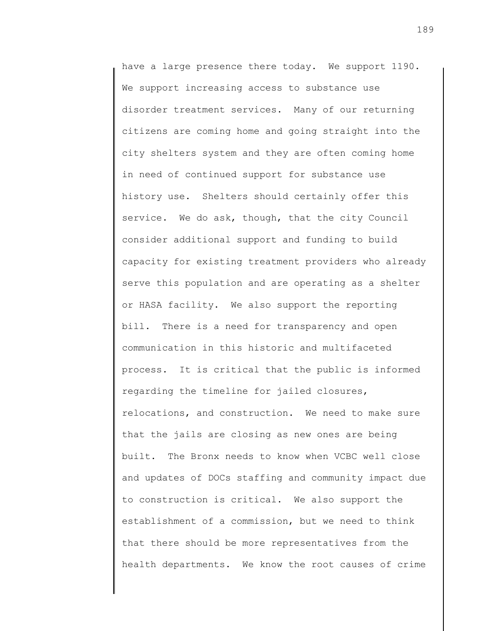have a large presence there today. We support 1190. We support increasing access to substance use disorder treatment services. Many of our returning citizens are coming home and going straight into the city shelters system and they are often coming home in need of continued support for substance use history use. Shelters should certainly offer this service. We do ask, though, that the city Council consider additional support and funding to build capacity for existing treatment providers who already serve this population and are operating as a shelter or HASA facility. We also support the reporting bill. There is a need for transparency and open communication in this historic and multifaceted process. It is critical that the public is informed regarding the timeline for jailed closures, relocations, and construction. We need to make sure that the jails are closing as new ones are being built. The Bronx needs to know when VCBC well close and updates of DOCs staffing and community impact due to construction is critical. We also support the establishment of a commission, but we need to think that there should be more representatives from the health departments. We know the root causes of crime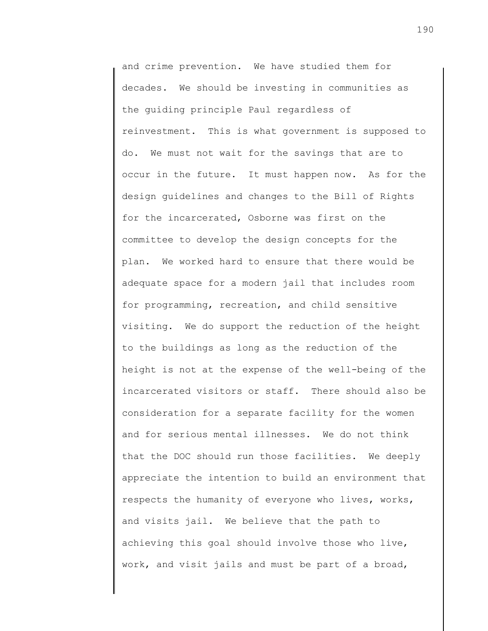and crime prevention. We have studied them for decades. We should be investing in communities as the guiding principle Paul regardless of reinvestment. This is what government is supposed to do. We must not wait for the savings that are to occur in the future. It must happen now. As for the design guidelines and changes to the Bill of Rights for the incarcerated, Osborne was first on the committee to develop the design concepts for the plan. We worked hard to ensure that there would be adequate space for a modern jail that includes room for programming, recreation, and child sensitive visiting. We do support the reduction of the height to the buildings as long as the reduction of the height is not at the expense of the well-being of the incarcerated visitors or staff. There should also be consideration for a separate facility for the women and for serious mental illnesses. We do not think that the DOC should run those facilities. We deeply appreciate the intention to build an environment that respects the humanity of everyone who lives, works, and visits jail. We believe that the path to achieving this goal should involve those who live, work, and visit jails and must be part of a broad,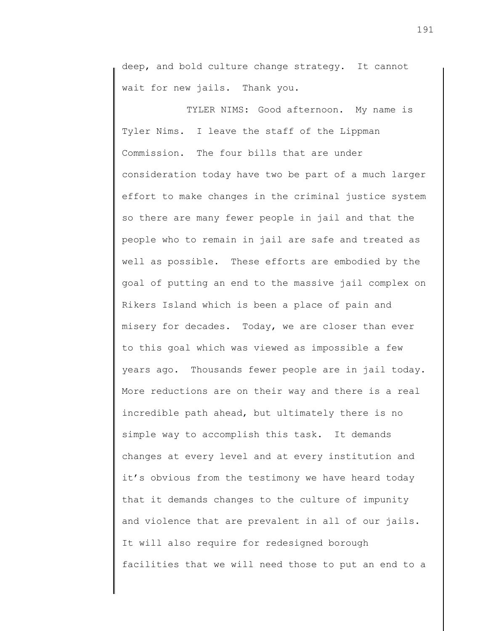deep, and bold culture change strategy. It cannot wait for new jails. Thank you.

TYLER NIMS: Good afternoon. My name is Tyler Nims. I leave the staff of the Lippman Commission. The four bills that are under consideration today have two be part of a much larger effort to make changes in the criminal justice system so there are many fewer people in jail and that the people who to remain in jail are safe and treated as well as possible. These efforts are embodied by the goal of putting an end to the massive jail complex on Rikers Island which is been a place of pain and misery for decades. Today, we are closer than ever to this goal which was viewed as impossible a few years ago. Thousands fewer people are in jail today. More reductions are on their way and there is a real incredible path ahead, but ultimately there is no simple way to accomplish this task. It demands changes at every level and at every institution and it's obvious from the testimony we have heard today that it demands changes to the culture of impunity and violence that are prevalent in all of our jails. It will also require for redesigned borough facilities that we will need those to put an end to a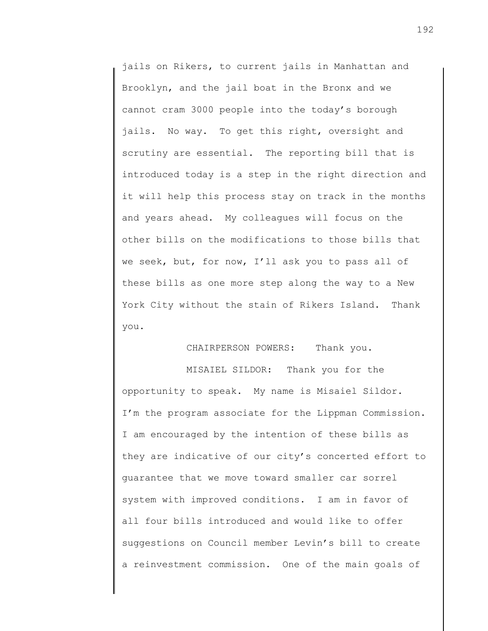jails on Rikers, to current jails in Manhattan and Brooklyn, and the jail boat in the Bronx and we cannot cram 3000 people into the today's borough jails. No way. To get this right, oversight and scrutiny are essential. The reporting bill that is introduced today is a step in the right direction and it will help this process stay on track in the months and years ahead. My colleagues will focus on the other bills on the modifications to those bills that we seek, but, for now, I'll ask you to pass all of these bills as one more step along the way to a New York City without the stain of Rikers Island. Thank you.

## CHAIRPERSON POWERS: Thank you.

MISAIEL SILDOR: Thank you for the opportunity to speak. My name is Misaiel Sildor. I'm the program associate for the Lippman Commission. I am encouraged by the intention of these bills as they are indicative of our city's concerted effort to guarantee that we move toward smaller car sorrel system with improved conditions. I am in favor of all four bills introduced and would like to offer suggestions on Council member Levin's bill to create a reinvestment commission. One of the main goals of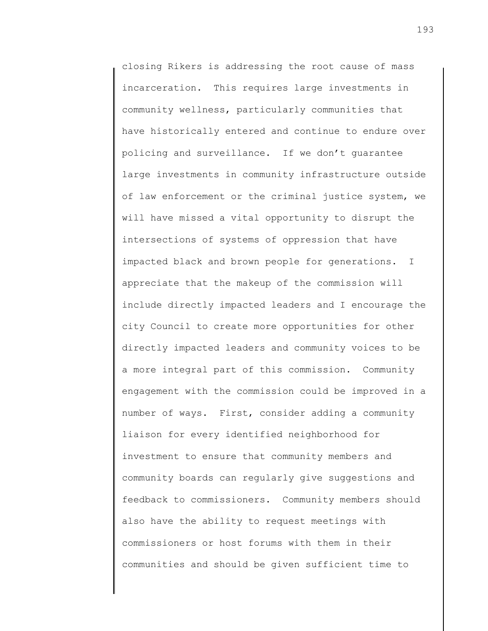closing Rikers is addressing the root cause of mass incarceration. This requires large investments in community wellness, particularly communities that have historically entered and continue to endure over policing and surveillance. If we don't guarantee large investments in community infrastructure outside of law enforcement or the criminal justice system, we will have missed a vital opportunity to disrupt the intersections of systems of oppression that have impacted black and brown people for generations. I appreciate that the makeup of the commission will include directly impacted leaders and I encourage the city Council to create more opportunities for other directly impacted leaders and community voices to be a more integral part of this commission. Community engagement with the commission could be improved in a number of ways. First, consider adding a community liaison for every identified neighborhood for investment to ensure that community members and community boards can regularly give suggestions and feedback to commissioners. Community members should also have the ability to request meetings with commissioners or host forums with them in their communities and should be given sufficient time to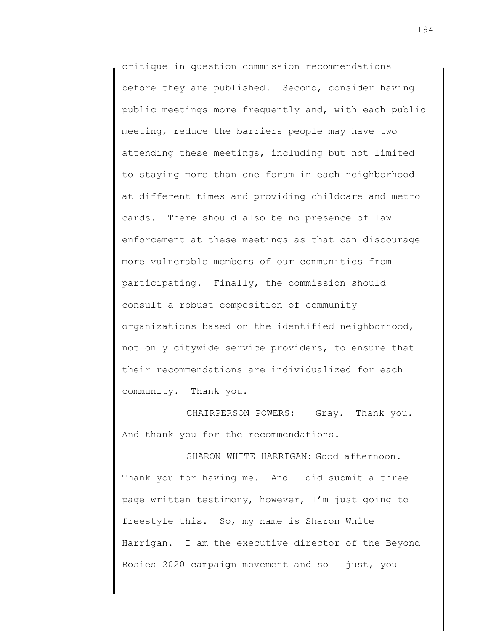critique in question commission recommendations before they are published. Second, consider having public meetings more frequently and, with each public meeting, reduce the barriers people may have two attending these meetings, including but not limited to staying more than one forum in each neighborhood at different times and providing childcare and metro cards. There should also be no presence of law enforcement at these meetings as that can discourage more vulnerable members of our communities from participating. Finally, the commission should consult a robust composition of community organizations based on the identified neighborhood, not only citywide service providers, to ensure that their recommendations are individualized for each community. Thank you.

CHAIRPERSON POWERS: Gray. Thank you. And thank you for the recommendations.

SHARON WHITE HARRIGAN: Good afternoon. Thank you for having me. And I did submit a three page written testimony, however, I'm just going to freestyle this. So, my name is Sharon White Harrigan. I am the executive director of the Beyond Rosies 2020 campaign movement and so I just, you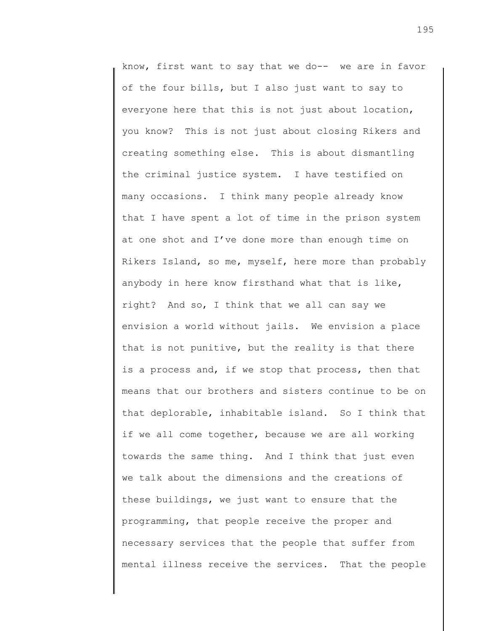know, first want to say that we do-- we are in favor of the four bills, but I also just want to say to everyone here that this is not just about location, you know? This is not just about closing Rikers and creating something else. This is about dismantling the criminal justice system. I have testified on many occasions. I think many people already know that I have spent a lot of time in the prison system at one shot and I've done more than enough time on Rikers Island, so me, myself, here more than probably anybody in here know firsthand what that is like, right? And so, I think that we all can say we envision a world without jails. We envision a place that is not punitive, but the reality is that there is a process and, if we stop that process, then that means that our brothers and sisters continue to be on that deplorable, inhabitable island. So I think that if we all come together, because we are all working towards the same thing. And I think that just even we talk about the dimensions and the creations of these buildings, we just want to ensure that the programming, that people receive the proper and necessary services that the people that suffer from mental illness receive the services. That the people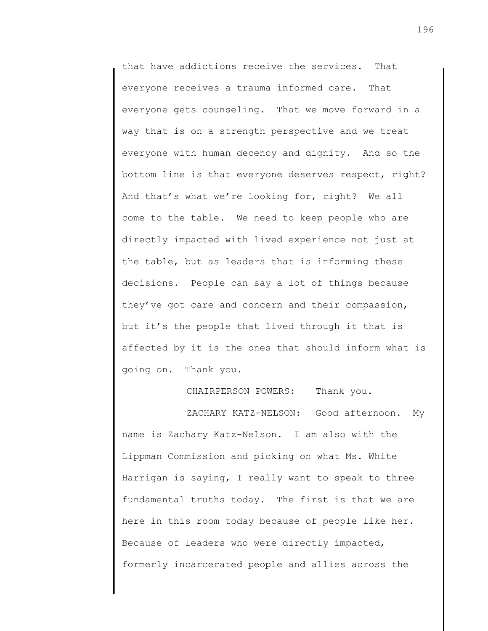that have addictions receive the services. That everyone receives a trauma informed care. That everyone gets counseling. That we move forward in a way that is on a strength perspective and we treat everyone with human decency and dignity. And so the bottom line is that everyone deserves respect, right? And that's what we're looking for, right? We all come to the table. We need to keep people who are directly impacted with lived experience not just at the table, but as leaders that is informing these decisions. People can say a lot of things because they've got care and concern and their compassion, but it's the people that lived through it that is affected by it is the ones that should inform what is going on. Thank you.

CHAIRPERSON POWERS: Thank you.

ZACHARY KATZ-NELSON: Good afternoon. My name is Zachary Katz-Nelson. I am also with the Lippman Commission and picking on what Ms. White Harrigan is saying, I really want to speak to three fundamental truths today. The first is that we are here in this room today because of people like her. Because of leaders who were directly impacted, formerly incarcerated people and allies across the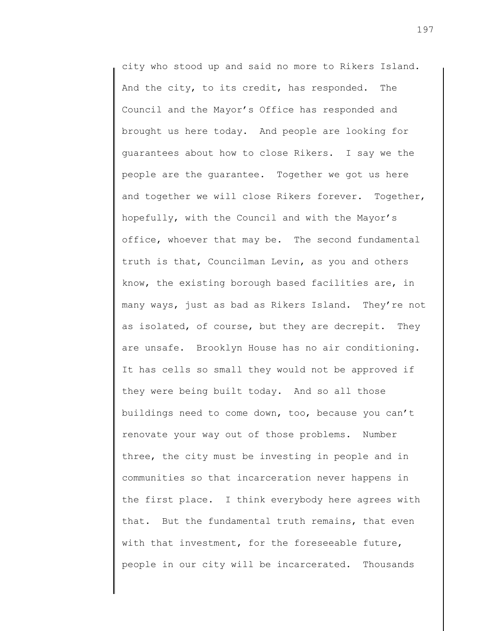city who stood up and said no more to Rikers Island. And the city, to its credit, has responded. The Council and the Mayor's Office has responded and brought us here today. And people are looking for guarantees about how to close Rikers. I say we the people are the guarantee. Together we got us here and together we will close Rikers forever. Together, hopefully, with the Council and with the Mayor's office, whoever that may be. The second fundamental truth is that, Councilman Levin, as you and others know, the existing borough based facilities are, in many ways, just as bad as Rikers Island. They're not as isolated, of course, but they are decrepit. They are unsafe. Brooklyn House has no air conditioning. It has cells so small they would not be approved if they were being built today. And so all those buildings need to come down, too, because you can't renovate your way out of those problems. Number three, the city must be investing in people and in communities so that incarceration never happens in the first place. I think everybody here agrees with that. But the fundamental truth remains, that even with that investment, for the foreseeable future, people in our city will be incarcerated. Thousands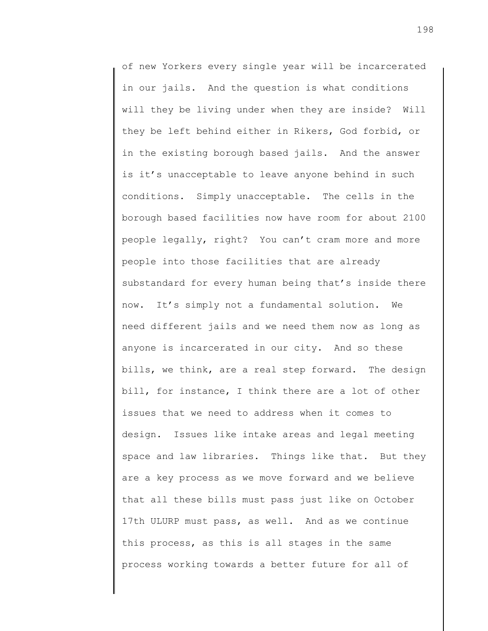of new Yorkers every single year will be incarcerated in our jails. And the question is what conditions will they be living under when they are inside? Will they be left behind either in Rikers, God forbid, or in the existing borough based jails. And the answer is it's unacceptable to leave anyone behind in such conditions. Simply unacceptable. The cells in the borough based facilities now have room for about 2100 people legally, right? You can't cram more and more people into those facilities that are already substandard for every human being that's inside there now. It's simply not a fundamental solution. We need different jails and we need them now as long as anyone is incarcerated in our city. And so these bills, we think, are a real step forward. The design bill, for instance, I think there are a lot of other issues that we need to address when it comes to design. Issues like intake areas and legal meeting space and law libraries. Things like that. But they are a key process as we move forward and we believe that all these bills must pass just like on October 17th ULURP must pass, as well. And as we continue this process, as this is all stages in the same process working towards a better future for all of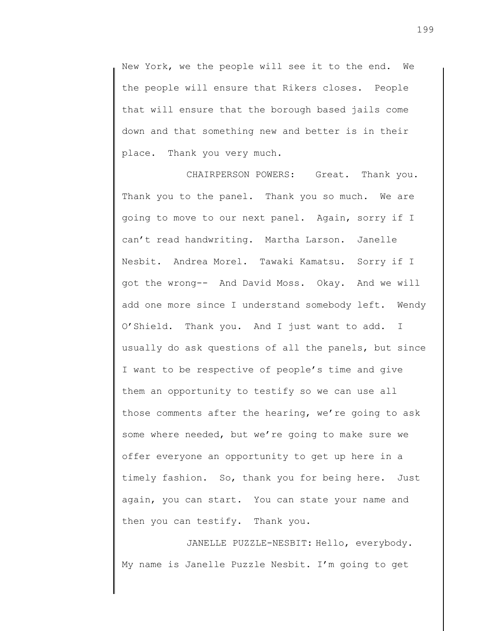New York, we the people will see it to the end. We the people will ensure that Rikers closes. People that will ensure that the borough based jails come down and that something new and better is in their place. Thank you very much.

CHAIRPERSON POWERS: Great. Thank you. Thank you to the panel. Thank you so much. We are going to move to our next panel. Again, sorry if I can't read handwriting. Martha Larson. Janelle Nesbit. Andrea Morel. Tawaki Kamatsu. Sorry if I got the wrong-- And David Moss. Okay. And we will add one more since I understand somebody left. Wendy O'Shield. Thank you. And I just want to add. I usually do ask questions of all the panels, but since I want to be respective of people's time and give them an opportunity to testify so we can use all those comments after the hearing, we're going to ask some where needed, but we're going to make sure we offer everyone an opportunity to get up here in a timely fashion. So, thank you for being here. Just again, you can start. You can state your name and then you can testify. Thank you.

JANELLE PUZZLE-NESBIT: Hello, everybody. My name is Janelle Puzzle Nesbit. I'm going to get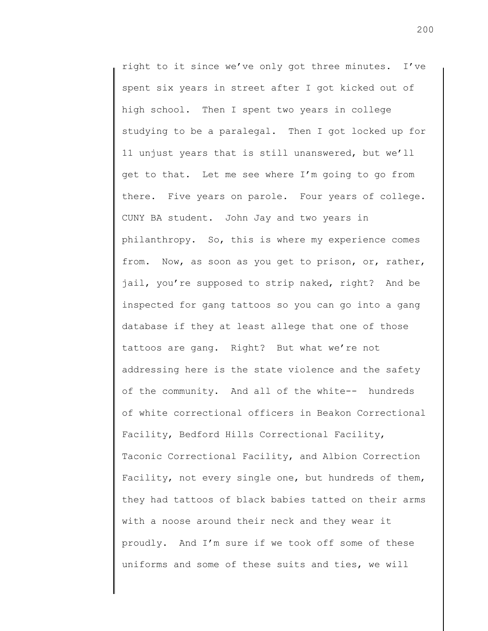right to it since we've only got three minutes. I've spent six years in street after I got kicked out of high school. Then I spent two years in college studying to be a paralegal. Then I got locked up for 11 unjust years that is still unanswered, but we'll get to that. Let me see where I'm going to go from there. Five years on parole. Four years of college. CUNY BA student. John Jay and two years in philanthropy. So, this is where my experience comes from. Now, as soon as you get to prison, or, rather, jail, you're supposed to strip naked, right? And be inspected for gang tattoos so you can go into a gang database if they at least allege that one of those tattoos are gang. Right? But what we're not addressing here is the state violence and the safety of the community. And all of the white-- hundreds of white correctional officers in Beakon Correctional Facility, Bedford Hills Correctional Facility, Taconic Correctional Facility, and Albion Correction Facility, not every single one, but hundreds of them, they had tattoos of black babies tatted on their arms with a noose around their neck and they wear it proudly. And I'm sure if we took off some of these uniforms and some of these suits and ties, we will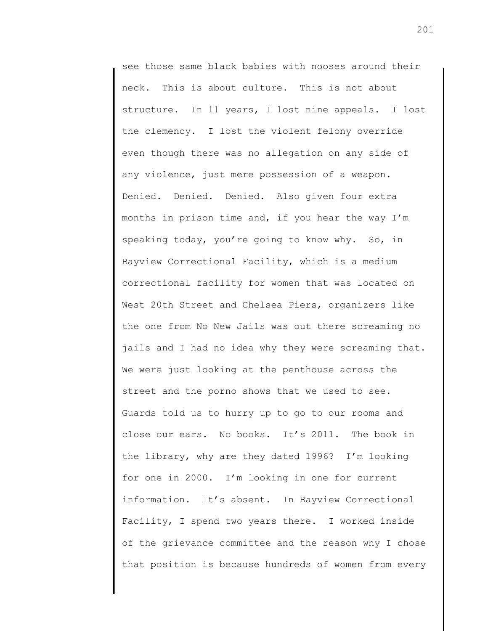see those same black babies with nooses around their neck. This is about culture. This is not about structure. In 11 years, I lost nine appeals. I lost the clemency. I lost the violent felony override even though there was no allegation on any side of any violence, just mere possession of a weapon. Denied. Denied. Denied. Also given four extra months in prison time and, if you hear the way I'm speaking today, you're going to know why. So, in Bayview Correctional Facility, which is a medium correctional facility for women that was located on West 20th Street and Chelsea Piers, organizers like the one from No New Jails was out there screaming no jails and I had no idea why they were screaming that. We were just looking at the penthouse across the street and the porno shows that we used to see. Guards told us to hurry up to go to our rooms and close our ears. No books. It's 2011. The book in the library, why are they dated 1996? I'm looking for one in 2000. I'm looking in one for current information. It's absent. In Bayview Correctional Facility, I spend two years there. I worked inside of the grievance committee and the reason why I chose that position is because hundreds of women from every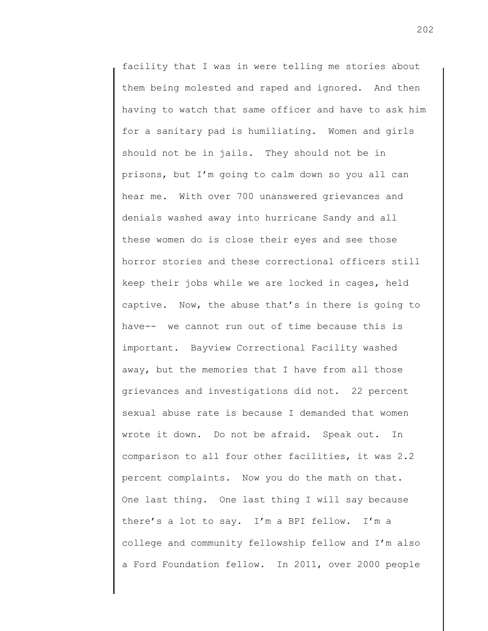facility that I was in were telling me stories about them being molested and raped and ignored. And then having to watch that same officer and have to ask him for a sanitary pad is humiliating. Women and girls should not be in jails. They should not be in prisons, but I'm going to calm down so you all can hear me. With over 700 unanswered grievances and denials washed away into hurricane Sandy and all these women do is close their eyes and see those horror stories and these correctional officers still keep their jobs while we are locked in cages, held captive. Now, the abuse that's in there is going to have-- we cannot run out of time because this is important. Bayview Correctional Facility washed away, but the memories that I have from all those grievances and investigations did not. 22 percent sexual abuse rate is because I demanded that women wrote it down. Do not be afraid. Speak out. In comparison to all four other facilities, it was 2.2 percent complaints. Now you do the math on that. One last thing. One last thing I will say because there's a lot to say. I'm a BPI fellow. I'm a college and community fellowship fellow and I'm also a Ford Foundation fellow. In 2011, over 2000 people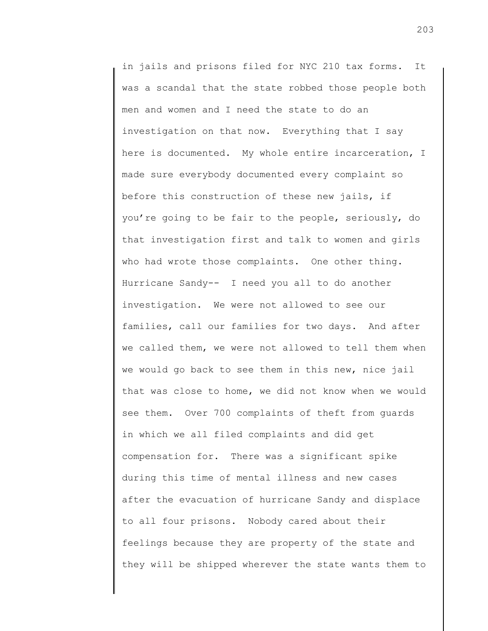in jails and prisons filed for NYC 210 tax forms. It was a scandal that the state robbed those people both men and women and I need the state to do an investigation on that now. Everything that I say here is documented. My whole entire incarceration, I made sure everybody documented every complaint so before this construction of these new jails, if you're going to be fair to the people, seriously, do that investigation first and talk to women and girls who had wrote those complaints. One other thing. Hurricane Sandy-- I need you all to do another investigation. We were not allowed to see our families, call our families for two days. And after we called them, we were not allowed to tell them when we would go back to see them in this new, nice jail that was close to home, we did not know when we would see them. Over 700 complaints of theft from guards in which we all filed complaints and did get compensation for. There was a significant spike during this time of mental illness and new cases after the evacuation of hurricane Sandy and displace to all four prisons. Nobody cared about their feelings because they are property of the state and they will be shipped wherever the state wants them to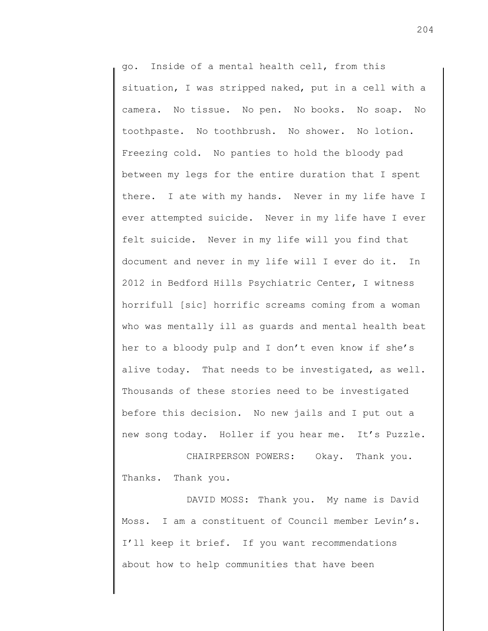go. Inside of a mental health cell, from this situation, I was stripped naked, put in a cell with a camera. No tissue. No pen. No books. No soap. No toothpaste. No toothbrush. No shower. No lotion. Freezing cold. No panties to hold the bloody pad between my legs for the entire duration that I spent there. I ate with my hands. Never in my life have I ever attempted suicide. Never in my life have I ever felt suicide. Never in my life will you find that document and never in my life will I ever do it. In 2012 in Bedford Hills Psychiatric Center, I witness horrifull [sic] horrific screams coming from a woman who was mentally ill as guards and mental health beat her to a bloody pulp and I don't even know if she's alive today. That needs to be investigated, as well. Thousands of these stories need to be investigated before this decision. No new jails and I put out a new song today. Holler if you hear me. It's Puzzle.

CHAIRPERSON POWERS: Okay. Thank you. Thanks. Thank you.

DAVID MOSS: Thank you. My name is David Moss. I am a constituent of Council member Levin's. I'll keep it brief. If you want recommendations about how to help communities that have been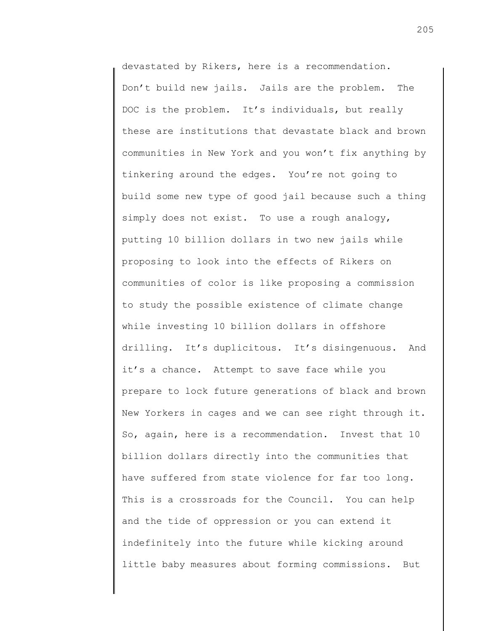devastated by Rikers, here is a recommendation. Don't build new jails. Jails are the problem. The DOC is the problem. It's individuals, but really these are institutions that devastate black and brown communities in New York and you won't fix anything by tinkering around the edges. You're not going to build some new type of good jail because such a thing simply does not exist. To use a rough analogy, putting 10 billion dollars in two new jails while proposing to look into the effects of Rikers on communities of color is like proposing a commission to study the possible existence of climate change while investing 10 billion dollars in offshore drilling. It's duplicitous. It's disingenuous. And it's a chance. Attempt to save face while you prepare to lock future generations of black and brown New Yorkers in cages and we can see right through it. So, again, here is a recommendation. Invest that 10 billion dollars directly into the communities that have suffered from state violence for far too long. This is a crossroads for the Council. You can help and the tide of oppression or you can extend it indefinitely into the future while kicking around little baby measures about forming commissions. But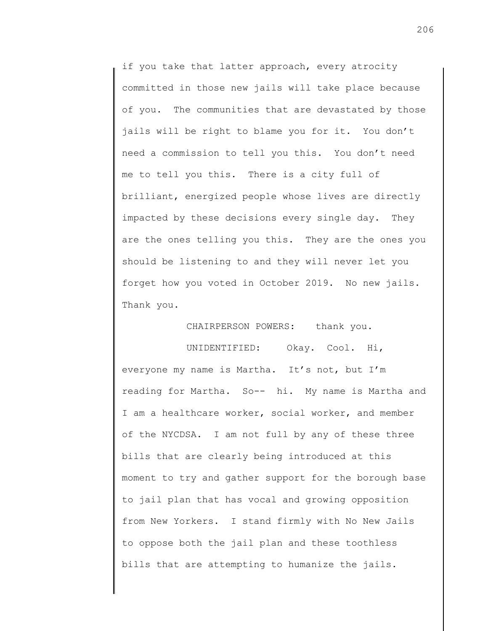if you take that latter approach, every atrocity committed in those new jails will take place because of you. The communities that are devastated by those jails will be right to blame you for it. You don't need a commission to tell you this. You don't need me to tell you this. There is a city full of brilliant, energized people whose lives are directly impacted by these decisions every single day. They are the ones telling you this. They are the ones you should be listening to and they will never let you forget how you voted in October 2019. No new jails. Thank you.

CHAIRPERSON POWERS: thank you.

UNIDENTIFIED: Okay. Cool. Hi, everyone my name is Martha. It's not, but I'm reading for Martha. So-- hi. My name is Martha and I am a healthcare worker, social worker, and member of the NYCDSA. I am not full by any of these three bills that are clearly being introduced at this moment to try and gather support for the borough base to jail plan that has vocal and growing opposition from New Yorkers. I stand firmly with No New Jails to oppose both the jail plan and these toothless bills that are attempting to humanize the jails.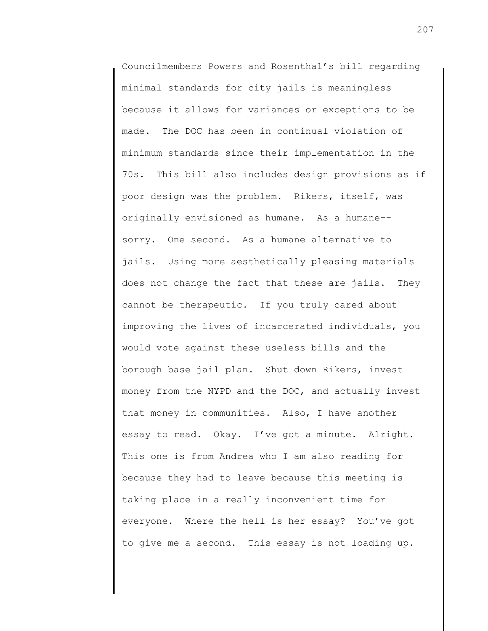Councilmembers Powers and Rosenthal's bill regarding minimal standards for city jails is meaningless because it allows for variances or exceptions to be made. The DOC has been in continual violation of minimum standards since their implementation in the 70s. This bill also includes design provisions as if poor design was the problem. Rikers, itself, was originally envisioned as humane. As a humane- sorry. One second. As a humane alternative to jails. Using more aesthetically pleasing materials does not change the fact that these are jails. They cannot be therapeutic. If you truly cared about improving the lives of incarcerated individuals, you would vote against these useless bills and the borough base jail plan. Shut down Rikers, invest money from the NYPD and the DOC, and actually invest that money in communities. Also, I have another essay to read. Okay. I've got a minute. Alright. This one is from Andrea who I am also reading for because they had to leave because this meeting is taking place in a really inconvenient time for everyone. Where the hell is her essay? You've got to give me a second. This essay is not loading up.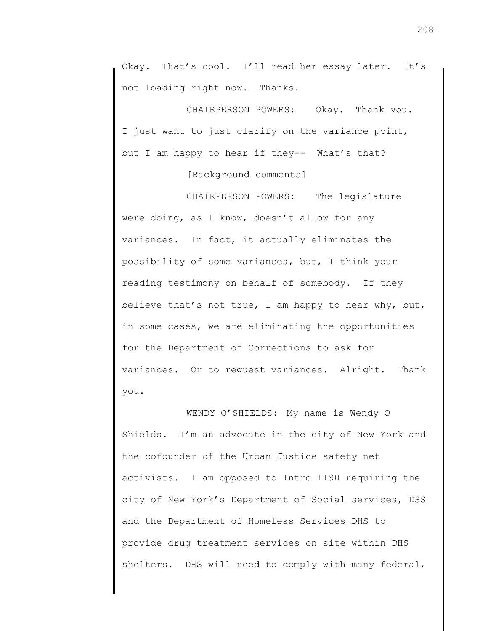Okay. That's cool. I'll read her essay later. It's not loading right now. Thanks.

CHAIRPERSON POWERS: Okay. Thank you. I just want to just clarify on the variance point, but I am happy to hear if they-- What's that?

[Background comments]

CHAIRPERSON POWERS: The legislature were doing, as I know, doesn't allow for any variances. In fact, it actually eliminates the possibility of some variances, but, I think your reading testimony on behalf of somebody. If they believe that's not true, I am happy to hear why, but, in some cases, we are eliminating the opportunities for the Department of Corrections to ask for variances. Or to request variances. Alright. Thank you.

WENDY O'SHIELDS: My name is Wendy O Shields. I'm an advocate in the city of New York and the cofounder of the Urban Justice safety net activists. I am opposed to Intro 1190 requiring the city of New York's Department of Social services, DSS and the Department of Homeless Services DHS to provide drug treatment services on site within DHS shelters. DHS will need to comply with many federal,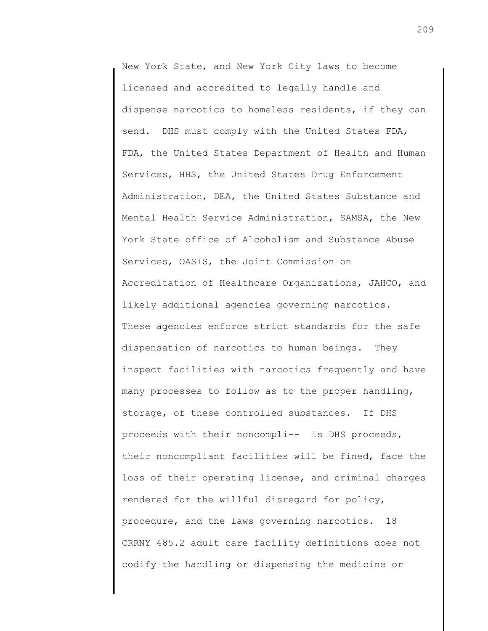New York State, and New York City laws to become licensed and accredited to legally handle and dispense narcotics to homeless residents, if they can send. DHS must comply with the United States FDA, FDA, the United States Department of Health and Human Services, HHS, the United States Drug Enforcement Administration, DEA, the United States Substance and Mental Health Service Administration, SAMSA, the New York State office of Alcoholism and Substance Abuse Services, OASIS, the Joint Commission on Accreditation of Healthcare Organizations, JAHCO, and likely additional agencies governing narcotics. These agencies enforce strict standards for the safe dispensation of narcotics to human beings. They inspect facilities with narcotics frequently and have many processes to follow as to the proper handling, storage, of these controlled substances. If DHS proceeds with their noncompli-- is DHS proceeds, their noncompliant facilities will be fined, face the loss of their operating license, and criminal charges rendered for the willful disregard for policy, procedure, and the laws governing narcotics. 18 CRRNY 485.2 adult care facility definitions does not codify the handling or dispensing the medicine or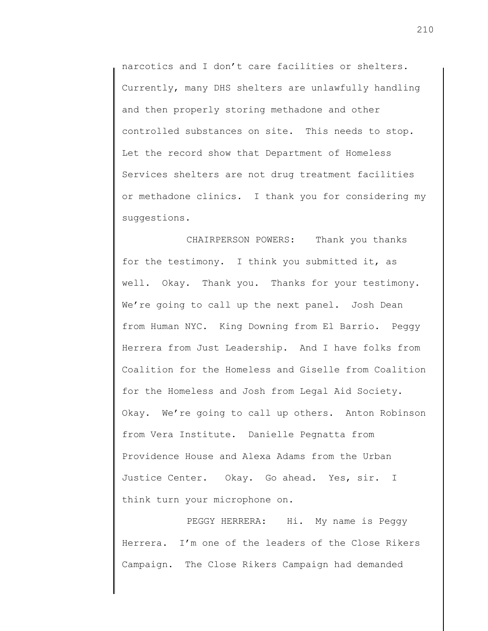narcotics and I don't care facilities or shelters. Currently, many DHS shelters are unlawfully handling and then properly storing methadone and other controlled substances on site. This needs to stop. Let the record show that Department of Homeless Services shelters are not drug treatment facilities or methadone clinics. I thank you for considering my suggestions.

CHAIRPERSON POWERS: Thank you thanks for the testimony. I think you submitted it, as well. Okay. Thank you. Thanks for your testimony. We're going to call up the next panel. Josh Dean from Human NYC. King Downing from El Barrio. Peggy Herrera from Just Leadership. And I have folks from Coalition for the Homeless and Giselle from Coalition for the Homeless and Josh from Legal Aid Society. Okay. We're going to call up others. Anton Robinson from Vera Institute. Danielle Pegnatta from Providence House and Alexa Adams from the Urban Justice Center. Okay. Go ahead. Yes, sir. I think turn your microphone on.

PEGGY HERRERA: Hi. My name is Peggy Herrera. I'm one of the leaders of the Close Rikers Campaign. The Close Rikers Campaign had demanded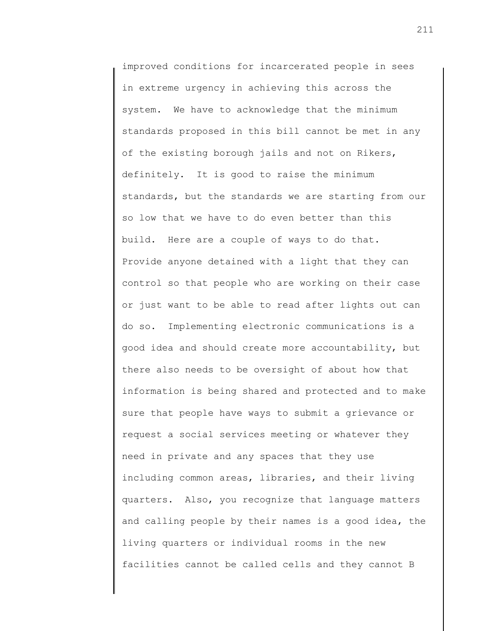improved conditions for incarcerated people in sees in extreme urgency in achieving this across the system. We have to acknowledge that the minimum standards proposed in this bill cannot be met in any of the existing borough jails and not on Rikers, definitely. It is good to raise the minimum standards, but the standards we are starting from our low that we have to do even better than this build. Here are a couple of ways to do that. Provide anyone detained with a light that they can control so that people who are working on their case or just want to be able to read after lights out can do so. Implementing electronic communications is a good idea and should create more accountability, but there also needs to be oversight of about how that information is being shared and protected and to make sure that people have ways to submit a grievance or request a social services meeting or whatever they need in private and any spaces that they use including common areas, libraries, and their living quarters. Also, you recognize that language matters and calling people by their names is a good idea, the living quarters or individual rooms in the new facilities cannot be called cells and they cannot B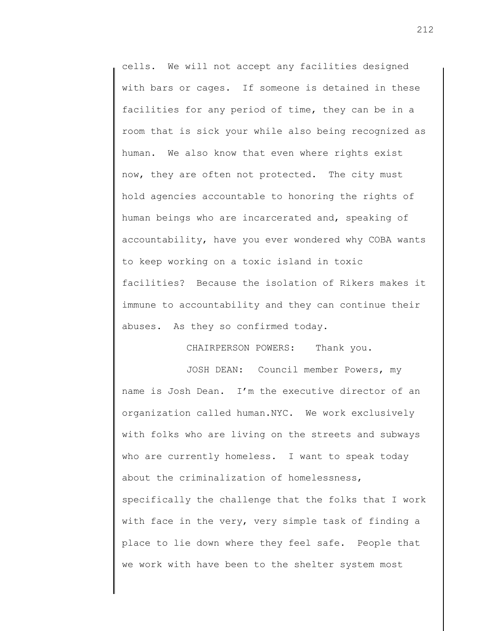cells. We will not accept any facilities designed with bars or cages. If someone is detained in these facilities for any period of time, they can be in a room that is sick your while also being recognized as human. We also know that even where rights exist now, they are often not protected. The city must hold agencies accountable to honoring the rights of human beings who are incarcerated and, speaking of accountability, have you ever wondered why COBA wants to keep working on a toxic island in toxic facilities? Because the isolation of Rikers makes it immune to accountability and they can continue their abuses. As they so confirmed today.

CHAIRPERSON POWERS: Thank you.

JOSH DEAN: Council member Powers, my name is Josh Dean. I'm the executive director of an organization called human.NYC. We work exclusively with folks who are living on the streets and subways who are currently homeless. I want to speak today about the criminalization of homelessness, specifically the challenge that the folks that I work with face in the very, very simple task of finding a place to lie down where they feel safe. People that we work with have been to the shelter system most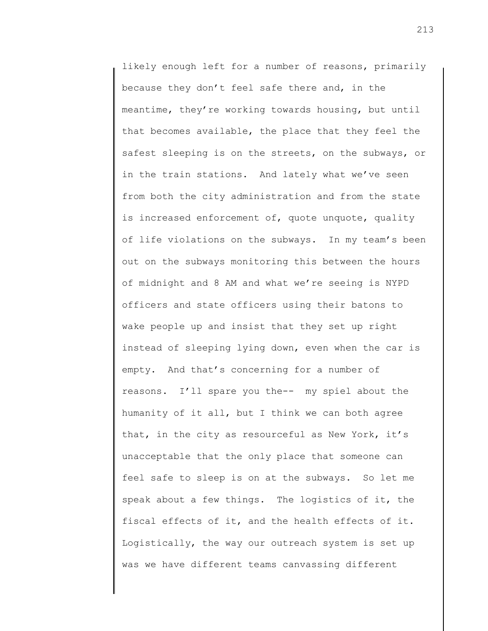likely enough left for a number of reasons, primarily because they don't feel safe there and, in the meantime, they're working towards housing, but until that becomes available, the place that they feel the safest sleeping is on the streets, on the subways, or in the train stations. And lately what we've seen from both the city administration and from the state is increased enforcement of, quote unquote, quality of life violations on the subways. In my team's been out on the subways monitoring this between the hours of midnight and 8 AM and what we're seeing is NYPD officers and state officers using their batons to wake people up and insist that they set up right instead of sleeping lying down, even when the car is empty. And that's concerning for a number of reasons. I'll spare you the-- my spiel about the humanity of it all, but I think we can both agree that, in the city as resourceful as New York, it's unacceptable that the only place that someone can feel safe to sleep is on at the subways. So let me speak about a few things. The logistics of it, the fiscal effects of it, and the health effects of it. Logistically, the way our outreach system is set up was we have different teams canvassing different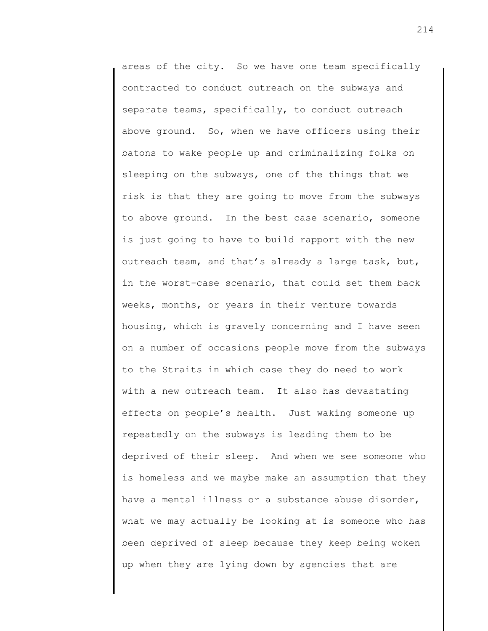areas of the city. So we have one team specifically contracted to conduct outreach on the subways and separate teams, specifically, to conduct outreach above ground. So, when we have officers using their batons to wake people up and criminalizing folks on sleeping on the subways, one of the things that we risk is that they are going to move from the subways to above ground. In the best case scenario, someone is just going to have to build rapport with the new outreach team, and that's already a large task, but, in the worst-case scenario, that could set them back weeks, months, or years in their venture towards housing, which is gravely concerning and I have seen on a number of occasions people move from the subways to the Straits in which case they do need to work with a new outreach team. It also has devastating effects on people's health. Just waking someone up repeatedly on the subways is leading them to be deprived of their sleep. And when we see someone who is homeless and we maybe make an assumption that they have a mental illness or a substance abuse disorder, what we may actually be looking at is someone who has been deprived of sleep because they keep being woken up when they are lying down by agencies that are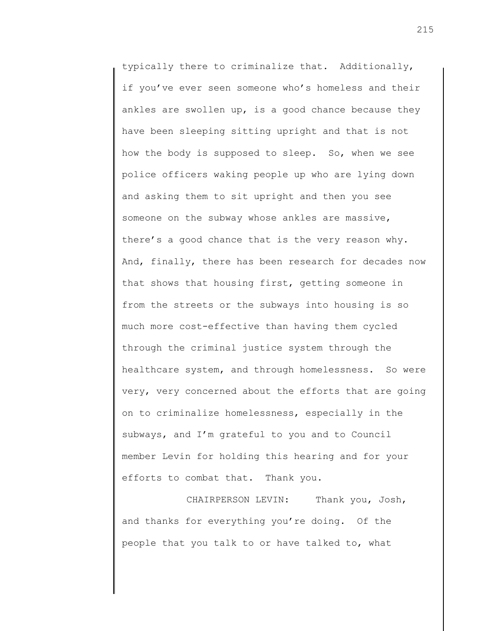typically there to criminalize that. Additionally, if you've ever seen someone who's homeless and their ankles are swollen up, is a good chance because they have been sleeping sitting upright and that is not how the body is supposed to sleep. So, when we see police officers waking people up who are lying down and asking them to sit upright and then you see someone on the subway whose ankles are massive, there's a good chance that is the very reason why. And, finally, there has been research for decades now that shows that housing first, getting someone in from the streets or the subways into housing is so much more cost-effective than having them cycled through the criminal justice system through the healthcare system, and through homelessness. So were very, very concerned about the efforts that are going on to criminalize homelessness, especially in the subways, and I'm grateful to you and to Council member Levin for holding this hearing and for your efforts to combat that. Thank you.

CHAIRPERSON LEVIN: Thank you, Josh, and thanks for everything you're doing. Of the people that you talk to or have talked to, what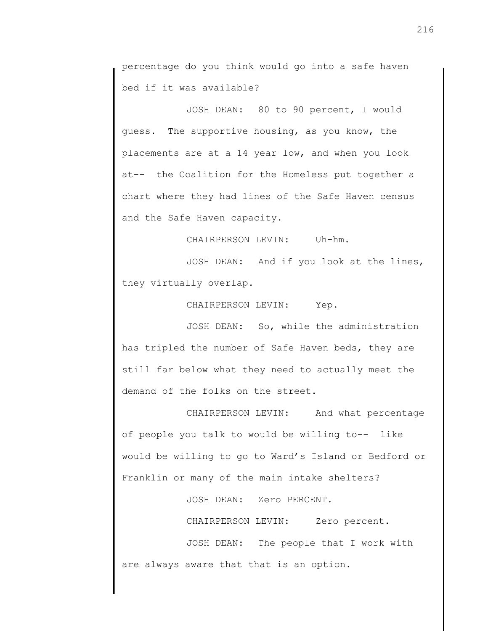percentage do you think would go into a safe haven bed if it was available?

JOSH DEAN: 80 to 90 percent, I would guess. The supportive housing, as you know, the placements are at a 14 year low, and when you look at-- the Coalition for the Homeless put together a chart where they had lines of the Safe Haven census and the Safe Haven capacity.

CHAIRPERSON LEVIN: Uh-hm.

JOSH DEAN: And if you look at the lines, they virtually overlap.

CHAIRPERSON LEVIN: Yep.

JOSH DEAN: So, while the administration has tripled the number of Safe Haven beds, they are still far below what they need to actually meet the demand of the folks on the street.

CHAIRPERSON LEVIN: And what percentage of people you talk to would be willing to-- like would be willing to go to Ward's Island or Bedford or Franklin or many of the main intake shelters?

JOSH DEAN: Zero PERCENT.

CHAIRPERSON LEVIN: Zero percent.

JOSH DEAN: The people that I work with are always aware that that is an option.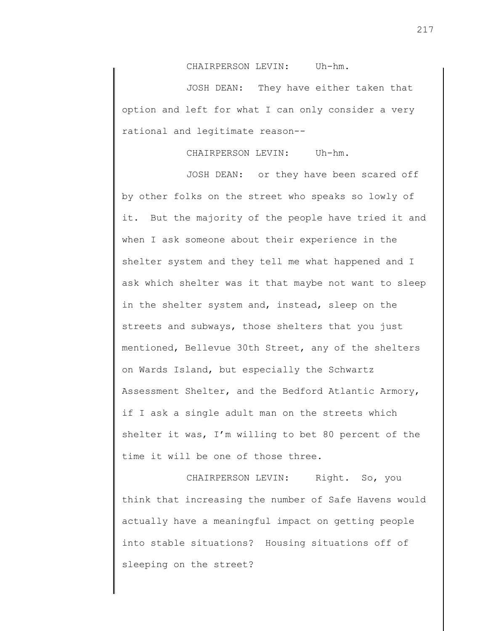CHAIRPERSON LEVIN: Uh-hm.

JOSH DEAN: They have either taken that option and left for what I can only consider a very rational and legitimate reason--

CHAIRPERSON LEVIN: Uh-hm.

JOSH DEAN: or they have been scared off by other folks on the street who speaks so lowly of it. But the majority of the people have tried it and when I ask someone about their experience in the shelter system and they tell me what happened and I ask which shelter was it that maybe not want to sleep in the shelter system and, instead, sleep on the streets and subways, those shelters that you just mentioned, Bellevue 30th Street, any of the shelters on Wards Island, but especially the Schwartz Assessment Shelter, and the Bedford Atlantic Armory, if I ask a single adult man on the streets which shelter it was, I'm willing to bet 80 percent of the time it will be one of those three.

CHAIRPERSON LEVIN: Right. So, you think that increasing the number of Safe Havens would actually have a meaningful impact on getting people into stable situations? Housing situations off of sleeping on the street?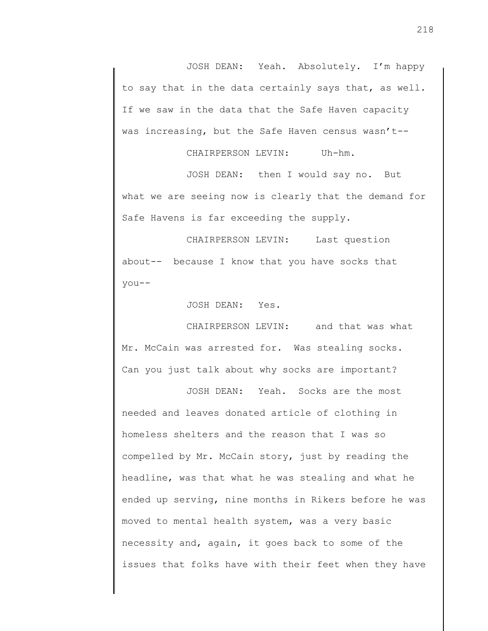JOSH DEAN: Yeah. Absolutely. I'm happy to say that in the data certainly says that, as well. If we saw in the data that the Safe Haven capacity was increasing, but the Safe Haven census wasn't--

CHAIRPERSON LEVIN: Uh-hm.

JOSH DEAN: then I would say no. But what we are seeing now is clearly that the demand for Safe Havens is far exceeding the supply.

CHAIRPERSON LEVIN: Last question about-- because I know that you have socks that you--

JOSH DEAN: Yes.

CHAIRPERSON LEVIN: and that was what Mr. McCain was arrested for. Was stealing socks. Can you just talk about why socks are important?

JOSH DEAN: Yeah. Socks are the most needed and leaves donated article of clothing in homeless shelters and the reason that I was so compelled by Mr. McCain story, just by reading the headline, was that what he was stealing and what he ended up serving, nine months in Rikers before he was moved to mental health system, was a very basic necessity and, again, it goes back to some of the issues that folks have with their feet when they have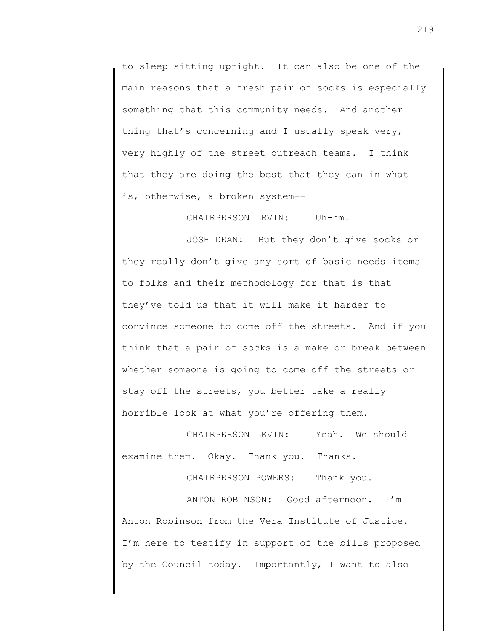to sleep sitting upright. It can also be one of the main reasons that a fresh pair of socks is especially something that this community needs. And another thing that's concerning and I usually speak very, very highly of the street outreach teams. I think that they are doing the best that they can in what is, otherwise, a broken system--

CHAIRPERSON LEVIN: Uh-hm.

JOSH DEAN: But they don't give socks or they really don't give any sort of basic needs items to folks and their methodology for that is that they've told us that it will make it harder to convince someone to come off the streets. And if you think that a pair of socks is a make or break between whether someone is going to come off the streets or stay off the streets, you better take a really horrible look at what you're offering them.

CHAIRPERSON LEVIN: Yeah. We should examine them. Okay. Thank you. Thanks.

CHAIRPERSON POWERS: Thank you.

ANTON ROBINSON: Good afternoon. I'm Anton Robinson from the Vera Institute of Justice. I'm here to testify in support of the bills proposed by the Council today. Importantly, I want to also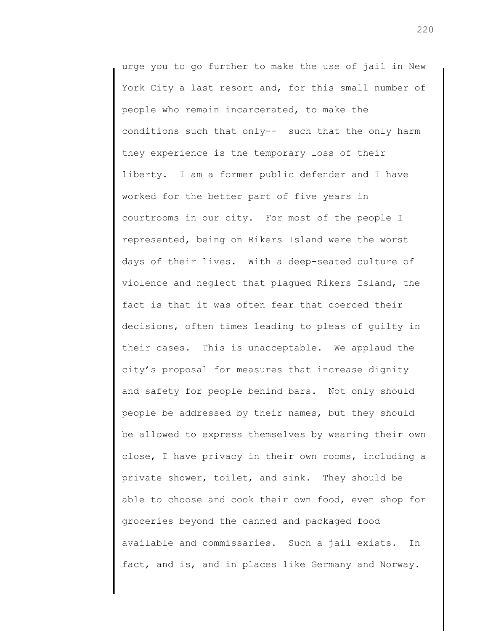urge you to go further to make the use of jail in New York City a last resort and, for this small number of people who remain incarcerated, to make the conditions such that only-- such that the only harm they experience is the temporary loss of their liberty. I am a former public defender and I have worked for the better part of five years in courtrooms in our city. For most of the people I represented, being on Rikers Island were the worst days of their lives. With a deep-seated culture of violence and neglect that plagued Rikers Island, the fact is that it was often fear that coerced their decisions, often times leading to pleas of guilty in their cases. This is unacceptable. We applaud the city's proposal for measures that increase dignity and safety for people behind bars. Not only should people be addressed by their names, but they should be allowed to express themselves by wearing their own close, I have privacy in their own rooms, including a private shower, toilet, and sink. They should be able to choose and cook their own food, even shop for groceries beyond the canned and packaged food available and commissaries. Such a jail exists. In fact, and is, and in places like Germany and Norway.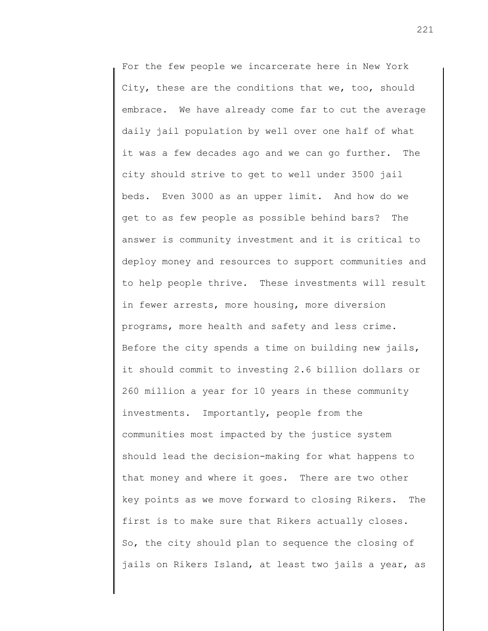For the few people we incarcerate here in New York City, these are the conditions that we, too, should embrace. We have already come far to cut the average daily jail population by well over one half of what it was a few decades ago and we can go further. The city should strive to get to well under 3500 jail beds. Even 3000 as an upper limit. And how do we get to as few people as possible behind bars? The answer is community investment and it is critical to deploy money and resources to support communities and to help people thrive. These investments will result in fewer arrests, more housing, more diversion programs, more health and safety and less crime. Before the city spends a time on building new jails, it should commit to investing 2.6 billion dollars or 260 million a year for 10 years in these community investments. Importantly, people from the communities most impacted by the justice system should lead the decision-making for what happens to that money and where it goes. There are two other key points as we move forward to closing Rikers. The first is to make sure that Rikers actually closes. So, the city should plan to sequence the closing of jails on Rikers Island, at least two jails a year, as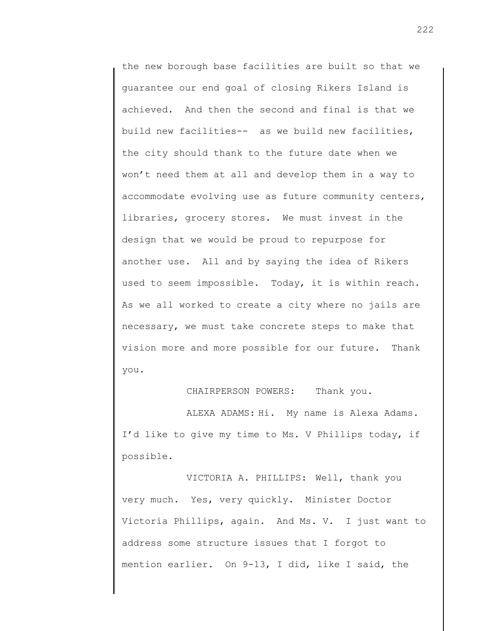the new borough base facilities are built so that we guarantee our end goal of closing Rikers Island is achieved. And then the second and final is that we build new facilities-- as we build new facilities, the city should thank to the future date when we won't need them at all and develop them in a way to accommodate evolving use as future community centers, libraries, grocery stores. We must invest in the design that we would be proud to repurpose for another use. All and by saying the idea of Rikers used to seem impossible. Today, it is within reach. As we all worked to create a city where no jails are necessary, we must take concrete steps to make that vision more and more possible for our future. Thank you.

CHAIRPERSON POWERS: Thank you.

ALEXA ADAMS: Hi. My name is Alexa Adams. I'd like to give my time to Ms. V Phillips today, if possible.

VICTORIA A. PHILLIPS: Well, thank you very much. Yes, very quickly. Minister Doctor Victoria Phillips, again. And Ms. V. I just want to address some structure issues that I forgot to mention earlier. On 9-13, I did, like I said, the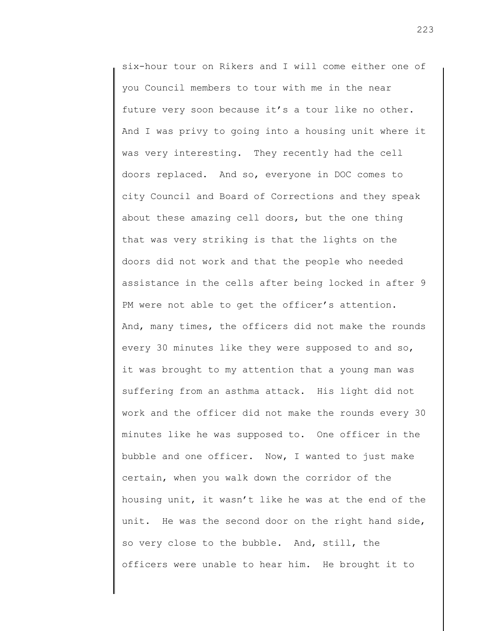six-hour tour on Rikers and I will come either one of you Council members to tour with me in the near future very soon because it's a tour like no other. And I was privy to going into a housing unit where it was very interesting. They recently had the cell doors replaced. And so, everyone in DOC comes to city Council and Board of Corrections and they speak about these amazing cell doors, but the one thing that was very striking is that the lights on the doors did not work and that the people who needed assistance in the cells after being locked in after 9 PM were not able to get the officer's attention. And, many times, the officers did not make the rounds every 30 minutes like they were supposed to and so, it was brought to my attention that a young man was suffering from an asthma attack. His light did not work and the officer did not make the rounds every 30 minutes like he was supposed to. One officer in the bubble and one officer. Now, I wanted to just make certain, when you walk down the corridor of the housing unit, it wasn't like he was at the end of the unit. He was the second door on the right hand side, so very close to the bubble. And, still, the officers were unable to hear him. He brought it to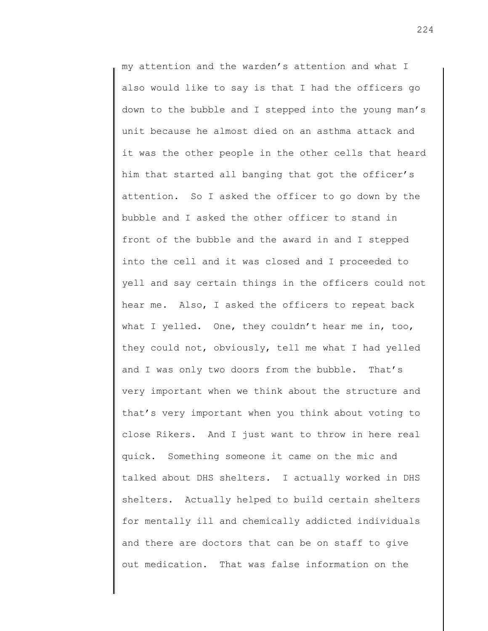my attention and the warden's attention and what I also would like to say is that I had the officers go down to the bubble and I stepped into the young man's unit because he almost died on an asthma attack and it was the other people in the other cells that heard him that started all banging that got the officer's attention. So I asked the officer to go down by the bubble and I asked the other officer to stand in front of the bubble and the award in and I stepped into the cell and it was closed and I proceeded to yell and say certain things in the officers could not hear me. Also, I asked the officers to repeat back what I yelled. One, they couldn't hear me in, too, they could not, obviously, tell me what I had yelled and I was only two doors from the bubble. That's very important when we think about the structure and that's very important when you think about voting to close Rikers. And I just want to throw in here real quick. Something someone it came on the mic and talked about DHS shelters. I actually worked in DHS shelters. Actually helped to build certain shelters for mentally ill and chemically addicted individuals and there are doctors that can be on staff to give out medication. That was false information on the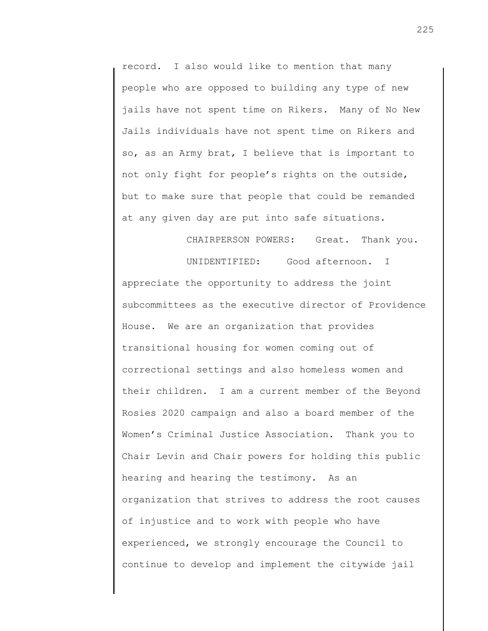record. I also would like to mention that many people who are opposed to building any type of new jails have not spent time on Rikers. Many of No New Jails individuals have not spent time on Rikers and so, as an Army brat, I believe that is important to not only fight for people's rights on the outside, but to make sure that people that could be remanded at any given day are put into safe situations.

CHAIRPERSON POWERS: Great. Thank you.

UNIDENTIFIED: Good afternoon. I appreciate the opportunity to address the joint subcommittees as the executive director of Providence House. We are an organization that provides transitional housing for women coming out of correctional settings and also homeless women and their children. I am a current member of the Beyond Rosies 2020 campaign and also a board member of the Women's Criminal Justice Association. Thank you to Chair Levin and Chair powers for holding this public hearing and hearing the testimony. As an organization that strives to address the root causes of injustice and to work with people who have experienced, we strongly encourage the Council to continue to develop and implement the citywide jail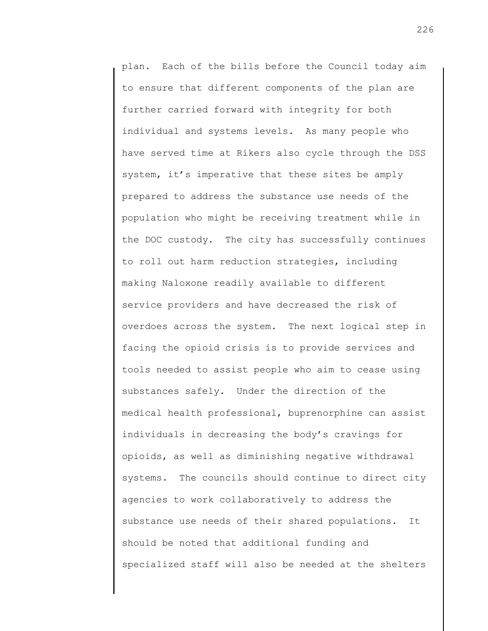plan. Each of the bills before the Council today aim to ensure that different components of the plan are further carried forward with integrity for both individual and systems levels. As many people who have served time at Rikers also cycle through the DSS system, it's imperative that these sites be amply prepared to address the substance use needs of the population who might be receiving treatment while in the DOC custody. The city has successfully continues to roll out harm reduction strategies, including making Naloxone readily available to different service providers and have decreased the risk of overdoes across the system. The next logical step in facing the opioid crisis is to provide services and tools needed to assist people who aim to cease using substances safely. Under the direction of the medical health professional, buprenorphine can assist individuals in decreasing the body's cravings for opioids, as well as diminishing negative withdrawal systems. The councils should continue to direct city agencies to work collaboratively to address the substance use needs of their shared populations. It should be noted that additional funding and specialized staff will also be needed at the shelters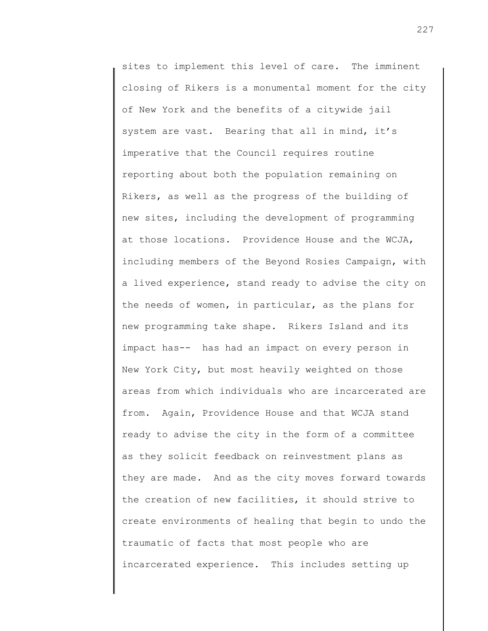sites to implement this level of care. The imminent closing of Rikers is a monumental moment for the city of New York and the benefits of a citywide jail system are vast. Bearing that all in mind, it's imperative that the Council requires routine reporting about both the population remaining on Rikers, as well as the progress of the building of new sites, including the development of programming at those locations. Providence House and the WCJA, including members of the Beyond Rosies Campaign, with a lived experience, stand ready to advise the city on the needs of women, in particular, as the plans for new programming take shape. Rikers Island and its impact has-- has had an impact on every person in New York City, but most heavily weighted on those areas from which individuals who are incarcerated are from. Again, Providence House and that WCJA stand ready to advise the city in the form of a committee as they solicit feedback on reinvestment plans as they are made. And as the city moves forward towards the creation of new facilities, it should strive to create environments of healing that begin to undo the traumatic of facts that most people who are incarcerated experience. This includes setting up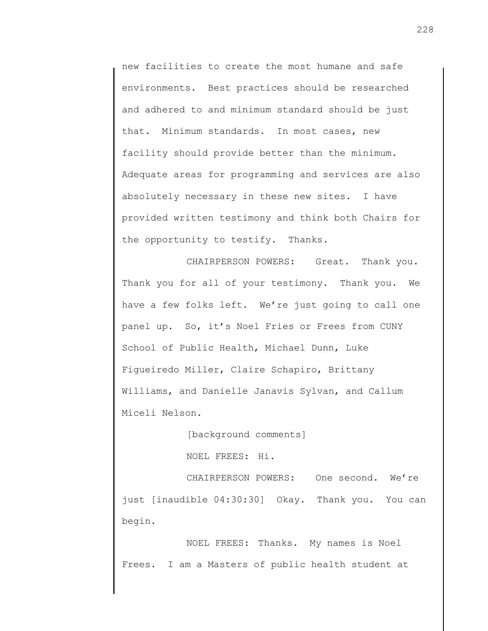new facilities to create the most humane and safe environments. Best practices should be researched and adhered to and minimum standard should be just that. Minimum standards. In most cases, new facility should provide better than the minimum. Adequate areas for programming and services are also absolutely necessary in these new sites. I have provided written testimony and think both Chairs for the opportunity to testify. Thanks.

CHAIRPERSON POWERS: Great. Thank you. Thank you for all of your testimony. Thank you. We have a few folks left. We're just going to call one panel up. So, it's Noel Fries or Frees from CUNY School of Public Health, Michael Dunn, Luke Figueiredo Miller, Claire Schapiro, Brittany Williams, and Danielle Janavis Sylvan, and Callum Miceli Nelson.

[background comments]

NOEL FREES: Hi.

CHAIRPERSON POWERS: One second. We're just [inaudible 04:30:30] Okay. Thank you. You can begin.

NOEL FREES: Thanks. My names is Noel Frees. I am a Masters of public health student at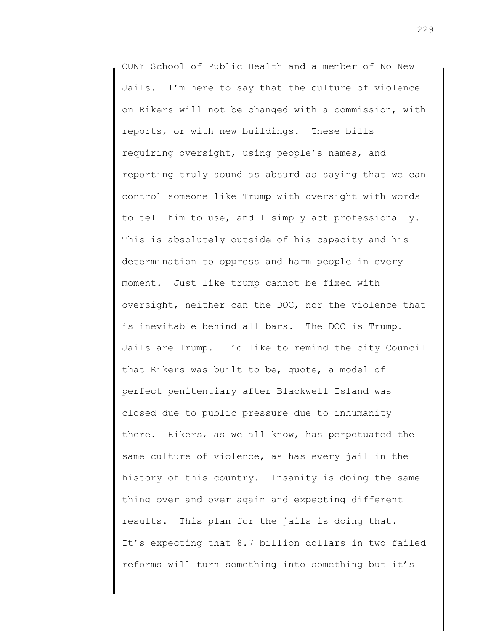CUNY School of Public Health and a member of No New Jails. I'm here to say that the culture of violence on Rikers will not be changed with a commission, with reports, or with new buildings. These bills requiring oversight, using people's names, and reporting truly sound as absurd as saying that we can control someone like Trump with oversight with words to tell him to use, and I simply act professionally. This is absolutely outside of his capacity and his determination to oppress and harm people in every moment. Just like trump cannot be fixed with oversight, neither can the DOC, nor the violence that is inevitable behind all bars. The DOC is Trump. Jails are Trump. I'd like to remind the city Council that Rikers was built to be, quote, a model of perfect penitentiary after Blackwell Island was closed due to public pressure due to inhumanity there. Rikers, as we all know, has perpetuated the same culture of violence, as has every jail in the history of this country. Insanity is doing the same thing over and over again and expecting different results. This plan for the jails is doing that. It's expecting that 8.7 billion dollars in two failed reforms will turn something into something but it's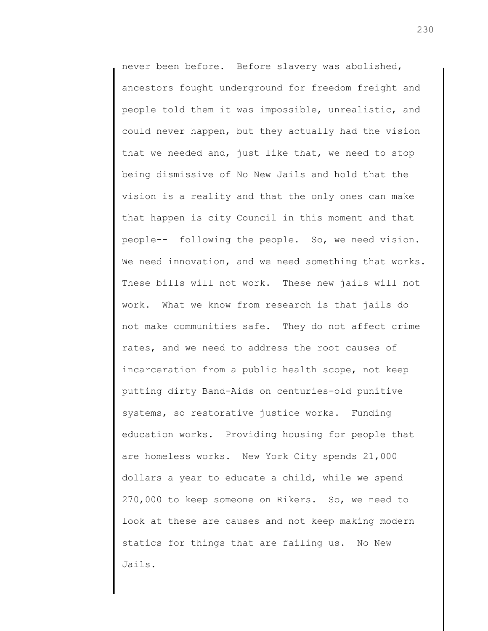never been before. Before slavery was abolished, ancestors fought underground for freedom freight and people told them it was impossible, unrealistic, and could never happen, but they actually had the vision that we needed and, just like that, we need to stop being dismissive of No New Jails and hold that the vision is a reality and that the only ones can make that happen is city Council in this moment and that people-- following the people. So, we need vision. We need innovation, and we need something that works. These bills will not work. These new jails will not work. What we know from research is that jails do not make communities safe. They do not affect crime rates, and we need to address the root causes of incarceration from a public health scope, not keep putting dirty Band-Aids on centuries-old punitive systems, so restorative justice works. Funding education works. Providing housing for people that are homeless works. New York City spends 21,000 dollars a year to educate a child, while we spend 270,000 to keep someone on Rikers. So, we need to look at these are causes and not keep making modern statics for things that are failing us. No New Jails.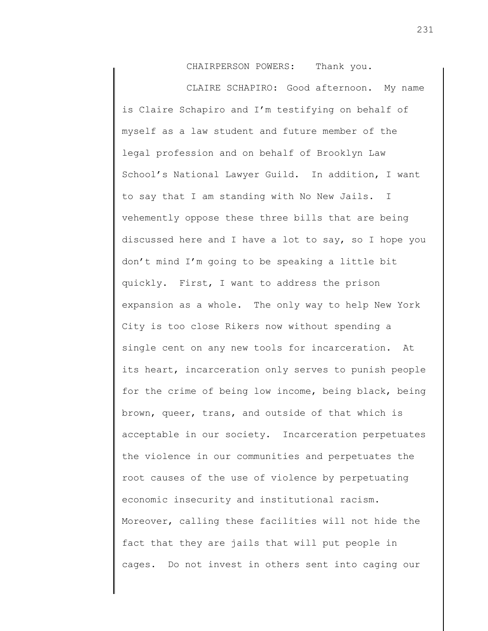CHAIRPERSON POWERS: Thank you.

CLAIRE SCHAPIRO: Good afternoon. My name is Claire Schapiro and I'm testifying on behalf of myself as a law student and future member of the legal profession and on behalf of Brooklyn Law School's National Lawyer Guild. In addition, I want to say that I am standing with No New Jails. I vehemently oppose these three bills that are being discussed here and I have a lot to say, so I hope you don't mind I'm going to be speaking a little bit quickly. First, I want to address the prison expansion as a whole. The only way to help New York City is too close Rikers now without spending a single cent on any new tools for incarceration. At its heart, incarceration only serves to punish people for the crime of being low income, being black, being brown, queer, trans, and outside of that which is acceptable in our society. Incarceration perpetuates the violence in our communities and perpetuates the root causes of the use of violence by perpetuating economic insecurity and institutional racism. Moreover, calling these facilities will not hide the fact that they are jails that will put people in cages. Do not invest in others sent into caging our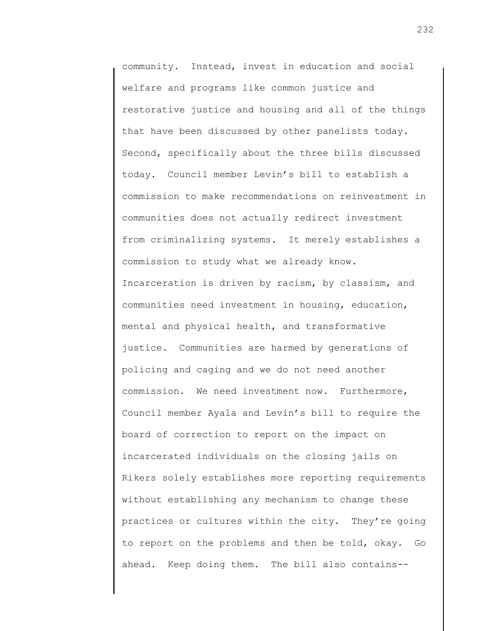community. Instead, invest in education and social welfare and programs like common justice and restorative justice and housing and all of the things that have been discussed by other panelists today. Second, specifically about the three bills discussed today. Council member Levin's bill to establish a commission to make recommendations on reinvestment in communities does not actually redirect investment from criminalizing systems. It merely establishes a commission to study what we already know. Incarceration is driven by racism, by classism, and communities need investment in housing, education, mental and physical health, and transformative justice. Communities are harmed by generations of policing and caging and we do not need another commission. We need investment now. Furthermore, Council member Ayala and Levin's bill to require the board of correction to report on the impact on incarcerated individuals on the closing jails on Rikers solely establishes more reporting requirements without establishing any mechanism to change these practices or cultures within the city. They're going to report on the problems and then be told, okay. Go ahead. Keep doing them. The bill also contains--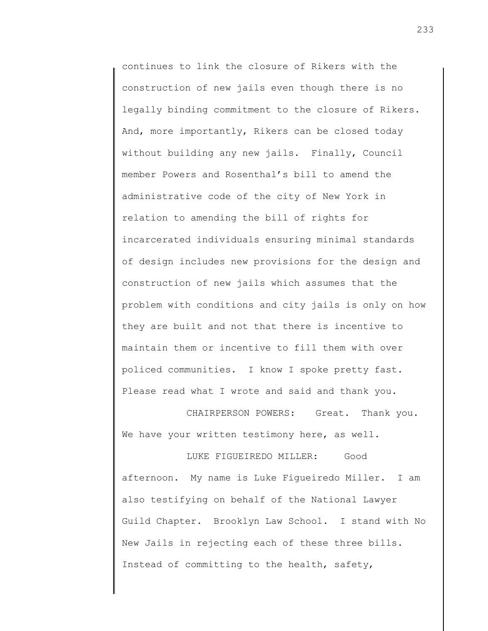continues to link the closure of Rikers with the construction of new jails even though there is no legally binding commitment to the closure of Rikers. And, more importantly, Rikers can be closed today without building any new jails. Finally, Council member Powers and Rosenthal's bill to amend the administrative code of the city of New York in relation to amending the bill of rights for incarcerated individuals ensuring minimal standards of design includes new provisions for the design and construction of new jails which assumes that the problem with conditions and city jails is only on how they are built and not that there is incentive to maintain them or incentive to fill them with over policed communities. I know I spoke pretty fast. Please read what I wrote and said and thank you.

CHAIRPERSON POWERS: Great. Thank you. We have your written testimony here, as well.

LUKE FIGUEIREDO MILLER: Good afternoon. My name is Luke Figueiredo Miller. I am also testifying on behalf of the National Lawyer Guild Chapter. Brooklyn Law School. I stand with No New Jails in rejecting each of these three bills. Instead of committing to the health, safety,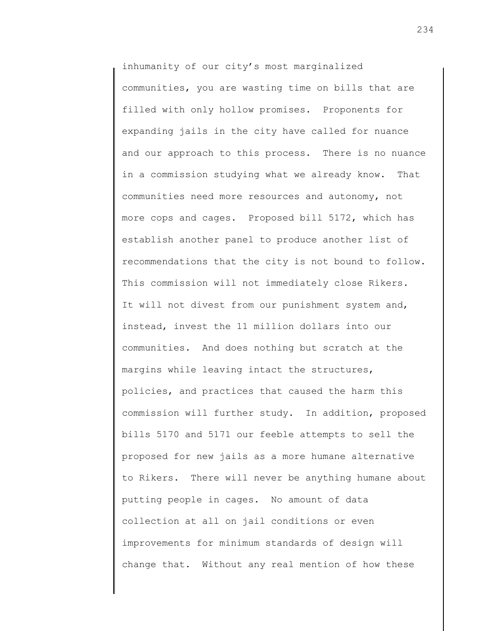inhumanity of our city's most marginalized communities, you are wasting time on bills that are filled with only hollow promises. Proponents for expanding jails in the city have called for nuance and our approach to this process. There is no nuance in a commission studying what we already know. That communities need more resources and autonomy, not more cops and cages. Proposed bill 5172, which has establish another panel to produce another list of recommendations that the city is not bound to follow. This commission will not immediately close Rikers. It will not divest from our punishment system and, instead, invest the 11 million dollars into our communities. And does nothing but scratch at the margins while leaving intact the structures, policies, and practices that caused the harm this commission will further study. In addition, proposed bills 5170 and 5171 our feeble attempts to sell the proposed for new jails as a more humane alternative to Rikers. There will never be anything humane about putting people in cages. No amount of data collection at all on jail conditions or even improvements for minimum standards of design will change that. Without any real mention of how these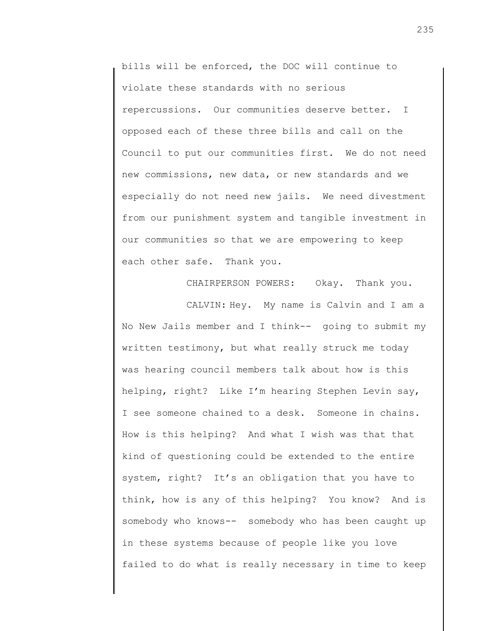bills will be enforced, the DOC will continue to violate these standards with no serious repercussions. Our communities deserve better. I opposed each of these three bills and call on the Council to put our communities first. We do not need new commissions, new data, or new standards and we especially do not need new jails. We need divestment from our punishment system and tangible investment in our communities so that we are empowering to keep each other safe. Thank you.

CHAIRPERSON POWERS: Okay. Thank you.

CALVIN: Hey. My name is Calvin and I am a No New Jails member and I think-- going to submit my written testimony, but what really struck me today was hearing council members talk about how is this helping, right? Like I'm hearing Stephen Levin say, I see someone chained to a desk. Someone in chains. How is this helping? And what I wish was that that kind of questioning could be extended to the entire system, right? It's an obligation that you have to think, how is any of this helping? You know? And is somebody who knows-- somebody who has been caught up in these systems because of people like you love failed to do what is really necessary in time to keep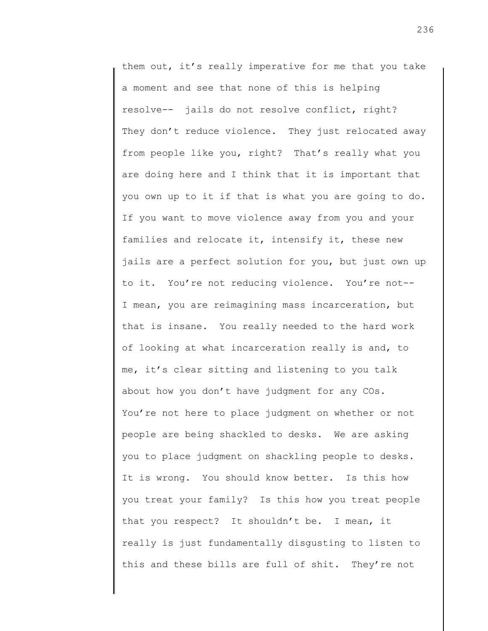them out, it's really imperative for me that you take a moment and see that none of this is helping resolve-- jails do not resolve conflict, right? They don't reduce violence. They just relocated away from people like you, right? That's really what you are doing here and I think that it is important that you own up to it if that is what you are going to do. If you want to move violence away from you and your families and relocate it, intensify it, these new jails are a perfect solution for you, but just own up to it. You're not reducing violence. You're not-- I mean, you are reimagining mass incarceration, but that is insane. You really needed to the hard work of looking at what incarceration really is and, to me, it's clear sitting and listening to you talk about how you don't have judgment for any COs. You're not here to place judgment on whether or not people are being shackled to desks. We are asking you to place judgment on shackling people to desks. It is wrong. You should know better. Is this how you treat your family? Is this how you treat people that you respect? It shouldn't be. I mean, it really is just fundamentally disgusting to listen to this and these bills are full of shit. They're not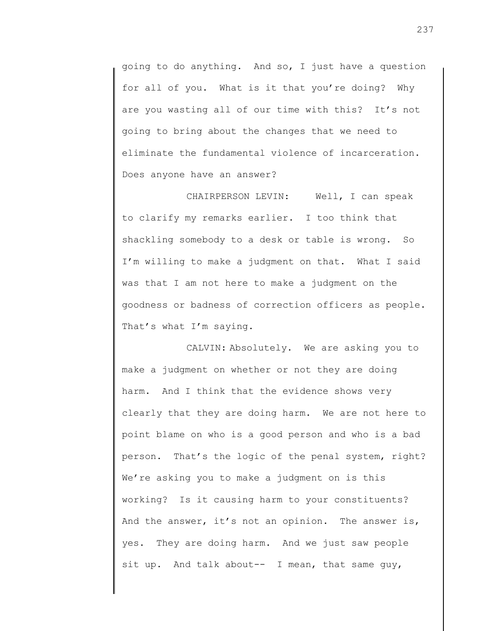going to do anything. And so, I just have a question for all of you. What is it that you're doing? Why are you wasting all of our time with this? It's not going to bring about the changes that we need to eliminate the fundamental violence of incarceration. Does anyone have an answer?

CHAIRPERSON LEVIN: Well, I can speak to clarify my remarks earlier. I too think that shackling somebody to a desk or table is wrong. So I'm willing to make a judgment on that. What I said was that I am not here to make a judgment on the goodness or badness of correction officers as people. That's what I'm saying.

CALVIN: Absolutely. We are asking you to make a judgment on whether or not they are doing harm. And I think that the evidence shows very clearly that they are doing harm. We are not here to point blame on who is a good person and who is a bad person. That's the logic of the penal system, right? We're asking you to make a judgment on is this working? Is it causing harm to your constituents? And the answer, it's not an opinion. The answer is, yes. They are doing harm. And we just saw people sit up. And talk about-- I mean, that same guy,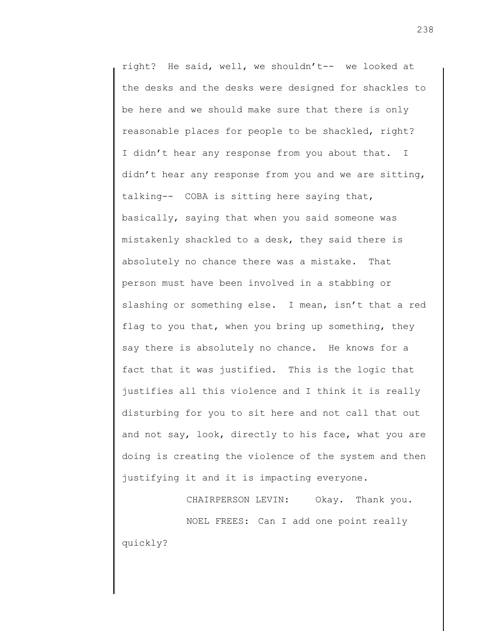right? He said, well, we shouldn't-- we looked at the desks and the desks were designed for shackles to be here and we should make sure that there is only reasonable places for people to be shackled, right? I didn't hear any response from you about that. I didn't hear any response from you and we are sitting, talking-- COBA is sitting here saying that, basically, saying that when you said someone was mistakenly shackled to a desk, they said there is absolutely no chance there was a mistake. That person must have been involved in a stabbing or slashing or something else. I mean, isn't that a red flag to you that, when you bring up something, they say there is absolutely no chance. He knows for a fact that it was justified. This is the logic that justifies all this violence and I think it is really disturbing for you to sit here and not call that out and not say, look, directly to his face, what you are doing is creating the violence of the system and then justifying it and it is impacting everyone.

CHAIRPERSON LEVIN: Okay. Thank you. NOEL FREES: Can I add one point really quickly?

238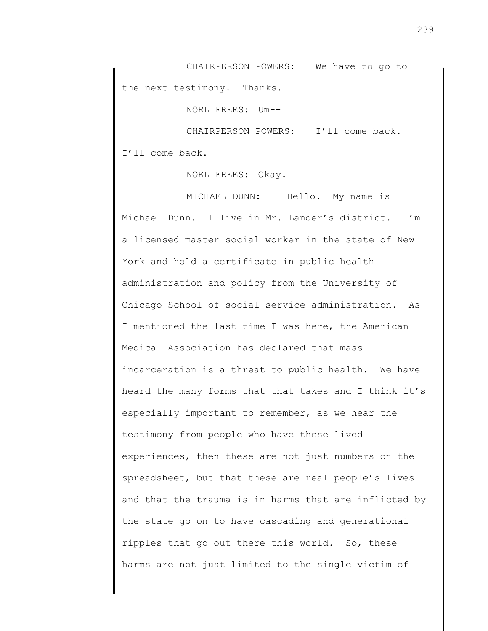CHAIRPERSON POWERS: We have to go to the next testimony. Thanks.

NOEL FREES: Um--

CHAIRPERSON POWERS: I'll come back. I'll come back.

NOEL FREES: Okay.

MICHAEL DUNN: Hello. My name is Michael Dunn. I live in Mr. Lander's district. I'm a licensed master social worker in the state of New York and hold a certificate in public health administration and policy from the University of Chicago School of social service administration. As I mentioned the last time I was here, the American Medical Association has declared that mass incarceration is a threat to public health. We have heard the many forms that that takes and I think it's especially important to remember, as we hear the testimony from people who have these lived experiences, then these are not just numbers on the spreadsheet, but that these are real people's lives and that the trauma is in harms that are inflicted by the state go on to have cascading and generational ripples that go out there this world. So, these harms are not just limited to the single victim of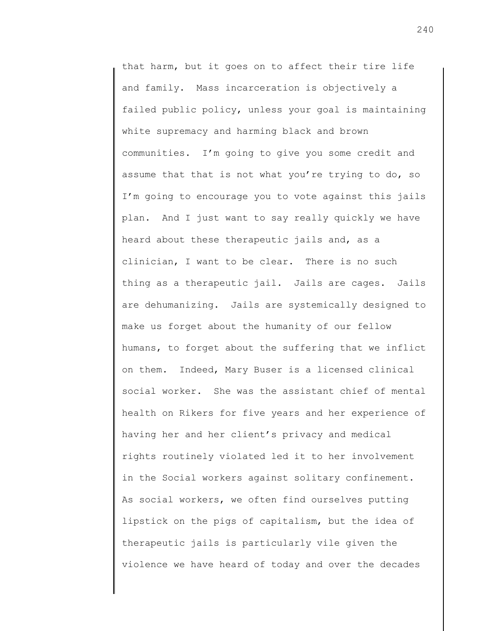that harm, but it goes on to affect their tire life and family. Mass incarceration is objectively a failed public policy, unless your goal is maintaining white supremacy and harming black and brown communities. I'm going to give you some credit and assume that that is not what you're trying to do, so I'm going to encourage you to vote against this jails plan. And I just want to say really quickly we have heard about these therapeutic jails and, as a clinician, I want to be clear. There is no such thing as a therapeutic jail. Jails are cages. Jails are dehumanizing. Jails are systemically designed to make us forget about the humanity of our fellow humans, to forget about the suffering that we inflict on them. Indeed, Mary Buser is a licensed clinical social worker. She was the assistant chief of mental health on Rikers for five years and her experience of having her and her client's privacy and medical rights routinely violated led it to her involvement in the Social workers against solitary confinement. As social workers, we often find ourselves putting lipstick on the pigs of capitalism, but the idea of therapeutic jails is particularly vile given the violence we have heard of today and over the decades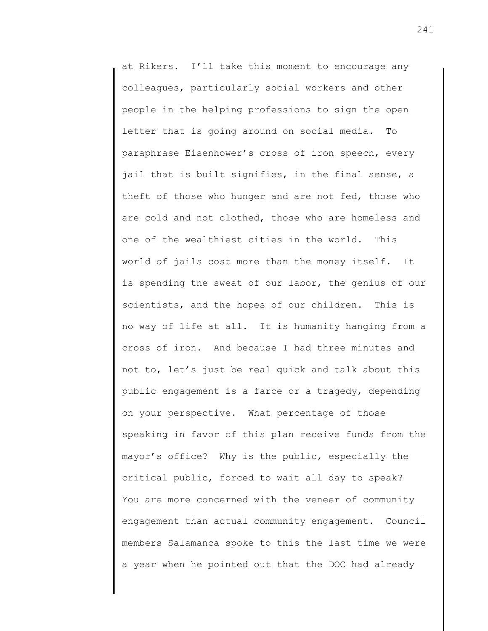at Rikers. I'll take this moment to encourage any colleagues, particularly social workers and other people in the helping professions to sign the open letter that is going around on social media. To paraphrase Eisenhower's cross of iron speech, every jail that is built signifies, in the final sense, a theft of those who hunger and are not fed, those who are cold and not clothed, those who are homeless and one of the wealthiest cities in the world. This world of jails cost more than the money itself. It is spending the sweat of our labor, the genius of our scientists, and the hopes of our children. This is no way of life at all. It is humanity hanging from a cross of iron. And because I had three minutes and not to, let's just be real quick and talk about this public engagement is a farce or a tragedy, depending on your perspective. What percentage of those speaking in favor of this plan receive funds from the mayor's office? Why is the public, especially the critical public, forced to wait all day to speak? You are more concerned with the veneer of community engagement than actual community engagement. Council members Salamanca spoke to this the last time we were a year when he pointed out that the DOC had already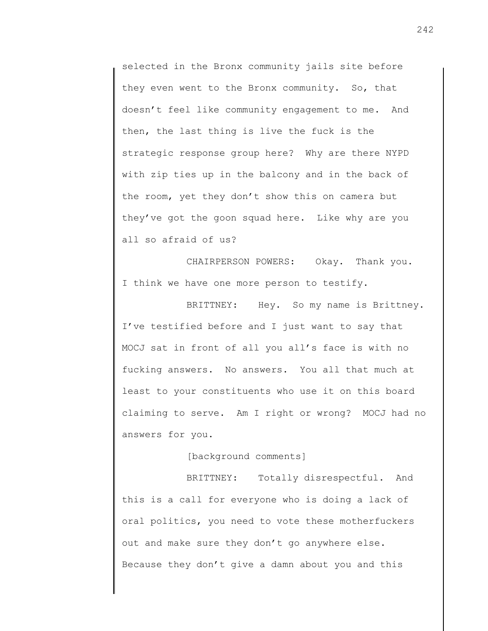selected in the Bronx community jails site before they even went to the Bronx community. So, that doesn't feel like community engagement to me. And then, the last thing is live the fuck is the strategic response group here? Why are there NYPD with zip ties up in the balcony and in the back of the room, yet they don't show this on camera but they've got the goon squad here. Like why are you all so afraid of us?

CHAIRPERSON POWERS: Okay. Thank you. I think we have one more person to testify.

BRITTNEY: Hey. So my name is Brittney. I've testified before and I just want to say that MOCJ sat in front of all you all's face is with no fucking answers. No answers. You all that much at least to your constituents who use it on this board claiming to serve. Am I right or wrong? MOCJ had no answers for you.

[background comments]

BRITTNEY: Totally disrespectful. And this is a call for everyone who is doing a lack of oral politics, you need to vote these motherfuckers out and make sure they don't go anywhere else. Because they don't give a damn about you and this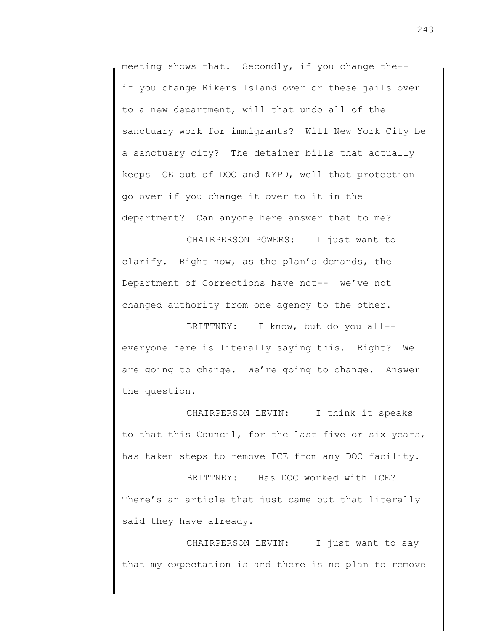meeting shows that. Secondly, if you change the- if you change Rikers Island over or these jails over to a new department, will that undo all of the sanctuary work for immigrants? Will New York City be a sanctuary city? The detainer bills that actually keeps ICE out of DOC and NYPD, well that protection go over if you change it over to it in the department? Can anyone here answer that to me?

CHAIRPERSON POWERS: I just want to clarify. Right now, as the plan's demands, the Department of Corrections have not-- we've not changed authority from one agency to the other.

BRITTNEY: I know, but do you all- everyone here is literally saying this. Right? We are going to change. We're going to change. Answer the question.

CHAIRPERSON LEVIN: I think it speaks to that this Council, for the last five or six years, has taken steps to remove ICE from any DOC facility.

BRITTNEY: Has DOC worked with ICE? There's an article that just came out that literally said they have already.

CHAIRPERSON LEVIN: I just want to say that my expectation is and there is no plan to remove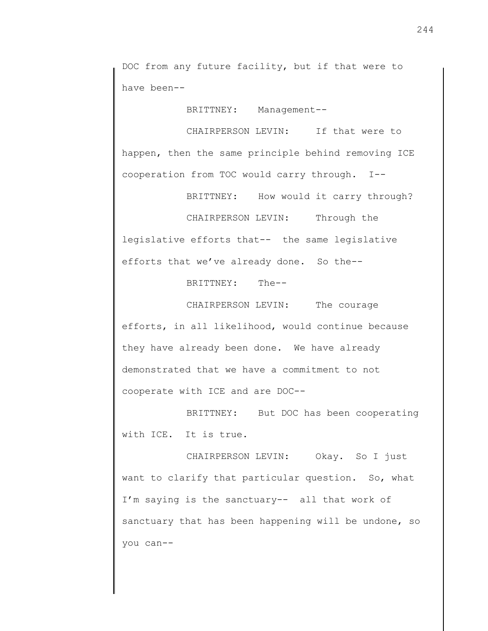DOC from any future facility, but if that were to have been--

BRITTNEY: Management--

CHAIRPERSON LEVIN: If that were to happen, then the same principle behind removing ICE cooperation from TOC would carry through. I--

BRITTNEY: How would it carry through? CHAIRPERSON LEVIN: Through the legislative efforts that-- the same legislative efforts that we've already done. So the--

BRITTNEY: The--

CHAIRPERSON LEVIN: The courage efforts, in all likelihood, would continue because they have already been done. We have already demonstrated that we have a commitment to not cooperate with ICE and are DOC--

BRITTNEY: But DOC has been cooperating with ICE. It is true.

CHAIRPERSON LEVIN: Okay. So I just want to clarify that particular question. So, what I'm saying is the sanctuary-- all that work of sanctuary that has been happening will be undone, so you can--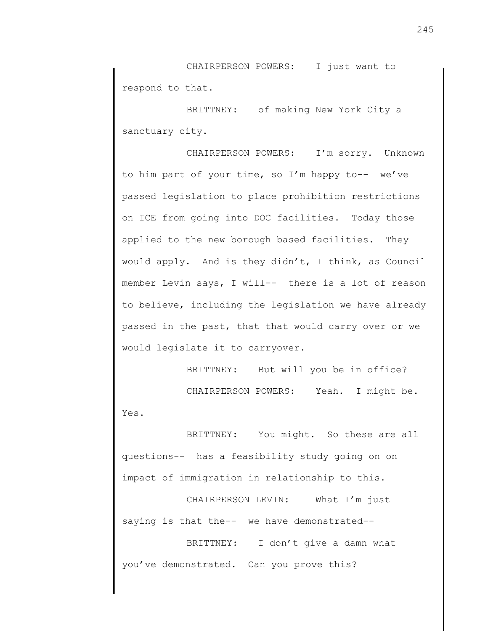CHAIRPERSON POWERS: I just want to respond to that.

BRITTNEY: of making New York City a sanctuary city.

CHAIRPERSON POWERS: I'm sorry. Unknown to him part of your time, so I'm happy to-- we've passed legislation to place prohibition restrictions on ICE from going into DOC facilities. Today those applied to the new borough based facilities. They would apply. And is they didn't, I think, as Council member Levin says, I will-- there is a lot of reason to believe, including the legislation we have already passed in the past, that that would carry over or we would legislate it to carryover.

BRITTNEY: But will you be in office? CHAIRPERSON POWERS: Yeah. I might be. Yes.

BRITTNEY: You might. So these are all questions-- has a feasibility study going on on impact of immigration in relationship to this.

CHAIRPERSON LEVIN: What I'm just saying is that the-- we have demonstrated--

BRITTNEY: I don't give a damn what you've demonstrated. Can you prove this?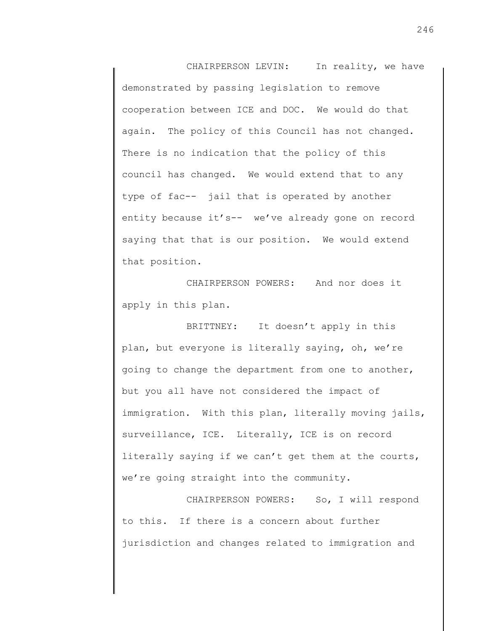CHAIRPERSON LEVIN: In reality, we have demonstrated by passing legislation to remove cooperation between ICE and DOC. We would do that again. The policy of this Council has not changed. There is no indication that the policy of this council has changed. We would extend that to any type of fac-- jail that is operated by another entity because it's-- we've already gone on record saying that that is our position. We would extend that position.

CHAIRPERSON POWERS: And nor does it apply in this plan.

BRITTNEY: It doesn't apply in this plan, but everyone is literally saying, oh, we're going to change the department from one to another, but you all have not considered the impact of immigration. With this plan, literally moving jails, surveillance, ICE. Literally, ICE is on record literally saying if we can't get them at the courts, we're going straight into the community.

CHAIRPERSON POWERS: So, I will respond to this. If there is a concern about further jurisdiction and changes related to immigration and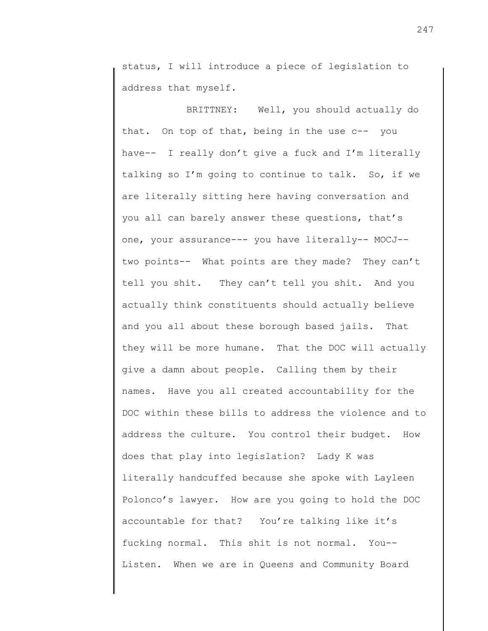status, I will introduce a piece of legislation to address that myself.

BRITTNEY: Well, you should actually do that. On top of that, being in the use c-- you have-- I really don't give a fuck and I'm literally talking so I'm going to continue to talk. So, if we are literally sitting here having conversation and you all can barely answer these questions, that's one, your assurance--- you have literally-- MOCJ- two points-- What points are they made? They can't tell you shit. They can't tell you shit. And you actually think constituents should actually believe and you all about these borough based jails. That they will be more humane. That the DOC will actually give a damn about people. Calling them by their names. Have you all created accountability for the DOC within these bills to address the violence and to address the culture. You control their budget. How does that play into legislation? Lady K was literally handcuffed because she spoke with Layleen Polonco's lawyer. How are you going to hold the DOC accountable for that? You're talking like it's fucking normal. This shit is not normal. You-- Listen. When we are in Queens and Community Board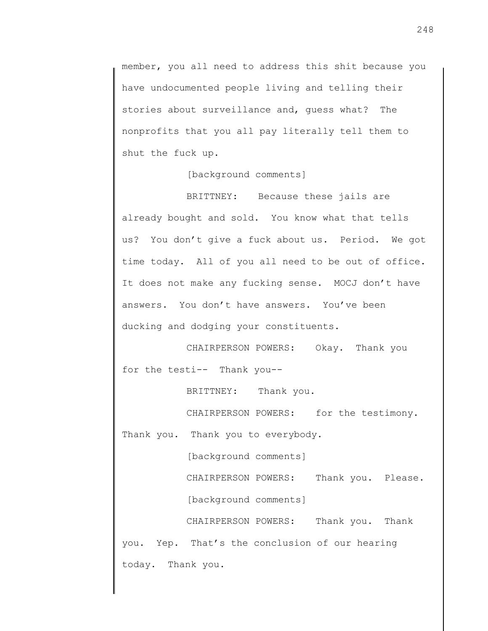member, you all need to address this shit because you have undocumented people living and telling their stories about surveillance and, guess what? The nonprofits that you all pay literally tell them to shut the fuck up.

[background comments]

BRITTNEY: Because these jails are already bought and sold. You know what that tells us? You don't give a fuck about us. Period. We got time today. All of you all need to be out of office. It does not make any fucking sense. MOCJ don't have answers. You don't have answers. You've been ducking and dodging your constituents.

CHAIRPERSON POWERS: Okay. Thank you for the testi-- Thank you--

BRITTNEY: Thank you.

CHAIRPERSON POWERS: for the testimony. Thank you. Thank you to everybody.

[background comments]

CHAIRPERSON POWERS: Thank you. Please.

[background comments]

CHAIRPERSON POWERS: Thank you. Thank you. Yep. That's the conclusion of our hearing today. Thank you.